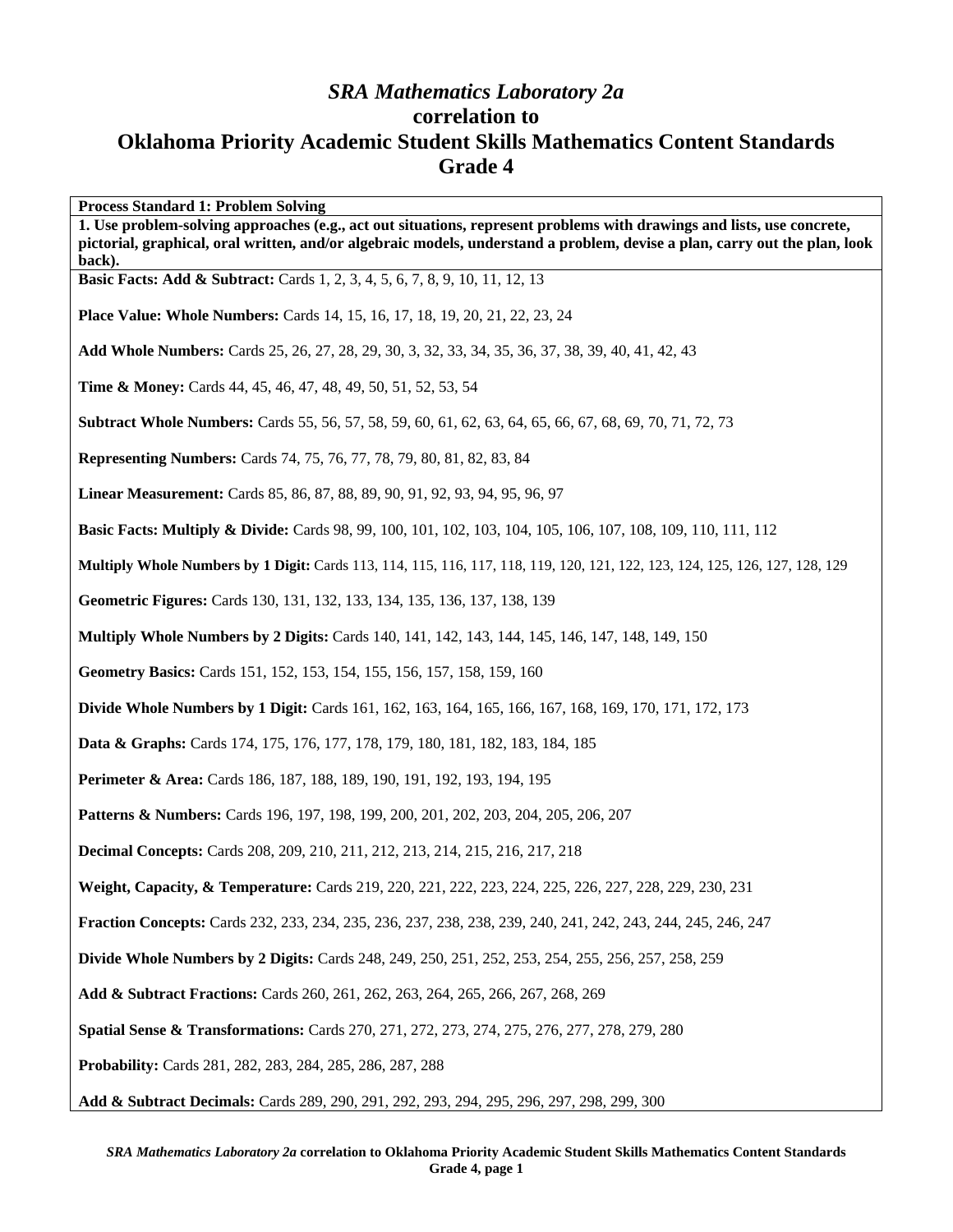## *SRA Mathematics Laboratory 2a*  **correlation to Oklahoma Priority Academic Student Skills Mathematics Content Standards Grade 4**

**Process Standard 1: Problem Solving 1. Use problem-solving approaches (e.g., act out situations, represent problems with drawings and lists, use concrete, pictorial, graphical, oral written, and/or algebraic models, understand a problem, devise a plan, carry out the plan, look back). Basic Facts: Add & Subtract:** Cards 1, 2, 3, 4, 5, 6, 7, 8, 9, 10, 11, 12, 13 **Place Value: Whole Numbers:** Cards 14, 15, 16, 17, 18, 19, 20, 21, 22, 23, 24 **Add Whole Numbers:** Cards 25, 26, 27, 28, 29, 30, 3, 32, 33, 34, 35, 36, 37, 38, 39, 40, 41, 42, 43 **Time & Money:** Cards 44, 45, 46, 47, 48, 49, 50, 51, 52, 53, 54 **Subtract Whole Numbers:** Cards 55, 56, 57, 58, 59, 60, 61, 62, 63, 64, 65, 66, 67, 68, 69, 70, 71, 72, 73 **Representing Numbers:** Cards 74, 75, 76, 77, 78, 79, 80, 81, 82, 83, 84 **Linear Measurement:** Cards 85, 86, 87, 88, 89, 90, 91, 92, 93, 94, 95, 96, 97 **Basic Facts: Multiply & Divide:** Cards 98, 99, 100, 101, 102, 103, 104, 105, 106, 107, 108, 109, 110, 111, 112 **Multiply Whole Numbers by 1 Digit:** Cards 113, 114, 115, 116, 117, 118, 119, 120, 121, 122, 123, 124, 125, 126, 127, 128, 129 **Geometric Figures:** Cards 130, 131, 132, 133, 134, 135, 136, 137, 138, 139 **Multiply Whole Numbers by 2 Digits:** Cards 140, 141, 142, 143, 144, 145, 146, 147, 148, 149, 150 **Geometry Basics:** Cards 151, 152, 153, 154, 155, 156, 157, 158, 159, 160 **Divide Whole Numbers by 1 Digit:** Cards 161, 162, 163, 164, 165, 166, 167, 168, 169, 170, 171, 172, 173 **Data & Graphs:** Cards 174, 175, 176, 177, 178, 179, 180, 181, 182, 183, 184, 185 **Perimeter & Area:** Cards 186, 187, 188, 189, 190, 191, 192, 193, 194, 195 **Patterns & Numbers:** Cards 196, 197, 198, 199, 200, 201, 202, 203, 204, 205, 206, 207 **Decimal Concepts:** Cards 208, 209, 210, 211, 212, 213, 214, 215, 216, 217, 218 **Weight, Capacity, & Temperature:** Cards 219, 220, 221, 222, 223, 224, 225, 226, 227, 228, 229, 230, 231 **Fraction Concepts:** Cards 232, 233, 234, 235, 236, 237, 238, 238, 239, 240, 241, 242, 243, 244, 245, 246, 247 **Divide Whole Numbers by 2 Digits:** Cards 248, 249, 250, 251, 252, 253, 254, 255, 256, 257, 258, 259 **Add & Subtract Fractions:** Cards 260, 261, 262, 263, 264, 265, 266, 267, 268, 269 **Spatial Sense & Transformations:** Cards 270, 271, 272, 273, 274, 275, 276, 277, 278, 279, 280 **Probability:** Cards 281, 282, 283, 284, 285, 286, 287, 288 **Add & Subtract Decimals:** Cards 289, 290, 291, 292, 293, 294, 295, 296, 297, 298, 299, 300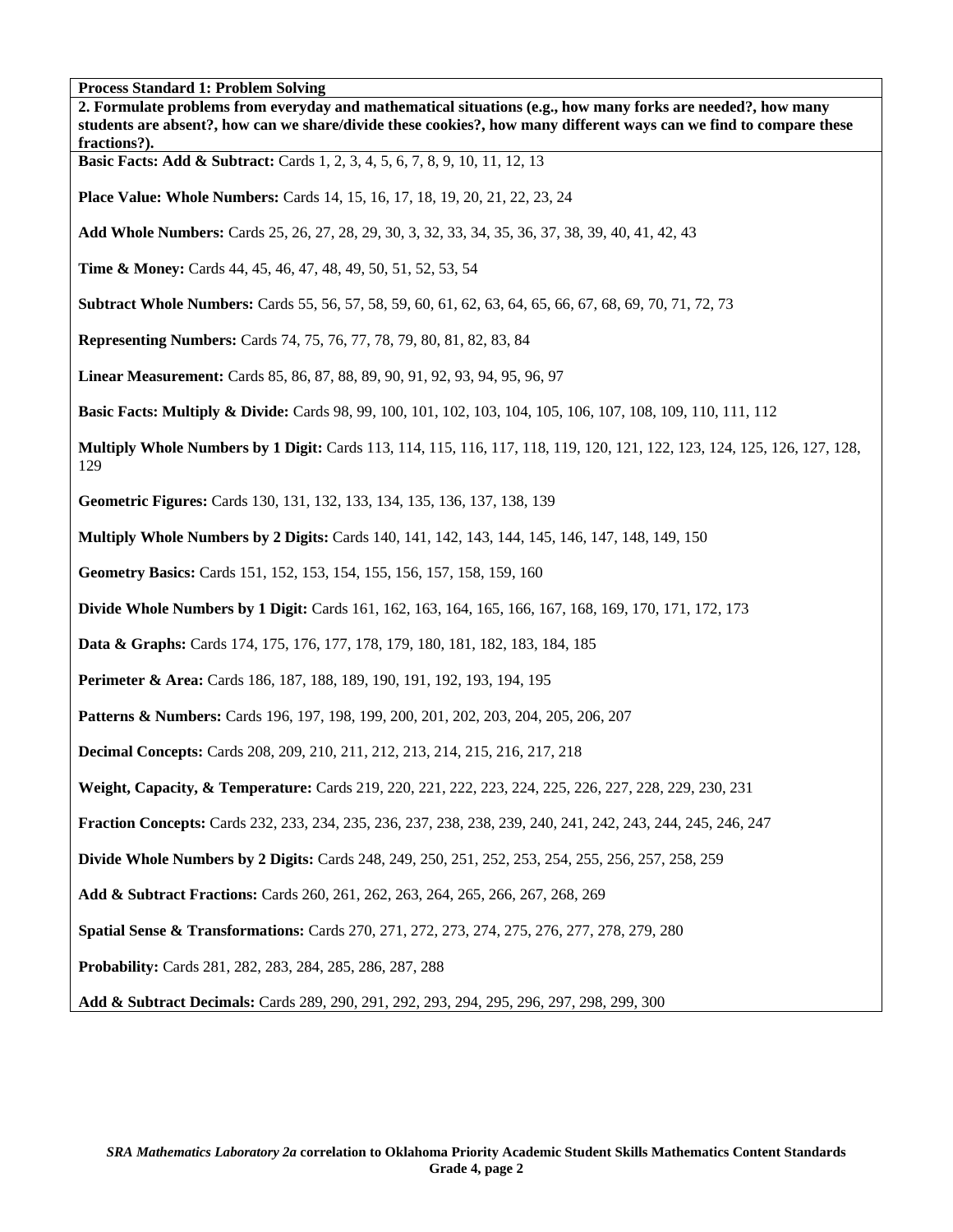| 2. Formulate problems from everyday and mathematical situations (e.g., how many forks are needed?, how many<br>students are absent?, how can we share/divide these cookies?, how many different ways can we find to compare these<br>fractions?). |
|---------------------------------------------------------------------------------------------------------------------------------------------------------------------------------------------------------------------------------------------------|
| <b>Basic Facts: Add &amp; Subtract:</b> Cards 1, 2, 3, 4, 5, 6, 7, 8, 9, 10, 11, 12, 13                                                                                                                                                           |
| <b>Place Value: Whole Numbers:</b> Cards 14, 15, 16, 17, 18, 19, 20, 21, 22, 23, 24                                                                                                                                                               |
| Add Whole Numbers: Cards 25, 26, 27, 28, 29, 30, 3, 32, 33, 34, 35, 36, 37, 38, 39, 40, 41, 42, 43                                                                                                                                                |
| <b>Time &amp; Money:</b> Cards 44, 45, 46, 47, 48, 49, 50, 51, 52, 53, 54                                                                                                                                                                         |
| <b>Subtract Whole Numbers:</b> Cards 55, 56, 57, 58, 59, 60, 61, 62, 63, 64, 65, 66, 67, 68, 69, 70, 71, 72, 73                                                                                                                                   |
| <b>Representing Numbers:</b> Cards 74, 75, 76, 77, 78, 79, 80, 81, 82, 83, 84                                                                                                                                                                     |
| Linear Measurement: Cards 85, 86, 87, 88, 89, 90, 91, 92, 93, 94, 95, 96, 97                                                                                                                                                                      |
| <b>Basic Facts: Multiply &amp; Divide:</b> Cards 98, 99, 100, 101, 102, 103, 104, 105, 106, 107, 108, 109, 110, 111, 112                                                                                                                          |
| Multiply Whole Numbers by 1 Digit: Cards 113, 114, 115, 116, 117, 118, 119, 120, 121, 122, 123, 124, 125, 126, 127, 128,<br>129                                                                                                                   |
| Geometric Figures: Cards 130, 131, 132, 133, 134, 135, 136, 137, 138, 139                                                                                                                                                                         |
| <b>Multiply Whole Numbers by 2 Digits:</b> Cards 140, 141, 142, 143, 144, 145, 146, 147, 148, 149, 150                                                                                                                                            |
| Geometry Basics: Cards 151, 152, 153, 154, 155, 156, 157, 158, 159, 160                                                                                                                                                                           |
| <b>Divide Whole Numbers by 1 Digit:</b> Cards 161, 162, 163, 164, 165, 166, 167, 168, 169, 170, 171, 172, 173                                                                                                                                     |
| Data & Graphs: Cards 174, 175, 176, 177, 178, 179, 180, 181, 182, 183, 184, 185                                                                                                                                                                   |
| Perimeter & Area: Cards 186, 187, 188, 189, 190, 191, 192, 193, 194, 195                                                                                                                                                                          |
| Patterns & Numbers: Cards 196, 197, 198, 199, 200, 201, 202, 203, 204, 205, 206, 207                                                                                                                                                              |
| <b>Decimal Concepts:</b> Cards 208, 209, 210, 211, 212, 213, 214, 215, 216, 217, 218                                                                                                                                                              |
| Weight, Capacity, & Temperature: Cards 219, 220, 221, 222, 223, 224, 225, 226, 227, 228, 229, 230, 231                                                                                                                                            |
| Fraction Concepts: Cards 232, 233, 234, 235, 236, 237, 238, 238, 239, 240, 241, 242, 243, 244, 245, 246, 247                                                                                                                                      |
| <b>Divide Whole Numbers by 2 Digits:</b> Cards 248, 249, 250, 251, 252, 253, 254, 255, 256, 257, 258, 259                                                                                                                                         |
| Add & Subtract Fractions: Cards 260, 261, 262, 263, 264, 265, 266, 267, 268, 269                                                                                                                                                                  |
| Spatial Sense & Transformations: Cards 270, 271, 272, 273, 274, 275, 276, 277, 278, 279, 280                                                                                                                                                      |
| Probability: Cards 281, 282, 283, 284, 285, 286, 287, 288                                                                                                                                                                                         |
| Add & Subtract Decimals: Cards 289, 290, 291, 292, 293, 294, 295, 296, 297, 298, 299, 300                                                                                                                                                         |
|                                                                                                                                                                                                                                                   |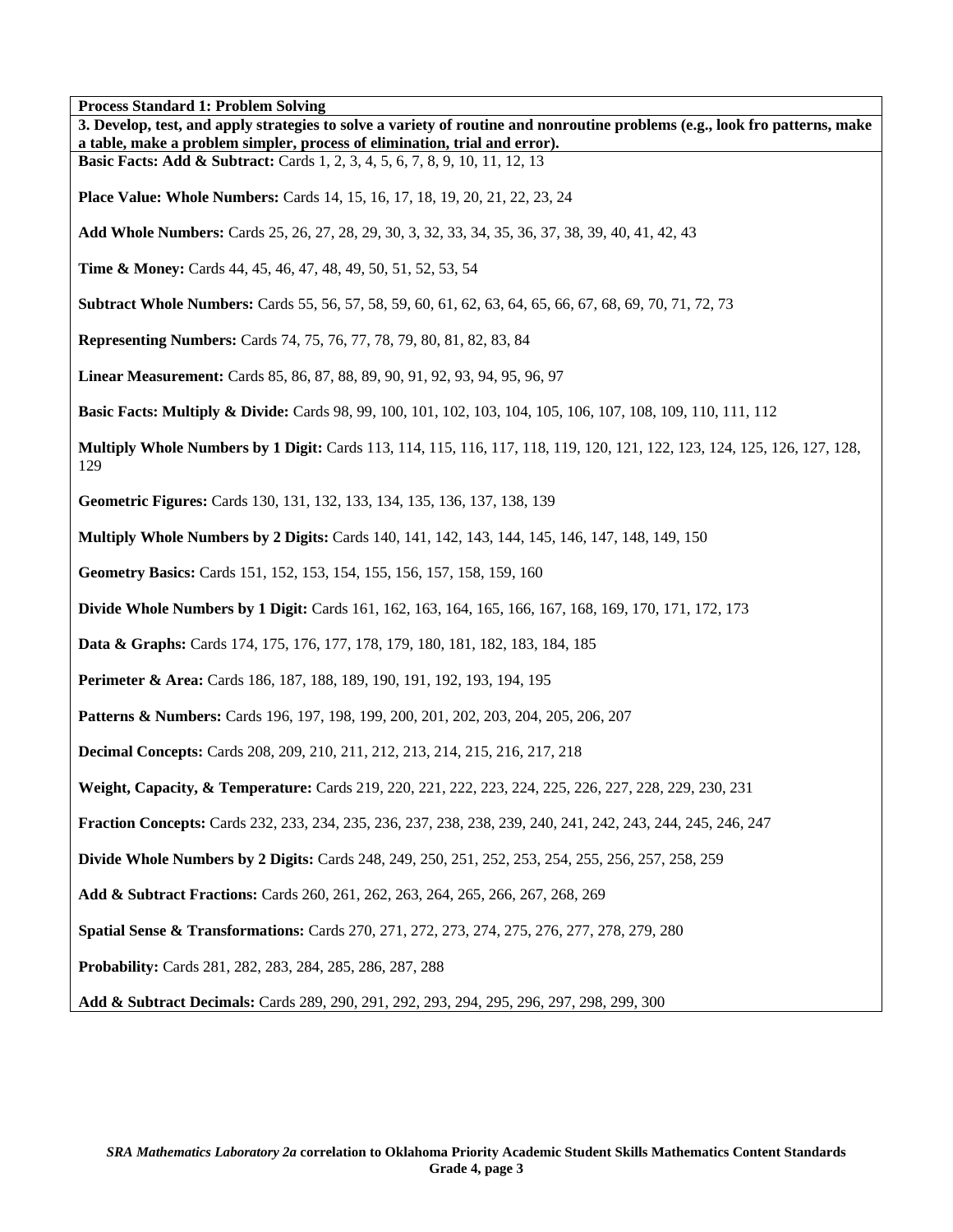| 3. Develop, test, and apply strategies to solve a variety of routine and nonroutine problems (e.g., look fro patterns, make<br>a table, make a problem simpler, process of elimination, trial and error). |
|-----------------------------------------------------------------------------------------------------------------------------------------------------------------------------------------------------------|
| <b>Basic Facts: Add &amp; Subtract:</b> Cards 1, 2, 3, 4, 5, 6, 7, 8, 9, 10, 11, 12, 13                                                                                                                   |
| <b>Place Value: Whole Numbers:</b> Cards 14, 15, 16, 17, 18, 19, 20, 21, 22, 23, 24                                                                                                                       |
| Add Whole Numbers: Cards 25, 26, 27, 28, 29, 30, 3, 32, 33, 34, 35, 36, 37, 38, 39, 40, 41, 42, 43                                                                                                        |
| Time & Money: Cards 44, 45, 46, 47, 48, 49, 50, 51, 52, 53, 54                                                                                                                                            |
| <b>Subtract Whole Numbers:</b> Cards 55, 56, 57, 58, 59, 60, 61, 62, 63, 64, 65, 66, 67, 68, 69, 70, 71, 72, 73                                                                                           |
| <b>Representing Numbers:</b> Cards 74, 75, 76, 77, 78, 79, 80, 81, 82, 83, 84                                                                                                                             |
| Linear Measurement: Cards 85, 86, 87, 88, 89, 90, 91, 92, 93, 94, 95, 96, 97                                                                                                                              |
| <b>Basic Facts: Multiply &amp; Divide:</b> Cards 98, 99, 100, 101, 102, 103, 104, 105, 106, 107, 108, 109, 110, 111, 112                                                                                  |
| Multiply Whole Numbers by 1 Digit: Cards 113, 114, 115, 116, 117, 118, 119, 120, 121, 122, 123, 124, 125, 126, 127, 128,<br>129                                                                           |
| Geometric Figures: Cards 130, 131, 132, 133, 134, 135, 136, 137, 138, 139                                                                                                                                 |
| <b>Multiply Whole Numbers by 2 Digits:</b> Cards 140, 141, 142, 143, 144, 145, 146, 147, 148, 149, 150                                                                                                    |
| Geometry Basics: Cards 151, 152, 153, 154, 155, 156, 157, 158, 159, 160                                                                                                                                   |
| <b>Divide Whole Numbers by 1 Digit:</b> Cards 161, 162, 163, 164, 165, 166, 167, 168, 169, 170, 171, 172, 173                                                                                             |
| Data & Graphs: Cards 174, 175, 176, 177, 178, 179, 180, 181, 182, 183, 184, 185                                                                                                                           |
| Perimeter & Area: Cards 186, 187, 188, 189, 190, 191, 192, 193, 194, 195                                                                                                                                  |
| Patterns & Numbers: Cards 196, 197, 198, 199, 200, 201, 202, 203, 204, 205, 206, 207                                                                                                                      |
| <b>Decimal Concepts:</b> Cards 208, 209, 210, 211, 212, 213, 214, 215, 216, 217, 218                                                                                                                      |
| Weight, Capacity, & Temperature: Cards 219, 220, 221, 222, 223, 224, 225, 226, 227, 228, 229, 230, 231                                                                                                    |
| Fraction Concepts: Cards 232, 233, 234, 235, 236, 237, 238, 238, 239, 240, 241, 242, 243, 244, 245, 246, 247                                                                                              |
| Divide Whole Numbers by 2 Digits: Cards 248, 249, 250, 251, 252, 253, 254, 255, 256, 257, 258, 259                                                                                                        |
| Add & Subtract Fractions: Cards 260, 261, 262, 263, 264, 265, 266, 267, 268, 269                                                                                                                          |
| Spatial Sense & Transformations: Cards 270, 271, 272, 273, 274, 275, 276, 277, 278, 279, 280                                                                                                              |
| Probability: Cards 281, 282, 283, 284, 285, 286, 287, 288                                                                                                                                                 |
| Add & Subtract Decimals: Cards 289, 290, 291, 292, 293, 294, 295, 296, 297, 298, 299, 300                                                                                                                 |

ן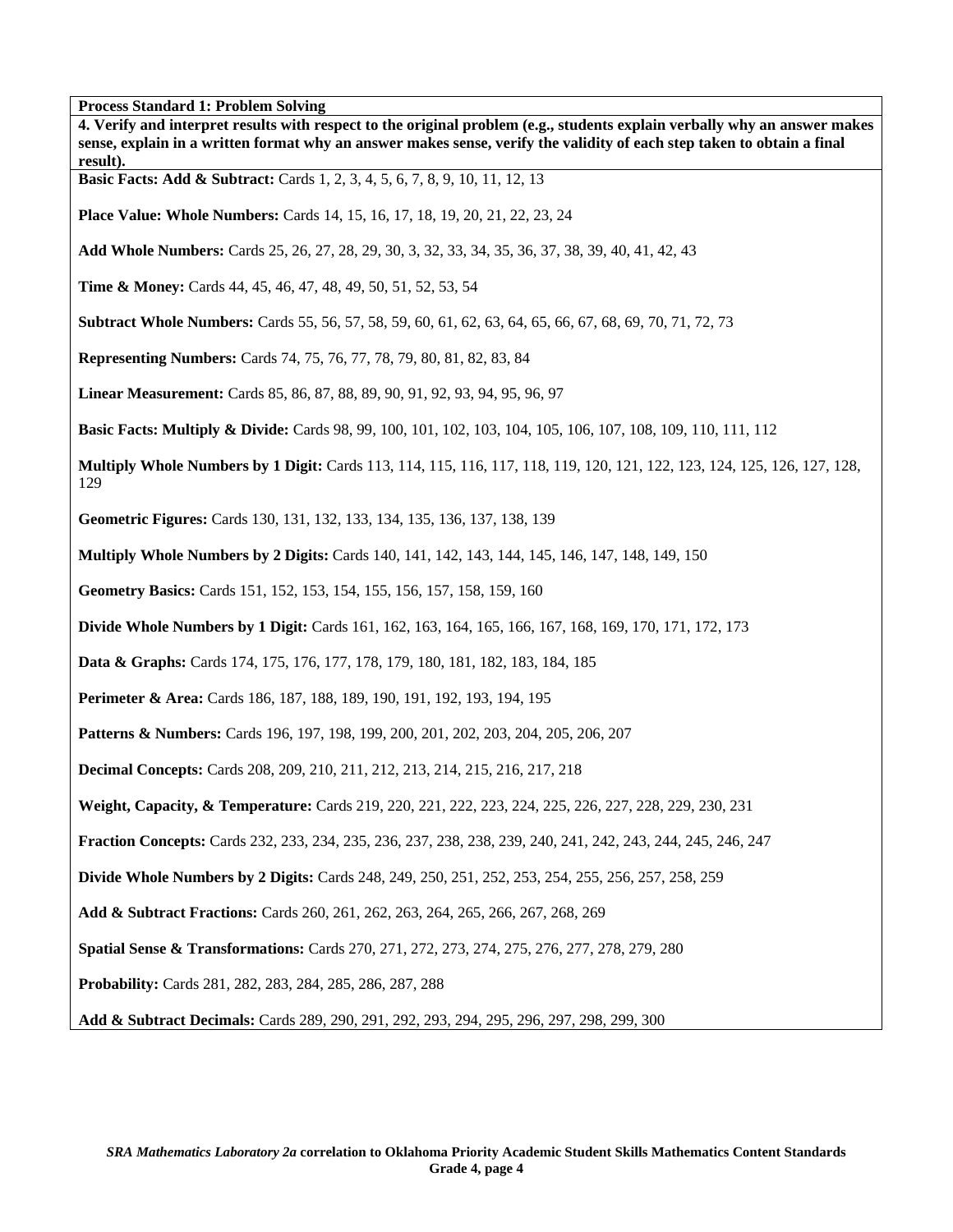| <b>Process Standard 1: Problem Solving</b><br>4. Verify and interpret results with respect to the original problem (e.g., students explain verbally why an answer makes<br>sense, explain in a written format why an answer makes sense, verify the validity of each step taken to obtain a final<br>result). |
|---------------------------------------------------------------------------------------------------------------------------------------------------------------------------------------------------------------------------------------------------------------------------------------------------------------|
| Basic Facts: Add & Subtract: Cards 1, 2, 3, 4, 5, 6, 7, 8, 9, 10, 11, 12, 13                                                                                                                                                                                                                                  |
| <b>Place Value: Whole Numbers:</b> Cards 14, 15, 16, 17, 18, 19, 20, 21, 22, 23, 24                                                                                                                                                                                                                           |
| Add Whole Numbers: Cards 25, 26, 27, 28, 29, 30, 3, 32, 33, 34, 35, 36, 37, 38, 39, 40, 41, 42, 43                                                                                                                                                                                                            |
| <b>Time &amp; Money:</b> Cards 44, 45, 46, 47, 48, 49, 50, 51, 52, 53, 54                                                                                                                                                                                                                                     |
| <b>Subtract Whole Numbers:</b> Cards 55, 56, 57, 58, 59, 60, 61, 62, 63, 64, 65, 66, 67, 68, 69, 70, 71, 72, 73                                                                                                                                                                                               |
| <b>Representing Numbers:</b> Cards 74, 75, 76, 77, 78, 79, 80, 81, 82, 83, 84                                                                                                                                                                                                                                 |
| Linear Measurement: Cards 85, 86, 87, 88, 89, 90, 91, 92, 93, 94, 95, 96, 97                                                                                                                                                                                                                                  |
| <b>Basic Facts: Multiply &amp; Divide:</b> Cards 98, 99, 100, 101, 102, 103, 104, 105, 106, 107, 108, 109, 110, 111, 112                                                                                                                                                                                      |
| Multiply Whole Numbers by 1 Digit: Cards 113, 114, 115, 116, 117, 118, 119, 120, 121, 122, 123, 124, 125, 126, 127, 128,<br>129                                                                                                                                                                               |
| Geometric Figures: Cards 130, 131, 132, 133, 134, 135, 136, 137, 138, 139                                                                                                                                                                                                                                     |
| <b>Multiply Whole Numbers by 2 Digits:</b> Cards 140, 141, 142, 143, 144, 145, 146, 147, 148, 149, 150                                                                                                                                                                                                        |
| Geometry Basics: Cards 151, 152, 153, 154, 155, 156, 157, 158, 159, 160                                                                                                                                                                                                                                       |
| <b>Divide Whole Numbers by 1 Digit:</b> Cards 161, 162, 163, 164, 165, 166, 167, 168, 169, 170, 171, 172, 173                                                                                                                                                                                                 |
| Data & Graphs: Cards 174, 175, 176, 177, 178, 179, 180, 181, 182, 183, 184, 185                                                                                                                                                                                                                               |
| Perimeter & Area: Cards 186, 187, 188, 189, 190, 191, 192, 193, 194, 195                                                                                                                                                                                                                                      |
| <b>Patterns &amp; Numbers:</b> Cards 196, 197, 198, 199, 200, 201, 202, 203, 204, 205, 206, 207                                                                                                                                                                                                               |
| Decimal Concepts: Cards 208, 209, 210, 211, 212, 213, 214, 215, 216, 217, 218                                                                                                                                                                                                                                 |
| Weight, Capacity, & Temperature: Cards 219, 220, 221, 222, 223, 224, 225, 226, 227, 228, 229, 230, 231                                                                                                                                                                                                        |
| Fraction Concepts: Cards 232, 233, 234, 235, 236, 237, 238, 238, 239, 240, 241, 242, 243, 244, 245, 246, 247                                                                                                                                                                                                  |
| <b>Divide Whole Numbers by 2 Digits:</b> Cards 248, 249, 250, 251, 252, 253, 254, 255, 256, 257, 258, 259                                                                                                                                                                                                     |
| Add & Subtract Fractions: Cards 260, 261, 262, 263, 264, 265, 266, 267, 268, 269                                                                                                                                                                                                                              |
| Spatial Sense & Transformations: Cards 270, 271, 272, 273, 274, 275, 276, 277, 278, 279, 280                                                                                                                                                                                                                  |
| Probability: Cards 281, 282, 283, 284, 285, 286, 287, 288                                                                                                                                                                                                                                                     |
| Add & Subtract Decimals: Cards 289, 290, 291, 292, 293, 294, 295, 296, 297, 298, 299, 300                                                                                                                                                                                                                     |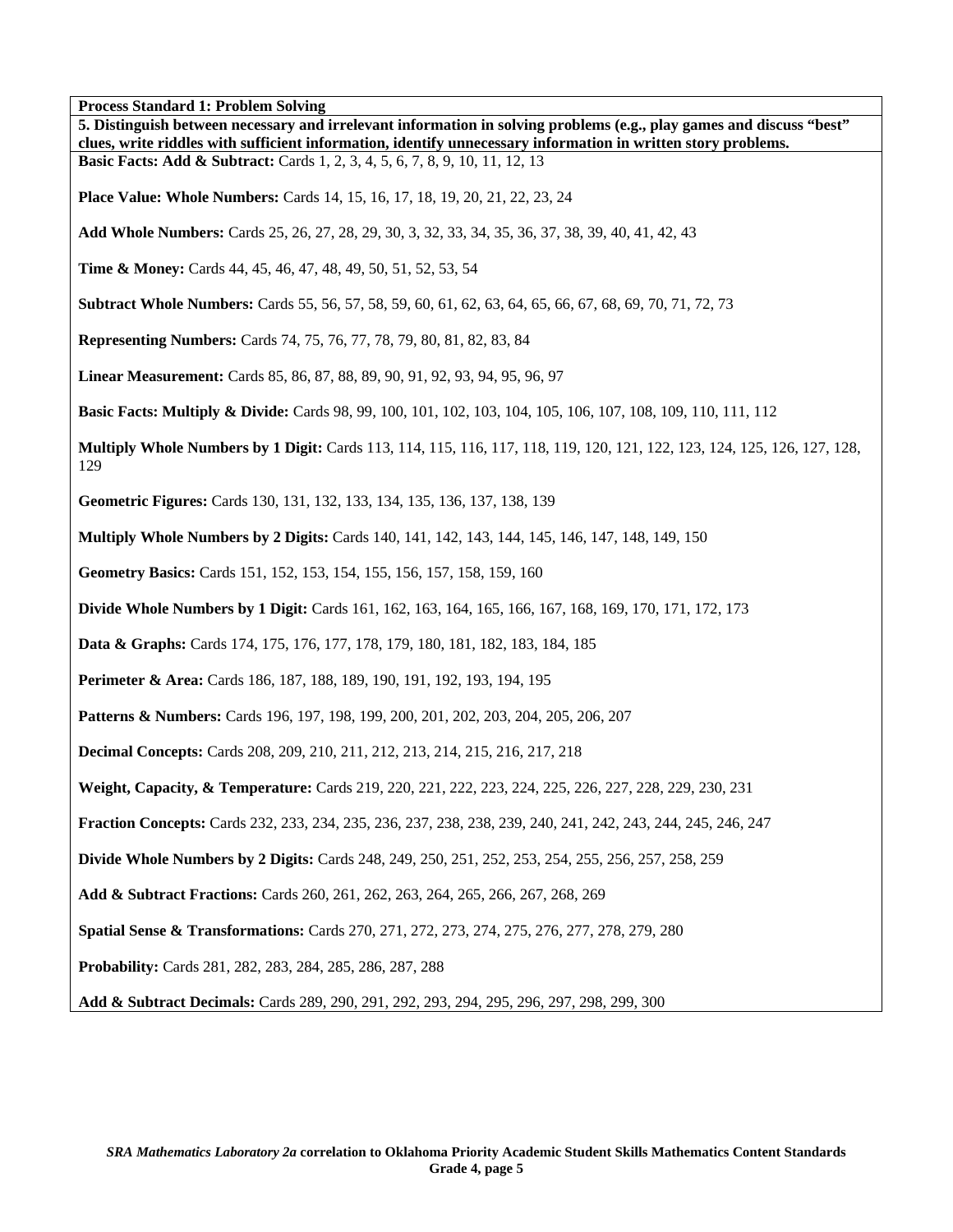| 5. Distinguish between necessary and irrelevant information in solving problems (e.g., play games and discuss "best"<br>clues, write riddles with sufficient information, identify unnecessary information in written story problems. |
|---------------------------------------------------------------------------------------------------------------------------------------------------------------------------------------------------------------------------------------|
| <b>Basic Facts: Add &amp; Subtract:</b> Cards 1, 2, 3, 4, 5, 6, 7, 8, 9, 10, 11, 12, 13                                                                                                                                               |
| <b>Place Value: Whole Numbers:</b> Cards 14, 15, 16, 17, 18, 19, 20, 21, 22, 23, 24                                                                                                                                                   |
| Add Whole Numbers: Cards 25, 26, 27, 28, 29, 30, 3, 32, 33, 34, 35, 36, 37, 38, 39, 40, 41, 42, 43                                                                                                                                    |
| <b>Time &amp; Money:</b> Cards 44, 45, 46, 47, 48, 49, 50, 51, 52, 53, 54                                                                                                                                                             |
| <b>Subtract Whole Numbers:</b> Cards 55, 56, 57, 58, 59, 60, 61, 62, 63, 64, 65, 66, 67, 68, 69, 70, 71, 72, 73                                                                                                                       |
| <b>Representing Numbers:</b> Cards 74, 75, 76, 77, 78, 79, 80, 81, 82, 83, 84                                                                                                                                                         |
| Linear Measurement: Cards 85, 86, 87, 88, 89, 90, 91, 92, 93, 94, 95, 96, 97                                                                                                                                                          |
| <b>Basic Facts: Multiply &amp; Divide:</b> Cards 98, 99, 100, 101, 102, 103, 104, 105, 106, 107, 108, 109, 110, 111, 112                                                                                                              |
| Multiply Whole Numbers by 1 Digit: Cards 113, 114, 115, 116, 117, 118, 119, 120, 121, 122, 123, 124, 125, 126, 127, 128,<br>129                                                                                                       |
| Geometric Figures: Cards 130, 131, 132, 133, 134, 135, 136, 137, 138, 139                                                                                                                                                             |
| <b>Multiply Whole Numbers by 2 Digits:</b> Cards 140, 141, 142, 143, 144, 145, 146, 147, 148, 149, 150                                                                                                                                |
| Geometry Basics: Cards 151, 152, 153, 154, 155, 156, 157, 158, 159, 160                                                                                                                                                               |
| <b>Divide Whole Numbers by 1 Digit:</b> Cards 161, 162, 163, 164, 165, 166, 167, 168, 169, 170, 171, 172, 173                                                                                                                         |
| Data & Graphs: Cards 174, 175, 176, 177, 178, 179, 180, 181, 182, 183, 184, 185                                                                                                                                                       |
| Perimeter & Area: Cards 186, 187, 188, 189, 190, 191, 192, 193, 194, 195                                                                                                                                                              |
| Patterns & Numbers: Cards 196, 197, 198, 199, 200, 201, 202, 203, 204, 205, 206, 207                                                                                                                                                  |
| <b>Decimal Concepts:</b> Cards 208, 209, 210, 211, 212, 213, 214, 215, 216, 217, 218                                                                                                                                                  |
| Weight, Capacity, & Temperature: Cards 219, 220, 221, 222, 223, 224, 225, 226, 227, 228, 229, 230, 231                                                                                                                                |
| Fraction Concepts: Cards 232, 233, 234, 235, 236, 237, 238, 238, 239, 240, 241, 242, 243, 244, 245, 246, 247                                                                                                                          |
| <b>Divide Whole Numbers by 2 Digits:</b> Cards 248, 249, 250, 251, 252, 253, 254, 255, 256, 257, 258, 259                                                                                                                             |
| Add & Subtract Fractions: Cards 260, 261, 262, 263, 264, 265, 266, 267, 268, 269                                                                                                                                                      |
| Spatial Sense & Transformations: Cards 270, 271, 272, 273, 274, 275, 276, 277, 278, 279, 280                                                                                                                                          |
| Probability: Cards 281, 282, 283, 284, 285, 286, 287, 288                                                                                                                                                                             |
| Add & Subtract Decimals: Cards 289, 290, 291, 292, 293, 294, 295, 296, 297, 298, 299, 300                                                                                                                                             |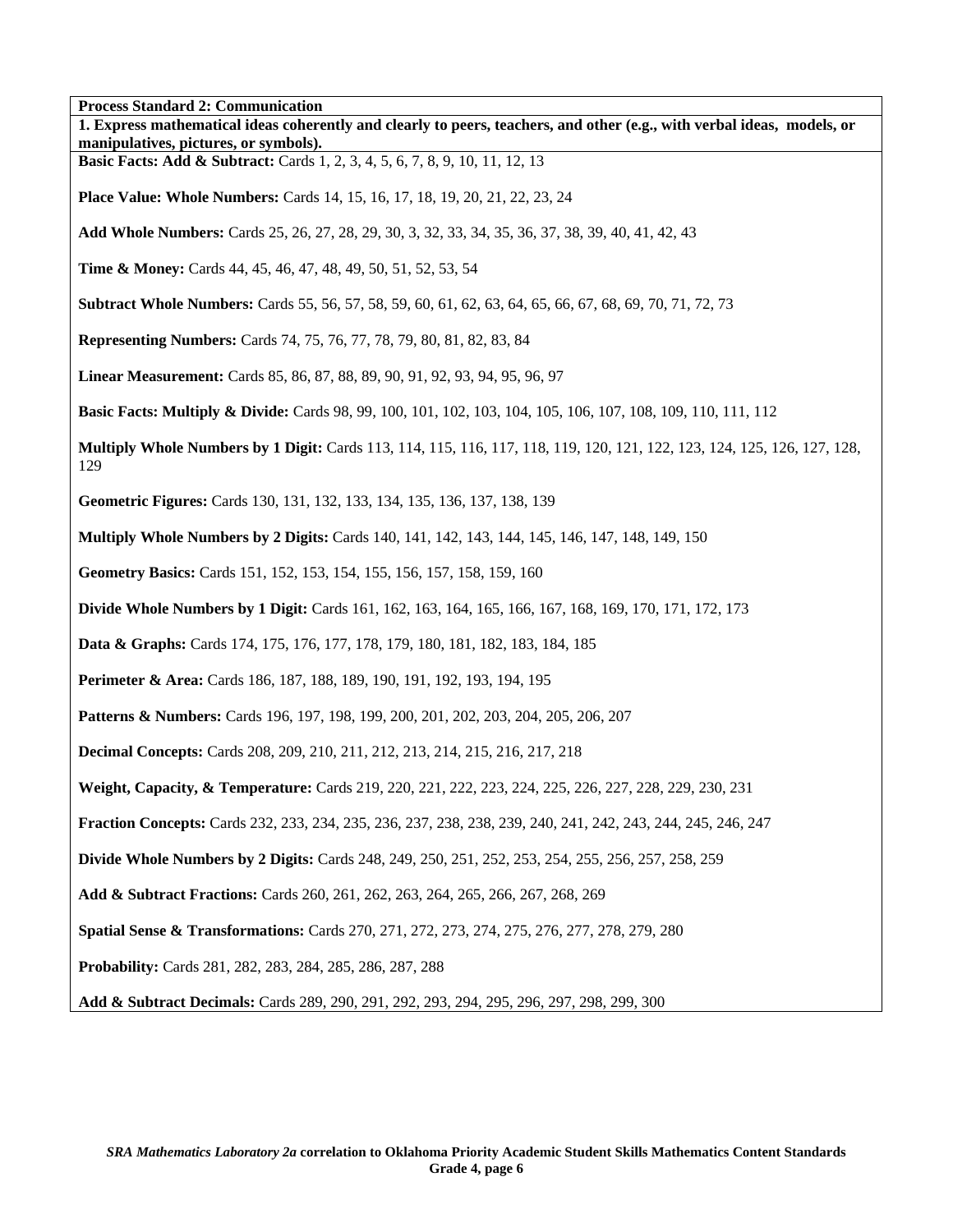| 1 Tocess Standard 2. Communication<br>1. Express mathematical ideas coherently and clearly to peers, teachers, and other (e.g., with verbal ideas, models, or<br>manipulatives, pictures, or symbols). |
|--------------------------------------------------------------------------------------------------------------------------------------------------------------------------------------------------------|
| Basic Facts: Add & Subtract: Cards 1, 2, 3, 4, 5, 6, 7, 8, 9, 10, 11, 12, 13                                                                                                                           |
| <b>Place Value: Whole Numbers:</b> Cards 14, 15, 16, 17, 18, 19, 20, 21, 22, 23, 24                                                                                                                    |
| Add Whole Numbers: Cards 25, 26, 27, 28, 29, 30, 3, 32, 33, 34, 35, 36, 37, 38, 39, 40, 41, 42, 43                                                                                                     |
| <b>Time &amp; Money:</b> Cards 44, 45, 46, 47, 48, 49, 50, 51, 52, 53, 54                                                                                                                              |
| <b>Subtract Whole Numbers:</b> Cards 55, 56, 57, 58, 59, 60, 61, 62, 63, 64, 65, 66, 67, 68, 69, 70, 71, 72, 73                                                                                        |
| <b>Representing Numbers:</b> Cards 74, 75, 76, 77, 78, 79, 80, 81, 82, 83, 84                                                                                                                          |
| Linear Measurement: Cards 85, 86, 87, 88, 89, 90, 91, 92, 93, 94, 95, 96, 97                                                                                                                           |
| <b>Basic Facts: Multiply &amp; Divide:</b> Cards 98, 99, 100, 101, 102, 103, 104, 105, 106, 107, 108, 109, 110, 111, 112                                                                               |
| Multiply Whole Numbers by 1 Digit: Cards 113, 114, 115, 116, 117, 118, 119, 120, 121, 122, 123, 124, 125, 126, 127, 128,<br>129                                                                        |
| Geometric Figures: Cards 130, 131, 132, 133, 134, 135, 136, 137, 138, 139                                                                                                                              |
| <b>Multiply Whole Numbers by 2 Digits:</b> Cards 140, 141, 142, 143, 144, 145, 146, 147, 148, 149, 150                                                                                                 |
| Geometry Basics: Cards 151, 152, 153, 154, 155, 156, 157, 158, 159, 160                                                                                                                                |
| <b>Divide Whole Numbers by 1 Digit:</b> Cards 161, 162, 163, 164, 165, 166, 167, 168, 169, 170, 171, 172, 173                                                                                          |
| <b>Data &amp; Graphs:</b> Cards 174, 175, 176, 177, 178, 179, 180, 181, 182, 183, 184, 185                                                                                                             |
| Perimeter & Area: Cards 186, 187, 188, 189, 190, 191, 192, 193, 194, 195                                                                                                                               |
| Patterns & Numbers: Cards 196, 197, 198, 199, 200, 201, 202, 203, 204, 205, 206, 207                                                                                                                   |
| <b>Decimal Concepts:</b> Cards 208, 209, 210, 211, 212, 213, 214, 215, 216, 217, 218                                                                                                                   |
| Weight, Capacity, & Temperature: Cards 219, 220, 221, 222, 223, 224, 225, 226, 227, 228, 229, 230, 231                                                                                                 |
| Fraction Concepts: Cards 232, 233, 234, 235, 236, 237, 238, 238, 239, 240, 241, 242, 243, 244, 245, 246, 247                                                                                           |
| <b>Divide Whole Numbers by 2 Digits:</b> Cards 248, 249, 250, 251, 252, 253, 254, 255, 256, 257, 258, 259                                                                                              |
| Add & Subtract Fractions: Cards 260, 261, 262, 263, 264, 265, 266, 267, 268, 269                                                                                                                       |
| Spatial Sense & Transformations: Cards 270, 271, 272, 273, 274, 275, 276, 277, 278, 279, 280                                                                                                           |
| <b>Probability:</b> Cards 281, 282, 283, 284, 285, 286, 287, 288                                                                                                                                       |
| Add & Subtract Decimals: Cards 289, 290, 291, 292, 293, 294, 295, 296, 297, 298, 299, 300                                                                                                              |

٦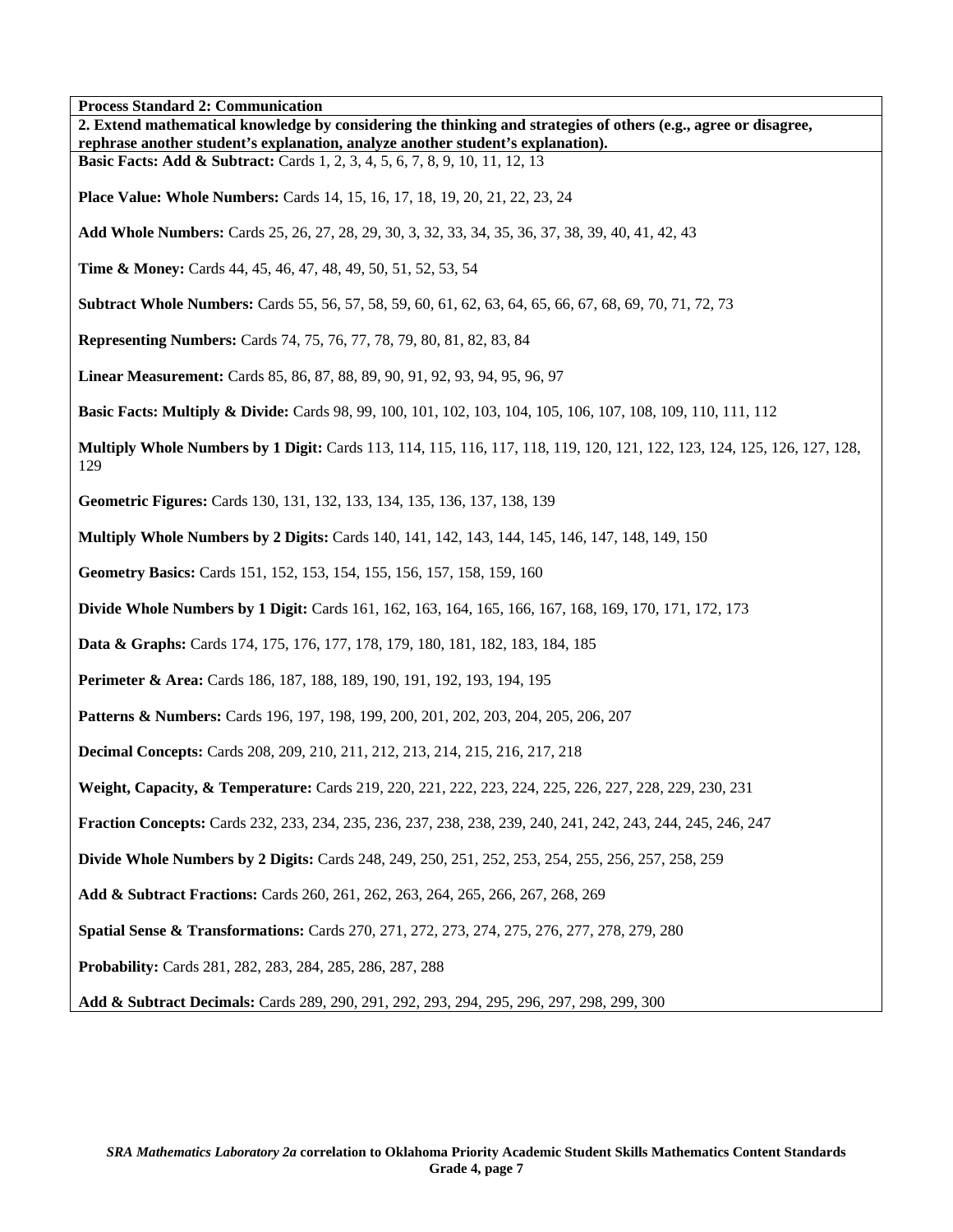| <b>Process Standard 2: Communication</b>                                                                                                                                   |
|----------------------------------------------------------------------------------------------------------------------------------------------------------------------------|
| 2. Extend mathematical knowledge by considering the thinking and strategies of others (e.g., agree or disagree,                                                            |
| rephrase another student's explanation, analyze another student's explanation).<br><b>Basic Facts: Add &amp; Subtract:</b> Cards 1, 2, 3, 4, 5, 6, 7, 8, 9, 10, 11, 12, 13 |
|                                                                                                                                                                            |
| <b>Place Value: Whole Numbers:</b> Cards 14, 15, 16, 17, 18, 19, 20, 21, 22, 23, 24                                                                                        |
| Add Whole Numbers: Cards 25, 26, 27, 28, 29, 30, 3, 32, 33, 34, 35, 36, 37, 38, 39, 40, 41, 42, 43                                                                         |
| <b>Time &amp; Money:</b> Cards 44, 45, 46, 47, 48, 49, 50, 51, 52, 53, 54                                                                                                  |
| Subtract Whole Numbers: Cards 55, 56, 57, 58, 59, 60, 61, 62, 63, 64, 65, 66, 67, 68, 69, 70, 71, 72, 73                                                                   |
| <b>Representing Numbers:</b> Cards 74, 75, 76, 77, 78, 79, 80, 81, 82, 83, 84                                                                                              |
| Linear Measurement: Cards 85, 86, 87, 88, 89, 90, 91, 92, 93, 94, 95, 96, 97                                                                                               |
| <b>Basic Facts: Multiply &amp; Divide:</b> Cards 98, 99, 100, 101, 102, 103, 104, 105, 106, 107, 108, 109, 110, 111, 112                                                   |
| Multiply Whole Numbers by 1 Digit: Cards 113, 114, 115, 116, 117, 118, 119, 120, 121, 122, 123, 124, 125, 126, 127, 128,<br>129                                            |
| Geometric Figures: Cards 130, 131, 132, 133, 134, 135, 136, 137, 138, 139                                                                                                  |
| Multiply Whole Numbers by 2 Digits: Cards 140, 141, 142, 143, 144, 145, 146, 147, 148, 149, 150                                                                            |
| Geometry Basics: Cards 151, 152, 153, 154, 155, 156, 157, 158, 159, 160                                                                                                    |
| <b>Divide Whole Numbers by 1 Digit:</b> Cards 161, 162, 163, 164, 165, 166, 167, 168, 169, 170, 171, 172, 173                                                              |
| <b>Data &amp; Graphs:</b> Cards 174, 175, 176, 177, 178, 179, 180, 181, 182, 183, 184, 185                                                                                 |
| Perimeter & Area: Cards 186, 187, 188, 189, 190, 191, 192, 193, 194, 195                                                                                                   |
| <b>Patterns &amp; Numbers:</b> Cards 196, 197, 198, 199, 200, 201, 202, 203, 204, 205, 206, 207                                                                            |
| <b>Decimal Concepts:</b> Cards 208, 209, 210, 211, 212, 213, 214, 215, 216, 217, 218                                                                                       |
| Weight, Capacity, & Temperature: Cards 219, 220, 221, 222, 223, 224, 225, 226, 227, 228, 229, 230, 231                                                                     |
| Fraction Concepts: Cards 232, 233, 234, 235, 236, 237, 238, 238, 239, 240, 241, 242, 243, 244, 245, 246, 247                                                               |
| <b>Divide Whole Numbers by 2 Digits:</b> Cards 248, 249, 250, 251, 252, 253, 254, 255, 256, 257, 258, 259                                                                  |
| Add & Subtract Fractions: Cards 260, 261, 262, 263, 264, 265, 266, 267, 268, 269                                                                                           |
| Spatial Sense & Transformations: Cards 270, 271, 272, 273, 274, 275, 276, 277, 278, 279, 280                                                                               |
| Probability: Cards 281, 282, 283, 284, 285, 286, 287, 288                                                                                                                  |
| Add & Subtract Decimals: Cards 289, 290, 291, 292, 293, 294, 295, 296, 297, 298, 299, 300                                                                                  |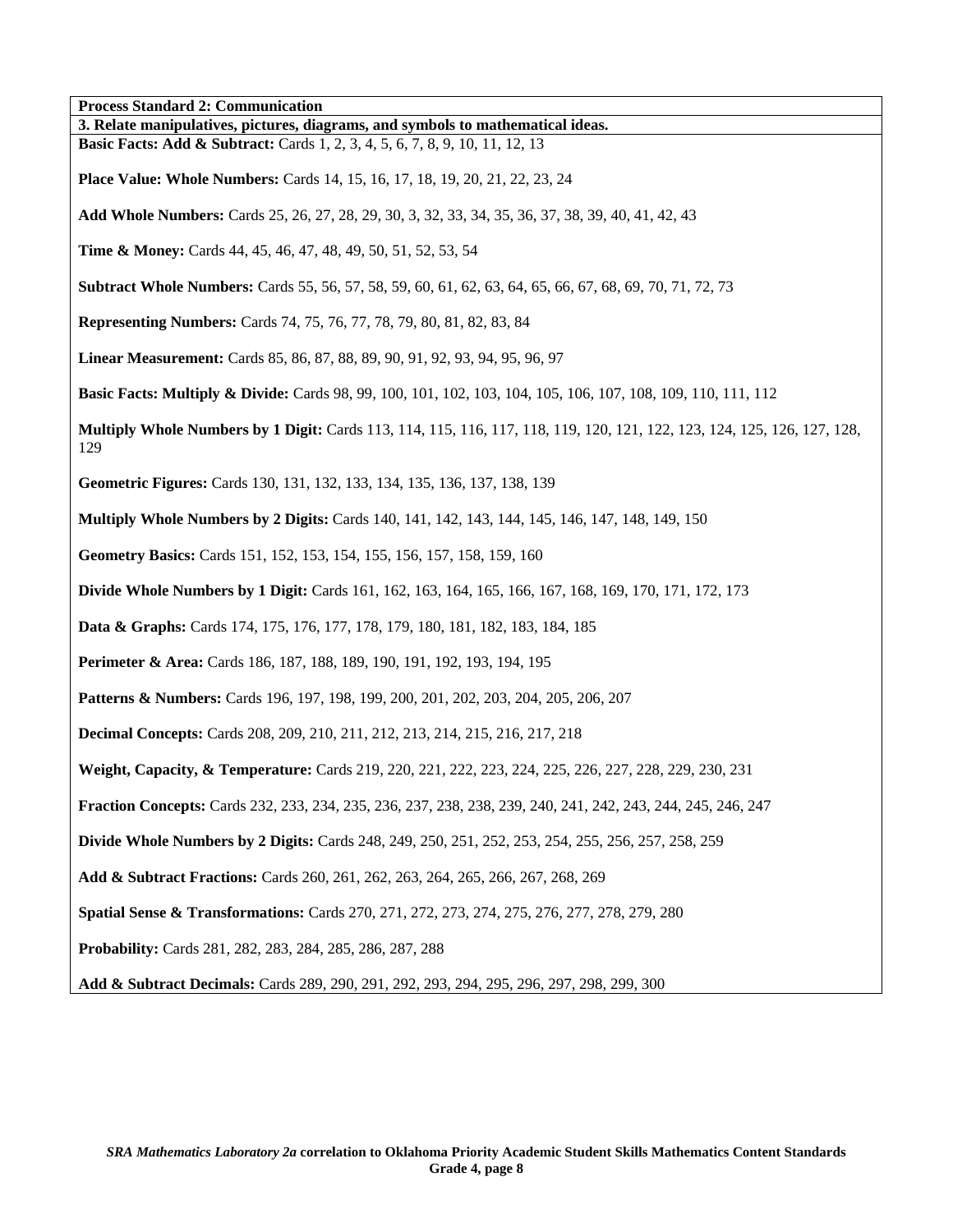| <b>Process Standard 2: Communication</b>                                                                                                                                   |
|----------------------------------------------------------------------------------------------------------------------------------------------------------------------------|
| 3. Relate manipulatives, pictures, diagrams, and symbols to mathematical ideas.<br><b>Basic Facts: Add &amp; Subtract:</b> Cards 1, 2, 3, 4, 5, 6, 7, 8, 9, 10, 11, 12, 13 |
| <b>Place Value: Whole Numbers:</b> Cards 14, 15, 16, 17, 18, 19, 20, 21, 22, 23, 24                                                                                        |
| Add Whole Numbers: Cards 25, 26, 27, 28, 29, 30, 3, 32, 33, 34, 35, 36, 37, 38, 39, 40, 41, 42, 43                                                                         |
| <b>Time &amp; Money:</b> Cards 44, 45, 46, 47, 48, 49, 50, 51, 52, 53, 54                                                                                                  |
| <b>Subtract Whole Numbers:</b> Cards 55, 56, 57, 58, 59, 60, 61, 62, 63, 64, 65, 66, 67, 68, 69, 70, 71, 72, 73                                                            |
| <b>Representing Numbers:</b> Cards 74, 75, 76, 77, 78, 79, 80, 81, 82, 83, 84                                                                                              |
| Linear Measurement: Cards 85, 86, 87, 88, 89, 90, 91, 92, 93, 94, 95, 96, 97                                                                                               |
| <b>Basic Facts: Multiply &amp; Divide:</b> Cards 98, 99, 100, 101, 102, 103, 104, 105, 106, 107, 108, 109, 110, 111, 112                                                   |
| Multiply Whole Numbers by 1 Digit: Cards 113, 114, 115, 116, 117, 118, 119, 120, 121, 122, 123, 124, 125, 126, 127, 128,<br>129                                            |
| Geometric Figures: Cards 130, 131, 132, 133, 134, 135, 136, 137, 138, 139                                                                                                  |
| <b>Multiply Whole Numbers by 2 Digits:</b> Cards 140, 141, 142, 143, 144, 145, 146, 147, 148, 149, 150                                                                     |
| Geometry Basics: Cards 151, 152, 153, 154, 155, 156, 157, 158, 159, 160                                                                                                    |
| <b>Divide Whole Numbers by 1 Digit:</b> Cards 161, 162, 163, 164, 165, 166, 167, 168, 169, 170, 171, 172, 173                                                              |
| <b>Data &amp; Graphs:</b> Cards 174, 175, 176, 177, 178, 179, 180, 181, 182, 183, 184, 185                                                                                 |
| Perimeter & Area: Cards 186, 187, 188, 189, 190, 191, 192, 193, 194, 195                                                                                                   |
| Patterns & Numbers: Cards 196, 197, 198, 199, 200, 201, 202, 203, 204, 205, 206, 207                                                                                       |
| <b>Decimal Concepts:</b> Cards 208, 209, 210, 211, 212, 213, 214, 215, 216, 217, 218                                                                                       |
| Weight, Capacity, & Temperature: Cards 219, 220, 221, 222, 223, 224, 225, 226, 227, 228, 229, 230, 231                                                                     |
| Fraction Concepts: Cards 232, 233, 234, 235, 236, 237, 238, 238, 239, 240, 241, 242, 243, 244, 245, 246, 247                                                               |
| <b>Divide Whole Numbers by 2 Digits:</b> Cards 248, 249, 250, 251, 252, 253, 254, 255, 256, 257, 258, 259                                                                  |
| Add & Subtract Fractions: Cards 260, 261, 262, 263, 264, 265, 266, 267, 268, 269                                                                                           |
| Spatial Sense & Transformations: Cards 270, 271, 272, 273, 274, 275, 276, 277, 278, 279, 280                                                                               |
| Probability: Cards 281, 282, 283, 284, 285, 286, 287, 288                                                                                                                  |
| Add & Subtract Decimals: Cards 289, 290, 291, 292, 293, 294, 295, 296, 297, 298, 299, 300                                                                                  |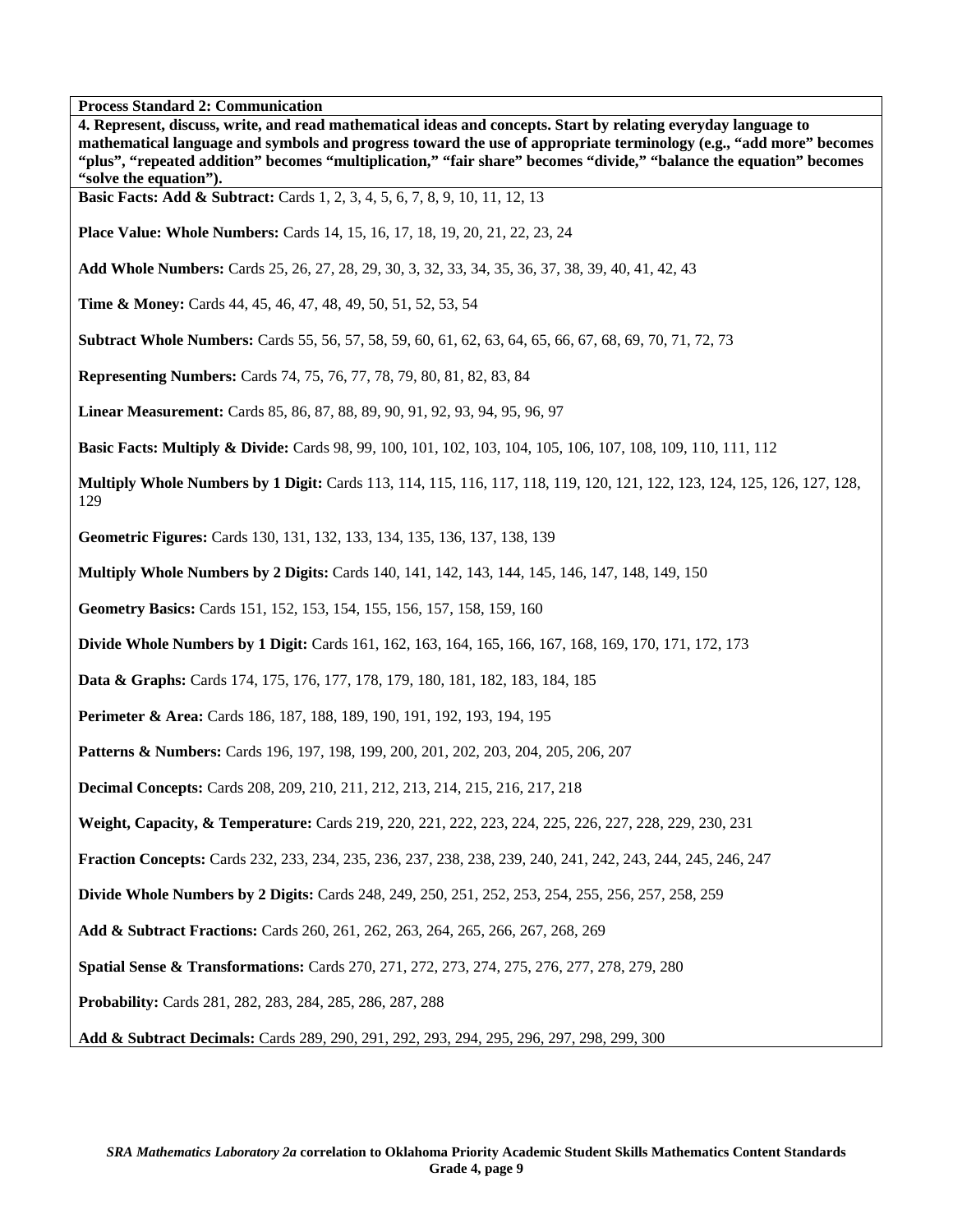**4. Represent, discuss, write, and read mathematical ideas and concepts. Start by relating everyday language to mathematical language and symbols and progress toward the use of appropriate terminology (e.g., "add more" becomes "plus", "repeated addition" becomes "multiplication," "fair share" becomes "divide," "balance the equation" becomes "solve the equation"). Basic Facts: Add & Subtract:** Cards 1, 2, 3, 4, 5, 6, 7, 8, 9, 10, 11, 12, 13 **Place Value: Whole Numbers:** Cards 14, 15, 16, 17, 18, 19, 20, 21, 22, 23, 24 **Add Whole Numbers:** Cards 25, 26, 27, 28, 29, 30, 3, 32, 33, 34, 35, 36, 37, 38, 39, 40, 41, 42, 43 **Time & Money:** Cards 44, 45, 46, 47, 48, 49, 50, 51, 52, 53, 54 **Subtract Whole Numbers:** Cards 55, 56, 57, 58, 59, 60, 61, 62, 63, 64, 65, 66, 67, 68, 69, 70, 71, 72, 73 **Representing Numbers:** Cards 74, 75, 76, 77, 78, 79, 80, 81, 82, 83, 84 **Linear Measurement:** Cards 85, 86, 87, 88, 89, 90, 91, 92, 93, 94, 95, 96, 97 **Basic Facts: Multiply & Divide:** Cards 98, 99, 100, 101, 102, 103, 104, 105, 106, 107, 108, 109, 110, 111, 112 **Multiply Whole Numbers by 1 Digit:** Cards 113, 114, 115, 116, 117, 118, 119, 120, 121, 122, 123, 124, 125, 126, 127, 128, 129 **Geometric Figures:** Cards 130, 131, 132, 133, 134, 135, 136, 137, 138, 139 **Multiply Whole Numbers by 2 Digits:** Cards 140, 141, 142, 143, 144, 145, 146, 147, 148, 149, 150 **Geometry Basics:** Cards 151, 152, 153, 154, 155, 156, 157, 158, 159, 160 **Divide Whole Numbers by 1 Digit:** Cards 161, 162, 163, 164, 165, 166, 167, 168, 169, 170, 171, 172, 173 **Data & Graphs:** Cards 174, 175, 176, 177, 178, 179, 180, 181, 182, 183, 184, 185 **Perimeter & Area:** Cards 186, 187, 188, 189, 190, 191, 192, 193, 194, 195 **Patterns & Numbers:** Cards 196, 197, 198, 199, 200, 201, 202, 203, 204, 205, 206, 207 **Decimal Concepts:** Cards 208, 209, 210, 211, 212, 213, 214, 215, 216, 217, 218 **Weight, Capacity, & Temperature:** Cards 219, 220, 221, 222, 223, 224, 225, 226, 227, 228, 229, 230, 231 **Fraction Concepts:** Cards 232, 233, 234, 235, 236, 237, 238, 238, 239, 240, 241, 242, 243, 244, 245, 246, 247 **Divide Whole Numbers by 2 Digits:** Cards 248, 249, 250, 251, 252, 253, 254, 255, 256, 257, 258, 259 **Add & Subtract Fractions:** Cards 260, 261, 262, 263, 264, 265, 266, 267, 268, 269 **Spatial Sense & Transformations:** Cards 270, 271, 272, 273, 274, 275, 276, 277, 278, 279, 280 **Probability:** Cards 281, 282, 283, 284, 285, 286, 287, 288 **Add & Subtract Decimals:** Cards 289, 290, 291, 292, 293, 294, 295, 296, 297, 298, 299, 300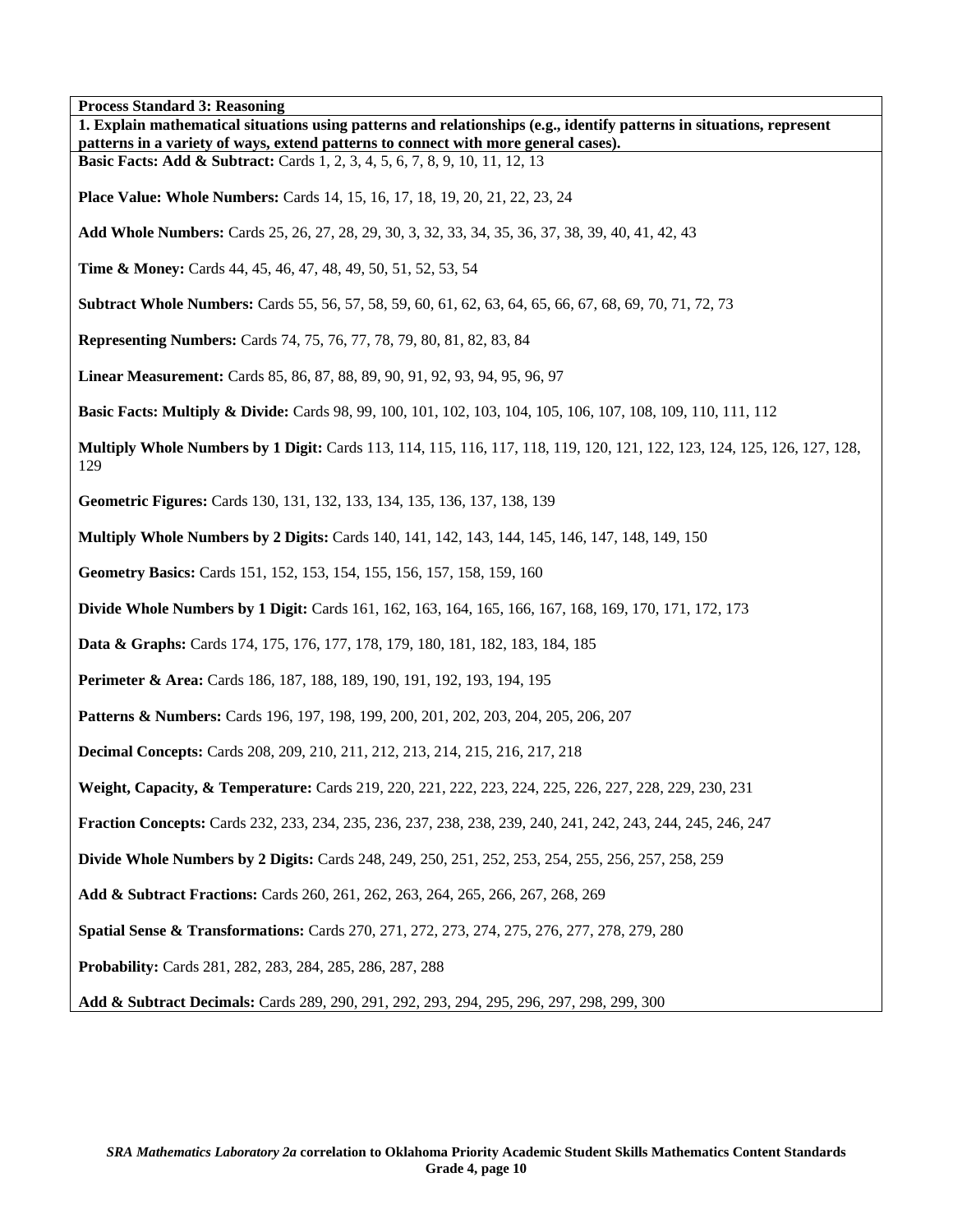**Process Standard 3: Reasoning** 

| Process Standard 3: Reasoning<br>1. Explain mathematical situations using patterns and relationships (e.g., identify patterns in situations, represent<br>patterns in a variety of ways, extend patterns to connect with more general cases). |
|-----------------------------------------------------------------------------------------------------------------------------------------------------------------------------------------------------------------------------------------------|
| <b>Basic Facts: Add &amp; Subtract:</b> Cards 1, 2, 3, 4, 5, 6, 7, 8, 9, 10, 11, 12, 13                                                                                                                                                       |
| <b>Place Value: Whole Numbers:</b> Cards 14, 15, 16, 17, 18, 19, 20, 21, 22, 23, 24                                                                                                                                                           |
| Add Whole Numbers: Cards 25, 26, 27, 28, 29, 30, 3, 32, 33, 34, 35, 36, 37, 38, 39, 40, 41, 42, 43                                                                                                                                            |
| <b>Time &amp; Money:</b> Cards 44, 45, 46, 47, 48, 49, 50, 51, 52, 53, 54                                                                                                                                                                     |
| <b>Subtract Whole Numbers:</b> Cards 55, 56, 57, 58, 59, 60, 61, 62, 63, 64, 65, 66, 67, 68, 69, 70, 71, 72, 73                                                                                                                               |
| <b>Representing Numbers:</b> Cards 74, 75, 76, 77, 78, 79, 80, 81, 82, 83, 84                                                                                                                                                                 |
| Linear Measurement: Cards 85, 86, 87, 88, 89, 90, 91, 92, 93, 94, 95, 96, 97                                                                                                                                                                  |
| <b>Basic Facts: Multiply &amp; Divide:</b> Cards 98, 99, 100, 101, 102, 103, 104, 105, 106, 107, 108, 109, 110, 111, 112                                                                                                                      |
| Multiply Whole Numbers by 1 Digit: Cards 113, 114, 115, 116, 117, 118, 119, 120, 121, 122, 123, 124, 125, 126, 127, 128,<br>129                                                                                                               |
| Geometric Figures: Cards 130, 131, 132, 133, 134, 135, 136, 137, 138, 139                                                                                                                                                                     |
| <b>Multiply Whole Numbers by 2 Digits:</b> Cards 140, 141, 142, 143, 144, 145, 146, 147, 148, 149, 150                                                                                                                                        |
| Geometry Basics: Cards 151, 152, 153, 154, 155, 156, 157, 158, 159, 160                                                                                                                                                                       |
| <b>Divide Whole Numbers by 1 Digit:</b> Cards 161, 162, 163, 164, 165, 166, 167, 168, 169, 170, 171, 172, 173                                                                                                                                 |
| Data & Graphs: Cards 174, 175, 176, 177, 178, 179, 180, 181, 182, 183, 184, 185                                                                                                                                                               |
| Perimeter & Area: Cards 186, 187, 188, 189, 190, 191, 192, 193, 194, 195                                                                                                                                                                      |
| Patterns & Numbers: Cards 196, 197, 198, 199, 200, 201, 202, 203, 204, 205, 206, 207                                                                                                                                                          |
| <b>Decimal Concepts:</b> Cards 208, 209, 210, 211, 212, 213, 214, 215, 216, 217, 218                                                                                                                                                          |
| Weight, Capacity, & Temperature: Cards 219, 220, 221, 222, 223, 224, 225, 226, 227, 228, 229, 230, 231                                                                                                                                        |
| Fraction Concepts: Cards 232, 233, 234, 235, 236, 237, 238, 238, 239, 240, 241, 242, 243, 244, 245, 246, 247                                                                                                                                  |
| <b>Divide Whole Numbers by 2 Digits:</b> Cards 248, 249, 250, 251, 252, 253, 254, 255, 256, 257, 258, 259                                                                                                                                     |
| Add & Subtract Fractions: Cards 260, 261, 262, 263, 264, 265, 266, 267, 268, 269                                                                                                                                                              |
| Spatial Sense & Transformations: Cards 270, 271, 272, 273, 274, 275, 276, 277, 278, 279, 280                                                                                                                                                  |
| Probability: Cards 281, 282, 283, 284, 285, 286, 287, 288                                                                                                                                                                                     |
| Add & Subtract Decimals: Cards 289, 290, 291, 292, 293, 294, 295, 296, 297, 298, 299, 300                                                                                                                                                     |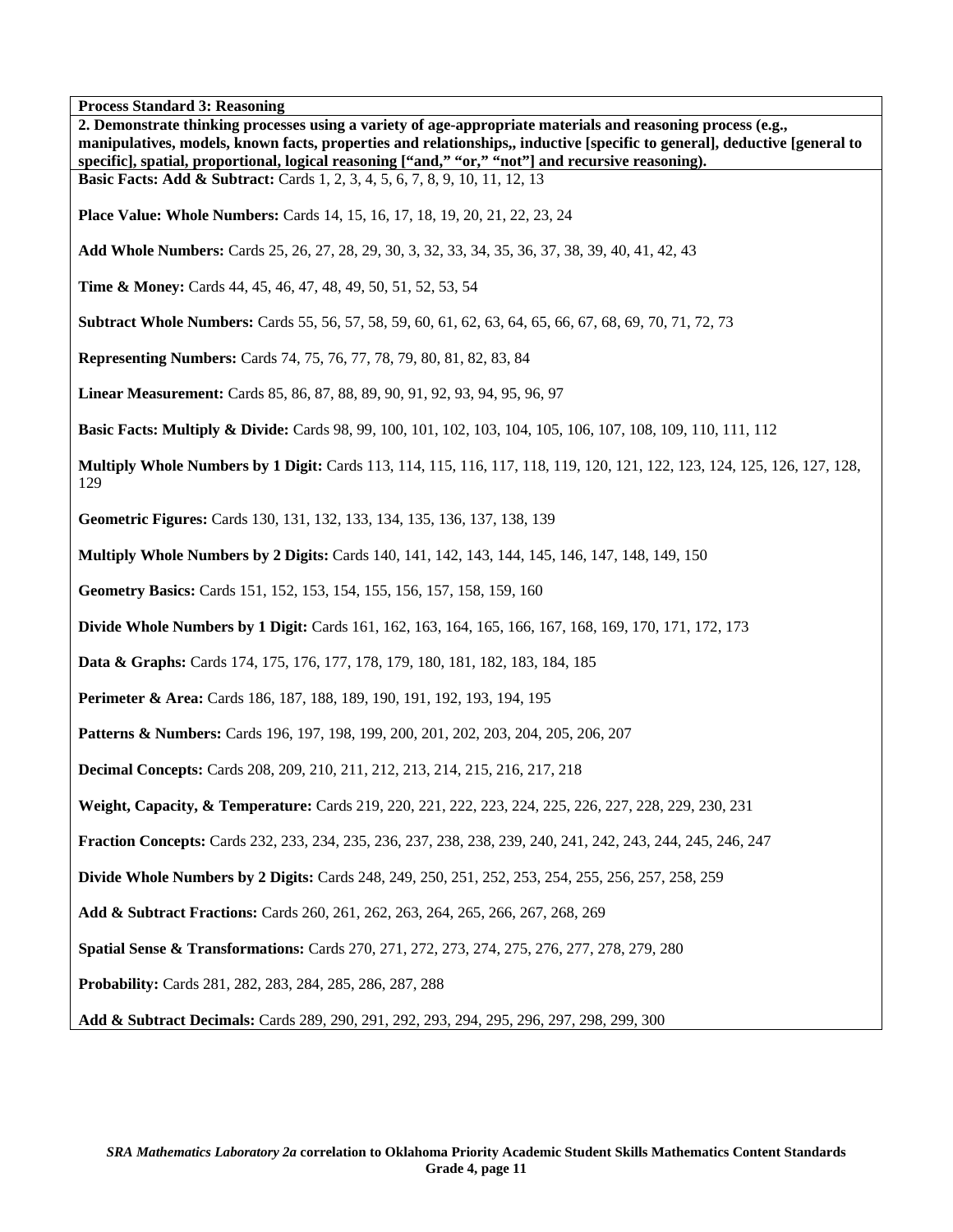**Process Standard 3: Reasoning 2. Demonstrate thinking processes using a variety of age-appropriate materials and reasoning process (e.g., manipulatives, models, known facts, properties and relationships,, inductive [specific to general], deductive [general to specific], spatial, proportional, logical reasoning ["and," "or," "not"] and recursive reasoning). Basic Facts: Add & Subtract:** Cards 1, 2, 3, 4, 5, 6, 7, 8, 9, 10, 11, 12, 13 **Place Value: Whole Numbers:** Cards 14, 15, 16, 17, 18, 19, 20, 21, 22, 23, 24 **Add Whole Numbers:** Cards 25, 26, 27, 28, 29, 30, 3, 32, 33, 34, 35, 36, 37, 38, 39, 40, 41, 42, 43 **Time & Money:** Cards 44, 45, 46, 47, 48, 49, 50, 51, 52, 53, 54 **Subtract Whole Numbers:** Cards 55, 56, 57, 58, 59, 60, 61, 62, 63, 64, 65, 66, 67, 68, 69, 70, 71, 72, 73 **Representing Numbers:** Cards 74, 75, 76, 77, 78, 79, 80, 81, 82, 83, 84 **Linear Measurement:** Cards 85, 86, 87, 88, 89, 90, 91, 92, 93, 94, 95, 96, 97 **Basic Facts: Multiply & Divide:** Cards 98, 99, 100, 101, 102, 103, 104, 105, 106, 107, 108, 109, 110, 111, 112 **Multiply Whole Numbers by 1 Digit:** Cards 113, 114, 115, 116, 117, 118, 119, 120, 121, 122, 123, 124, 125, 126, 127, 128, 129 **Geometric Figures:** Cards 130, 131, 132, 133, 134, 135, 136, 137, 138, 139 **Multiply Whole Numbers by 2 Digits:** Cards 140, 141, 142, 143, 144, 145, 146, 147, 148, 149, 150 **Geometry Basics:** Cards 151, 152, 153, 154, 155, 156, 157, 158, 159, 160 **Divide Whole Numbers by 1 Digit:** Cards 161, 162, 163, 164, 165, 166, 167, 168, 169, 170, 171, 172, 173 **Data & Graphs:** Cards 174, 175, 176, 177, 178, 179, 180, 181, 182, 183, 184, 185 **Perimeter & Area:** Cards 186, 187, 188, 189, 190, 191, 192, 193, 194, 195 **Patterns & Numbers:** Cards 196, 197, 198, 199, 200, 201, 202, 203, 204, 205, 206, 207 **Decimal Concepts:** Cards 208, 209, 210, 211, 212, 213, 214, 215, 216, 217, 218 **Weight, Capacity, & Temperature:** Cards 219, 220, 221, 222, 223, 224, 225, 226, 227, 228, 229, 230, 231 **Fraction Concepts:** Cards 232, 233, 234, 235, 236, 237, 238, 238, 239, 240, 241, 242, 243, 244, 245, 246, 247 **Divide Whole Numbers by 2 Digits:** Cards 248, 249, 250, 251, 252, 253, 254, 255, 256, 257, 258, 259 **Add & Subtract Fractions:** Cards 260, 261, 262, 263, 264, 265, 266, 267, 268, 269 **Spatial Sense & Transformations:** Cards 270, 271, 272, 273, 274, 275, 276, 277, 278, 279, 280 **Probability:** Cards 281, 282, 283, 284, 285, 286, 287, 288 **Add & Subtract Decimals:** Cards 289, 290, 291, 292, 293, 294, 295, 296, 297, 298, 299, 300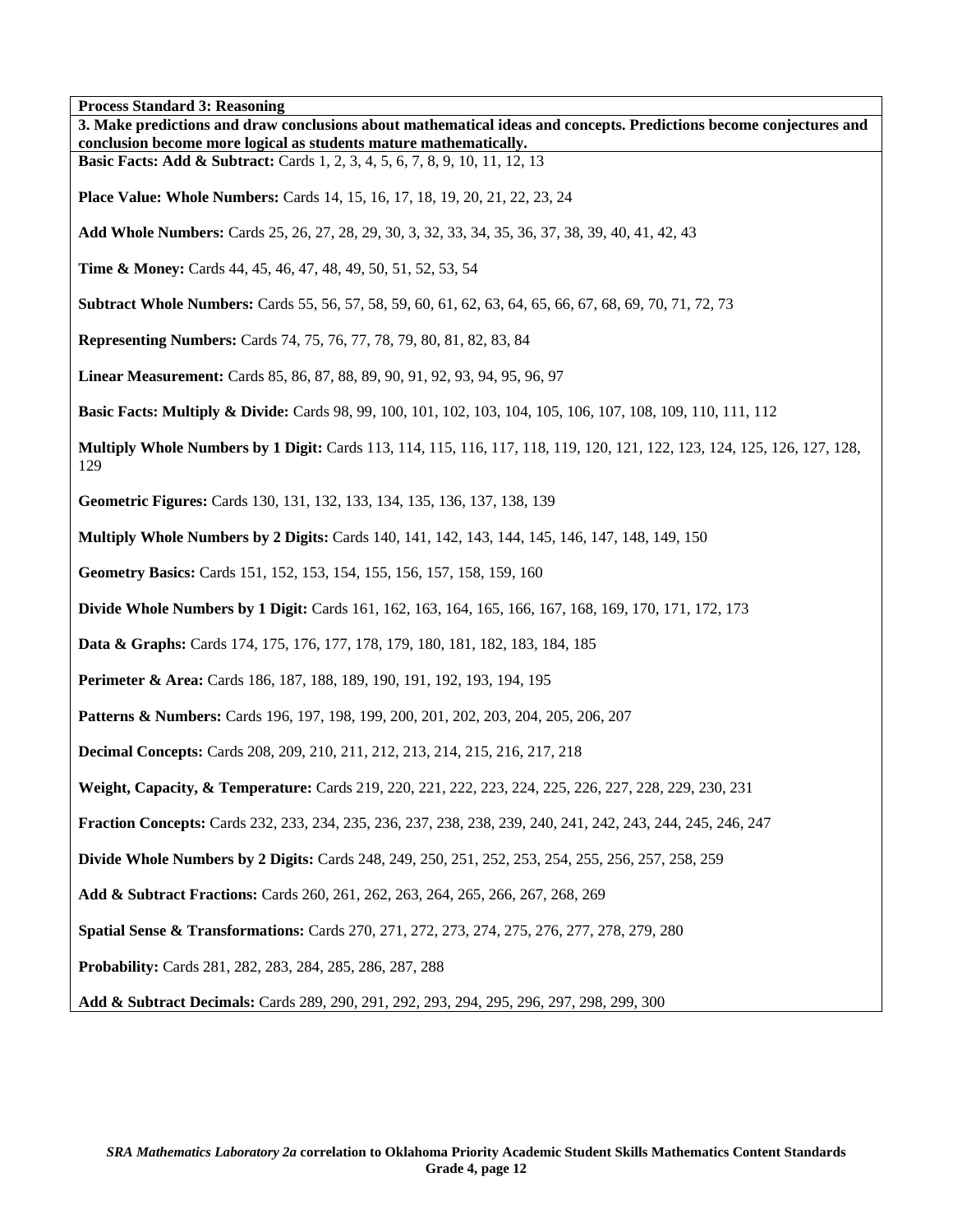**Process Standard 3: Reasoning** 

| Process Standard 3: Reasoning<br>3. Make predictions and draw conclusions about mathematical ideas and concepts. Predictions become conjectures and<br>conclusion become more logical as students mature mathematically. |
|--------------------------------------------------------------------------------------------------------------------------------------------------------------------------------------------------------------------------|
| <b>Basic Facts: Add &amp; Subtract:</b> Cards 1, 2, 3, 4, 5, 6, 7, 8, 9, 10, 11, 12, 13                                                                                                                                  |
| <b>Place Value: Whole Numbers:</b> Cards 14, 15, 16, 17, 18, 19, 20, 21, 22, 23, 24                                                                                                                                      |
| Add Whole Numbers: Cards 25, 26, 27, 28, 29, 30, 3, 32, 33, 34, 35, 36, 37, 38, 39, 40, 41, 42, 43                                                                                                                       |
| <b>Time &amp; Money:</b> Cards 44, 45, 46, 47, 48, 49, 50, 51, 52, 53, 54                                                                                                                                                |
| <b>Subtract Whole Numbers:</b> Cards 55, 56, 57, 58, 59, 60, 61, 62, 63, 64, 65, 66, 67, 68, 69, 70, 71, 72, 73                                                                                                          |
| Representing Numbers: Cards 74, 75, 76, 77, 78, 79, 80, 81, 82, 83, 84                                                                                                                                                   |
| Linear Measurement: Cards 85, 86, 87, 88, 89, 90, 91, 92, 93, 94, 95, 96, 97                                                                                                                                             |
| <b>Basic Facts: Multiply &amp; Divide:</b> Cards 98, 99, 100, 101, 102, 103, 104, 105, 106, 107, 108, 109, 110, 111, 112                                                                                                 |
| Multiply Whole Numbers by 1 Digit: Cards 113, 114, 115, 116, 117, 118, 119, 120, 121, 122, 123, 124, 125, 126, 127, 128,<br>129                                                                                          |
| Geometric Figures: Cards 130, 131, 132, 133, 134, 135, 136, 137, 138, 139                                                                                                                                                |
| <b>Multiply Whole Numbers by 2 Digits:</b> Cards 140, 141, 142, 143, 144, 145, 146, 147, 148, 149, 150                                                                                                                   |
| Geometry Basics: Cards 151, 152, 153, 154, 155, 156, 157, 158, 159, 160                                                                                                                                                  |
| <b>Divide Whole Numbers by 1 Digit:</b> Cards 161, 162, 163, 164, 165, 166, 167, 168, 169, 170, 171, 172, 173                                                                                                            |
| <b>Data &amp; Graphs:</b> Cards 174, 175, 176, 177, 178, 179, 180, 181, 182, 183, 184, 185                                                                                                                               |
| Perimeter & Area: Cards 186, 187, 188, 189, 190, 191, 192, 193, 194, 195                                                                                                                                                 |
| <b>Patterns &amp; Numbers:</b> Cards 196, 197, 198, 199, 200, 201, 202, 203, 204, 205, 206, 207                                                                                                                          |
| <b>Decimal Concepts:</b> Cards 208, 209, 210, 211, 212, 213, 214, 215, 216, 217, 218                                                                                                                                     |
| Weight, Capacity, & Temperature: Cards 219, 220, 221, 222, 223, 224, 225, 226, 227, 228, 229, 230, 231                                                                                                                   |
| Fraction Concepts: Cards 232, 233, 234, 235, 236, 237, 238, 238, 239, 240, 241, 242, 243, 244, 245, 246, 247                                                                                                             |
| <b>Divide Whole Numbers by 2 Digits:</b> Cards 248, 249, 250, 251, 252, 253, 254, 255, 256, 257, 258, 259                                                                                                                |
| Add & Subtract Fractions: Cards 260, 261, 262, 263, 264, 265, 266, 267, 268, 269                                                                                                                                         |
| Spatial Sense & Transformations: Cards 270, 271, 272, 273, 274, 275, 276, 277, 278, 279, 280                                                                                                                             |
| Probability: Cards 281, 282, 283, 284, 285, 286, 287, 288                                                                                                                                                                |
| Add & Subtract Decimals: Cards 289, 290, 291, 292, 293, 294, 295, 296, 297, 298, 299, 300                                                                                                                                |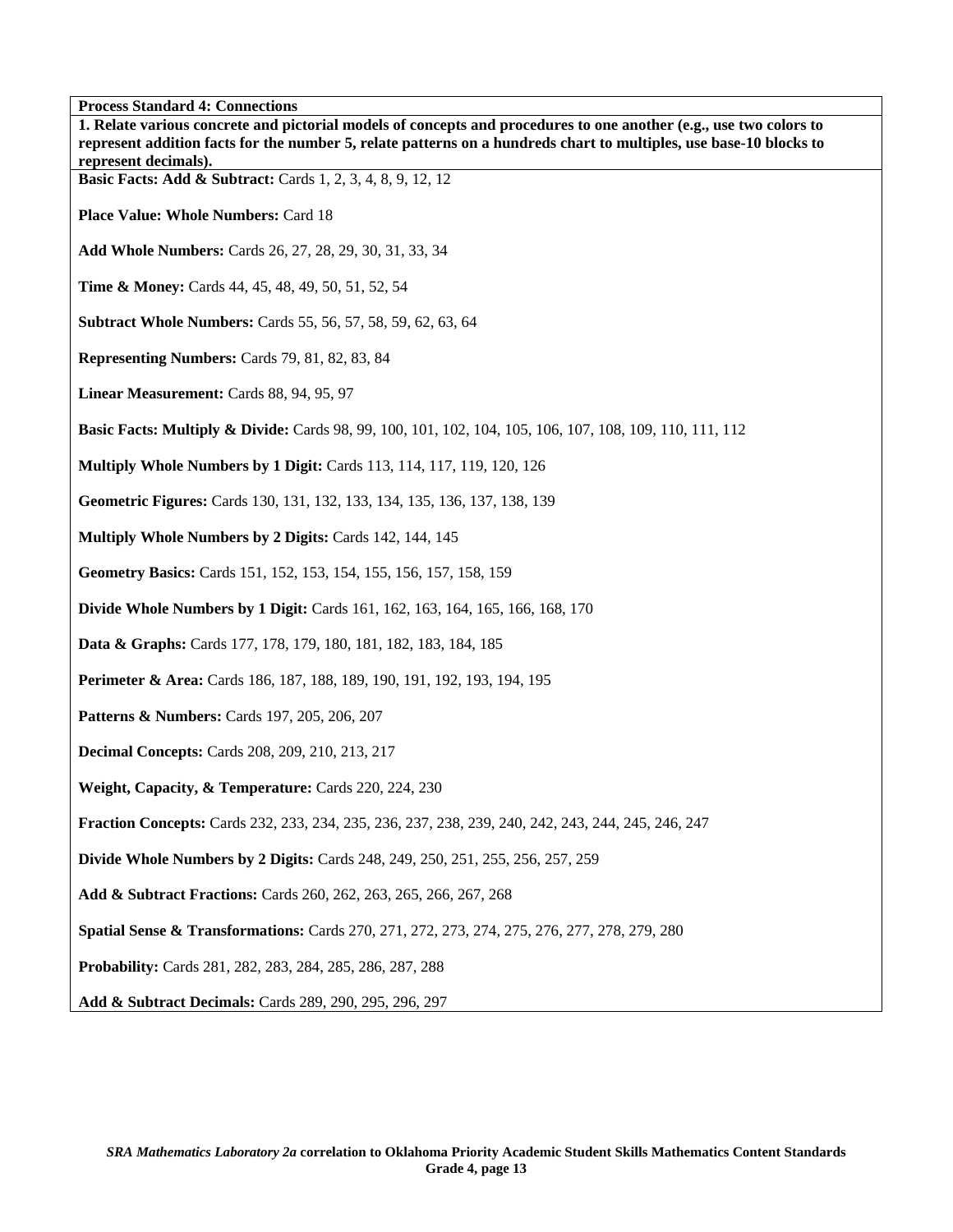| <b>Process Standard 4: Connections</b>                                                                                                                                                                                                   |
|------------------------------------------------------------------------------------------------------------------------------------------------------------------------------------------------------------------------------------------|
| 1. Relate various concrete and pictorial models of concepts and procedures to one another (e.g., use two colors to<br>represent addition facts for the number 5, relate patterns on a hundreds chart to multiples, use base-10 blocks to |
| represent decimals).                                                                                                                                                                                                                     |
| <b>Basic Facts: Add &amp; Subtract:</b> Cards 1, 2, 3, 4, 8, 9, 12, 12                                                                                                                                                                   |
| <b>Place Value: Whole Numbers: Card 18</b>                                                                                                                                                                                               |
| Add Whole Numbers: Cards 26, 27, 28, 29, 30, 31, 33, 34                                                                                                                                                                                  |
| <b>Time &amp; Money:</b> Cards 44, 45, 48, 49, 50, 51, 52, 54                                                                                                                                                                            |
| <b>Subtract Whole Numbers: Cards 55, 56, 57, 58, 59, 62, 63, 64</b>                                                                                                                                                                      |
| Representing Numbers: Cards 79, 81, 82, 83, 84                                                                                                                                                                                           |
| Linear Measurement: Cards 88, 94, 95, 97                                                                                                                                                                                                 |
| <b>Basic Facts: Multiply &amp; Divide:</b> Cards 98, 99, 100, 101, 102, 104, 105, 106, 107, 108, 109, 110, 111, 112                                                                                                                      |
| Multiply Whole Numbers by 1 Digit: Cards 113, 114, 117, 119, 120, 126                                                                                                                                                                    |
| Geometric Figures: Cards 130, 131, 132, 133, 134, 135, 136, 137, 138, 139                                                                                                                                                                |
| Multiply Whole Numbers by 2 Digits: Cards 142, 144, 145                                                                                                                                                                                  |
| Geometry Basics: Cards 151, 152, 153, 154, 155, 156, 157, 158, 159                                                                                                                                                                       |
| Divide Whole Numbers by 1 Digit: Cards 161, 162, 163, 164, 165, 166, 168, 170                                                                                                                                                            |
| Data & Graphs: Cards 177, 178, 179, 180, 181, 182, 183, 184, 185                                                                                                                                                                         |
| Perimeter & Area: Cards 186, 187, 188, 189, 190, 191, 192, 193, 194, 195                                                                                                                                                                 |
| <b>Patterns &amp; Numbers:</b> Cards 197, 205, 206, 207                                                                                                                                                                                  |
| <b>Decimal Concepts: Cards 208, 209, 210, 213, 217</b>                                                                                                                                                                                   |
| Weight, Capacity, & Temperature: Cards 220, 224, 230                                                                                                                                                                                     |
| Fraction Concepts: Cards 232, 233, 234, 235, 236, 237, 238, 239, 240, 242, 243, 244, 245, 246, 247                                                                                                                                       |
| <b>Divide Whole Numbers by 2 Digits:</b> Cards 248, 249, 250, 251, 255, 256, 257, 259                                                                                                                                                    |
| Add & Subtract Fractions: Cards 260, 262, 263, 265, 266, 267, 268                                                                                                                                                                        |
| Spatial Sense & Transformations: Cards 270, 271, 272, 273, 274, 275, 276, 277, 278, 279, 280                                                                                                                                             |
| Probability: Cards 281, 282, 283, 284, 285, 286, 287, 288                                                                                                                                                                                |
| Add & Subtract Decimals: Cards 289, 290, 295, 296, 297                                                                                                                                                                                   |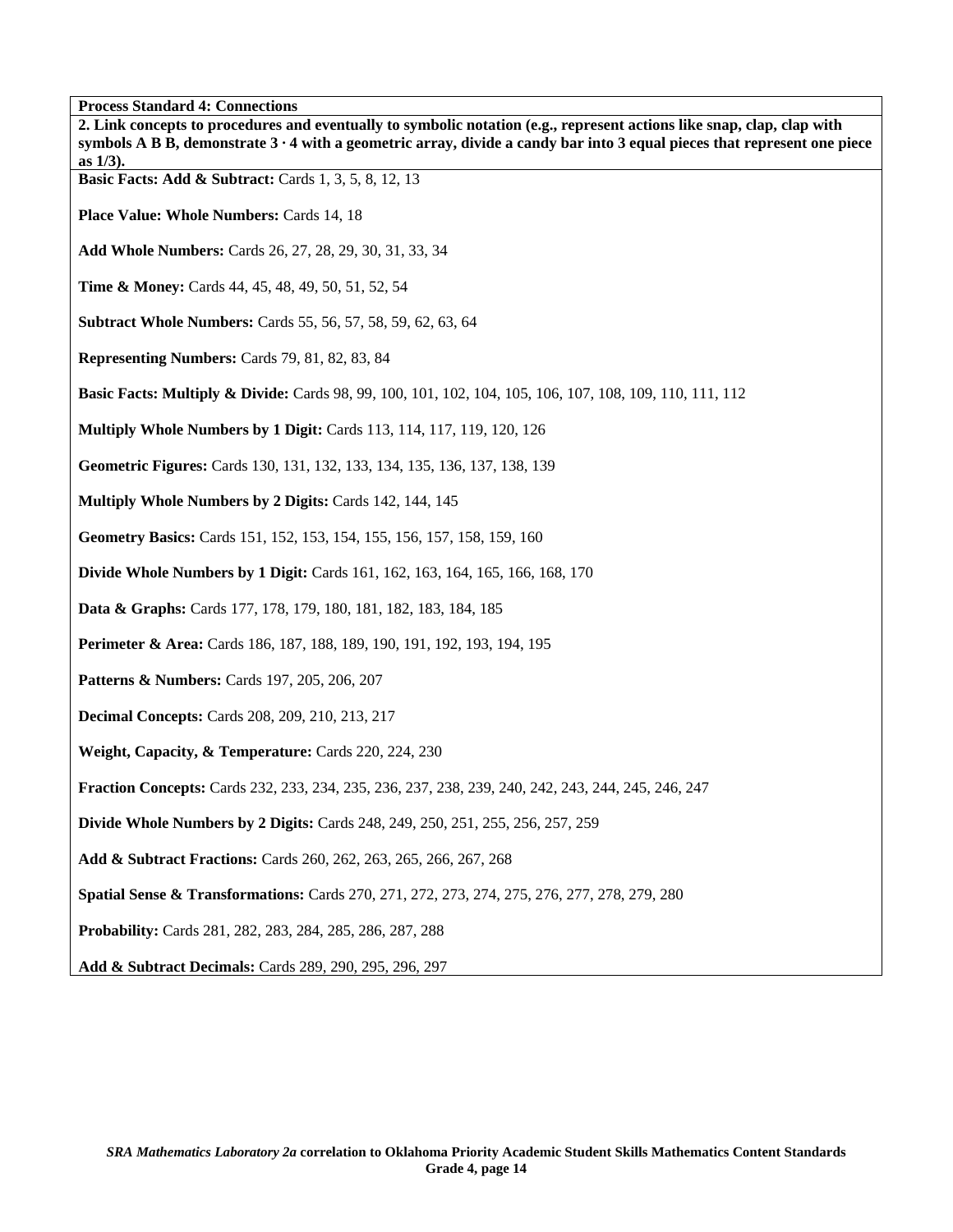| <b>Process Standard 4: Connections</b>                                                                                                                                                                                                                   |
|----------------------------------------------------------------------------------------------------------------------------------------------------------------------------------------------------------------------------------------------------------|
| 2. Link concepts to procedures and eventually to symbolic notation (e.g., represent actions like snap, clap, clap with<br>symbols A B B, demonstrate $3 \cdot 4$ with a geometric array, divide a candy bar into 3 equal pieces that represent one piece |
| as $1/3$ ).                                                                                                                                                                                                                                              |
| <b>Basic Facts: Add &amp; Subtract:</b> Cards 1, 3, 5, 8, 12, 13                                                                                                                                                                                         |
| Place Value: Whole Numbers: Cards 14, 18                                                                                                                                                                                                                 |
| Add Whole Numbers: Cards 26, 27, 28, 29, 30, 31, 33, 34                                                                                                                                                                                                  |
| Time & Money: Cards 44, 45, 48, 49, 50, 51, 52, 54                                                                                                                                                                                                       |
| <b>Subtract Whole Numbers:</b> Cards 55, 56, 57, 58, 59, 62, 63, 64                                                                                                                                                                                      |
| Representing Numbers: Cards 79, 81, 82, 83, 84                                                                                                                                                                                                           |
| <b>Basic Facts: Multiply &amp; Divide:</b> Cards 98, 99, 100, 101, 102, 104, 105, 106, 107, 108, 109, 110, 111, 112                                                                                                                                      |
| <b>Multiply Whole Numbers by 1 Digit: Cards 113, 114, 117, 119, 120, 126</b>                                                                                                                                                                             |
| Geometric Figures: Cards 130, 131, 132, 133, 134, 135, 136, 137, 138, 139                                                                                                                                                                                |
| Multiply Whole Numbers by 2 Digits: Cards 142, 144, 145                                                                                                                                                                                                  |
| Geometry Basics: Cards 151, 152, 153, 154, 155, 156, 157, 158, 159, 160                                                                                                                                                                                  |
| <b>Divide Whole Numbers by 1 Digit:</b> Cards 161, 162, 163, 164, 165, 166, 168, 170                                                                                                                                                                     |
| Data & Graphs: Cards 177, 178, 179, 180, 181, 182, 183, 184, 185                                                                                                                                                                                         |
| Perimeter & Area: Cards 186, 187, 188, 189, 190, 191, 192, 193, 194, 195                                                                                                                                                                                 |
| <b>Patterns &amp; Numbers:</b> Cards 197, 205, 206, 207                                                                                                                                                                                                  |
| <b>Decimal Concepts: Cards 208, 209, 210, 213, 217</b>                                                                                                                                                                                                   |
| Weight, Capacity, & Temperature: Cards 220, 224, 230                                                                                                                                                                                                     |
| Fraction Concepts: Cards 232, 233, 234, 235, 236, 237, 238, 239, 240, 242, 243, 244, 245, 246, 247                                                                                                                                                       |
| <b>Divide Whole Numbers by 2 Digits: Cards 248, 249, 250, 251, 255, 256, 257, 259</b>                                                                                                                                                                    |
| Add & Subtract Fractions: Cards 260, 262, 263, 265, 266, 267, 268                                                                                                                                                                                        |
| Spatial Sense & Transformations: Cards 270, 271, 272, 273, 274, 275, 276, 277, 278, 279, 280                                                                                                                                                             |
| Probability: Cards 281, 282, 283, 284, 285, 286, 287, 288                                                                                                                                                                                                |
| Add & Subtract Decimals: Cards 289, 290, 295, 296, 297                                                                                                                                                                                                   |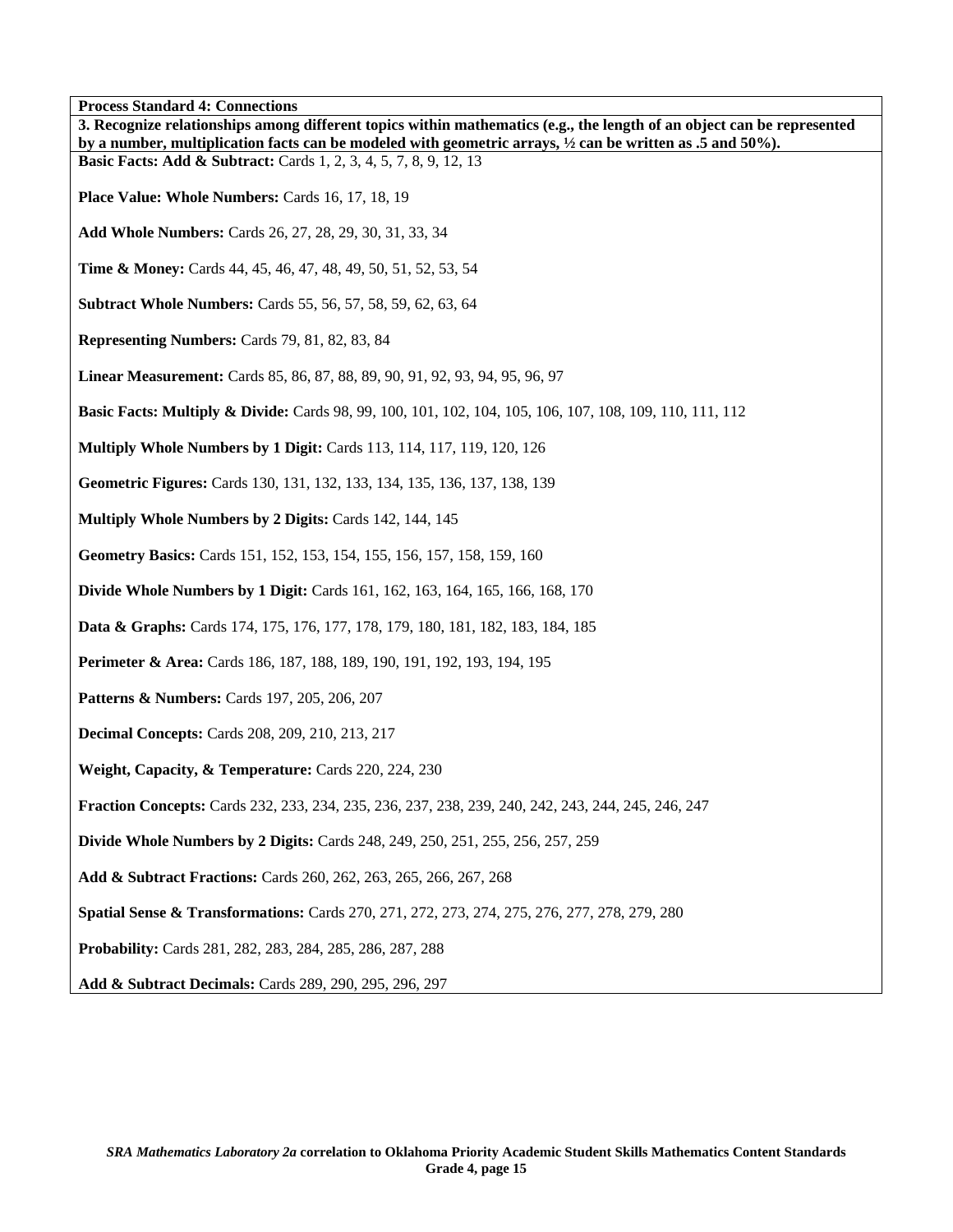**Process Standard 4: Connections 3. Recognize relationships among different topics within mathematics (e.g., the length of an object can be represented by a number, multiplication facts can be modeled with geometric arrays, ½ can be written as .5 and 50%). Basic Facts: Add & Subtract:** Cards 1, 2, 3, 4, 5, 7, 8, 9, 12, 13 Place Value: Whole Numbers: Cards 16, 17, 18, 19 **Add Whole Numbers:** Cards 26, 27, 28, 29, 30, 31, 33, 34 **Time & Money:** Cards 44, 45, 46, 47, 48, 49, 50, 51, 52, 53, 54 **Subtract Whole Numbers:** Cards 55, 56, 57, 58, 59, 62, 63, 64 **Representing Numbers:** Cards 79, 81, 82, 83, 84 **Linear Measurement:** Cards 85, 86, 87, 88, 89, 90, 91, 92, 93, 94, 95, 96, 97 **Basic Facts: Multiply & Divide:** Cards 98, 99, 100, 101, 102, 104, 105, 106, 107, 108, 109, 110, 111, 112 **Multiply Whole Numbers by 1 Digit:** Cards 113, 114, 117, 119, 120, 126 **Geometric Figures:** Cards 130, 131, 132, 133, 134, 135, 136, 137, 138, 139 **Multiply Whole Numbers by 2 Digits:** Cards 142, 144, 145 **Geometry Basics:** Cards 151, 152, 153, 154, 155, 156, 157, 158, 159, 160 **Divide Whole Numbers by 1 Digit:** Cards 161, 162, 163, 164, 165, 166, 168, 170 **Data & Graphs:** Cards 174, 175, 176, 177, 178, 179, 180, 181, 182, 183, 184, 185 **Perimeter & Area:** Cards 186, 187, 188, 189, 190, 191, 192, 193, 194, 195 **Patterns & Numbers:** Cards 197, 205, 206, 207 **Decimal Concepts:** Cards 208, 209, 210, 213, 217 **Weight, Capacity, & Temperature:** Cards 220, 224, 230 **Fraction Concepts:** Cards 232, 233, 234, 235, 236, 237, 238, 239, 240, 242, 243, 244, 245, 246, 247 **Divide Whole Numbers by 2 Digits:** Cards 248, 249, 250, 251, 255, 256, 257, 259 **Add & Subtract Fractions:** Cards 260, 262, 263, 265, 266, 267, 268 **Spatial Sense & Transformations:** Cards 270, 271, 272, 273, 274, 275, 276, 277, 278, 279, 280 **Probability:** Cards 281, 282, 283, 284, 285, 286, 287, 288 **Add & Subtract Decimals:** Cards 289, 290, 295, 296, 297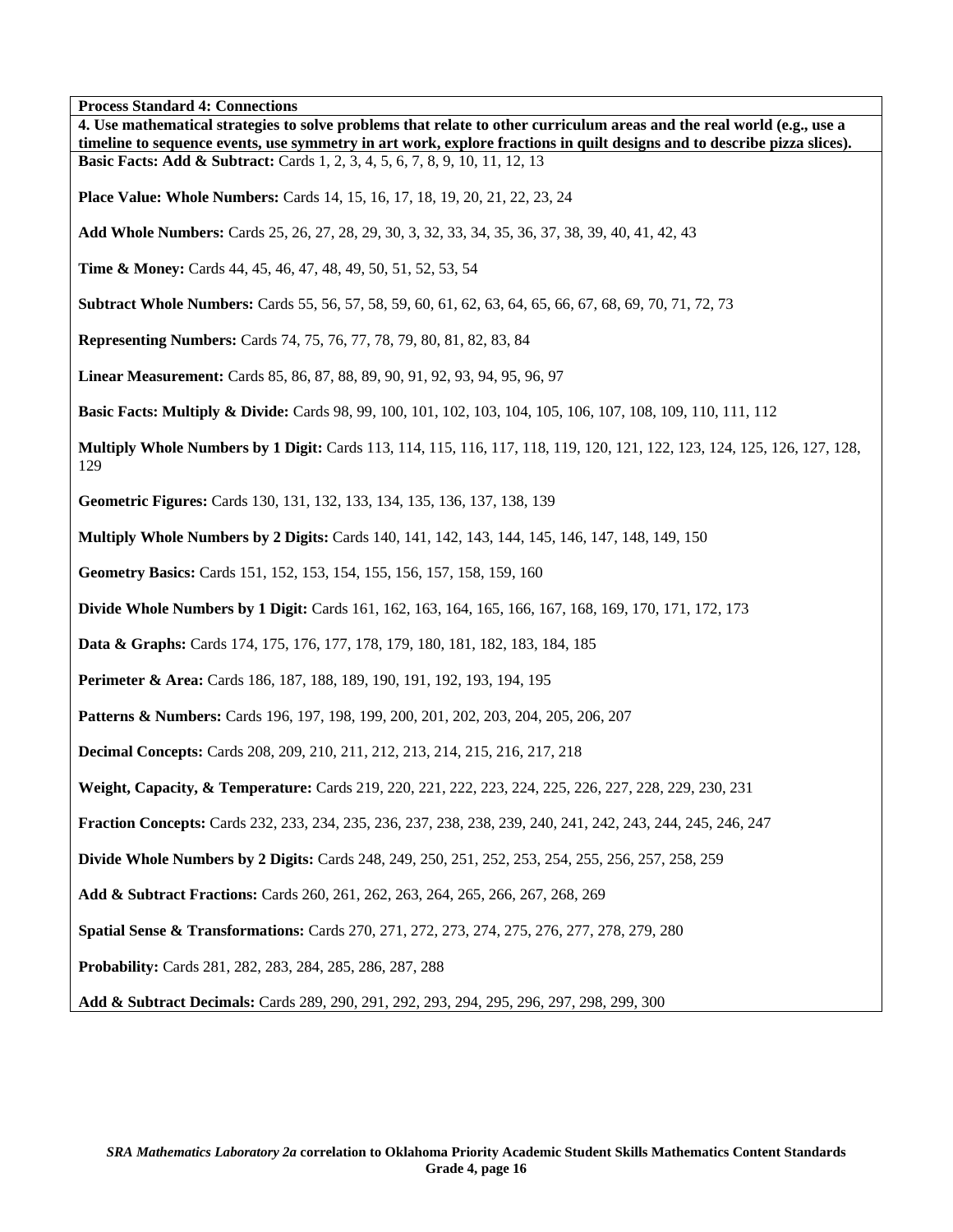**Process Standard 4: Connections** 

| 4. Use mathematical strategies to solve problems that relate to other curriculum areas and the real world (e.g., use a<br>timeline to sequence events, use symmetry in art work, explore fractions in quilt designs and to describe pizza slices). |
|----------------------------------------------------------------------------------------------------------------------------------------------------------------------------------------------------------------------------------------------------|
| <b>Basic Facts: Add &amp; Subtract:</b> Cards 1, 2, 3, 4, 5, 6, 7, 8, 9, 10, 11, 12, 13                                                                                                                                                            |
| <b>Place Value: Whole Numbers:</b> Cards 14, 15, 16, 17, 18, 19, 20, 21, 22, 23, 24                                                                                                                                                                |
| Add Whole Numbers: Cards 25, 26, 27, 28, 29, 30, 3, 32, 33, 34, 35, 36, 37, 38, 39, 40, 41, 42, 43                                                                                                                                                 |
| <b>Time &amp; Money:</b> Cards 44, 45, 46, 47, 48, 49, 50, 51, 52, 53, 54                                                                                                                                                                          |
| <b>Subtract Whole Numbers:</b> Cards 55, 56, 57, 58, 59, 60, 61, 62, 63, 64, 65, 66, 67, 68, 69, 70, 71, 72, 73                                                                                                                                    |
| <b>Representing Numbers:</b> Cards 74, 75, 76, 77, 78, 79, 80, 81, 82, 83, 84                                                                                                                                                                      |
| Linear Measurement: Cards 85, 86, 87, 88, 89, 90, 91, 92, 93, 94, 95, 96, 97                                                                                                                                                                       |
| <b>Basic Facts: Multiply &amp; Divide:</b> Cards 98, 99, 100, 101, 102, 103, 104, 105, 106, 107, 108, 109, 110, 111, 112                                                                                                                           |
| Multiply Whole Numbers by 1 Digit: Cards 113, 114, 115, 116, 117, 118, 119, 120, 121, 122, 123, 124, 125, 126, 127, 128,<br>129                                                                                                                    |
| Geometric Figures: Cards 130, 131, 132, 133, 134, 135, 136, 137, 138, 139                                                                                                                                                                          |
| <b>Multiply Whole Numbers by 2 Digits:</b> Cards 140, 141, 142, 143, 144, 145, 146, 147, 148, 149, 150                                                                                                                                             |
| Geometry Basics: Cards 151, 152, 153, 154, 155, 156, 157, 158, 159, 160                                                                                                                                                                            |
| <b>Divide Whole Numbers by 1 Digit:</b> Cards 161, 162, 163, 164, 165, 166, 167, 168, 169, 170, 171, 172, 173                                                                                                                                      |
| Data & Graphs: Cards 174, 175, 176, 177, 178, 179, 180, 181, 182, 183, 184, 185                                                                                                                                                                    |
| Perimeter & Area: Cards 186, 187, 188, 189, 190, 191, 192, 193, 194, 195                                                                                                                                                                           |
| Patterns & Numbers: Cards 196, 197, 198, 199, 200, 201, 202, 203, 204, 205, 206, 207                                                                                                                                                               |
| <b>Decimal Concepts:</b> Cards 208, 209, 210, 211, 212, 213, 214, 215, 216, 217, 218                                                                                                                                                               |
| Weight, Capacity, & Temperature: Cards 219, 220, 221, 222, 223, 224, 225, 226, 227, 228, 229, 230, 231                                                                                                                                             |
| Fraction Concepts: Cards 232, 233, 234, 235, 236, 237, 238, 238, 239, 240, 241, 242, 243, 244, 245, 246, 247                                                                                                                                       |
| <b>Divide Whole Numbers by 2 Digits:</b> Cards 248, 249, 250, 251, 252, 253, 254, 255, 256, 257, 258, 259                                                                                                                                          |
| Add & Subtract Fractions: Cards 260, 261, 262, 263, 264, 265, 266, 267, 268, 269                                                                                                                                                                   |
| Spatial Sense & Transformations: Cards 270, 271, 272, 273, 274, 275, 276, 277, 278, 279, 280                                                                                                                                                       |
| Probability: Cards 281, 282, 283, 284, 285, 286, 287, 288                                                                                                                                                                                          |
| Add & Subtract Decimals: Cards 289, 290, 291, 292, 293, 294, 295, 296, 297, 298, 299, 300                                                                                                                                                          |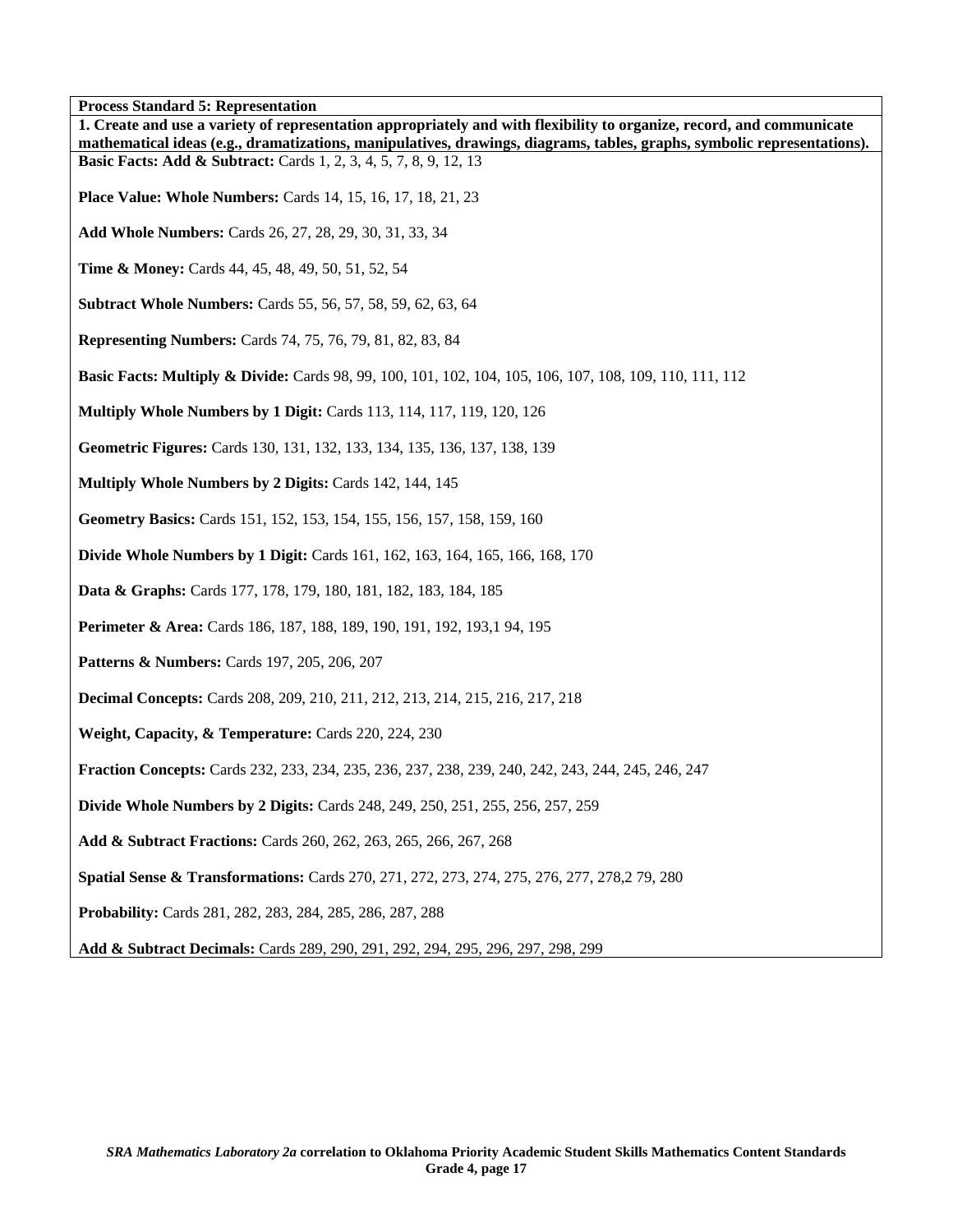**Process Standard 5: Representation** 

| 1. Create and use a variety of representation appropriately and with flexibility to organize, record, and communicate   |
|-------------------------------------------------------------------------------------------------------------------------|
| mathematical ideas (e.g., dramatizations, manipulatives, drawings, diagrams, tables, graphs, symbolic representations). |
| <b>Basic Facts: Add &amp; Subtract:</b> Cards 1, 2, 3, 4, 5, 7, 8, 9, 12, 13                                            |
| <b>Place Value: Whole Numbers:</b> Cards 14, 15, 16, 17, 18, 21, 23                                                     |
| Add Whole Numbers: Cards 26, 27, 28, 29, 30, 31, 33, 34                                                                 |
| <b>Time &amp; Money:</b> Cards 44, 45, 48, 49, 50, 51, 52, 54                                                           |
| <b>Subtract Whole Numbers:</b> Cards 55, 56, 57, 58, 59, 62, 63, 64                                                     |
| <b>Representing Numbers:</b> Cards 74, 75, 76, 79, 81, 82, 83, 84                                                       |
| <b>Basic Facts: Multiply &amp; Divide:</b> Cards 98, 99, 100, 101, 102, 104, 105, 106, 107, 108, 109, 110, 111, 112     |
| Multiply Whole Numbers by 1 Digit: Cards 113, 114, 117, 119, 120, 126                                                   |
| Geometric Figures: Cards 130, 131, 132, 133, 134, 135, 136, 137, 138, 139                                               |
| Multiply Whole Numbers by 2 Digits: Cards 142, 144, 145                                                                 |
| Geometry Basics: Cards 151, 152, 153, 154, 155, 156, 157, 158, 159, 160                                                 |
| Divide Whole Numbers by 1 Digit: Cards 161, 162, 163, 164, 165, 166, 168, 170                                           |
| Data & Graphs: Cards 177, 178, 179, 180, 181, 182, 183, 184, 185                                                        |
| Perimeter & Area: Cards 186, 187, 188, 189, 190, 191, 192, 193, 194, 195                                                |
| Patterns & Numbers: Cards 197, 205, 206, 207                                                                            |
| <b>Decimal Concepts:</b> Cards 208, 209, 210, 211, 212, 213, 214, 215, 216, 217, 218                                    |
| Weight, Capacity, & Temperature: Cards 220, 224, 230                                                                    |
| Fraction Concepts: Cards 232, 233, 234, 235, 236, 237, 238, 239, 240, 242, 243, 244, 245, 246, 247                      |
| <b>Divide Whole Numbers by 2 Digits:</b> Cards 248, 249, 250, 251, 255, 256, 257, 259                                   |
| Add & Subtract Fractions: Cards 260, 262, 263, 265, 266, 267, 268                                                       |
| Spatial Sense & Transformations: Cards 270, 271, 272, 273, 274, 275, 276, 277, 278, 279, 280                            |
| Probability: Cards 281, 282, 283, 284, 285, 286, 287, 288                                                               |
| Add & Subtract Decimals: Cards 289, 290, 291, 292, 294, 295, 296, 297, 298, 299                                         |

٦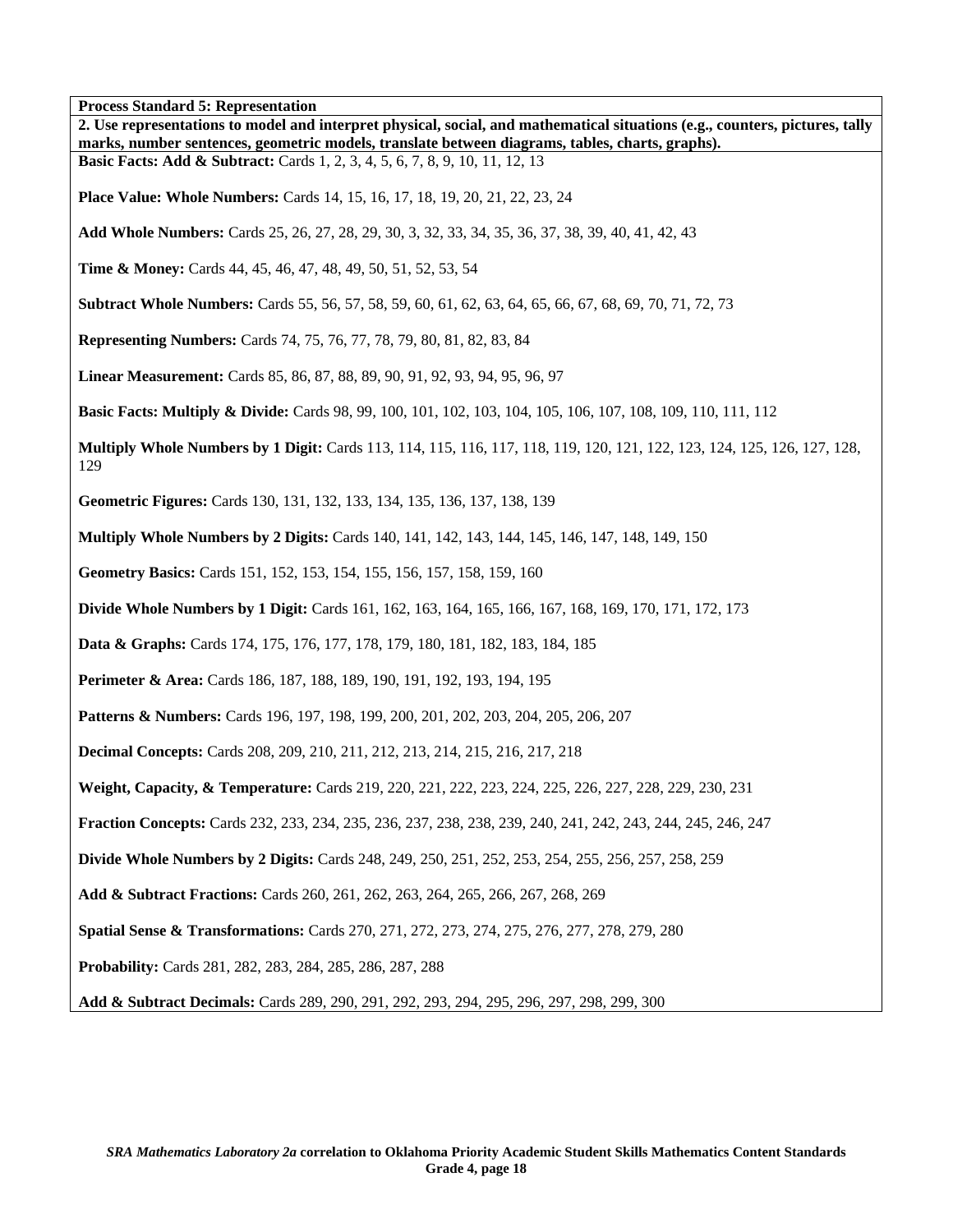**Process Standard 5: Representation** 

| <b>Process Standard 5: Representation</b>                                                                                                                                                                                       |
|---------------------------------------------------------------------------------------------------------------------------------------------------------------------------------------------------------------------------------|
| 2. Use representations to model and interpret physical, social, and mathematical situations (e.g., counters, pictures, tally<br>marks, number sentences, geometric models, translate between diagrams, tables, charts, graphs). |
| <b>Basic Facts: Add &amp; Subtract:</b> Cards 1, 2, 3, 4, 5, 6, 7, 8, 9, 10, 11, 12, 13                                                                                                                                         |
| <b>Place Value: Whole Numbers:</b> Cards 14, 15, 16, 17, 18, 19, 20, 21, 22, 23, 24                                                                                                                                             |
| Add Whole Numbers: Cards 25, 26, 27, 28, 29, 30, 3, 32, 33, 34, 35, 36, 37, 38, 39, 40, 41, 42, 43                                                                                                                              |
| Time & Money: Cards 44, 45, 46, 47, 48, 49, 50, 51, 52, 53, 54                                                                                                                                                                  |
| <b>Subtract Whole Numbers:</b> Cards 55, 56, 57, 58, 59, 60, 61, 62, 63, 64, 65, 66, 67, 68, 69, 70, 71, 72, 73                                                                                                                 |
| <b>Representing Numbers:</b> Cards 74, 75, 76, 77, 78, 79, 80, 81, 82, 83, 84                                                                                                                                                   |
| Linear Measurement: Cards 85, 86, 87, 88, 89, 90, 91, 92, 93, 94, 95, 96, 97                                                                                                                                                    |
| <b>Basic Facts: Multiply &amp; Divide:</b> Cards 98, 99, 100, 101, 102, 103, 104, 105, 106, 107, 108, 109, 110, 111, 112                                                                                                        |
| Multiply Whole Numbers by 1 Digit: Cards 113, 114, 115, 116, 117, 118, 119, 120, 121, 122, 123, 124, 125, 126, 127, 128,<br>129                                                                                                 |
| Geometric Figures: Cards 130, 131, 132, 133, 134, 135, 136, 137, 138, 139                                                                                                                                                       |
| <b>Multiply Whole Numbers by 2 Digits:</b> Cards 140, 141, 142, 143, 144, 145, 146, 147, 148, 149, 150                                                                                                                          |
| Geometry Basics: Cards 151, 152, 153, 154, 155, 156, 157, 158, 159, 160                                                                                                                                                         |
| <b>Divide Whole Numbers by 1 Digit:</b> Cards 161, 162, 163, 164, 165, 166, 167, 168, 169, 170, 171, 172, 173                                                                                                                   |
| <b>Data &amp; Graphs:</b> Cards 174, 175, 176, 177, 178, 179, 180, 181, 182, 183, 184, 185                                                                                                                                      |
| Perimeter & Area: Cards 186, 187, 188, 189, 190, 191, 192, 193, 194, 195                                                                                                                                                        |
| <b>Patterns &amp; Numbers:</b> Cards 196, 197, 198, 199, 200, 201, 202, 203, 204, 205, 206, 207                                                                                                                                 |
| <b>Decimal Concepts:</b> Cards 208, 209, 210, 211, 212, 213, 214, 215, 216, 217, 218                                                                                                                                            |
| Weight, Capacity, & Temperature: Cards 219, 220, 221, 222, 223, 224, 225, 226, 227, 228, 229, 230, 231                                                                                                                          |
| Fraction Concepts: Cards 232, 233, 234, 235, 236, 237, 238, 238, 239, 240, 241, 242, 243, 244, 245, 246, 247                                                                                                                    |
| <b>Divide Whole Numbers by 2 Digits:</b> Cards 248, 249, 250, 251, 252, 253, 254, 255, 256, 257, 258, 259                                                                                                                       |
| Add & Subtract Fractions: Cards 260, 261, 262, 263, 264, 265, 266, 267, 268, 269                                                                                                                                                |
| Spatial Sense & Transformations: Cards 270, 271, 272, 273, 274, 275, 276, 277, 278, 279, 280                                                                                                                                    |
| Probability: Cards 281, 282, 283, 284, 285, 286, 287, 288                                                                                                                                                                       |
| Add & Subtract Decimals: Cards 289, 290, 291, 292, 293, 294, 295, 296, 297, 298, 299, 300                                                                                                                                       |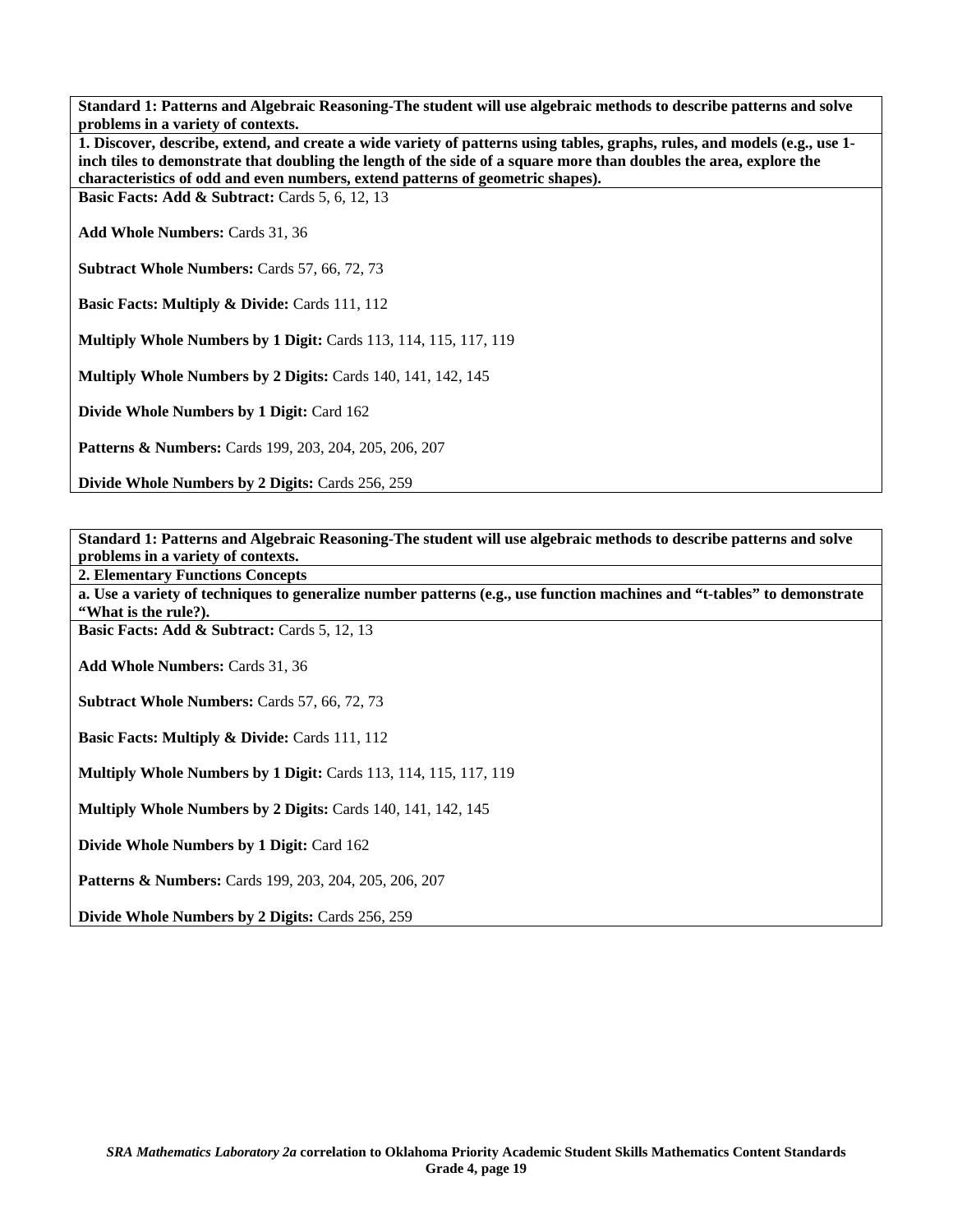**Standard 1: Patterns and Algebraic Reasoning-The student will use algebraic methods to describe patterns and solve problems in a variety of contexts.** 

| 1. Discover, describe, extend, and create a wide variety of patterns using tables, graphs, rules, and models (e.g., use 1-<br>inch tiles to demonstrate that doubling the length of the side of a square more than doubles the area, explore the<br>characteristics of odd and even numbers, extend patterns of geometric shapes). |
|------------------------------------------------------------------------------------------------------------------------------------------------------------------------------------------------------------------------------------------------------------------------------------------------------------------------------------|
| <b>Basic Facts: Add &amp; Subtract:</b> Cards $5, 6, 12, 13$                                                                                                                                                                                                                                                                       |
| <b>Add Whole Numbers: Cards 31, 36</b>                                                                                                                                                                                                                                                                                             |
| <b>Subtract Whole Numbers: Cards 57, 66, 72, 73</b>                                                                                                                                                                                                                                                                                |
| <b>Basic Facts: Multiply &amp; Divide: Cards 111, 112</b>                                                                                                                                                                                                                                                                          |
| <b>Multiply Whole Numbers by 1 Digit:</b> Cards 113, 114, 115, 117, 119                                                                                                                                                                                                                                                            |

**Multiply Whole Numbers by 2 Digits:** Cards 140, 141, 142, 145

**Divide Whole Numbers by 1 Digit:** Card 162

**Patterns & Numbers:** Cards 199, 203, 204, 205, 206, 207

**Divide Whole Numbers by 2 Digits:** Cards 256, 259

**Standard 1: Patterns and Algebraic Reasoning-The student will use algebraic methods to describe patterns and solve problems in a variety of contexts.** 

**2. Elementary Functions Concepts** 

**a. Use a variety of techniques to generalize number patterns (e.g., use function machines and "t-tables" to demonstrate "What is the rule?).** 

Basic Facts: Add & Subtract: Cards 5, 12, 13

**Add Whole Numbers:** Cards 31, 36

**Subtract Whole Numbers:** Cards 57, 66, 72, 73

**Basic Facts: Multiply & Divide: Cards 111, 112** 

**Multiply Whole Numbers by 1 Digit:** Cards 113, 114, 115, 117, 119

**Multiply Whole Numbers by 2 Digits: Cards 140, 141, 142, 145** 

**Divide Whole Numbers by 1 Digit:** Card 162

**Patterns & Numbers:** Cards 199, 203, 204, 205, 206, 207

**Divide Whole Numbers by 2 Digits:** Cards 256, 259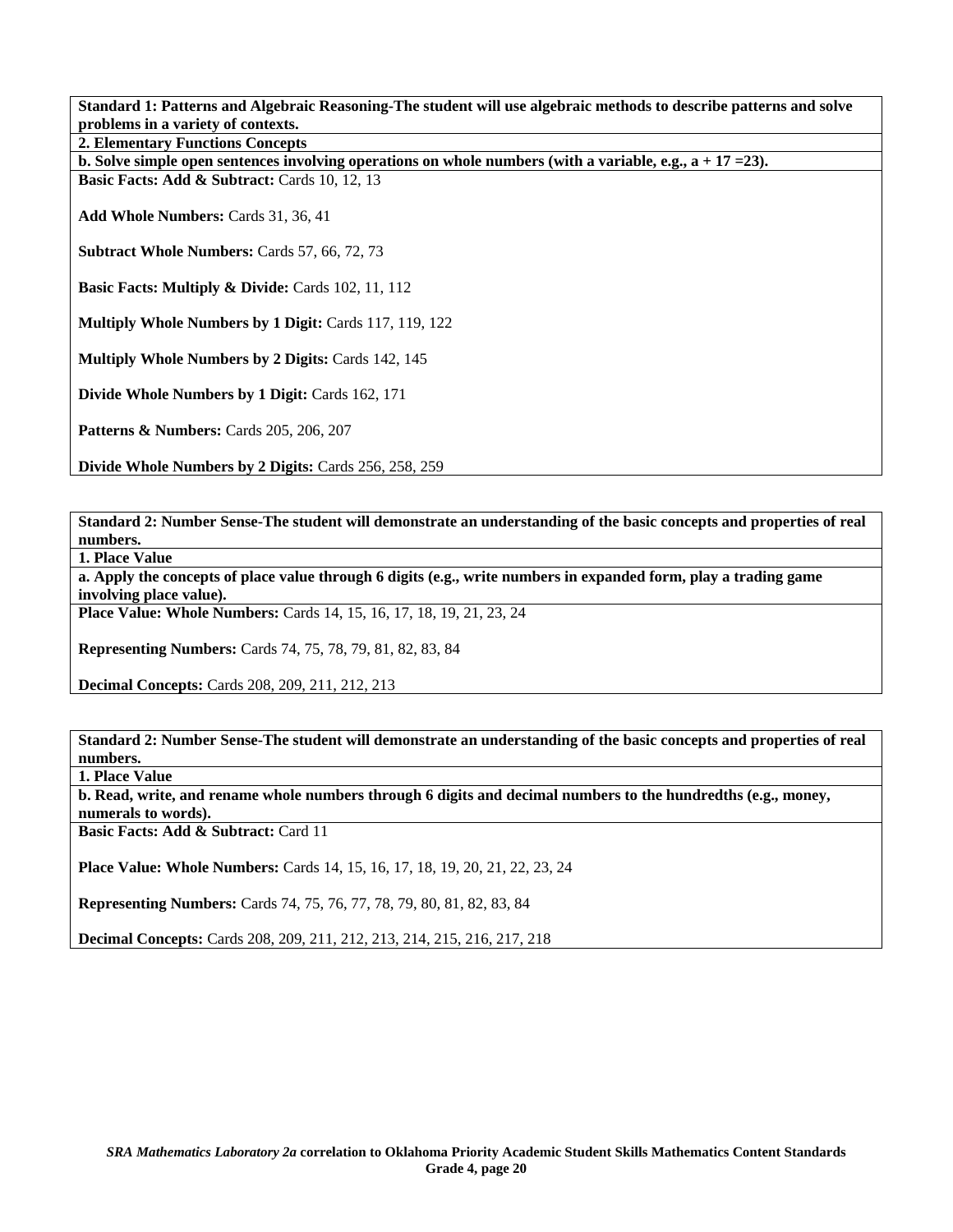**Standard 1: Patterns and Algebraic Reasoning-The student will use algebraic methods to describe patterns and solve problems in a variety of contexts.** 

**2. Elementary Functions Concepts** 

**b. Solve simple open sentences involving operations on whole numbers (with a variable, e.g., a + 17 =23).** 

**Basic Facts: Add & Subtract: Cards 10, 12, 13** 

**Add Whole Numbers:** Cards 31, 36, 41

**Subtract Whole Numbers:** Cards 57, 66, 72, 73

**Basic Facts: Multiply & Divide: Cards 102, 11, 112** 

**Multiply Whole Numbers by 1 Digit:** Cards 117, 119, 122

**Multiply Whole Numbers by 2 Digits:** Cards 142, 145

**Divide Whole Numbers by 1 Digit:** Cards 162, 171

**Patterns & Numbers: Cards 205, 206, 207** 

**Divide Whole Numbers by 2 Digits:** Cards 256, 258, 259

**Standard 2: Number Sense-The student will demonstrate an understanding of the basic concepts and properties of real numbers.** 

**1. Place Value** 

**a. Apply the concepts of place value through 6 digits (e.g., write numbers in expanded form, play a trading game involving place value).** 

**Place Value: Whole Numbers:** Cards 14, 15, 16, 17, 18, 19, 21, 23, 24

**Representing Numbers:** Cards 74, 75, 78, 79, 81, 82, 83, 84

**Decimal Concepts:** Cards 208, 209, 211, 212, 213

**Standard 2: Number Sense-The student will demonstrate an understanding of the basic concepts and properties of real numbers.** 

**1. Place Value** 

**b. Read, write, and rename whole numbers through 6 digits and decimal numbers to the hundredths (e.g., money, numerals to words).** 

**Basic Facts: Add & Subtract: Card 11** 

**Place Value: Whole Numbers:** Cards 14, 15, 16, 17, 18, 19, 20, 21, 22, 23, 24

**Representing Numbers:** Cards 74, 75, 76, 77, 78, 79, 80, 81, 82, 83, 84

**Decimal Concepts:** Cards 208, 209, 211, 212, 213, 214, 215, 216, 217, 218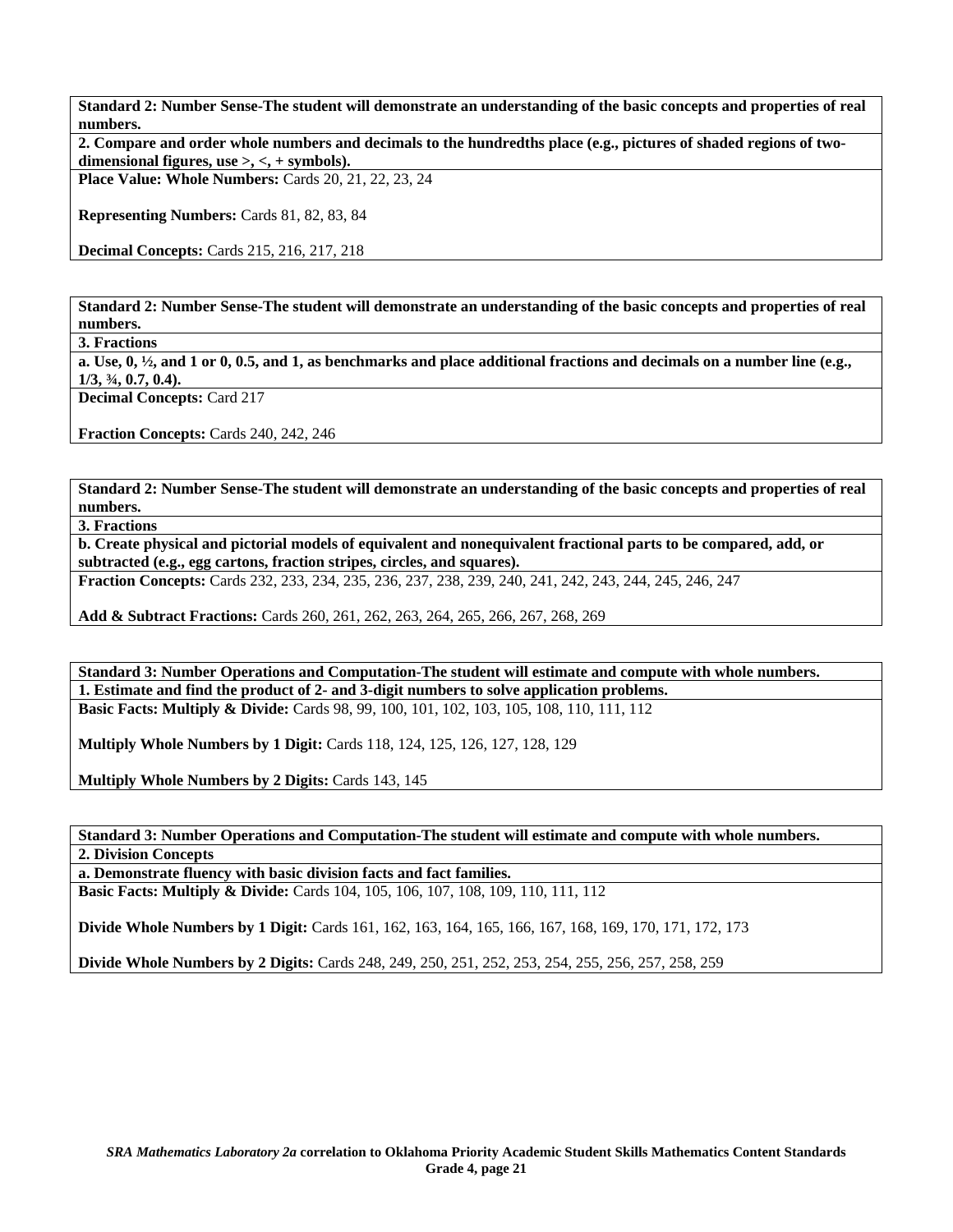**Standard 2: Number Sense-The student will demonstrate an understanding of the basic concepts and properties of real numbers.** 

**2. Compare and order whole numbers and decimals to the hundredths place (e.g., pictures of shaded regions of twodimensional figures, use >, <, + symbols).** 

**Place Value: Whole Numbers:** Cards 20, 21, 22, 23, 24

**Representing Numbers:** Cards 81, 82, 83, 84

**Decimal Concepts:** Cards 215, 216, 217, 218

**Standard 2: Number Sense-The student will demonstrate an understanding of the basic concepts and properties of real numbers.** 

**3. Fractions** 

**a. Use, 0, ½, and 1 or 0, 0.5, and 1, as benchmarks and place additional fractions and decimals on a number line (e.g., 1/3, ¾, 0.7, 0.4).** 

**Decimal Concepts:** Card 217

**Fraction Concepts:** Cards 240, 242, 246

**Standard 2: Number Sense-The student will demonstrate an understanding of the basic concepts and properties of real numbers.** 

**3. Fractions** 

**b. Create physical and pictorial models of equivalent and nonequivalent fractional parts to be compared, add, or subtracted (e.g., egg cartons, fraction stripes, circles, and squares).** 

**Fraction Concepts:** Cards 232, 233, 234, 235, 236, 237, 238, 239, 240, 241, 242, 243, 244, 245, 246, 247

**Add & Subtract Fractions:** Cards 260, 261, 262, 263, 264, 265, 266, 267, 268, 269

**Standard 3: Number Operations and Computation-The student will estimate and compute with whole numbers. 1. Estimate and find the product of 2- and 3-digit numbers to solve application problems. Basic Facts: Multiply & Divide:** Cards 98, 99, 100, 101, 102, 103, 105, 108, 110, 111, 112

**Multiply Whole Numbers by 1 Digit:** Cards 118, 124, 125, 126, 127, 128, 129

**Multiply Whole Numbers by 2 Digits:** Cards 143, 145

**Standard 3: Number Operations and Computation-The student will estimate and compute with whole numbers. 2. Division Concepts** 

**a. Demonstrate fluency with basic division facts and fact families.** 

**Basic Facts: Multiply & Divide:** Cards 104, 105, 106, 107, 108, 109, 110, 111, 112

**Divide Whole Numbers by 1 Digit:** Cards 161, 162, 163, 164, 165, 166, 167, 168, 169, 170, 171, 172, 173

**Divide Whole Numbers by 2 Digits:** Cards 248, 249, 250, 251, 252, 253, 254, 255, 256, 257, 258, 259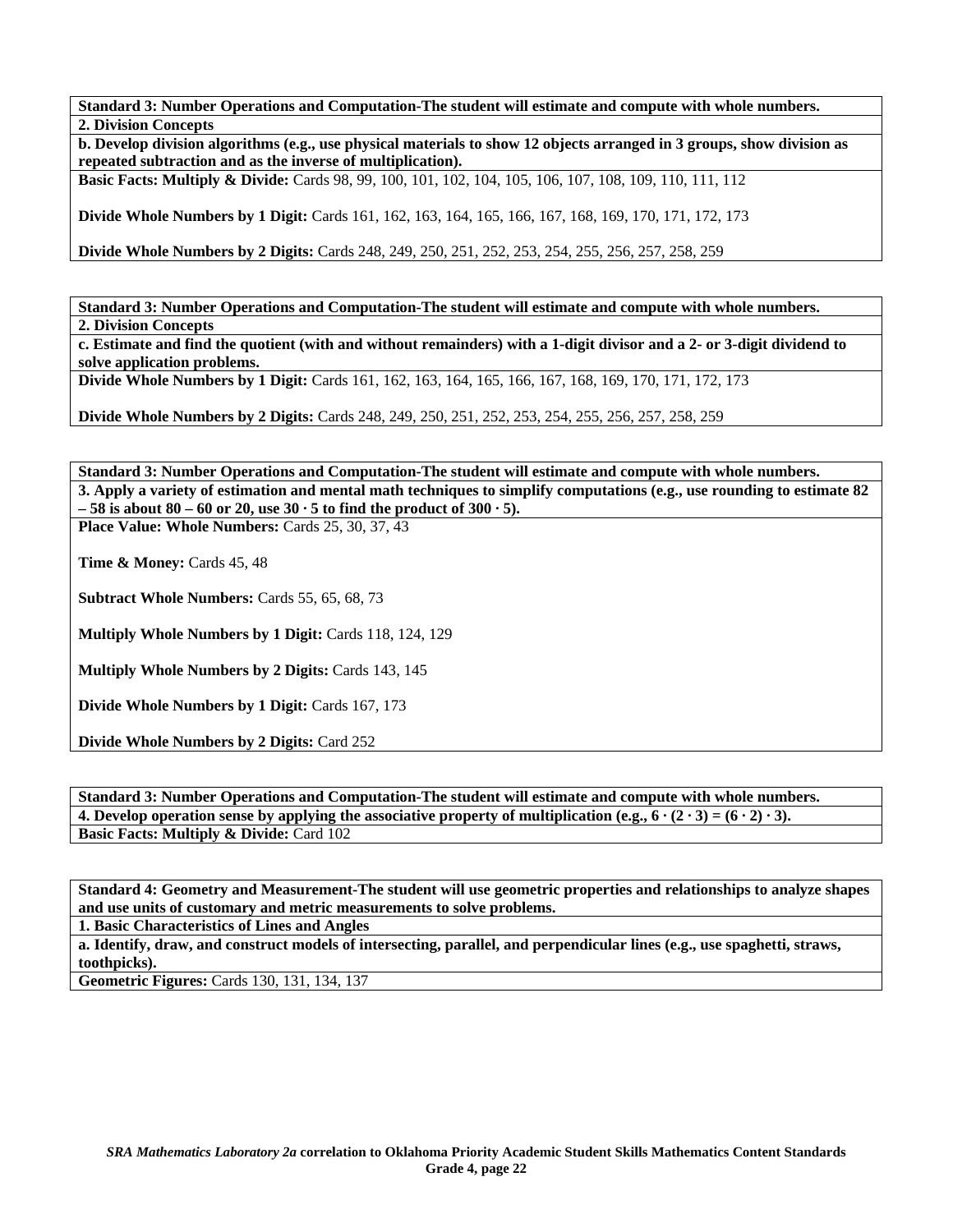**Standard 3: Number Operations and Computation-The student will estimate and compute with whole numbers. 2. Division Concepts** 

**b. Develop division algorithms (e.g., use physical materials to show 12 objects arranged in 3 groups, show division as repeated subtraction and as the inverse of multiplication).** 

**Basic Facts: Multiply & Divide:** Cards 98, 99, 100, 101, 102, 104, 105, 106, 107, 108, 109, 110, 111, 112

**Divide Whole Numbers by 1 Digit:** Cards 161, 162, 163, 164, 165, 166, 167, 168, 169, 170, 171, 172, 173

**Divide Whole Numbers by 2 Digits:** Cards 248, 249, 250, 251, 252, 253, 254, 255, 256, 257, 258, 259

**Standard 3: Number Operations and Computation-The student will estimate and compute with whole numbers. 2. Division Concepts** 

**c. Estimate and find the quotient (with and without remainders) with a 1-digit divisor and a 2- or 3-digit dividend to solve application problems.** 

**Divide Whole Numbers by 1 Digit:** Cards 161, 162, 163, 164, 165, 166, 167, 168, 169, 170, 171, 172, 173

**Divide Whole Numbers by 2 Digits:** Cards 248, 249, 250, 251, 252, 253, 254, 255, 256, 257, 258, 259

**Standard 3: Number Operations and Computation-The student will estimate and compute with whole numbers. 3. Apply a variety of estimation and mental math techniques to simplify computations (e.g., use rounding to estimate 82 – 58 is about 80 – 60 or 20, use 30 · 5 to find the product of 300 · 5).** 

Place Value: Whole Numbers: Cards 25, 30, 37, 43

**Time & Money: Cards 45, 48** 

**Subtract Whole Numbers:** Cards 55, 65, 68, 73

**Multiply Whole Numbers by 1 Digit:** Cards 118, 124, 129

**Multiply Whole Numbers by 2 Digits: Cards 143, 145** 

**Divide Whole Numbers by 1 Digit:** Cards 167, 173

**Divide Whole Numbers by 2 Digits:** Card 252

**Standard 3: Number Operations and Computation-The student will estimate and compute with whole numbers. 4. Develop operation sense by applying the associative property of multiplication (e.g.,**  $6 \cdot (2 \cdot 3) = (6 \cdot 2) \cdot 3$ **). Basic Facts: Multiply & Divide: Card 102** 

**Standard 4: Geometry and Measurement-The student will use geometric properties and relationships to analyze shapes and use units of customary and metric measurements to solve problems.** 

**1. Basic Characteristics of Lines and Angles** 

**a. Identify, draw, and construct models of intersecting, parallel, and perpendicular lines (e.g., use spaghetti, straws, toothpicks).** 

**Geometric Figures:** Cards 130, 131, 134, 137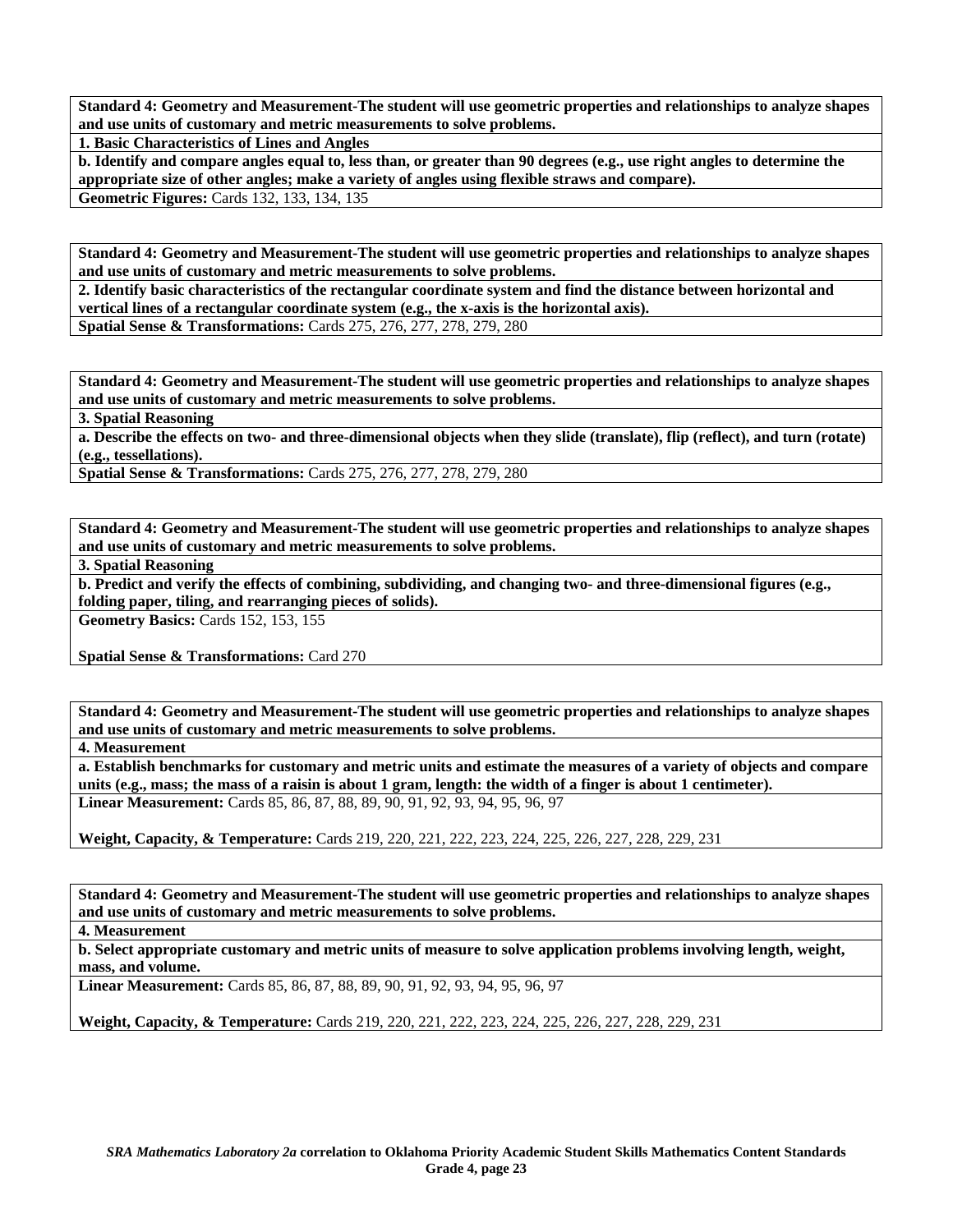**Standard 4: Geometry and Measurement-The student will use geometric properties and relationships to analyze shapes and use units of customary and metric measurements to solve problems.** 

**1. Basic Characteristics of Lines and Angles** 

**b. Identify and compare angles equal to, less than, or greater than 90 degrees (e.g., use right angles to determine the appropriate size of other angles; make a variety of angles using flexible straws and compare).** 

**Geometric Figures:** Cards 132, 133, 134, 135

**Standard 4: Geometry and Measurement-The student will use geometric properties and relationships to analyze shapes and use units of customary and metric measurements to solve problems.** 

**2. Identify basic characteristics of the rectangular coordinate system and find the distance between horizontal and vertical lines of a rectangular coordinate system (e.g., the x-axis is the horizontal axis).** 

**Spatial Sense & Transformations:** Cards 275, 276, 277, 278, 279, 280

**Standard 4: Geometry and Measurement-The student will use geometric properties and relationships to analyze shapes and use units of customary and metric measurements to solve problems.** 

**3. Spatial Reasoning** 

**a. Describe the effects on two- and three-dimensional objects when they slide (translate), flip (reflect), and turn (rotate) (e.g., tessellations).** 

**Spatial Sense & Transformations:** Cards 275, 276, 277, 278, 279, 280

**Standard 4: Geometry and Measurement-The student will use geometric properties and relationships to analyze shapes and use units of customary and metric measurements to solve problems.** 

**3. Spatial Reasoning** 

**b. Predict and verify the effects of combining, subdividing, and changing two- and three-dimensional figures (e.g., folding paper, tiling, and rearranging pieces of solids).** 

**Geometry Basics:** Cards 152, 153, 155

**Spatial Sense & Transformations:** Card 270

**Standard 4: Geometry and Measurement-The student will use geometric properties and relationships to analyze shapes and use units of customary and metric measurements to solve problems.** 

**4. Measurement** 

**a. Establish benchmarks for customary and metric units and estimate the measures of a variety of objects and compare units (e.g., mass; the mass of a raisin is about 1 gram, length: the width of a finger is about 1 centimeter). Linear Measurement:** Cards 85, 86, 87, 88, 89, 90, 91, 92, 93, 94, 95, 96, 97

**Weight, Capacity, & Temperature:** Cards 219, 220, 221, 222, 223, 224, 225, 226, 227, 228, 229, 231

**Standard 4: Geometry and Measurement-The student will use geometric properties and relationships to analyze shapes and use units of customary and metric measurements to solve problems.** 

**4. Measurement** 

**b. Select appropriate customary and metric units of measure to solve application problems involving length, weight, mass, and volume.** 

**Linear Measurement:** Cards 85, 86, 87, 88, 89, 90, 91, 92, 93, 94, 95, 96, 97

**Weight, Capacity, & Temperature:** Cards 219, 220, 221, 222, 223, 224, 225, 226, 227, 228, 229, 231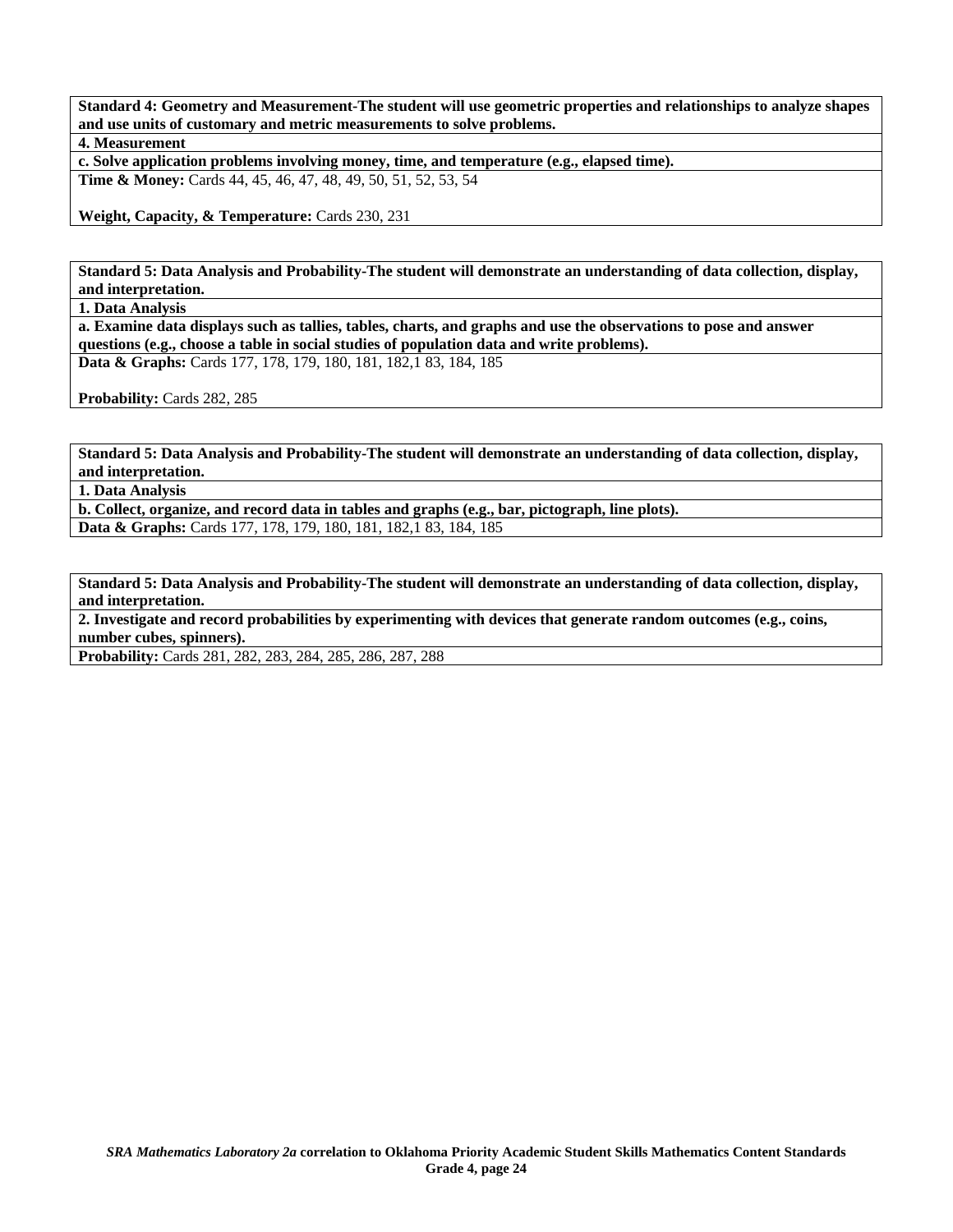**Standard 4: Geometry and Measurement-The student will use geometric properties and relationships to analyze shapes and use units of customary and metric measurements to solve problems.** 

**4. Measurement** 

**c. Solve application problems involving money, time, and temperature (e.g., elapsed time).** 

**Time & Money:** Cards 44, 45, 46, 47, 48, 49, 50, 51, 52, 53, 54

**Weight, Capacity, & Temperature:** Cards 230, 231

**Standard 5: Data Analysis and Probability-The student will demonstrate an understanding of data collection, display, and interpretation.** 

**1. Data Analysis** 

**a. Examine data displays such as tallies, tables, charts, and graphs and use the observations to pose and answer questions (e.g., choose a table in social studies of population data and write problems). Data & Graphs:** Cards 177, 178, 179, 180, 181, 182,1 83, 184, 185

Probability: Cards 282, 285

**Standard 5: Data Analysis and Probability-The student will demonstrate an understanding of data collection, display, and interpretation.** 

**1. Data Analysis** 

**b. Collect, organize, and record data in tables and graphs (e.g., bar, pictograph, line plots). Data & Graphs:** Cards 177, 178, 179, 180, 181, 182,1 83, 184, 185

**Standard 5: Data Analysis and Probability-The student will demonstrate an understanding of data collection, display, and interpretation.** 

**2. Investigate and record probabilities by experimenting with devices that generate random outcomes (e.g., coins, number cubes, spinners).** 

**Probability:** Cards 281, 282, 283, 284, 285, 286, 287, 288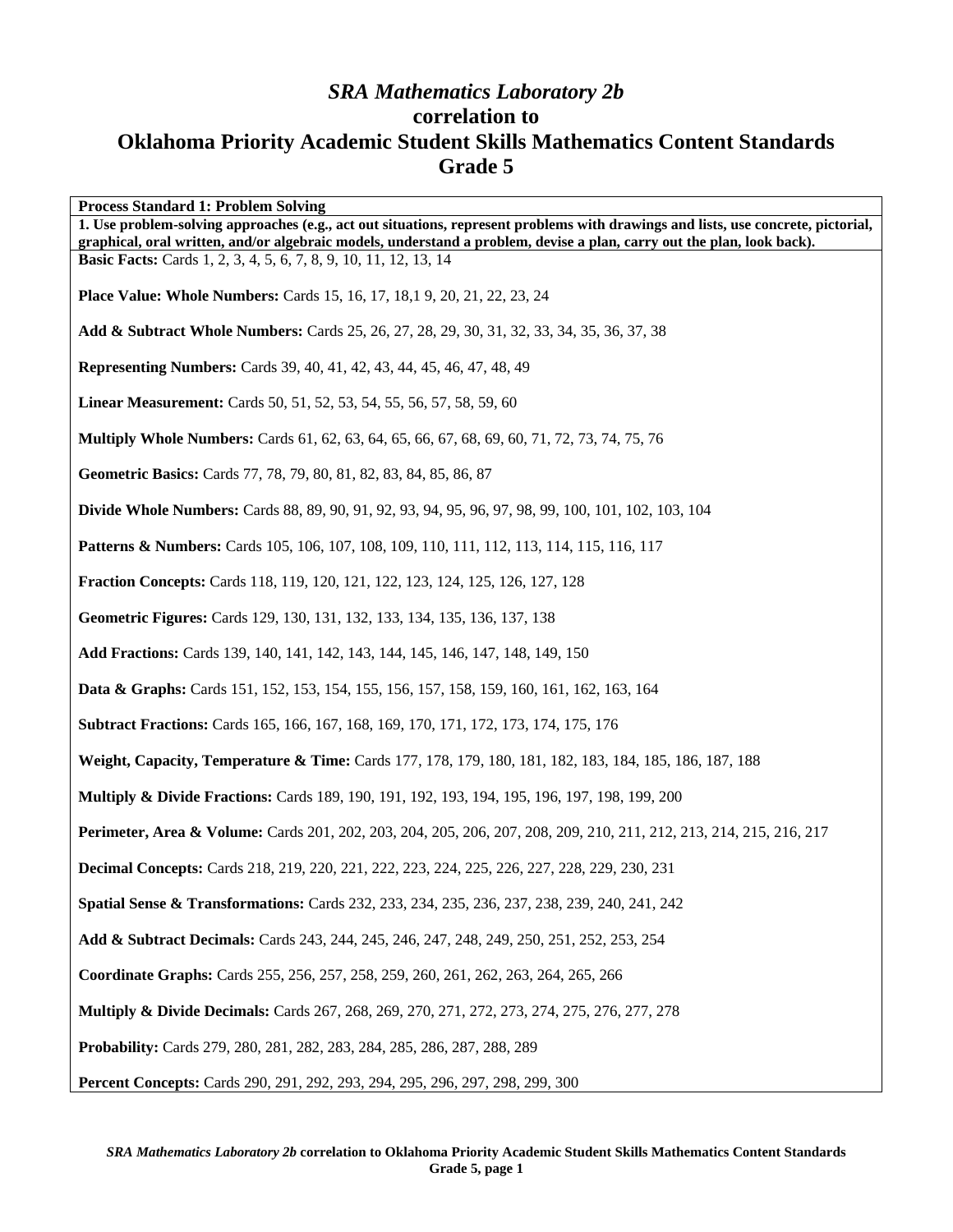## *SRA Mathematics Laboratory 2b*  **correlation to Oklahoma Priority Academic Student Skills Mathematics Content Standards Grade 5**

**Process Standard 1: Problem Solving 1. Use problem-solving approaches (e.g., act out situations, represent problems with drawings and lists, use concrete, pictorial, graphical, oral written, and/or algebraic models, understand a problem, devise a plan, carry out the plan, look back). Basic Facts:** Cards 1, 2, 3, 4, 5, 6, 7, 8, 9, 10, 11, 12, 13, 14 **Place Value: Whole Numbers:** Cards 15, 16, 17, 18,1 9, 20, 21, 22, 23, 24 **Add & Subtract Whole Numbers:** Cards 25, 26, 27, 28, 29, 30, 31, 32, 33, 34, 35, 36, 37, 38 **Representing Numbers:** Cards 39, 40, 41, 42, 43, 44, 45, 46, 47, 48, 49 **Linear Measurement:** Cards 50, 51, 52, 53, 54, 55, 56, 57, 58, 59, 60 **Multiply Whole Numbers:** Cards 61, 62, 63, 64, 65, 66, 67, 68, 69, 60, 71, 72, 73, 74, 75, 76 **Geometric Basics:** Cards 77, 78, 79, 80, 81, 82, 83, 84, 85, 86, 87 **Divide Whole Numbers:** Cards 88, 89, 90, 91, 92, 93, 94, 95, 96, 97, 98, 99, 100, 101, 102, 103, 104 **Patterns & Numbers:** Cards 105, 106, 107, 108, 109, 110, 111, 112, 113, 114, 115, 116, 117 **Fraction Concepts:** Cards 118, 119, 120, 121, 122, 123, 124, 125, 126, 127, 128 **Geometric Figures:** Cards 129, 130, 131, 132, 133, 134, 135, 136, 137, 138 **Add Fractions:** Cards 139, 140, 141, 142, 143, 144, 145, 146, 147, 148, 149, 150 **Data & Graphs:** Cards 151, 152, 153, 154, 155, 156, 157, 158, 159, 160, 161, 162, 163, 164 **Subtract Fractions:** Cards 165, 166, 167, 168, 169, 170, 171, 172, 173, 174, 175, 176 **Weight, Capacity, Temperature & Time:** Cards 177, 178, 179, 180, 181, 182, 183, 184, 185, 186, 187, 188 **Multiply & Divide Fractions:** Cards 189, 190, 191, 192, 193, 194, 195, 196, 197, 198, 199, 200 **Perimeter, Area & Volume:** Cards 201, 202, 203, 204, 205, 206, 207, 208, 209, 210, 211, 212, 213, 214, 215, 216, 217 **Decimal Concepts:** Cards 218, 219, 220, 221, 222, 223, 224, 225, 226, 227, 228, 229, 230, 231 **Spatial Sense & Transformations:** Cards 232, 233, 234, 235, 236, 237, 238, 239, 240, 241, 242 **Add & Subtract Decimals:** Cards 243, 244, 245, 246, 247, 248, 249, 250, 251, 252, 253, 254 **Coordinate Graphs:** Cards 255, 256, 257, 258, 259, 260, 261, 262, 263, 264, 265, 266 **Multiply & Divide Decimals:** Cards 267, 268, 269, 270, 271, 272, 273, 274, 275, 276, 277, 278 **Probability:** Cards 279, 280, 281, 282, 283, 284, 285, 286, 287, 288, 289

**Percent Concepts:** Cards 290, 291, 292, 293, 294, 295, 296, 297, 298, 299, 300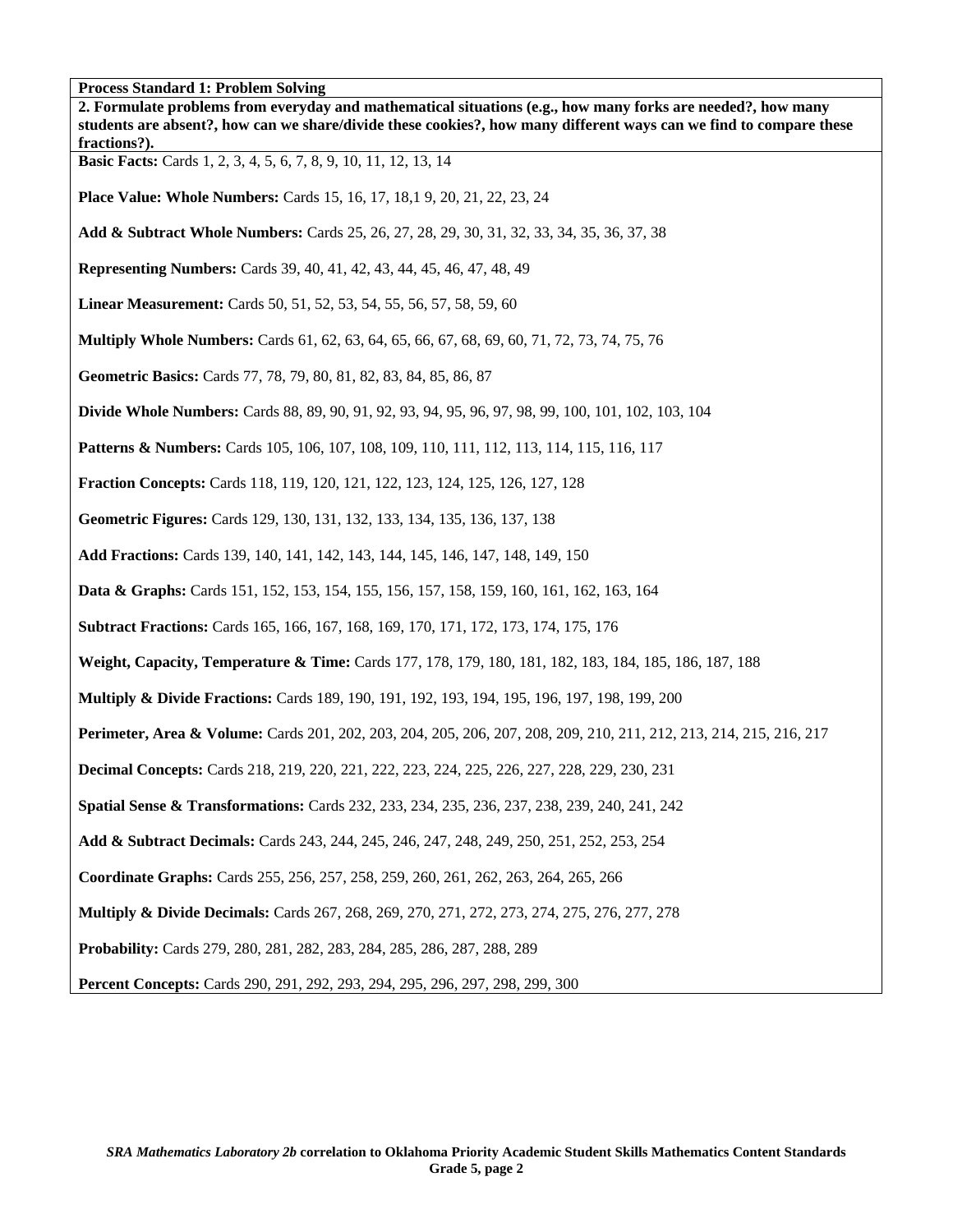| Process Standard 1: Problem Solving<br>2. Formulate problems from everyday and mathematical situations (e.g., how many forks are needed?, how many<br>students are absent?, how can we share/divide these cookies?, how many different ways can we find to compare these<br>fractions?). |
|------------------------------------------------------------------------------------------------------------------------------------------------------------------------------------------------------------------------------------------------------------------------------------------|
| <b>Basic Facts:</b> Cards 1, 2, 3, 4, 5, 6, 7, 8, 9, 10, 11, 12, 13, 14                                                                                                                                                                                                                  |
| <b>Place Value: Whole Numbers:</b> Cards 15, 16, 17, 18, 19, 20, 21, 22, 23, 24                                                                                                                                                                                                          |
| Add & Subtract Whole Numbers: Cards 25, 26, 27, 28, 29, 30, 31, 32, 33, 34, 35, 36, 37, 38                                                                                                                                                                                               |
| <b>Representing Numbers:</b> Cards 39, 40, 41, 42, 43, 44, 45, 46, 47, 48, 49                                                                                                                                                                                                            |
| Linear Measurement: Cards 50, 51, 52, 53, 54, 55, 56, 57, 58, 59, 60                                                                                                                                                                                                                     |
| <b>Multiply Whole Numbers:</b> Cards 61, 62, 63, 64, 65, 66, 67, 68, 69, 60, 71, 72, 73, 74, 75, 76                                                                                                                                                                                      |
| Geometric Basics: Cards 77, 78, 79, 80, 81, 82, 83, 84, 85, 86, 87                                                                                                                                                                                                                       |
| <b>Divide Whole Numbers:</b> Cards 88, 89, 90, 91, 92, 93, 94, 95, 96, 97, 98, 99, 100, 101, 102, 103, 104                                                                                                                                                                               |
| <b>Patterns &amp; Numbers:</b> Cards 105, 106, 107, 108, 109, 110, 111, 112, 113, 114, 115, 116, 117                                                                                                                                                                                     |
| Fraction Concepts: Cards 118, 119, 120, 121, 122, 123, 124, 125, 126, 127, 128                                                                                                                                                                                                           |
| Geometric Figures: Cards 129, 130, 131, 132, 133, 134, 135, 136, 137, 138                                                                                                                                                                                                                |
| Add Fractions: Cards 139, 140, 141, 142, 143, 144, 145, 146, 147, 148, 149, 150                                                                                                                                                                                                          |
| <b>Data &amp; Graphs:</b> Cards 151, 152, 153, 154, 155, 156, 157, 158, 159, 160, 161, 162, 163, 164                                                                                                                                                                                     |
| <b>Subtract Fractions:</b> Cards 165, 166, 167, 168, 169, 170, 171, 172, 173, 174, 175, 176                                                                                                                                                                                              |
| Weight, Capacity, Temperature & Time: Cards 177, 178, 179, 180, 181, 182, 183, 184, 185, 186, 187, 188                                                                                                                                                                                   |
| <b>Multiply &amp; Divide Fractions:</b> Cards 189, 190, 191, 192, 193, 194, 195, 196, 197, 198, 199, 200                                                                                                                                                                                 |
| Perimeter, Area & Volume: Cards 201, 202, 203, 204, 205, 206, 207, 208, 209, 210, 211, 212, 213, 214, 215, 216, 217                                                                                                                                                                      |
| <b>Decimal Concepts:</b> Cards 218, 219, 220, 221, 222, 223, 224, 225, 226, 227, 228, 229, 230, 231                                                                                                                                                                                      |
| <b>Spatial Sense &amp; Transformations:</b> Cards 232, 233, 234, 235, 236, 237, 238, 239, 240, 241, 242                                                                                                                                                                                  |
| Add & Subtract Decimals: Cards 243, 244, 245, 246, 247, 248, 249, 250, 251, 252, 253, 254                                                                                                                                                                                                |
| Coordinate Graphs: Cards 255, 256, 257, 258, 259, 260, 261, 262, 263, 264, 265, 266                                                                                                                                                                                                      |
| <b>Multiply &amp; Divide Decimals:</b> Cards 267, 268, 269, 270, 271, 272, 273, 274, 275, 276, 277, 278                                                                                                                                                                                  |
| Probability: Cards 279, 280, 281, 282, 283, 284, 285, 286, 287, 288, 289                                                                                                                                                                                                                 |
| <b>Percent Concepts:</b> Cards 290, 291, 292, 293, 294, 295, 296, 297, 298, 299, 300                                                                                                                                                                                                     |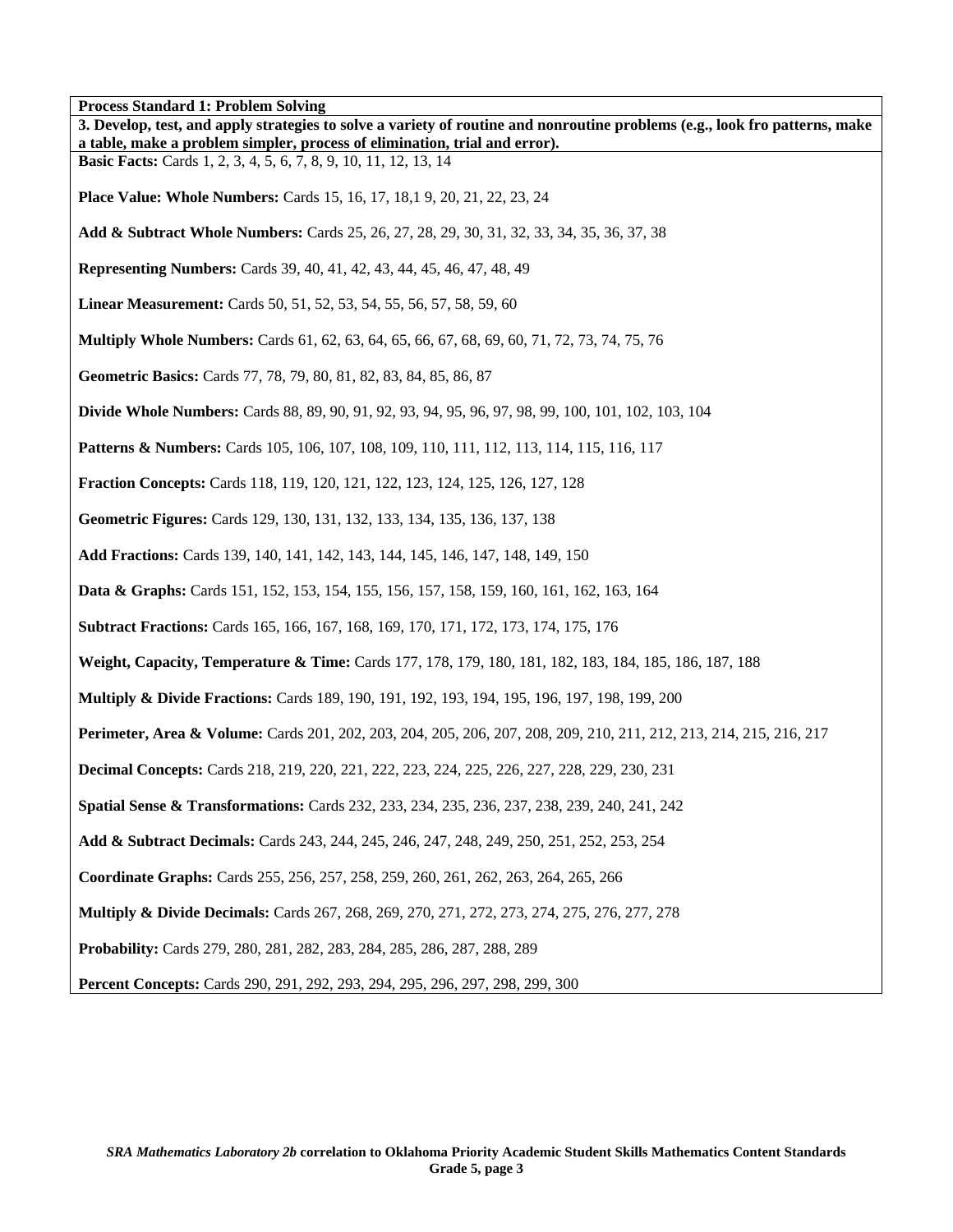| Process Standard 1: Problem Solving                                                                                                                                                                       |
|-----------------------------------------------------------------------------------------------------------------------------------------------------------------------------------------------------------|
| 3. Develop, test, and apply strategies to solve a variety of routine and nonroutine problems (e.g., look fro patterns, make<br>a table, make a problem simpler, process of elimination, trial and error). |
| <b>Basic Facts:</b> Cards 1, 2, 3, 4, 5, 6, 7, 8, 9, 10, 11, 12, 13, 14                                                                                                                                   |
| <b>Place Value: Whole Numbers:</b> Cards 15, 16, 17, 18, 19, 20, 21, 22, 23, 24                                                                                                                           |
| Add & Subtract Whole Numbers: Cards 25, 26, 27, 28, 29, 30, 31, 32, 33, 34, 35, 36, 37, 38                                                                                                                |
| <b>Representing Numbers:</b> Cards 39, 40, 41, 42, 43, 44, 45, 46, 47, 48, 49                                                                                                                             |
| <b>Linear Measurement:</b> Cards 50, 51, 52, 53, 54, 55, 56, 57, 58, 59, 60                                                                                                                               |
| <b>Multiply Whole Numbers:</b> Cards 61, 62, 63, 64, 65, 66, 67, 68, 69, 60, 71, 72, 73, 74, 75, 76                                                                                                       |
| Geometric Basics: Cards 77, 78, 79, 80, 81, 82, 83, 84, 85, 86, 87                                                                                                                                        |
| <b>Divide Whole Numbers:</b> Cards 88, 89, 90, 91, 92, 93, 94, 95, 96, 97, 98, 99, 100, 101, 102, 103, 104                                                                                                |
| <b>Patterns &amp; Numbers:</b> Cards 105, 106, 107, 108, 109, 110, 111, 112, 113, 114, 115, 116, 117                                                                                                      |
| <b>Fraction Concepts:</b> Cards 118, 119, 120, 121, 122, 123, 124, 125, 126, 127, 128                                                                                                                     |
| Geometric Figures: Cards 129, 130, 131, 132, 133, 134, 135, 136, 137, 138                                                                                                                                 |
| Add Fractions: Cards 139, 140, 141, 142, 143, 144, 145, 146, 147, 148, 149, 150                                                                                                                           |
| <b>Data &amp; Graphs:</b> Cards 151, 152, 153, 154, 155, 156, 157, 158, 159, 160, 161, 162, 163, 164                                                                                                      |
| <b>Subtract Fractions:</b> Cards 165, 166, 167, 168, 169, 170, 171, 172, 173, 174, 175, 176                                                                                                               |
| Weight, Capacity, Temperature & Time: Cards 177, 178, 179, 180, 181, 182, 183, 184, 185, 186, 187, 188                                                                                                    |
| <b>Multiply &amp; Divide Fractions:</b> Cards 189, 190, 191, 192, 193, 194, 195, 196, 197, 198, 199, 200                                                                                                  |
| Perimeter, Area & Volume: Cards 201, 202, 203, 204, 205, 206, 207, 208, 209, 210, 211, 212, 213, 214, 215, 216, 217                                                                                       |
| <b>Decimal Concepts:</b> Cards 218, 219, 220, 221, 222, 223, 224, 225, 226, 227, 228, 229, 230, 231                                                                                                       |
| Spatial Sense & Transformations: Cards 232, 233, 234, 235, 236, 237, 238, 239, 240, 241, 242                                                                                                              |
| Add & Subtract Decimals: Cards 243, 244, 245, 246, 247, 248, 249, 250, 251, 252, 253, 254                                                                                                                 |
| Coordinate Graphs: Cards 255, 256, 257, 258, 259, 260, 261, 262, 263, 264, 265, 266                                                                                                                       |
| <b>Multiply &amp; Divide Decimals:</b> Cards 267, 268, 269, 270, 271, 272, 273, 274, 275, 276, 277, 278                                                                                                   |
| Probability: Cards 279, 280, 281, 282, 283, 284, 285, 286, 287, 288, 289                                                                                                                                  |
| Percent Concepts: Cards 290, 291, 292, 293, 294, 295, 296, 297, 298, 299, 300                                                                                                                             |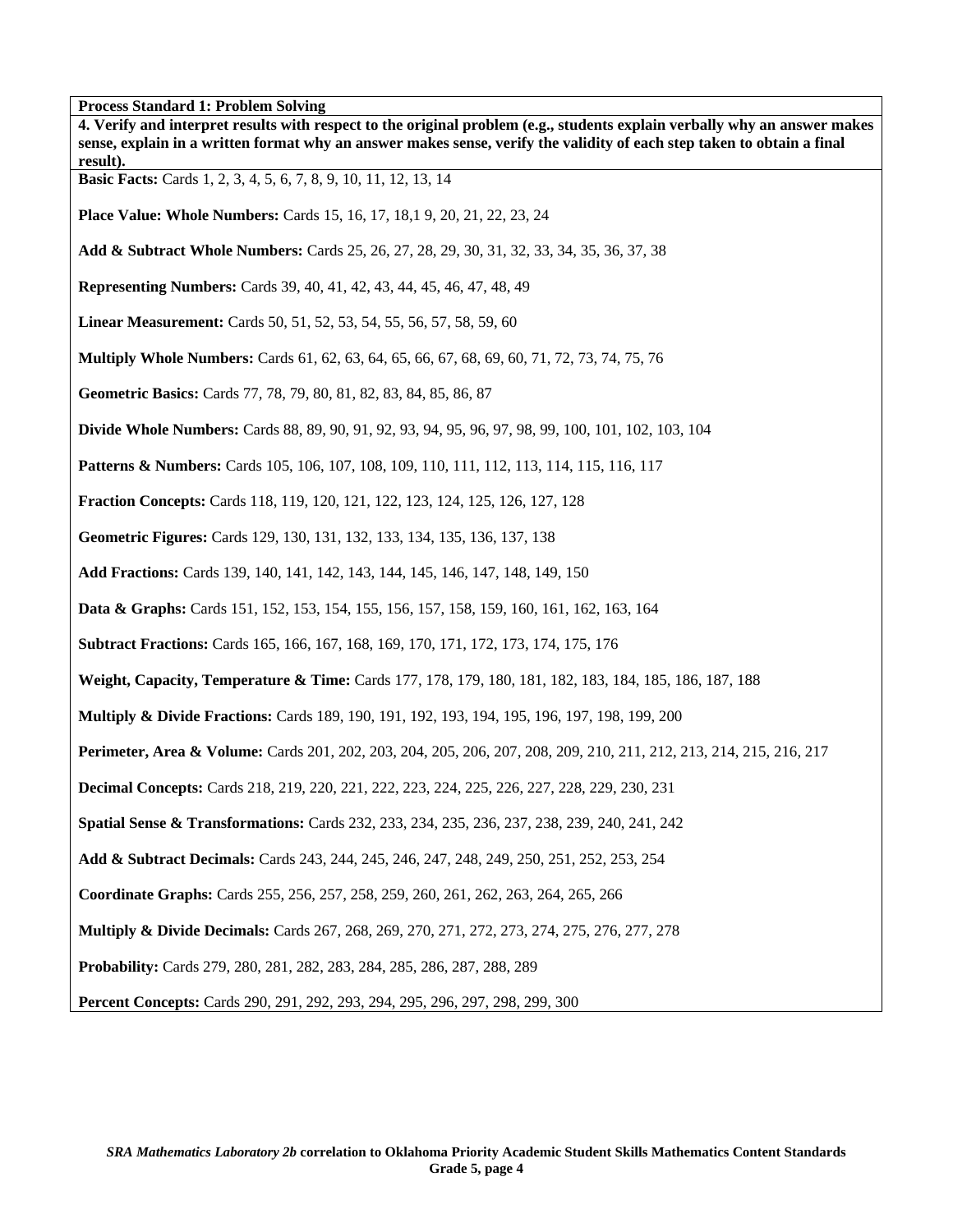| 1100033 Dianuaru 1. 110010111 Dorving<br>4. Verify and interpret results with respect to the original problem (e.g., students explain verbally why an answer makes<br>sense, explain in a written format why an answer makes sense, verify the validity of each step taken to obtain a final<br>result). |
|----------------------------------------------------------------------------------------------------------------------------------------------------------------------------------------------------------------------------------------------------------------------------------------------------------|
| <b>Basic Facts:</b> Cards 1, 2, 3, 4, 5, 6, 7, 8, 9, 10, 11, 12, 13, 14                                                                                                                                                                                                                                  |
| <b>Place Value: Whole Numbers:</b> Cards 15, 16, 17, 18, 19, 20, 21, 22, 23, 24                                                                                                                                                                                                                          |
| Add & Subtract Whole Numbers: Cards 25, 26, 27, 28, 29, 30, 31, 32, 33, 34, 35, 36, 37, 38                                                                                                                                                                                                               |
| <b>Representing Numbers:</b> Cards 39, 40, 41, 42, 43, 44, 45, 46, 47, 48, 49                                                                                                                                                                                                                            |
| <b>Linear Measurement:</b> Cards 50, 51, 52, 53, 54, 55, 56, 57, 58, 59, 60                                                                                                                                                                                                                              |
| <b>Multiply Whole Numbers:</b> Cards 61, 62, 63, 64, 65, 66, 67, 68, 69, 60, 71, 72, 73, 74, 75, 76                                                                                                                                                                                                      |
| Geometric Basics: Cards 77, 78, 79, 80, 81, 82, 83, 84, 85, 86, 87                                                                                                                                                                                                                                       |
| <b>Divide Whole Numbers:</b> Cards 88, 89, 90, 91, 92, 93, 94, 95, 96, 97, 98, 99, 100, 101, 102, 103, 104                                                                                                                                                                                               |
| <b>Patterns &amp; Numbers:</b> Cards 105, 106, 107, 108, 109, 110, 111, 112, 113, 114, 115, 116, 117                                                                                                                                                                                                     |
| <b>Fraction Concepts:</b> Cards 118, 119, 120, 121, 122, 123, 124, 125, 126, 127, 128                                                                                                                                                                                                                    |
| Geometric Figures: Cards 129, 130, 131, 132, 133, 134, 135, 136, 137, 138                                                                                                                                                                                                                                |
| Add Fractions: Cards 139, 140, 141, 142, 143, 144, 145, 146, 147, 148, 149, 150                                                                                                                                                                                                                          |
| <b>Data &amp; Graphs:</b> Cards 151, 152, 153, 154, 155, 156, 157, 158, 159, 160, 161, 162, 163, 164                                                                                                                                                                                                     |
| <b>Subtract Fractions:</b> Cards 165, 166, 167, 168, 169, 170, 171, 172, 173, 174, 175, 176                                                                                                                                                                                                              |
| Weight, Capacity, Temperature & Time: Cards 177, 178, 179, 180, 181, 182, 183, 184, 185, 186, 187, 188                                                                                                                                                                                                   |
| <b>Multiply &amp; Divide Fractions:</b> Cards 189, 190, 191, 192, 193, 194, 195, 196, 197, 198, 199, 200                                                                                                                                                                                                 |
| Perimeter, Area & Volume: Cards 201, 202, 203, 204, 205, 206, 207, 208, 209, 210, 211, 212, 213, 214, 215, 216, 217                                                                                                                                                                                      |
| <b>Decimal Concepts:</b> Cards 218, 219, 220, 221, 222, 223, 224, 225, 226, 227, 228, 229, 230, 231                                                                                                                                                                                                      |
| <b>Spatial Sense &amp; Transformations:</b> Cards 232, 233, 234, 235, 236, 237, 238, 239, 240, 241, 242                                                                                                                                                                                                  |
| Add & Subtract Decimals: Cards 243, 244, 245, 246, 247, 248, 249, 250, 251, 252, 253, 254                                                                                                                                                                                                                |
| Coordinate Graphs: Cards 255, 256, 257, 258, 259, 260, 261, 262, 263, 264, 265, 266                                                                                                                                                                                                                      |
| <b>Multiply &amp; Divide Decimals:</b> Cards 267, 268, 269, 270, 271, 272, 273, 274, 275, 276, 277, 278                                                                                                                                                                                                  |
| Probability: Cards 279, 280, 281, 282, 283, 284, 285, 286, 287, 288, 289                                                                                                                                                                                                                                 |
| Percent Concepts: Cards 290, 291, 292, 293, 294, 295, 296, 297, 298, 299, 300                                                                                                                                                                                                                            |

٦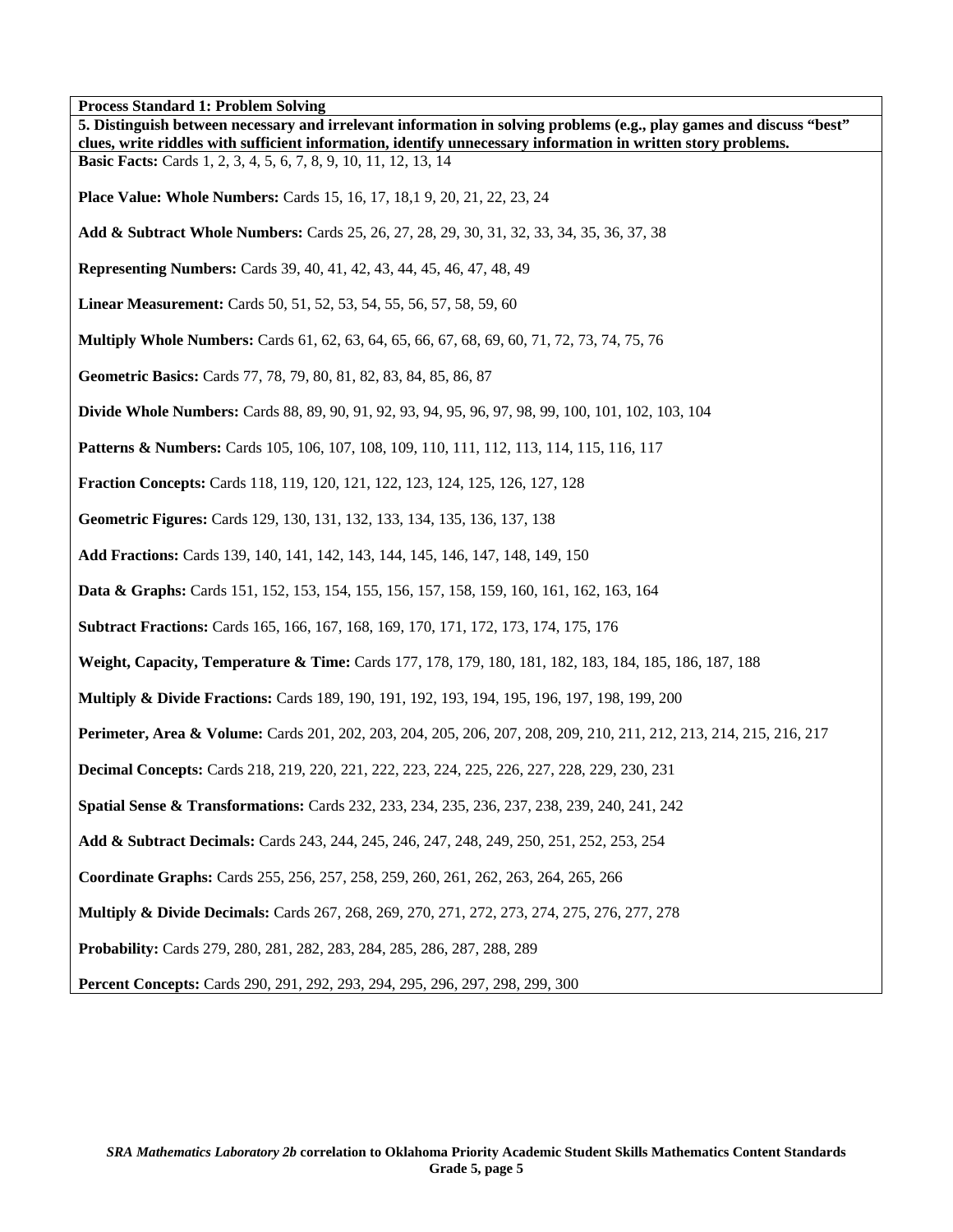| I Tocess Standard 1. I Tobieni Sorvin<br>5. Distinguish between necessary and irrelevant information in solving problems (e.g., play games and discuss "best"<br>clues, write riddles with sufficient information, identify unnecessary information in written story problems. |
|--------------------------------------------------------------------------------------------------------------------------------------------------------------------------------------------------------------------------------------------------------------------------------|
| <b>Basic Facts:</b> Cards 1, 2, 3, 4, 5, 6, 7, 8, 9, 10, 11, 12, 13, 14                                                                                                                                                                                                        |
| <b>Place Value: Whole Numbers:</b> Cards 15, 16, 17, 18, 19, 20, 21, 22, 23, 24                                                                                                                                                                                                |
| Add & Subtract Whole Numbers: Cards 25, 26, 27, 28, 29, 30, 31, 32, 33, 34, 35, 36, 37, 38                                                                                                                                                                                     |
| <b>Representing Numbers:</b> Cards 39, 40, 41, 42, 43, 44, 45, 46, 47, 48, 49                                                                                                                                                                                                  |
| <b>Linear Measurement:</b> Cards 50, 51, 52, 53, 54, 55, 56, 57, 58, 59, 60                                                                                                                                                                                                    |
| <b>Multiply Whole Numbers:</b> Cards 61, 62, 63, 64, 65, 66, 67, 68, 69, 60, 71, 72, 73, 74, 75, 76                                                                                                                                                                            |
| Geometric Basics: Cards 77, 78, 79, 80, 81, 82, 83, 84, 85, 86, 87                                                                                                                                                                                                             |
| <b>Divide Whole Numbers:</b> Cards 88, 89, 90, 91, 92, 93, 94, 95, 96, 97, 98, 99, 100, 101, 102, 103, 104                                                                                                                                                                     |
| <b>Patterns &amp; Numbers:</b> Cards 105, 106, 107, 108, 109, 110, 111, 112, 113, 114, 115, 116, 117                                                                                                                                                                           |
| <b>Fraction Concepts:</b> Cards 118, 119, 120, 121, 122, 123, 124, 125, 126, 127, 128                                                                                                                                                                                          |
| Geometric Figures: Cards 129, 130, 131, 132, 133, 134, 135, 136, 137, 138                                                                                                                                                                                                      |
| Add Fractions: Cards 139, 140, 141, 142, 143, 144, 145, 146, 147, 148, 149, 150                                                                                                                                                                                                |
| <b>Data &amp; Graphs:</b> Cards 151, 152, 153, 154, 155, 156, 157, 158, 159, 160, 161, 162, 163, 164                                                                                                                                                                           |
| <b>Subtract Fractions:</b> Cards 165, 166, 167, 168, 169, 170, 171, 172, 173, 174, 175, 176                                                                                                                                                                                    |
| <b>Weight, Capacity, Temperature &amp; Time:</b> Cards 177, 178, 179, 180, 181, 182, 183, 184, 185, 186, 187, 188                                                                                                                                                              |
| <b>Multiply &amp; Divide Fractions:</b> Cards 189, 190, 191, 192, 193, 194, 195, 196, 197, 198, 199, 200                                                                                                                                                                       |
| Perimeter, Area & Volume: Cards 201, 202, 203, 204, 205, 206, 207, 208, 209, 210, 211, 212, 213, 214, 215, 216, 217                                                                                                                                                            |
| <b>Decimal Concepts:</b> Cards 218, 219, 220, 221, 222, 223, 224, 225, 226, 227, 228, 229, 230, 231                                                                                                                                                                            |
| Spatial Sense & Transformations: Cards 232, 233, 234, 235, 236, 237, 238, 239, 240, 241, 242                                                                                                                                                                                   |
| Add & Subtract Decimals: Cards 243, 244, 245, 246, 247, 248, 249, 250, 251, 252, 253, 254                                                                                                                                                                                      |
| Coordinate Graphs: Cards 255, 256, 257, 258, 259, 260, 261, 262, 263, 264, 265, 266                                                                                                                                                                                            |
| <b>Multiply &amp; Divide Decimals:</b> Cards 267, 268, 269, 270, 271, 272, 273, 274, 275, 276, 277, 278                                                                                                                                                                        |
| Probability: Cards 279, 280, 281, 282, 283, 284, 285, 286, 287, 288, 289                                                                                                                                                                                                       |
| Percent Concepts: Cards 290, 291, 292, 293, 294, 295, 296, 297, 298, 299, 300                                                                                                                                                                                                  |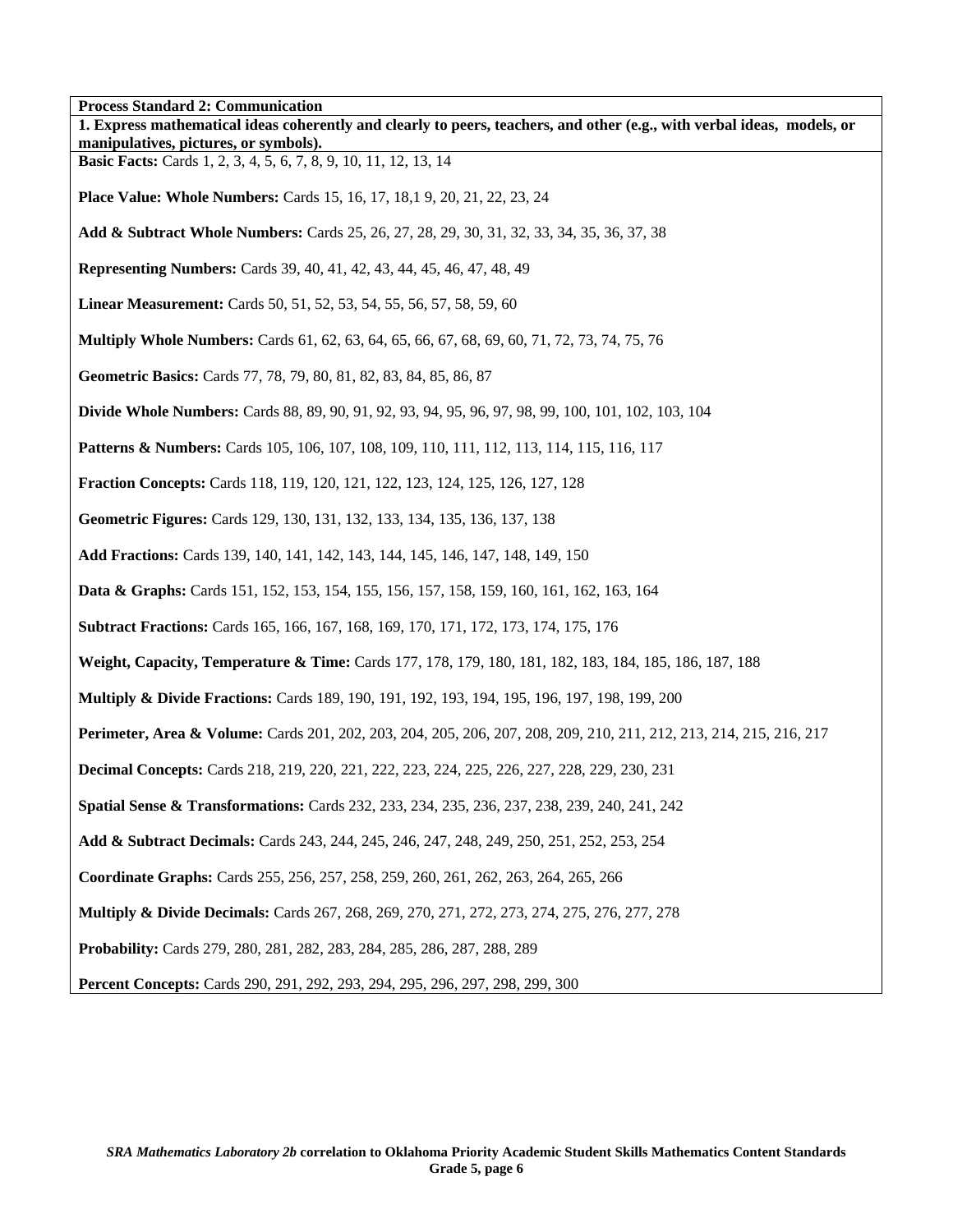**Process Standard 2: Communication 1. Express mathematical ideas coherently and clearly to peers, teachers, and other (e.g., with verbal ideas, models, or manipulatives, pictures, or symbols). Basic Facts:** Cards 1, 2, 3, 4, 5, 6, 7, 8, 9, 10, 11, 12, 13, 14 **Place Value: Whole Numbers:** Cards 15, 16, 17, 18,1 9, 20, 21, 22, 23, 24 **Add & Subtract Whole Numbers:** Cards 25, 26, 27, 28, 29, 30, 31, 32, 33, 34, 35, 36, 37, 38 **Representing Numbers:** Cards 39, 40, 41, 42, 43, 44, 45, 46, 47, 48, 49 **Linear Measurement:** Cards 50, 51, 52, 53, 54, 55, 56, 57, 58, 59, 60 **Multiply Whole Numbers:** Cards 61, 62, 63, 64, 65, 66, 67, 68, 69, 60, 71, 72, 73, 74, 75, 76 **Geometric Basics:** Cards 77, 78, 79, 80, 81, 82, 83, 84, 85, 86, 87 **Divide Whole Numbers:** Cards 88, 89, 90, 91, 92, 93, 94, 95, 96, 97, 98, 99, 100, 101, 102, 103, 104 **Patterns & Numbers:** Cards 105, 106, 107, 108, 109, 110, 111, 112, 113, 114, 115, 116, 117 **Fraction Concepts:** Cards 118, 119, 120, 121, 122, 123, 124, 125, 126, 127, 128 **Geometric Figures:** Cards 129, 130, 131, 132, 133, 134, 135, 136, 137, 138 **Add Fractions:** Cards 139, 140, 141, 142, 143, 144, 145, 146, 147, 148, 149, 150 **Data & Graphs:** Cards 151, 152, 153, 154, 155, 156, 157, 158, 159, 160, 161, 162, 163, 164 **Subtract Fractions:** Cards 165, 166, 167, 168, 169, 170, 171, 172, 173, 174, 175, 176 **Weight, Capacity, Temperature & Time:** Cards 177, 178, 179, 180, 181, 182, 183, 184, 185, 186, 187, 188 **Multiply & Divide Fractions:** Cards 189, 190, 191, 192, 193, 194, 195, 196, 197, 198, 199, 200 **Perimeter, Area & Volume:** Cards 201, 202, 203, 204, 205, 206, 207, 208, 209, 210, 211, 212, 213, 214, 215, 216, 217 **Decimal Concepts:** Cards 218, 219, 220, 221, 222, 223, 224, 225, 226, 227, 228, 229, 230, 231 **Spatial Sense & Transformations:** Cards 232, 233, 234, 235, 236, 237, 238, 239, 240, 241, 242 **Add & Subtract Decimals:** Cards 243, 244, 245, 246, 247, 248, 249, 250, 251, 252, 253, 254 **Coordinate Graphs:** Cards 255, 256, 257, 258, 259, 260, 261, 262, 263, 264, 265, 266 **Multiply & Divide Decimals:** Cards 267, 268, 269, 270, 271, 272, 273, 274, 275, 276, 277, 278 **Probability:** Cards 279, 280, 281, 282, 283, 284, 285, 286, 287, 288, 289 **Percent Concepts:** Cards 290, 291, 292, 293, 294, 295, 296, 297, 298, 299, 300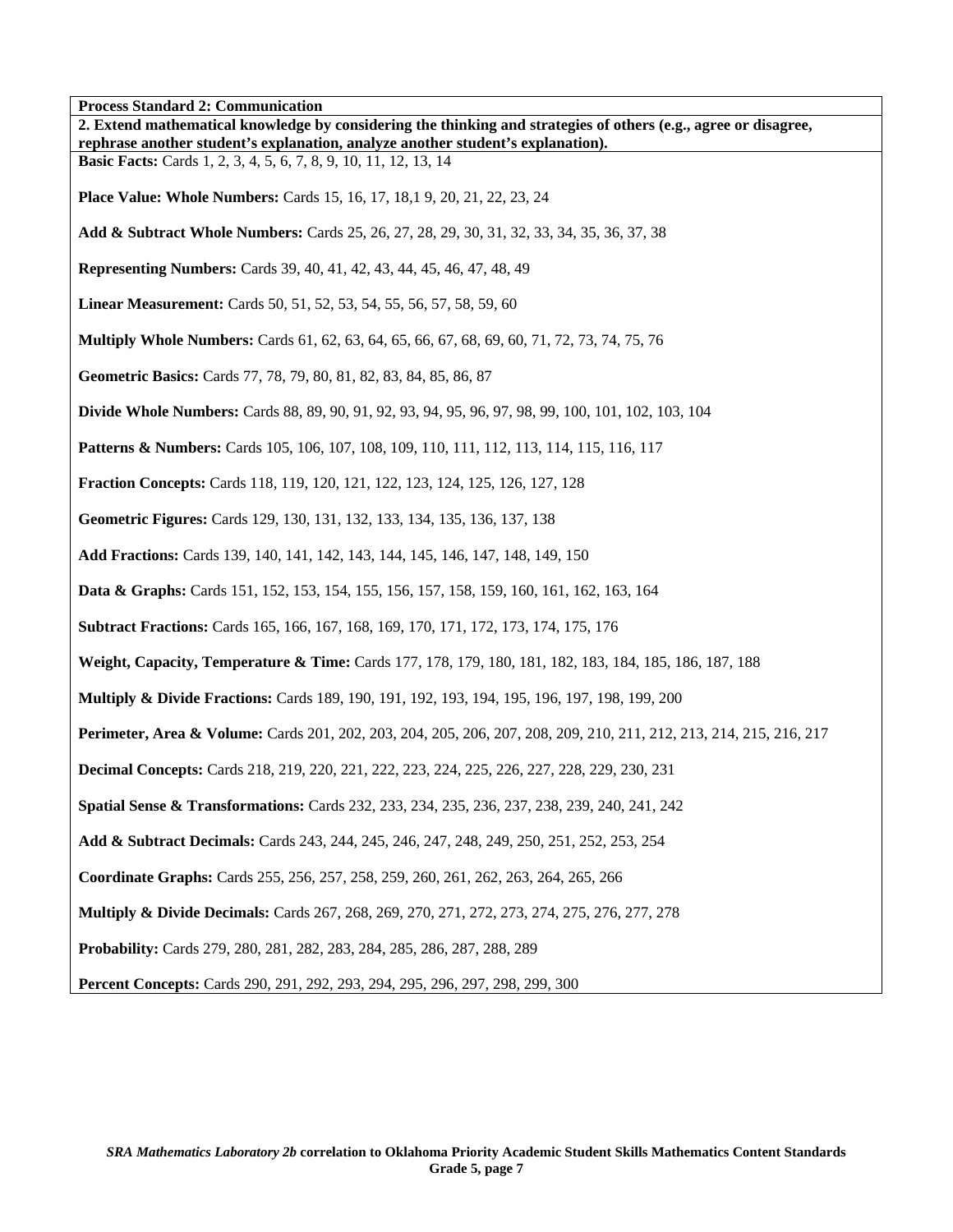| Process Standard 2: Communication<br>2. Extend mathematical knowledge by considering the thinking and strategies of others (e.g., agree or disagree,<br>rephrase another student's explanation, analyze another student's explanation). |
|-----------------------------------------------------------------------------------------------------------------------------------------------------------------------------------------------------------------------------------------|
| <b>Basic Facts:</b> Cards 1, 2, 3, 4, 5, 6, 7, 8, 9, 10, 11, 12, 13, 14                                                                                                                                                                 |
| <b>Place Value: Whole Numbers:</b> Cards 15, 16, 17, 18, 19, 20, 21, 22, 23, 24                                                                                                                                                         |
| Add & Subtract Whole Numbers: Cards 25, 26, 27, 28, 29, 30, 31, 32, 33, 34, 35, 36, 37, 38                                                                                                                                              |
| Representing Numbers: Cards 39, 40, 41, 42, 43, 44, 45, 46, 47, 48, 49                                                                                                                                                                  |
| Linear Measurement: Cards 50, 51, 52, 53, 54, 55, 56, 57, 58, 59, 60                                                                                                                                                                    |
| <b>Multiply Whole Numbers:</b> Cards 61, 62, 63, 64, 65, 66, 67, 68, 69, 60, 71, 72, 73, 74, 75, 76                                                                                                                                     |
| Geometric Basics: Cards 77, 78, 79, 80, 81, 82, 83, 84, 85, 86, 87                                                                                                                                                                      |
| <b>Divide Whole Numbers:</b> Cards 88, 89, 90, 91, 92, 93, 94, 95, 96, 97, 98, 99, 100, 101, 102, 103, 104                                                                                                                              |
| <b>Patterns &amp; Numbers:</b> Cards 105, 106, 107, 108, 109, 110, 111, 112, 113, 114, 115, 116, 117                                                                                                                                    |
| Fraction Concepts: Cards 118, 119, 120, 121, 122, 123, 124, 125, 126, 127, 128                                                                                                                                                          |
| Geometric Figures: Cards 129, 130, 131, 132, 133, 134, 135, 136, 137, 138                                                                                                                                                               |
| Add Fractions: Cards 139, 140, 141, 142, 143, 144, 145, 146, 147, 148, 149, 150                                                                                                                                                         |
| <b>Data &amp; Graphs:</b> Cards 151, 152, 153, 154, 155, 156, 157, 158, 159, 160, 161, 162, 163, 164                                                                                                                                    |
| Subtract Fractions: Cards 165, 166, 167, 168, 169, 170, 171, 172, 173, 174, 175, 176                                                                                                                                                    |
| Weight, Capacity, Temperature & Time: Cards 177, 178, 179, 180, 181, 182, 183, 184, 185, 186, 187, 188                                                                                                                                  |
| <b>Multiply &amp; Divide Fractions:</b> Cards 189, 190, 191, 192, 193, 194, 195, 196, 197, 198, 199, 200                                                                                                                                |
| Perimeter, Area & Volume: Cards 201, 202, 203, 204, 205, 206, 207, 208, 209, 210, 211, 212, 213, 214, 215, 216, 217                                                                                                                     |
| <b>Decimal Concepts:</b> Cards 218, 219, 220, 221, 222, 223, 224, 225, 226, 227, 228, 229, 230, 231                                                                                                                                     |
| Spatial Sense & Transformations: Cards 232, 233, 234, 235, 236, 237, 238, 239, 240, 241, 242                                                                                                                                            |
| Add & Subtract Decimals: Cards 243, 244, 245, 246, 247, 248, 249, 250, 251, 252, 253, 254                                                                                                                                               |
| Coordinate Graphs: Cards 255, 256, 257, 258, 259, 260, 261, 262, 263, 264, 265, 266                                                                                                                                                     |
| <b>Multiply &amp; Divide Decimals:</b> Cards 267, 268, 269, 270, 271, 272, 273, 274, 275, 276, 277, 278                                                                                                                                 |
| <b>Probability:</b> Cards 279, 280, 281, 282, 283, 284, 285, 286, 287, 288, 289                                                                                                                                                         |
| Percent Concepts: Cards 290, 291, 292, 293, 294, 295, 296, 297, 298, 299, 300                                                                                                                                                           |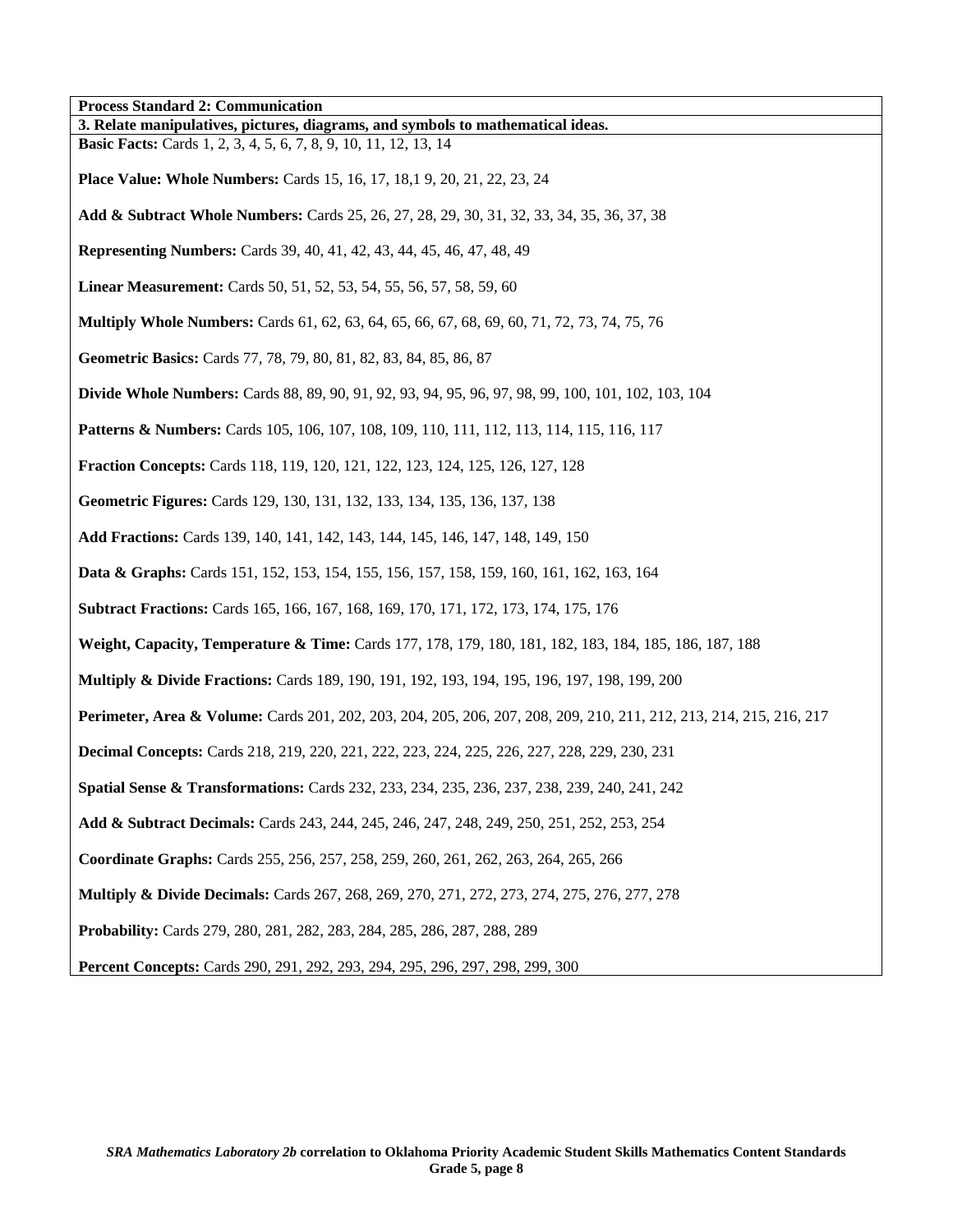| <b>Process Standard 2: Communication</b>                                                                            |
|---------------------------------------------------------------------------------------------------------------------|
| 3. Relate manipulatives, pictures, diagrams, and symbols to mathematical ideas.                                     |
| <b>Basic Facts:</b> Cards 1, 2, 3, 4, 5, 6, 7, 8, 9, 10, 11, 12, 13, 14                                             |
| <b>Place Value: Whole Numbers:</b> Cards 15, 16, 17, 18, 19, 20, 21, 22, 23, 24                                     |
| Add & Subtract Whole Numbers: Cards 25, 26, 27, 28, 29, 30, 31, 32, 33, 34, 35, 36, 37, 38                          |
| <b>Representing Numbers:</b> Cards 39, 40, 41, 42, 43, 44, 45, 46, 47, 48, 49                                       |
| Linear Measurement: Cards 50, 51, 52, 53, 54, 55, 56, 57, 58, 59, 60                                                |
| <b>Multiply Whole Numbers:</b> Cards 61, 62, 63, 64, 65, 66, 67, 68, 69, 60, 71, 72, 73, 74, 75, 76                 |
| Geometric Basics: Cards 77, 78, 79, 80, 81, 82, 83, 84, 85, 86, 87                                                  |
| <b>Divide Whole Numbers:</b> Cards 88, 89, 90, 91, 92, 93, 94, 95, 96, 97, 98, 99, 100, 101, 102, 103, 104          |
| <b>Patterns &amp; Numbers:</b> Cards 105, 106, 107, 108, 109, 110, 111, 112, 113, 114, 115, 116, 117                |
| <b>Fraction Concepts:</b> Cards 118, 119, 120, 121, 122, 123, 124, 125, 126, 127, 128                               |
| Geometric Figures: Cards 129, 130, 131, 132, 133, 134, 135, 136, 137, 138                                           |
| Add Fractions: Cards 139, 140, 141, 142, 143, 144, 145, 146, 147, 148, 149, 150                                     |
| <b>Data &amp; Graphs:</b> Cards 151, 152, 153, 154, 155, 156, 157, 158, 159, 160, 161, 162, 163, 164                |
| <b>Subtract Fractions:</b> Cards 165, 166, 167, 168, 169, 170, 171, 172, 173, 174, 175, 176                         |
| Weight, Capacity, Temperature & Time: Cards 177, 178, 179, 180, 181, 182, 183, 184, 185, 186, 187, 188              |
| Multiply & Divide Fractions: Cards 189, 190, 191, 192, 193, 194, 195, 196, 197, 198, 199, 200                       |
| Perimeter, Area & Volume: Cards 201, 202, 203, 204, 205, 206, 207, 208, 209, 210, 211, 212, 213, 214, 215, 216, 217 |
| <b>Decimal Concepts:</b> Cards 218, 219, 220, 221, 222, 223, 224, 225, 226, 227, 228, 229, 230, 231                 |
| <b>Spatial Sense &amp; Transformations:</b> Cards 232, 233, 234, 235, 236, 237, 238, 239, 240, 241, 242             |
| Add & Subtract Decimals: Cards 243, 244, 245, 246, 247, 248, 249, 250, 251, 252, 253, 254                           |
| Coordinate Graphs: Cards 255, 256, 257, 258, 259, 260, 261, 262, 263, 264, 265, 266                                 |
| Multiply & Divide Decimals: Cards 267, 268, 269, 270, 271, 272, 273, 274, 275, 276, 277, 278                        |
| Probability: Cards 279, 280, 281, 282, 283, 284, 285, 286, 287, 288, 289                                            |
| Percent Concepts: Cards 290, 291, 292, 293, 294, 295, 296, 297, 298, 299, 300                                       |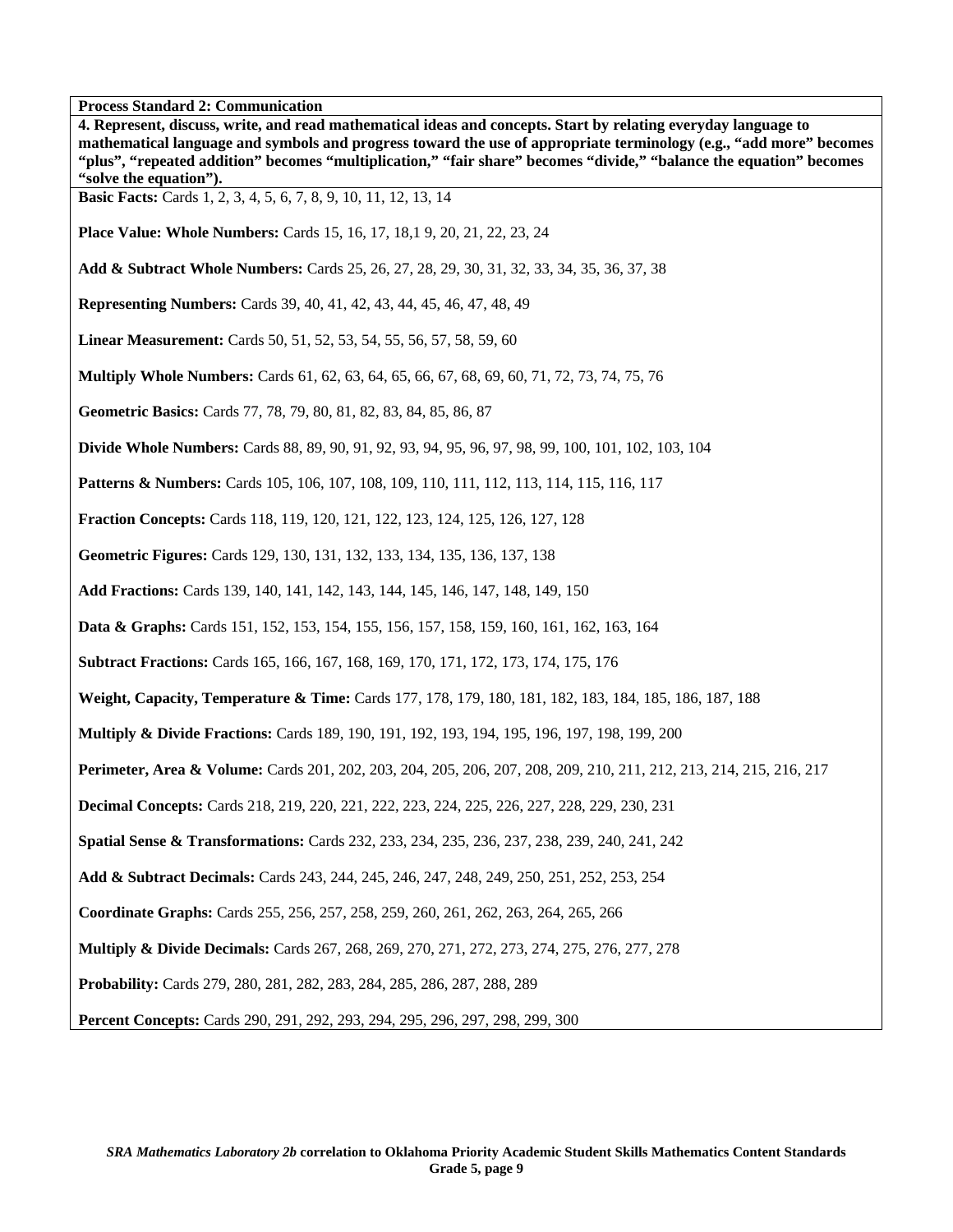**4. Represent, discuss, write, and read mathematical ideas and concepts. Start by relating everyday language to mathematical language and symbols and progress toward the use of appropriate terminology (e.g., "add more" becomes "plus", "repeated addition" becomes "multiplication," "fair share" becomes "divide," "balance the equation" becomes "solve the equation"). Basic Facts:** Cards 1, 2, 3, 4, 5, 6, 7, 8, 9, 10, 11, 12, 13, 14 **Place Value: Whole Numbers:** Cards 15, 16, 17, 18,1 9, 20, 21, 22, 23, 24 **Add & Subtract Whole Numbers:** Cards 25, 26, 27, 28, 29, 30, 31, 32, 33, 34, 35, 36, 37, 38 **Representing Numbers:** Cards 39, 40, 41, 42, 43, 44, 45, 46, 47, 48, 49 **Linear Measurement:** Cards 50, 51, 52, 53, 54, 55, 56, 57, 58, 59, 60 **Multiply Whole Numbers:** Cards 61, 62, 63, 64, 65, 66, 67, 68, 69, 60, 71, 72, 73, 74, 75, 76 **Geometric Basics:** Cards 77, 78, 79, 80, 81, 82, 83, 84, 85, 86, 87 **Divide Whole Numbers:** Cards 88, 89, 90, 91, 92, 93, 94, 95, 96, 97, 98, 99, 100, 101, 102, 103, 104 **Patterns & Numbers:** Cards 105, 106, 107, 108, 109, 110, 111, 112, 113, 114, 115, 116, 117 **Fraction Concepts:** Cards 118, 119, 120, 121, 122, 123, 124, 125, 126, 127, 128 **Geometric Figures:** Cards 129, 130, 131, 132, 133, 134, 135, 136, 137, 138 **Add Fractions:** Cards 139, 140, 141, 142, 143, 144, 145, 146, 147, 148, 149, 150 **Data & Graphs:** Cards 151, 152, 153, 154, 155, 156, 157, 158, 159, 160, 161, 162, 163, 164 **Subtract Fractions:** Cards 165, 166, 167, 168, 169, 170, 171, 172, 173, 174, 175, 176 **Weight, Capacity, Temperature & Time:** Cards 177, 178, 179, 180, 181, 182, 183, 184, 185, 186, 187, 188 **Multiply & Divide Fractions:** Cards 189, 190, 191, 192, 193, 194, 195, 196, 197, 198, 199, 200 **Perimeter, Area & Volume:** Cards 201, 202, 203, 204, 205, 206, 207, 208, 209, 210, 211, 212, 213, 214, 215, 216, 217 **Decimal Concepts:** Cards 218, 219, 220, 221, 222, 223, 224, 225, 226, 227, 228, 229, 230, 231 **Spatial Sense & Transformations:** Cards 232, 233, 234, 235, 236, 237, 238, 239, 240, 241, 242 **Add & Subtract Decimals:** Cards 243, 244, 245, 246, 247, 248, 249, 250, 251, 252, 253, 254 **Coordinate Graphs:** Cards 255, 256, 257, 258, 259, 260, 261, 262, 263, 264, 265, 266 **Multiply & Divide Decimals:** Cards 267, 268, 269, 270, 271, 272, 273, 274, 275, 276, 277, 278 **Probability:** Cards 279, 280, 281, 282, 283, 284, 285, 286, 287, 288, 289 **Percent Concepts:** Cards 290, 291, 292, 293, 294, 295, 296, 297, 298, 299, 300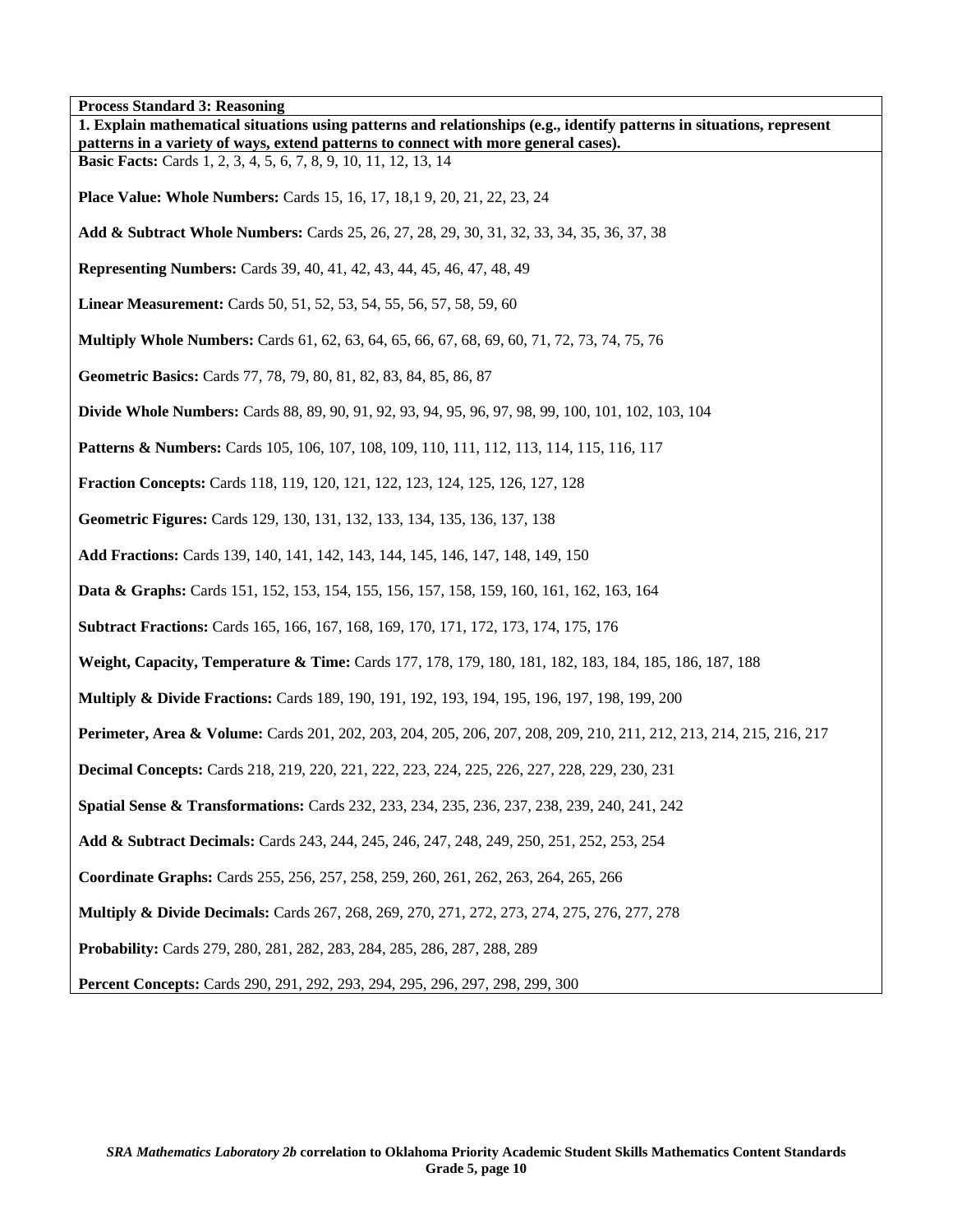**Process Standard 3: Reasoning 1. Explain mathematical situations using patterns and relationships (e.g., identify patterns in situations, represent patterns in a variety of ways, extend patterns to connect with more general cases). Basic Facts:** Cards 1, 2, 3, 4, 5, 6, 7, 8, 9, 10, 11, 12, 13, 14 **Place Value: Whole Numbers:** Cards 15, 16, 17, 18,1 9, 20, 21, 22, 23, 24 **Add & Subtract Whole Numbers:** Cards 25, 26, 27, 28, 29, 30, 31, 32, 33, 34, 35, 36, 37, 38 **Representing Numbers:** Cards 39, 40, 41, 42, 43, 44, 45, 46, 47, 48, 49 **Linear Measurement:** Cards 50, 51, 52, 53, 54, 55, 56, 57, 58, 59, 60 **Multiply Whole Numbers:** Cards 61, 62, 63, 64, 65, 66, 67, 68, 69, 60, 71, 72, 73, 74, 75, 76 **Geometric Basics:** Cards 77, 78, 79, 80, 81, 82, 83, 84, 85, 86, 87 **Divide Whole Numbers:** Cards 88, 89, 90, 91, 92, 93, 94, 95, 96, 97, 98, 99, 100, 101, 102, 103, 104 **Patterns & Numbers:** Cards 105, 106, 107, 108, 109, 110, 111, 112, 113, 114, 115, 116, 117 **Fraction Concepts:** Cards 118, 119, 120, 121, 122, 123, 124, 125, 126, 127, 128 **Geometric Figures:** Cards 129, 130, 131, 132, 133, 134, 135, 136, 137, 138 **Add Fractions:** Cards 139, 140, 141, 142, 143, 144, 145, 146, 147, 148, 149, 150 **Data & Graphs:** Cards 151, 152, 153, 154, 155, 156, 157, 158, 159, 160, 161, 162, 163, 164 **Subtract Fractions:** Cards 165, 166, 167, 168, 169, 170, 171, 172, 173, 174, 175, 176 **Weight, Capacity, Temperature & Time:** Cards 177, 178, 179, 180, 181, 182, 183, 184, 185, 186, 187, 188 **Multiply & Divide Fractions:** Cards 189, 190, 191, 192, 193, 194, 195, 196, 197, 198, 199, 200 **Perimeter, Area & Volume:** Cards 201, 202, 203, 204, 205, 206, 207, 208, 209, 210, 211, 212, 213, 214, 215, 216, 217 **Decimal Concepts:** Cards 218, 219, 220, 221, 222, 223, 224, 225, 226, 227, 228, 229, 230, 231 **Spatial Sense & Transformations:** Cards 232, 233, 234, 235, 236, 237, 238, 239, 240, 241, 242 **Add & Subtract Decimals:** Cards 243, 244, 245, 246, 247, 248, 249, 250, 251, 252, 253, 254 **Coordinate Graphs:** Cards 255, 256, 257, 258, 259, 260, 261, 262, 263, 264, 265, 266 **Multiply & Divide Decimals:** Cards 267, 268, 269, 270, 271, 272, 273, 274, 275, 276, 277, 278 **Probability:** Cards 279, 280, 281, 282, 283, 284, 285, 286, 287, 288, 289 **Percent Concepts:** Cards 290, 291, 292, 293, 294, 295, 296, 297, 298, 299, 300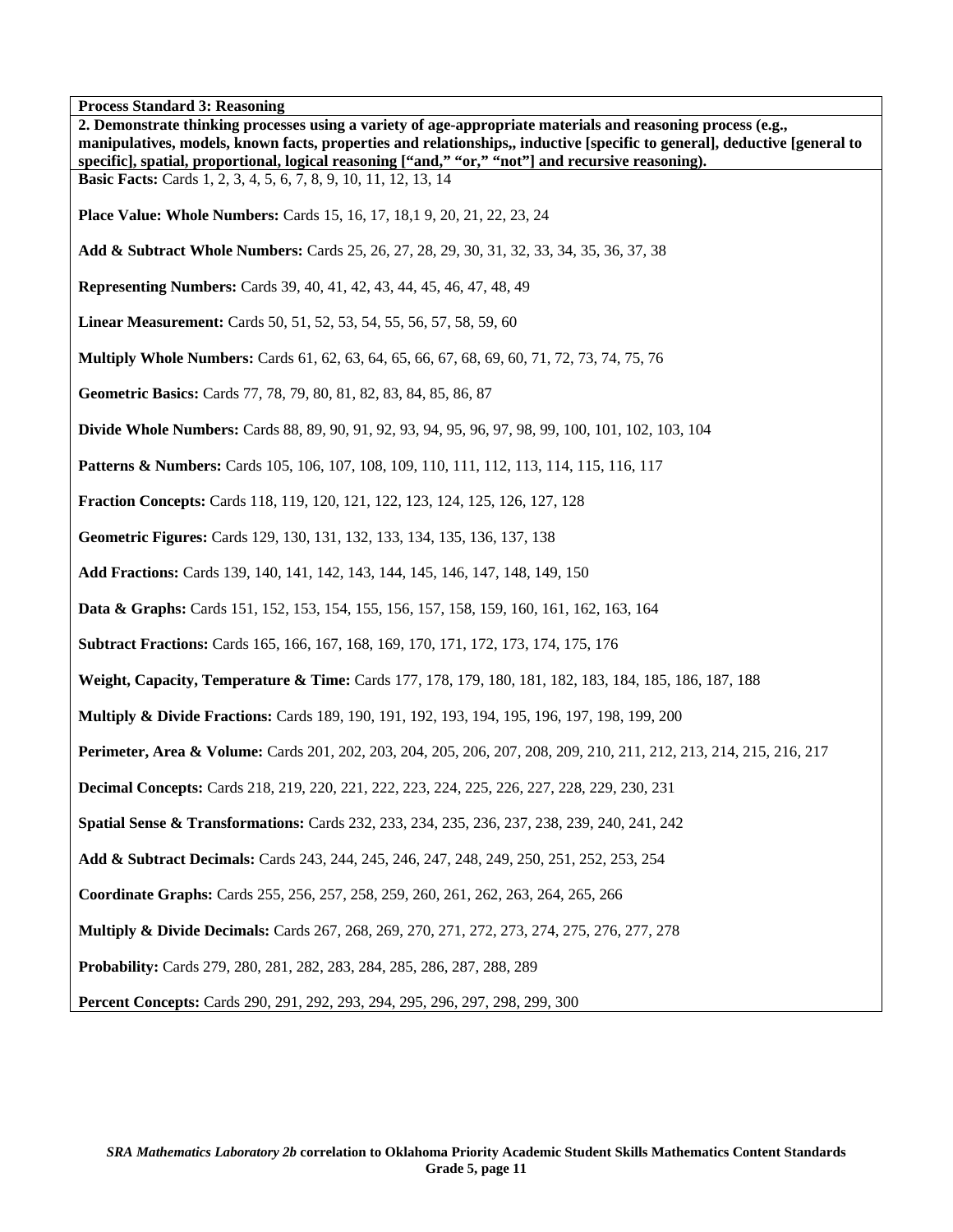**Process Standard 3: Reasoning 2. Demonstrate thinking processes using a variety of age-appropriate materials and reasoning process (e.g., manipulatives, models, known facts, properties and relationships,, inductive [specific to general], deductive [general to specific], spatial, proportional, logical reasoning ["and," "or," "not"] and recursive reasoning). Basic Facts:** Cards 1, 2, 3, 4, 5, 6, 7, 8, 9, 10, 11, 12, 13, 14 **Place Value: Whole Numbers:** Cards 15, 16, 17, 18,1 9, 20, 21, 22, 23, 24 **Add & Subtract Whole Numbers:** Cards 25, 26, 27, 28, 29, 30, 31, 32, 33, 34, 35, 36, 37, 38 **Representing Numbers:** Cards 39, 40, 41, 42, 43, 44, 45, 46, 47, 48, 49 **Linear Measurement:** Cards 50, 51, 52, 53, 54, 55, 56, 57, 58, 59, 60 **Multiply Whole Numbers:** Cards 61, 62, 63, 64, 65, 66, 67, 68, 69, 60, 71, 72, 73, 74, 75, 76 **Geometric Basics:** Cards 77, 78, 79, 80, 81, 82, 83, 84, 85, 86, 87 **Divide Whole Numbers:** Cards 88, 89, 90, 91, 92, 93, 94, 95, 96, 97, 98, 99, 100, 101, 102, 103, 104 **Patterns & Numbers:** Cards 105, 106, 107, 108, 109, 110, 111, 112, 113, 114, 115, 116, 117 **Fraction Concepts:** Cards 118, 119, 120, 121, 122, 123, 124, 125, 126, 127, 128 **Geometric Figures:** Cards 129, 130, 131, 132, 133, 134, 135, 136, 137, 138 **Add Fractions:** Cards 139, 140, 141, 142, 143, 144, 145, 146, 147, 148, 149, 150 **Data & Graphs:** Cards 151, 152, 153, 154, 155, 156, 157, 158, 159, 160, 161, 162, 163, 164 **Subtract Fractions:** Cards 165, 166, 167, 168, 169, 170, 171, 172, 173, 174, 175, 176 **Weight, Capacity, Temperature & Time:** Cards 177, 178, 179, 180, 181, 182, 183, 184, 185, 186, 187, 188 **Multiply & Divide Fractions:** Cards 189, 190, 191, 192, 193, 194, 195, 196, 197, 198, 199, 200 **Perimeter, Area & Volume:** Cards 201, 202, 203, 204, 205, 206, 207, 208, 209, 210, 211, 212, 213, 214, 215, 216, 217 **Decimal Concepts:** Cards 218, 219, 220, 221, 222, 223, 224, 225, 226, 227, 228, 229, 230, 231 **Spatial Sense & Transformations:** Cards 232, 233, 234, 235, 236, 237, 238, 239, 240, 241, 242 **Add & Subtract Decimals:** Cards 243, 244, 245, 246, 247, 248, 249, 250, 251, 252, 253, 254 **Coordinate Graphs:** Cards 255, 256, 257, 258, 259, 260, 261, 262, 263, 264, 265, 266 **Multiply & Divide Decimals:** Cards 267, 268, 269, 270, 271, 272, 273, 274, 275, 276, 277, 278 **Probability:** Cards 279, 280, 281, 282, 283, 284, 285, 286, 287, 288, 289 **Percent Concepts:** Cards 290, 291, 292, 293, 294, 295, 296, 297, 298, 299, 300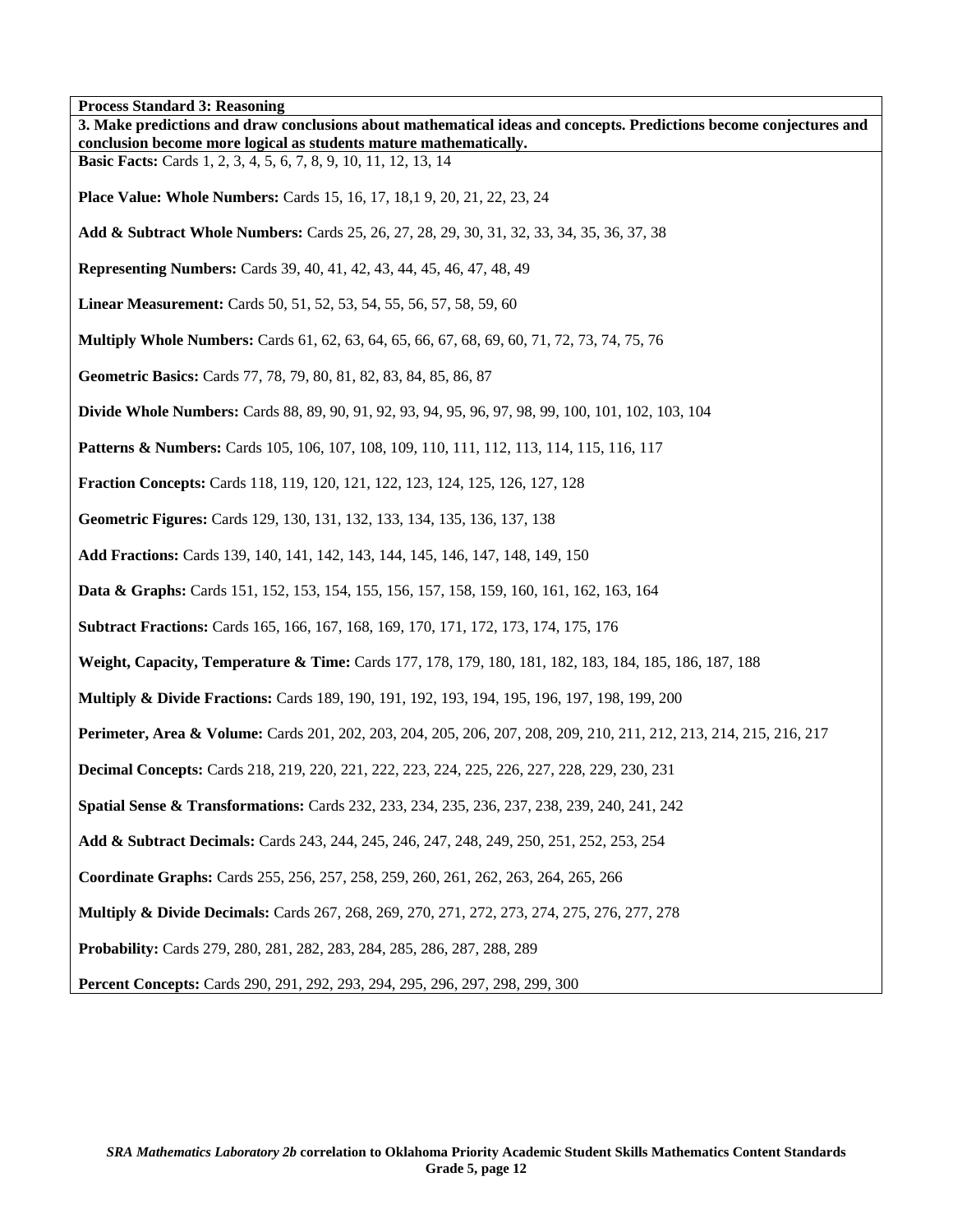'n **Process Standard 3: Reasoning** 

| Process Standard 3: Reasoning<br>3. Make predictions and draw conclusions about mathematical ideas and concepts. Predictions become conjectures and |
|-----------------------------------------------------------------------------------------------------------------------------------------------------|
| conclusion become more logical as students mature mathematically.<br><b>Basic Facts:</b> Cards 1, 2, 3, 4, 5, 6, 7, 8, 9, 10, 11, 12, 13, 14        |
| <b>Place Value: Whole Numbers:</b> Cards 15, 16, 17, 18, 19, 20, 21, 22, 23, 24                                                                     |
| Add & Subtract Whole Numbers: Cards 25, 26, 27, 28, 29, 30, 31, 32, 33, 34, 35, 36, 37, 38                                                          |
| <b>Representing Numbers:</b> Cards 39, 40, 41, 42, 43, 44, 45, 46, 47, 48, 49                                                                       |
| <b>Linear Measurement:</b> Cards 50, 51, 52, 53, 54, 55, 56, 57, 58, 59, 60                                                                         |
| <b>Multiply Whole Numbers:</b> Cards 61, 62, 63, 64, 65, 66, 67, 68, 69, 60, 71, 72, 73, 74, 75, 76                                                 |
| Geometric Basics: Cards 77, 78, 79, 80, 81, 82, 83, 84, 85, 86, 87                                                                                  |
| <b>Divide Whole Numbers:</b> Cards 88, 89, 90, 91, 92, 93, 94, 95, 96, 97, 98, 99, 100, 101, 102, 103, 104                                          |
| <b>Patterns &amp; Numbers:</b> Cards 105, 106, 107, 108, 109, 110, 111, 112, 113, 114, 115, 116, 117                                                |
| <b>Fraction Concepts:</b> Cards 118, 119, 120, 121, 122, 123, 124, 125, 126, 127, 128                                                               |
| Geometric Figures: Cards 129, 130, 131, 132, 133, 134, 135, 136, 137, 138                                                                           |
| Add Fractions: Cards 139, 140, 141, 142, 143, 144, 145, 146, 147, 148, 149, 150                                                                     |
| <b>Data &amp; Graphs:</b> Cards 151, 152, 153, 154, 155, 156, 157, 158, 159, 160, 161, 162, 163, 164                                                |
| <b>Subtract Fractions:</b> Cards 165, 166, 167, 168, 169, 170, 171, 172, 173, 174, 175, 176                                                         |
| Weight, Capacity, Temperature & Time: Cards 177, 178, 179, 180, 181, 182, 183, 184, 185, 186, 187, 188                                              |
| <b>Multiply &amp; Divide Fractions:</b> Cards 189, 190, 191, 192, 193, 194, 195, 196, 197, 198, 199, 200                                            |
| Perimeter, Area & Volume: Cards 201, 202, 203, 204, 205, 206, 207, 208, 209, 210, 211, 212, 213, 214, 215, 216, 217                                 |
| <b>Decimal Concepts:</b> Cards 218, 219, 220, 221, 222, 223, 224, 225, 226, 227, 228, 229, 230, 231                                                 |
| Spatial Sense & Transformations: Cards 232, 233, 234, 235, 236, 237, 238, 239, 240, 241, 242                                                        |
| Add & Subtract Decimals: Cards 243, 244, 245, 246, 247, 248, 249, 250, 251, 252, 253, 254                                                           |
| Coordinate Graphs: Cards 255, 256, 257, 258, 259, 260, 261, 262, 263, 264, 265, 266                                                                 |
| <b>Multiply &amp; Divide Decimals:</b> Cards 267, 268, 269, 270, 271, 272, 273, 274, 275, 276, 277, 278                                             |
| Probability: Cards 279, 280, 281, 282, 283, 284, 285, 286, 287, 288, 289                                                                            |
| <b>Percent Concepts:</b> Cards 290, 291, 292, 293, 294, 295, 296, 297, 298, 299, 300                                                                |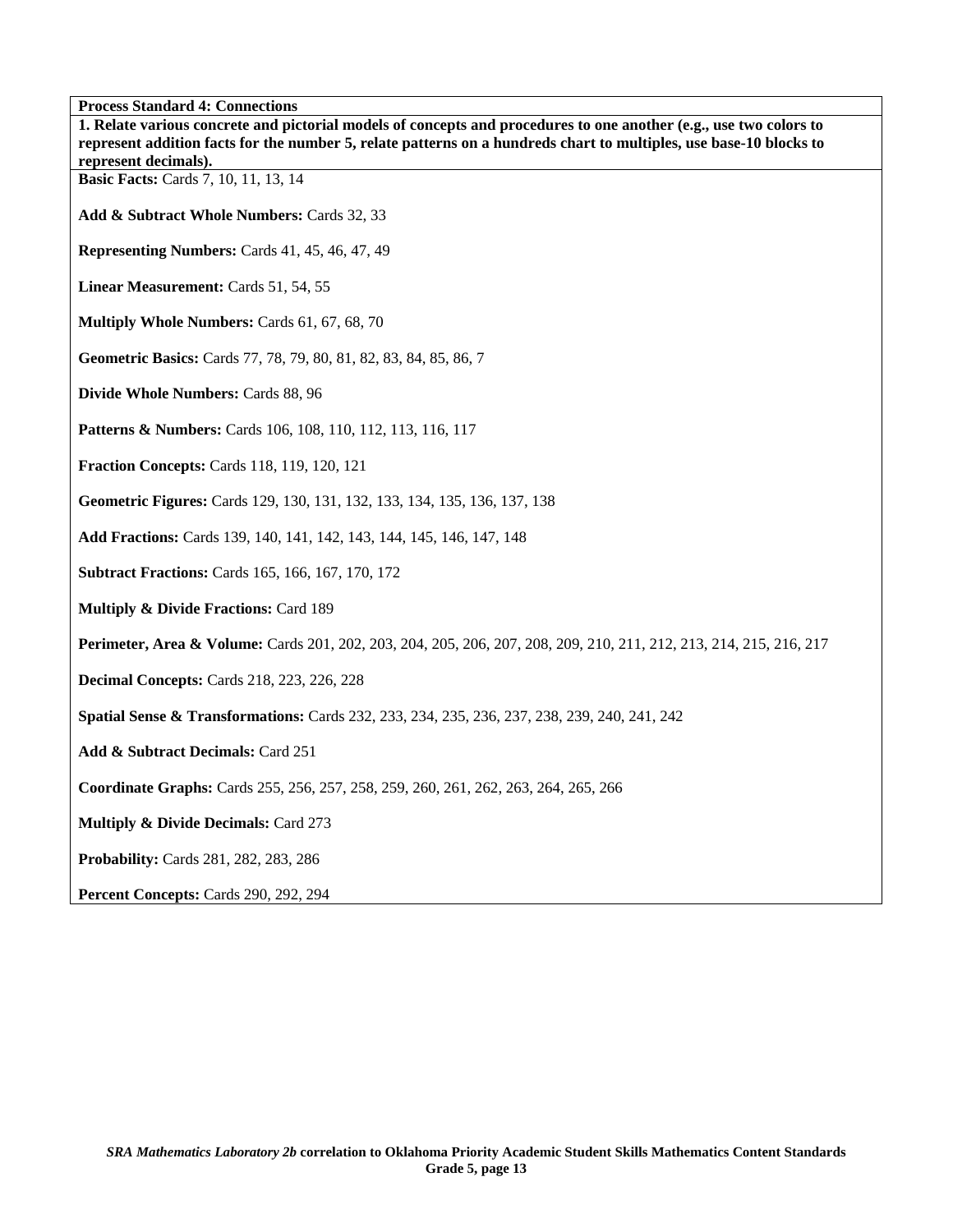**Process Standard 4: Connections** 

| 1100055 Bianuaru 7. Connections<br>1. Relate various concrete and pictorial models of concepts and procedures to one another (e.g., use two colors to<br>represent addition facts for the number 5, relate patterns on a hundreds chart to multiples, use base-10 blocks to |
|-----------------------------------------------------------------------------------------------------------------------------------------------------------------------------------------------------------------------------------------------------------------------------|
| represent decimals).                                                                                                                                                                                                                                                        |
| <b>Basic Facts:</b> Cards 7, 10, 11, 13, 14                                                                                                                                                                                                                                 |
| Add & Subtract Whole Numbers: Cards 32, 33                                                                                                                                                                                                                                  |
| Representing Numbers: Cards 41, 45, 46, 47, 49                                                                                                                                                                                                                              |
| Linear Measurement: Cards 51, 54, 55                                                                                                                                                                                                                                        |
| Multiply Whole Numbers: Cards 61, 67, 68, 70                                                                                                                                                                                                                                |
| Geometric Basics: Cards 77, 78, 79, 80, 81, 82, 83, 84, 85, 86, 7                                                                                                                                                                                                           |
| Divide Whole Numbers: Cards 88, 96                                                                                                                                                                                                                                          |
| Patterns & Numbers: Cards 106, 108, 110, 112, 113, 116, 117                                                                                                                                                                                                                 |
| Fraction Concepts: Cards 118, 119, 120, 121                                                                                                                                                                                                                                 |
| Geometric Figures: Cards 129, 130, 131, 132, 133, 134, 135, 136, 137, 138                                                                                                                                                                                                   |
| Add Fractions: Cards 139, 140, 141, 142, 143, 144, 145, 146, 147, 148                                                                                                                                                                                                       |
| <b>Subtract Fractions: Cards 165, 166, 167, 170, 172</b>                                                                                                                                                                                                                    |
| <b>Multiply &amp; Divide Fractions: Card 189</b>                                                                                                                                                                                                                            |
| Perimeter, Area & Volume: Cards 201, 202, 203, 204, 205, 206, 207, 208, 209, 210, 211, 212, 213, 214, 215, 216, 217                                                                                                                                                         |
| <b>Decimal Concepts: Cards 218, 223, 226, 228</b>                                                                                                                                                                                                                           |
| <b>Spatial Sense &amp; Transformations:</b> Cards 232, 233, 234, 235, 236, 237, 238, 239, 240, 241, 242                                                                                                                                                                     |
| Add & Subtract Decimals: Card 251                                                                                                                                                                                                                                           |
| Coordinate Graphs: Cards 255, 256, 257, 258, 259, 260, 261, 262, 263, 264, 265, 266                                                                                                                                                                                         |
| <b>Multiply &amp; Divide Decimals: Card 273</b>                                                                                                                                                                                                                             |
| <b>Probability:</b> Cards 281, 282, 283, 286                                                                                                                                                                                                                                |
| Percent Concepts: Cards 290, 292, 294                                                                                                                                                                                                                                       |

٦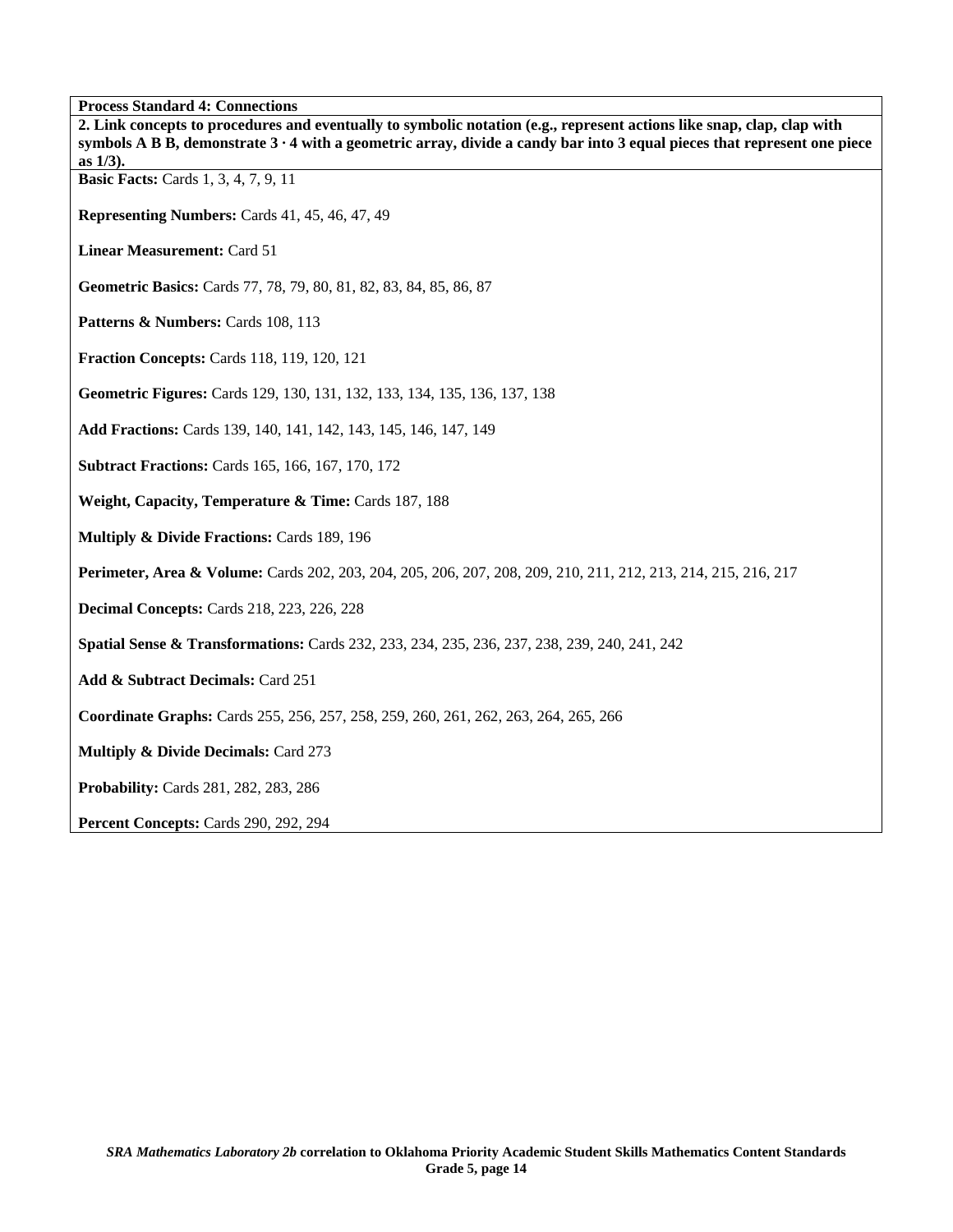|  | <b>Process Standard 4: Connections</b> |
|--|----------------------------------------|
|  |                                        |
|  |                                        |

| 2. Link concepts to procedures and eventually to symbolic notation (e.g., represent actions like snap, clap, clap with<br>symbols A B B, demonstrate $3 \cdot 4$ with a geometric array, divide a candy bar into 3 equal pieces that represent one piece<br>as $1/3$ ). |
|-------------------------------------------------------------------------------------------------------------------------------------------------------------------------------------------------------------------------------------------------------------------------|
| <b>Basic Facts:</b> Cards 1, 3, 4, 7, 9, 11                                                                                                                                                                                                                             |
| Representing Numbers: Cards 41, 45, 46, 47, 49                                                                                                                                                                                                                          |
| <b>Linear Measurement: Card 51</b>                                                                                                                                                                                                                                      |
| Geometric Basics: Cards 77, 78, 79, 80, 81, 82, 83, 84, 85, 86, 87                                                                                                                                                                                                      |
| Patterns & Numbers: Cards 108, 113                                                                                                                                                                                                                                      |
| <b>Fraction Concepts: Cards 118, 119, 120, 121</b>                                                                                                                                                                                                                      |
| Geometric Figures: Cards 129, 130, 131, 132, 133, 134, 135, 136, 137, 138                                                                                                                                                                                               |
| Add Fractions: Cards 139, 140, 141, 142, 143, 145, 146, 147, 149                                                                                                                                                                                                        |
| <b>Subtract Fractions: Cards 165, 166, 167, 170, 172</b>                                                                                                                                                                                                                |
| Weight, Capacity, Temperature & Time: Cards 187, 188                                                                                                                                                                                                                    |
| Multiply & Divide Fractions: Cards 189, 196                                                                                                                                                                                                                             |
| Perimeter, Area & Volume: Cards 202, 203, 204, 205, 206, 207, 208, 209, 210, 211, 212, 213, 214, 215, 216, 217                                                                                                                                                          |
| <b>Decimal Concepts: Cards 218, 223, 226, 228</b>                                                                                                                                                                                                                       |
| <b>Spatial Sense &amp; Transformations:</b> Cards 232, 233, 234, 235, 236, 237, 238, 239, 240, 241, 242                                                                                                                                                                 |
| Add & Subtract Decimals: Card 251                                                                                                                                                                                                                                       |
| <b>Coordinate Graphs:</b> Cards 255, 256, 257, 258, 259, 260, 261, 262, 263, 264, 265, 266                                                                                                                                                                              |
| <b>Multiply &amp; Divide Decimals: Card 273</b>                                                                                                                                                                                                                         |
| Probability: Cards 281, 282, 283, 286                                                                                                                                                                                                                                   |
| Percent Concepts: Cards 290, 292, 294                                                                                                                                                                                                                                   |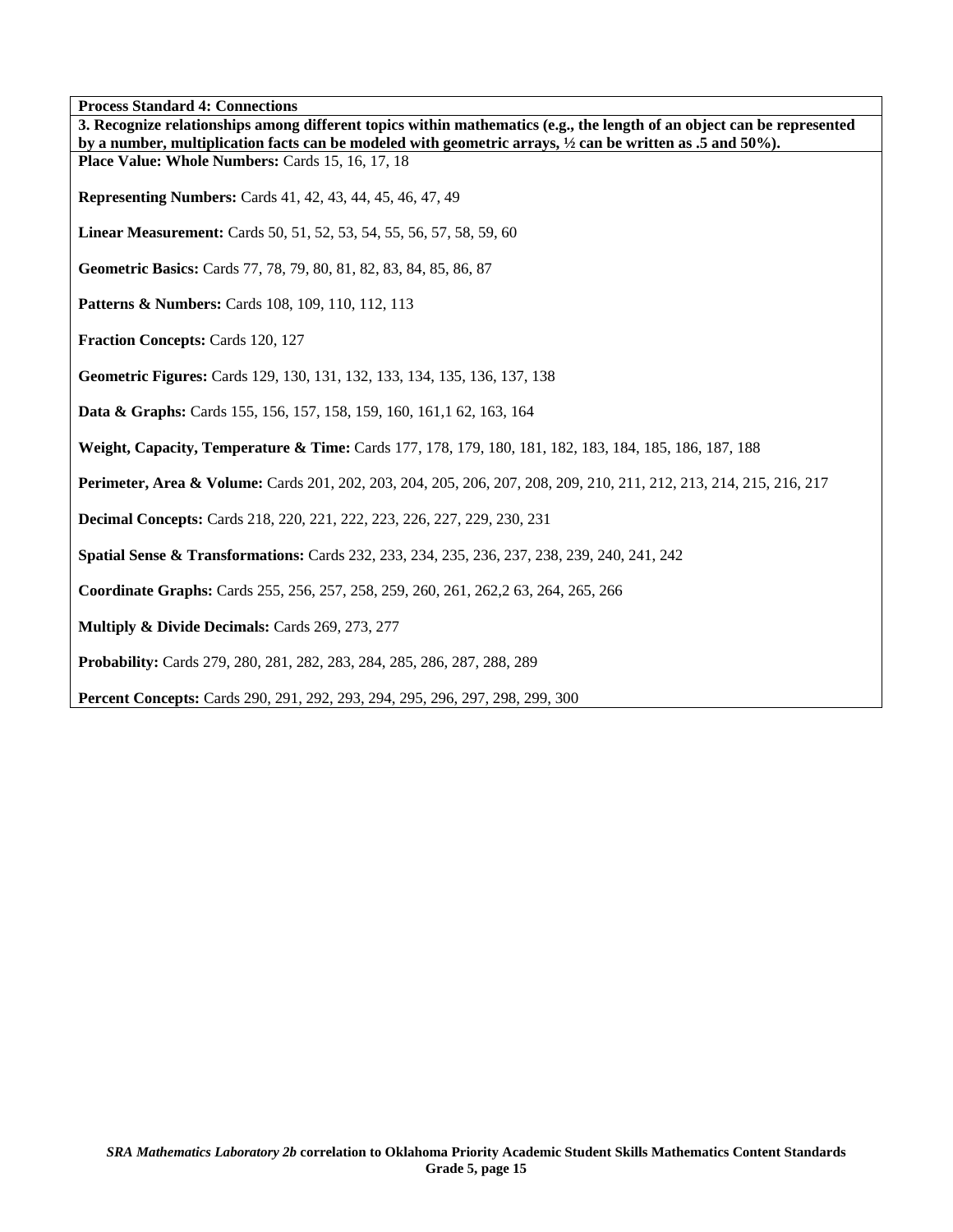**Process Standard 4: Connections** 

| 3. Recognize relationships among different topics within mathematics (e.g., the length of an object can be represented<br>by a number, multiplication facts can be modeled with geometric arrays, $\frac{1}{2}$ can be written as .5 and 50%). |
|------------------------------------------------------------------------------------------------------------------------------------------------------------------------------------------------------------------------------------------------|
| Place Value: Whole Numbers: Cards 15, 16, 17, 18                                                                                                                                                                                               |
| <b>Representing Numbers:</b> Cards 41, 42, 43, 44, 45, 46, 47, 49                                                                                                                                                                              |
| Linear Measurement: Cards 50, 51, 52, 53, 54, 55, 56, 57, 58, 59, 60                                                                                                                                                                           |
| Geometric Basics: Cards 77, 78, 79, 80, 81, 82, 83, 84, 85, 86, 87                                                                                                                                                                             |
| <b>Patterns &amp; Numbers:</b> Cards 108, 109, 110, 112, 113                                                                                                                                                                                   |
| Fraction Concepts: Cards 120, 127                                                                                                                                                                                                              |
| Geometric Figures: Cards 129, 130, 131, 132, 133, 134, 135, 136, 137, 138                                                                                                                                                                      |
| Data & Graphs: Cards 155, 156, 157, 158, 159, 160, 161, 162, 163, 164                                                                                                                                                                          |
| Weight, Capacity, Temperature & Time: Cards 177, 178, 179, 180, 181, 182, 183, 184, 185, 186, 187, 188                                                                                                                                         |
| Perimeter, Area & Volume: Cards 201, 202, 203, 204, 205, 206, 207, 208, 209, 210, 211, 212, 213, 214, 215, 216, 217                                                                                                                            |
| <b>Decimal Concepts:</b> Cards 218, 220, 221, 222, 223, 226, 227, 229, 230, 231                                                                                                                                                                |
| <b>Spatial Sense &amp; Transformations:</b> Cards 232, 233, 234, 235, 236, 237, 238, 239, 240, 241, 242                                                                                                                                        |
| Coordinate Graphs: Cards 255, 256, 257, 258, 259, 260, 261, 262, 263, 264, 265, 266                                                                                                                                                            |
| Multiply & Divide Decimals: Cards 269, 273, 277                                                                                                                                                                                                |
| Probability: Cards 279, 280, 281, 282, 283, 284, 285, 286, 287, 288, 289                                                                                                                                                                       |
| <b>Percent Concepts:</b> Cards 290, 291, 292, 293, 294, 295, 296, 297, 298, 299, 300                                                                                                                                                           |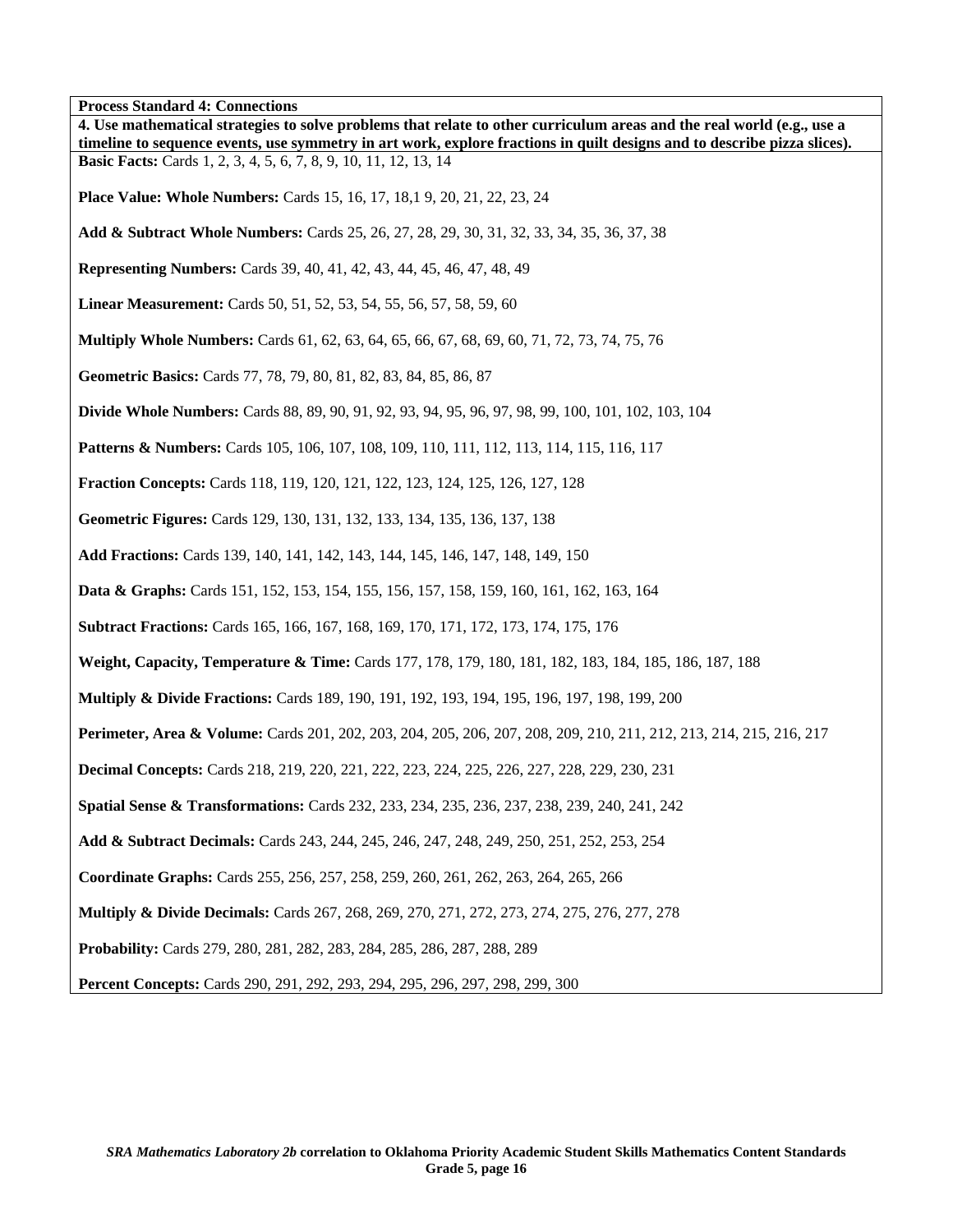**Process Standard 4: Connections** 

| т госсээ эландагд ч. Соннесионэ<br>4. Use mathematical strategies to solve problems that relate to other curriculum areas and the real world (e.g., use a<br>timeline to sequence events, use symmetry in art work, explore fractions in quilt designs and to describe pizza slices). |
|---------------------------------------------------------------------------------------------------------------------------------------------------------------------------------------------------------------------------------------------------------------------------------------|
| <b>Basic Facts:</b> Cards 1, 2, 3, 4, 5, 6, 7, 8, 9, 10, 11, 12, 13, 14                                                                                                                                                                                                               |
| <b>Place Value: Whole Numbers:</b> Cards 15, 16, 17, 18, 19, 20, 21, 22, 23, 24                                                                                                                                                                                                       |
| Add & Subtract Whole Numbers: Cards 25, 26, 27, 28, 29, 30, 31, 32, 33, 34, 35, 36, 37, 38                                                                                                                                                                                            |
| <b>Representing Numbers:</b> Cards 39, 40, 41, 42, 43, 44, 45, 46, 47, 48, 49                                                                                                                                                                                                         |
| <b>Linear Measurement:</b> Cards 50, 51, 52, 53, 54, 55, 56, 57, 58, 59, 60                                                                                                                                                                                                           |
| <b>Multiply Whole Numbers:</b> Cards 61, 62, 63, 64, 65, 66, 67, 68, 69, 60, 71, 72, 73, 74, 75, 76                                                                                                                                                                                   |
| Geometric Basics: Cards 77, 78, 79, 80, 81, 82, 83, 84, 85, 86, 87                                                                                                                                                                                                                    |
| <b>Divide Whole Numbers:</b> Cards 88, 89, 90, 91, 92, 93, 94, 95, 96, 97, 98, 99, 100, 101, 102, 103, 104                                                                                                                                                                            |
| <b>Patterns &amp; Numbers:</b> Cards 105, 106, 107, 108, 109, 110, 111, 112, 113, 114, 115, 116, 117                                                                                                                                                                                  |
| <b>Fraction Concepts:</b> Cards 118, 119, 120, 121, 122, 123, 124, 125, 126, 127, 128                                                                                                                                                                                                 |
| Geometric Figures: Cards 129, 130, 131, 132, 133, 134, 135, 136, 137, 138                                                                                                                                                                                                             |
| Add Fractions: Cards 139, 140, 141, 142, 143, 144, 145, 146, 147, 148, 149, 150                                                                                                                                                                                                       |
| <b>Data &amp; Graphs:</b> Cards 151, 152, 153, 154, 155, 156, 157, 158, 159, 160, 161, 162, 163, 164                                                                                                                                                                                  |
| <b>Subtract Fractions:</b> Cards 165, 166, 167, 168, 169, 170, 171, 172, 173, 174, 175, 176                                                                                                                                                                                           |
| Weight, Capacity, Temperature & Time: Cards 177, 178, 179, 180, 181, 182, 183, 184, 185, 186, 187, 188                                                                                                                                                                                |
| <b>Multiply &amp; Divide Fractions:</b> Cards 189, 190, 191, 192, 193, 194, 195, 196, 197, 198, 199, 200                                                                                                                                                                              |
| Perimeter, Area & Volume: Cards 201, 202, 203, 204, 205, 206, 207, 208, 209, 210, 211, 212, 213, 214, 215, 216, 217                                                                                                                                                                   |
| <b>Decimal Concepts:</b> Cards 218, 219, 220, 221, 222, 223, 224, 225, 226, 227, 228, 229, 230, 231                                                                                                                                                                                   |
| Spatial Sense & Transformations: Cards 232, 233, 234, 235, 236, 237, 238, 239, 240, 241, 242                                                                                                                                                                                          |
| Add & Subtract Decimals: Cards 243, 244, 245, 246, 247, 248, 249, 250, 251, 252, 253, 254                                                                                                                                                                                             |
| Coordinate Graphs: Cards 255, 256, 257, 258, 259, 260, 261, 262, 263, 264, 265, 266                                                                                                                                                                                                   |
| Multiply & Divide Decimals: Cards 267, 268, 269, 270, 271, 272, 273, 274, 275, 276, 277, 278                                                                                                                                                                                          |
| Probability: Cards 279, 280, 281, 282, 283, 284, 285, 286, 287, 288, 289                                                                                                                                                                                                              |
| Percent Concepts: Cards 290, 291, 292, 293, 294, 295, 296, 297, 298, 299, 300                                                                                                                                                                                                         |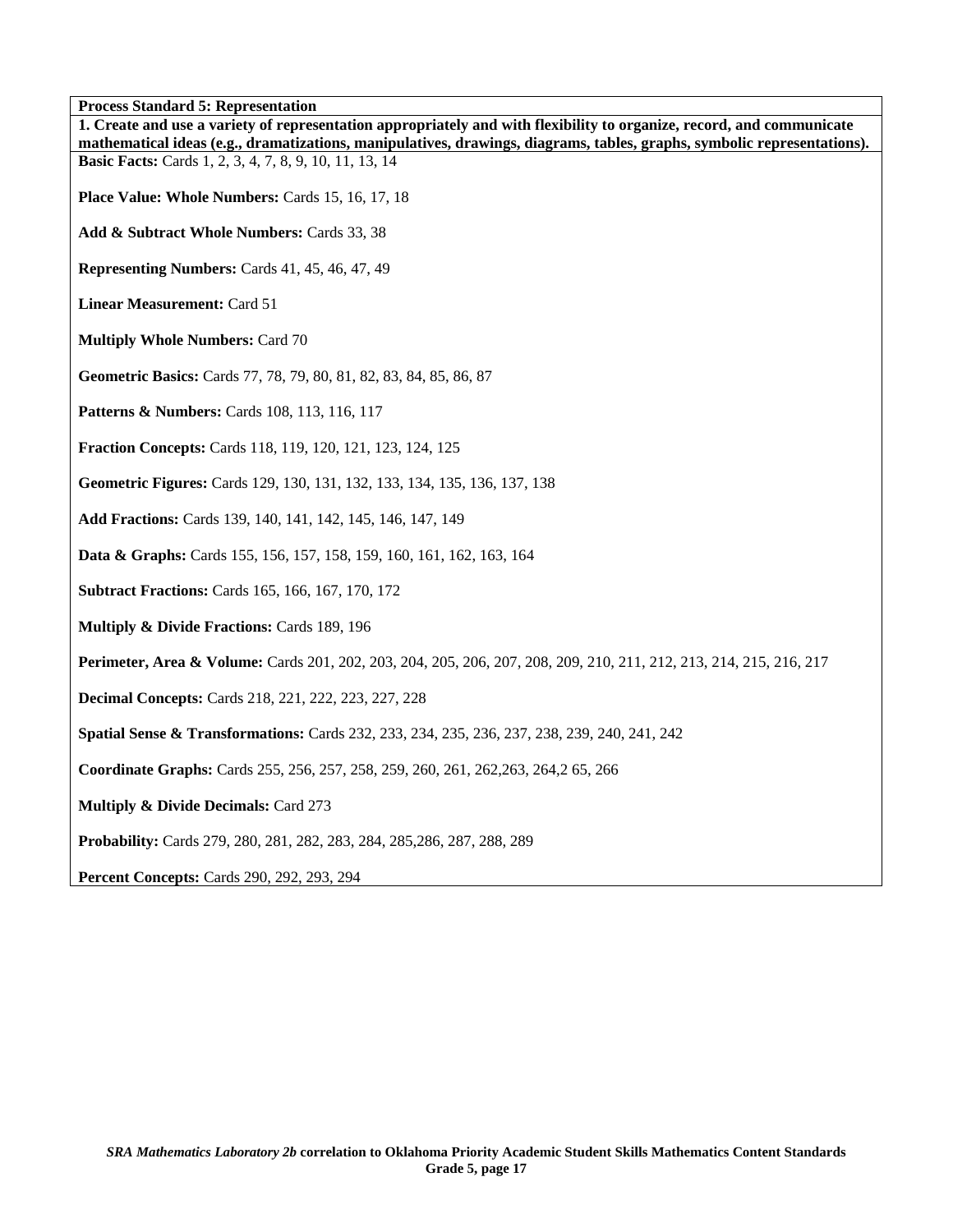**Process Standard 5: Representation** 

| г госеѕѕ зіаниаги э: кергеѕещанон<br>1. Create and use a variety of representation appropriately and with flexibility to organize, record, and communicate                               |
|------------------------------------------------------------------------------------------------------------------------------------------------------------------------------------------|
| mathematical ideas (e.g., dramatizations, manipulatives, drawings, diagrams, tables, graphs, symbolic representations).<br><b>Basic Facts:</b> Cards 1, 2, 3, 4, 7, 8, 9, 10, 11, 13, 14 |
|                                                                                                                                                                                          |
| Place Value: Whole Numbers: Cards 15, 16, 17, 18                                                                                                                                         |
| Add & Subtract Whole Numbers: Cards 33, 38                                                                                                                                               |
| Representing Numbers: Cards 41, 45, 46, 47, 49                                                                                                                                           |
| <b>Linear Measurement: Card 51</b>                                                                                                                                                       |
| <b>Multiply Whole Numbers: Card 70</b>                                                                                                                                                   |
| Geometric Basics: Cards 77, 78, 79, 80, 81, 82, 83, 84, 85, 86, 87                                                                                                                       |
| Patterns & Numbers: Cards 108, 113, 116, 117                                                                                                                                             |
| <b>Fraction Concepts: Cards 118, 119, 120, 121, 123, 124, 125</b>                                                                                                                        |
| Geometric Figures: Cards 129, 130, 131, 132, 133, 134, 135, 136, 137, 138                                                                                                                |
| Add Fractions: Cards 139, 140, 141, 142, 145, 146, 147, 149                                                                                                                              |
| Data & Graphs: Cards 155, 156, 157, 158, 159, 160, 161, 162, 163, 164                                                                                                                    |
| <b>Subtract Fractions: Cards 165, 166, 167, 170, 172</b>                                                                                                                                 |
| Multiply & Divide Fractions: Cards 189, 196                                                                                                                                              |
| Perimeter, Area & Volume: Cards 201, 202, 203, 204, 205, 206, 207, 208, 209, 210, 211, 212, 213, 214, 215, 216, 217                                                                      |
| <b>Decimal Concepts: Cards 218, 221, 222, 223, 227, 228</b>                                                                                                                              |
| <b>Spatial Sense &amp; Transformations:</b> Cards 232, 233, 234, 235, 236, 237, 238, 239, 240, 241, 242                                                                                  |
| Coordinate Graphs: Cards 255, 256, 257, 258, 259, 260, 261, 262, 263, 264, 265, 266                                                                                                      |
| <b>Multiply &amp; Divide Decimals: Card 273</b>                                                                                                                                          |
| Probability: Cards 279, 280, 281, 282, 283, 284, 285, 286, 287, 288, 289                                                                                                                 |
| <b>Percent Concepts: Cards 290, 292, 293, 294</b>                                                                                                                                        |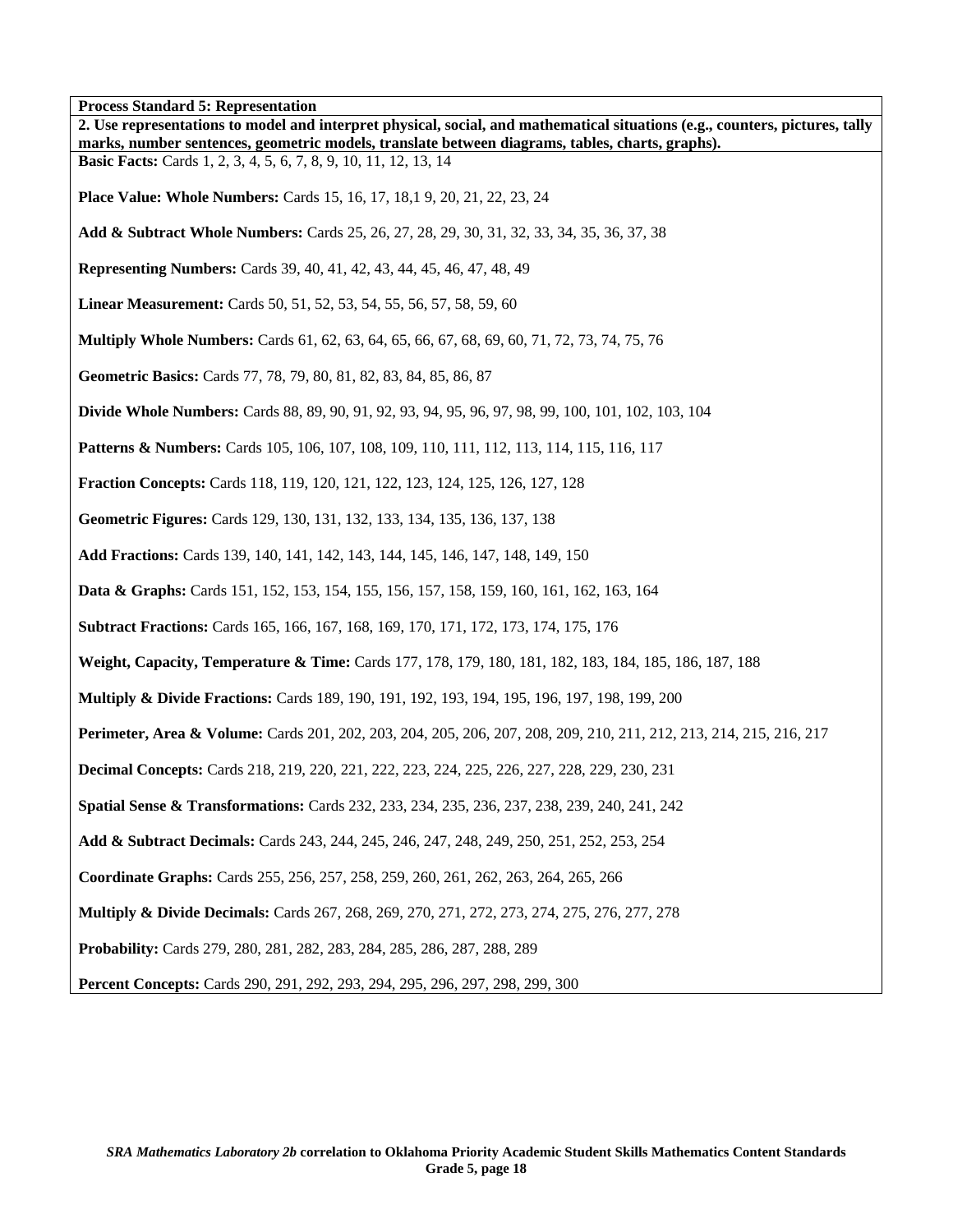**Process Standard 5: Representation** 

| Trocess Standard S. Representation<br>2. Use representations to model and interpret physical, social, and mathematical situations (e.g., counters, pictures, tally<br>marks, number sentences, geometric models, translate between diagrams, tables, charts, graphs). |
|-----------------------------------------------------------------------------------------------------------------------------------------------------------------------------------------------------------------------------------------------------------------------|
| <b>Basic Facts:</b> Cards 1, 2, 3, 4, 5, 6, 7, 8, 9, 10, 11, 12, 13, 14                                                                                                                                                                                               |
| <b>Place Value: Whole Numbers:</b> Cards 15, 16, 17, 18, 19, 20, 21, 22, 23, 24                                                                                                                                                                                       |
| Add & Subtract Whole Numbers: Cards 25, 26, 27, 28, 29, 30, 31, 32, 33, 34, 35, 36, 37, 38                                                                                                                                                                            |
| <b>Representing Numbers:</b> Cards 39, 40, 41, 42, 43, 44, 45, 46, 47, 48, 49                                                                                                                                                                                         |
| <b>Linear Measurement:</b> Cards 50, 51, 52, 53, 54, 55, 56, 57, 58, 59, 60                                                                                                                                                                                           |
| <b>Multiply Whole Numbers:</b> Cards 61, 62, 63, 64, 65, 66, 67, 68, 69, 60, 71, 72, 73, 74, 75, 76                                                                                                                                                                   |
| Geometric Basics: Cards 77, 78, 79, 80, 81, 82, 83, 84, 85, 86, 87                                                                                                                                                                                                    |
| <b>Divide Whole Numbers:</b> Cards 88, 89, 90, 91, 92, 93, 94, 95, 96, 97, 98, 99, 100, 101, 102, 103, 104                                                                                                                                                            |
| <b>Patterns &amp; Numbers:</b> Cards 105, 106, 107, 108, 109, 110, 111, 112, 113, 114, 115, 116, 117                                                                                                                                                                  |
| <b>Fraction Concepts:</b> Cards 118, 119, 120, 121, 122, 123, 124, 125, 126, 127, 128                                                                                                                                                                                 |
| Geometric Figures: Cards 129, 130, 131, 132, 133, 134, 135, 136, 137, 138                                                                                                                                                                                             |
| Add Fractions: Cards 139, 140, 141, 142, 143, 144, 145, 146, 147, 148, 149, 150                                                                                                                                                                                       |
| <b>Data &amp; Graphs:</b> Cards 151, 152, 153, 154, 155, 156, 157, 158, 159, 160, 161, 162, 163, 164                                                                                                                                                                  |
| <b>Subtract Fractions:</b> Cards 165, 166, 167, 168, 169, 170, 171, 172, 173, 174, 175, 176                                                                                                                                                                           |
| Weight, Capacity, Temperature & Time: Cards 177, 178, 179, 180, 181, 182, 183, 184, 185, 186, 187, 188                                                                                                                                                                |
| <b>Multiply &amp; Divide Fractions:</b> Cards 189, 190, 191, 192, 193, 194, 195, 196, 197, 198, 199, 200                                                                                                                                                              |
| Perimeter, Area & Volume: Cards 201, 202, 203, 204, 205, 206, 207, 208, 209, 210, 211, 212, 213, 214, 215, 216, 217                                                                                                                                                   |
| <b>Decimal Concepts:</b> Cards 218, 219, 220, 221, 222, 223, 224, 225, 226, 227, 228, 229, 230, 231                                                                                                                                                                   |
| Spatial Sense & Transformations: Cards 232, 233, 234, 235, 236, 237, 238, 239, 240, 241, 242                                                                                                                                                                          |
| Add & Subtract Decimals: Cards 243, 244, 245, 246, 247, 248, 249, 250, 251, 252, 253, 254                                                                                                                                                                             |
| Coordinate Graphs: Cards 255, 256, 257, 258, 259, 260, 261, 262, 263, 264, 265, 266                                                                                                                                                                                   |
| <b>Multiply &amp; Divide Decimals:</b> Cards 267, 268, 269, 270, 271, 272, 273, 274, 275, 276, 277, 278                                                                                                                                                               |
| Probability: Cards 279, 280, 281, 282, 283, 284, 285, 286, 287, 288, 289                                                                                                                                                                                              |
| Percent Concepts: Cards 290, 291, 292, 293, 294, 295, 296, 297, 298, 299, 300                                                                                                                                                                                         |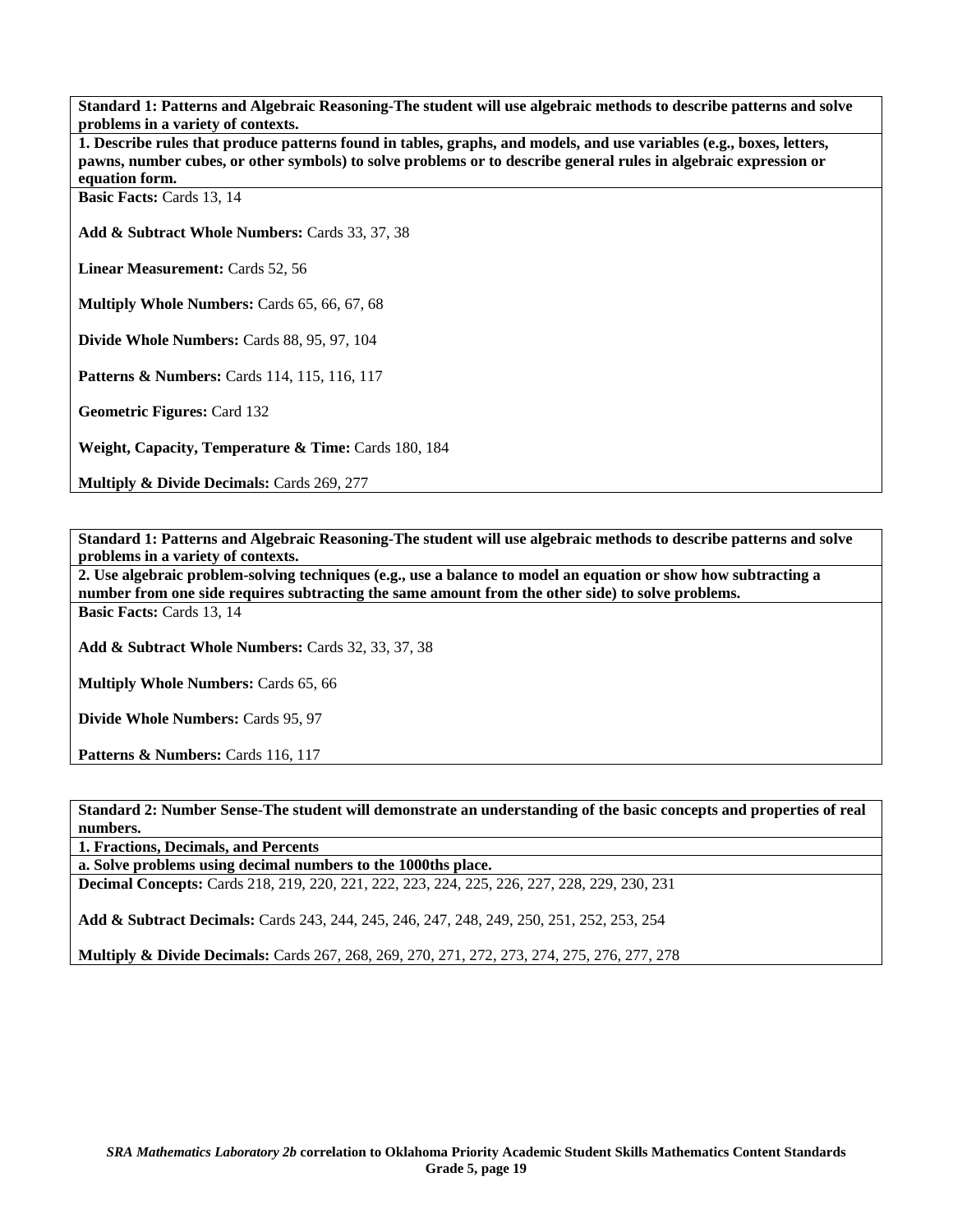**Standard 1: Patterns and Algebraic Reasoning-The student will use algebraic methods to describe patterns and solve problems in a variety of contexts.** 

**1. Describe rules that produce patterns found in tables, graphs, and models, and use variables (e.g., boxes, letters, pawns, number cubes, or other symbols) to solve problems or to describe general rules in algebraic expression or equation form.** 

Basic Facts: Cards 13, 14

**Add & Subtract Whole Numbers:** Cards 33, 37, 38

**Linear Measurement:** Cards 52, 56

**Multiply Whole Numbers:** Cards 65, 66, 67, 68

**Divide Whole Numbers:** Cards 88, 95, 97, 104

**Patterns & Numbers:** Cards 114, 115, 116, 117

**Geometric Figures:** Card 132

**Weight, Capacity, Temperature & Time: Cards 180, 184** 

**Multiply & Divide Decimals: Cards 269, 277** 

**Standard 1: Patterns and Algebraic Reasoning-The student will use algebraic methods to describe patterns and solve problems in a variety of contexts.** 

**2. Use algebraic problem-solving techniques (e.g., use a balance to model an equation or show how subtracting a number from one side requires subtracting the same amount from the other side) to solve problems. Basic Facts:** Cards 13, 14

**Add & Subtract Whole Numbers:** Cards 32, 33, 37, 38

**Multiply Whole Numbers:** Cards 65, 66

**Divide Whole Numbers:** Cards 95, 97

Patterns & Numbers: Cards 116, 117

**Standard 2: Number Sense-The student will demonstrate an understanding of the basic concepts and properties of real numbers.** 

**1. Fractions, Decimals, and Percents** 

**a. Solve problems using decimal numbers to the 1000ths place.** 

**Decimal Concepts:** Cards 218, 219, 220, 221, 222, 223, 224, 225, 226, 227, 228, 229, 230, 231

**Add & Subtract Decimals:** Cards 243, 244, 245, 246, 247, 248, 249, 250, 251, 252, 253, 254

**Multiply & Divide Decimals:** Cards 267, 268, 269, 270, 271, 272, 273, 274, 275, 276, 277, 278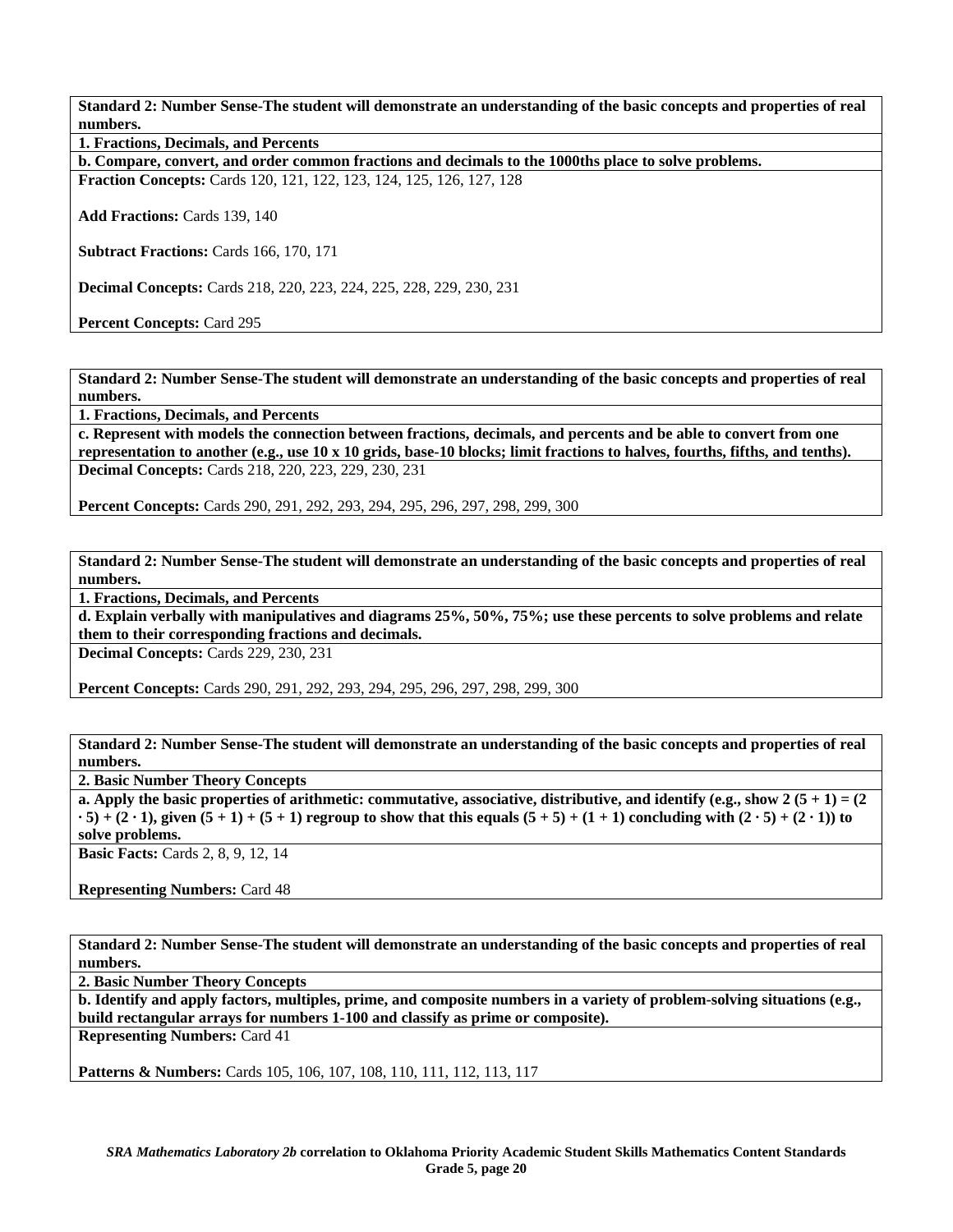**Standard 2: Number Sense-The student will demonstrate an understanding of the basic concepts and properties of real numbers.** 

**1. Fractions, Decimals, and Percents** 

**b. Compare, convert, and order common fractions and decimals to the 1000ths place to solve problems.** 

**Fraction Concepts:** Cards 120, 121, 122, 123, 124, 125, 126, 127, 128

**Add Fractions:** Cards 139, 140

**Subtract Fractions:** Cards 166, 170, 171

**Decimal Concepts:** Cards 218, 220, 223, 224, 225, 228, 229, 230, 231

**Percent Concepts:** Card 295

**Standard 2: Number Sense-The student will demonstrate an understanding of the basic concepts and properties of real numbers.** 

**1. Fractions, Decimals, and Percents** 

**c. Represent with models the connection between fractions, decimals, and percents and be able to convert from one representation to another (e.g., use 10 x 10 grids, base-10 blocks; limit fractions to halves, fourths, fifths, and tenths). Decimal Concepts:** Cards 218, 220, 223, 229, 230, 231

**Percent Concepts:** Cards 290, 291, 292, 293, 294, 295, 296, 297, 298, 299, 300

**Standard 2: Number Sense-The student will demonstrate an understanding of the basic concepts and properties of real numbers.** 

**1. Fractions, Decimals, and Percents** 

**d. Explain verbally with manipulatives and diagrams 25%, 50%, 75%; use these percents to solve problems and relate them to their corresponding fractions and decimals.** 

**Decimal Concepts:** Cards 229, 230, 231

**Percent Concepts:** Cards 290, 291, 292, 293, 294, 295, 296, 297, 298, 299, 300

**Standard 2: Number Sense-The student will demonstrate an understanding of the basic concepts and properties of real numbers.** 

**2. Basic Number Theory Concepts** 

**a. Apply the basic properties of arithmetic: commutative, associative, distributive, and identify (e.g., show 2 (5 + 1) = (2**  $\cdot$  5) + (2  $\cdot$  1), given (5 + 1) + (5 + 1) regroup to show that this equals (5 + 5) + (1 + 1) concluding with (2  $\cdot$  5) + (2  $\cdot$  1)) to **solve problems.** 

**Basic Facts: Cards 2, 8, 9, 12, 14** 

**Representing Numbers:** Card 48

**Standard 2: Number Sense-The student will demonstrate an understanding of the basic concepts and properties of real numbers.** 

**2. Basic Number Theory Concepts** 

**b. Identify and apply factors, multiples, prime, and composite numbers in a variety of problem-solving situations (e.g., build rectangular arrays for numbers 1-100 and classify as prime or composite). Representing Numbers:** Card 41

**Patterns & Numbers:** Cards 105, 106, 107, 108, 110, 111, 112, 113, 117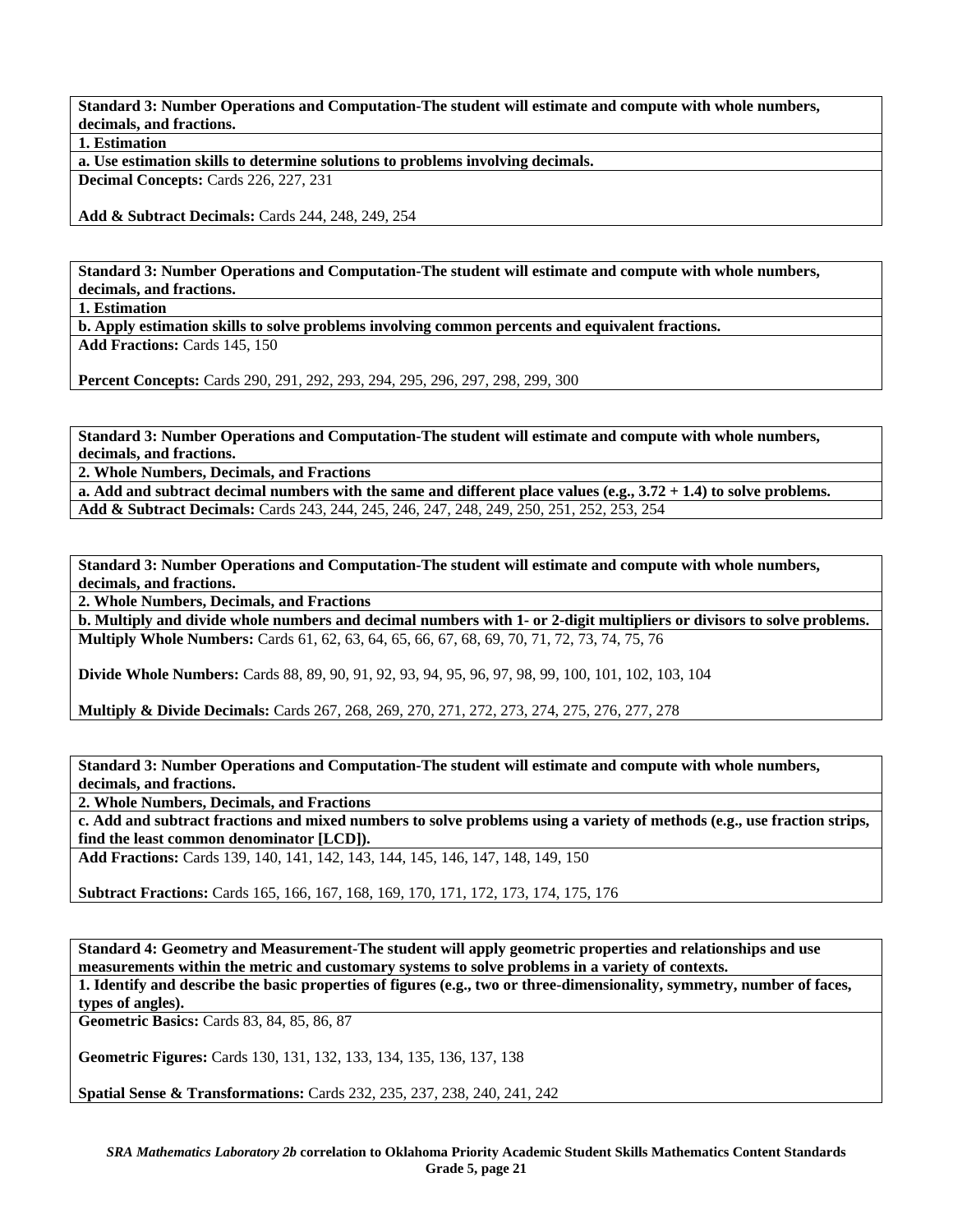**Standard 3: Number Operations and Computation-The student will estimate and compute with whole numbers, decimals, and fractions.** 

**1. Estimation** 

**a. Use estimation skills to determine solutions to problems involving decimals.** 

**Decimal Concepts:** Cards 226, 227, 231

**Add & Subtract Decimals:** Cards 244, 248, 249, 254

**Standard 3: Number Operations and Computation-The student will estimate and compute with whole numbers, decimals, and fractions.** 

**1. Estimation** 

**b. Apply estimation skills to solve problems involving common percents and equivalent fractions.** 

**Add Fractions:** Cards 145, 150

**Percent Concepts:** Cards 290, 291, 292, 293, 294, 295, 296, 297, 298, 299, 300

**Standard 3: Number Operations and Computation-The student will estimate and compute with whole numbers, decimals, and fractions.** 

**2. Whole Numbers, Decimals, and Fractions** 

**a. Add and subtract decimal numbers with the same and different place values (e.g., 3.72 + 1.4) to solve problems. Add & Subtract Decimals:** Cards 243, 244, 245, 246, 247, 248, 249, 250, 251, 252, 253, 254

**Standard 3: Number Operations and Computation-The student will estimate and compute with whole numbers, decimals, and fractions.** 

**2. Whole Numbers, Decimals, and Fractions** 

**b. Multiply and divide whole numbers and decimal numbers with 1- or 2-digit multipliers or divisors to solve problems. Multiply Whole Numbers:** Cards 61, 62, 63, 64, 65, 66, 67, 68, 69, 70, 71, 72, 73, 74, 75, 76

**Divide Whole Numbers:** Cards 88, 89, 90, 91, 92, 93, 94, 95, 96, 97, 98, 99, 100, 101, 102, 103, 104

**Multiply & Divide Decimals:** Cards 267, 268, 269, 270, 271, 272, 273, 274, 275, 276, 277, 278

**Standard 3: Number Operations and Computation-The student will estimate and compute with whole numbers, decimals, and fractions.** 

**2. Whole Numbers, Decimals, and Fractions** 

**c. Add and subtract fractions and mixed numbers to solve problems using a variety of methods (e.g., use fraction strips, find the least common denominator [LCD]).** 

**Add Fractions:** Cards 139, 140, 141, 142, 143, 144, 145, 146, 147, 148, 149, 150

**Subtract Fractions:** Cards 165, 166, 167, 168, 169, 170, 171, 172, 173, 174, 175, 176

**Standard 4: Geometry and Measurement-The student will apply geometric properties and relationships and use measurements within the metric and customary systems to solve problems in a variety of contexts. 1. Identify and describe the basic properties of figures (e.g., two or three-dimensionality, symmetry, number of faces, types of angles).** 

**Geometric Basics:** Cards 83, 84, 85, 86, 87

**Geometric Figures:** Cards 130, 131, 132, 133, 134, 135, 136, 137, 138

**Spatial Sense & Transformations:** Cards 232, 235, 237, 238, 240, 241, 242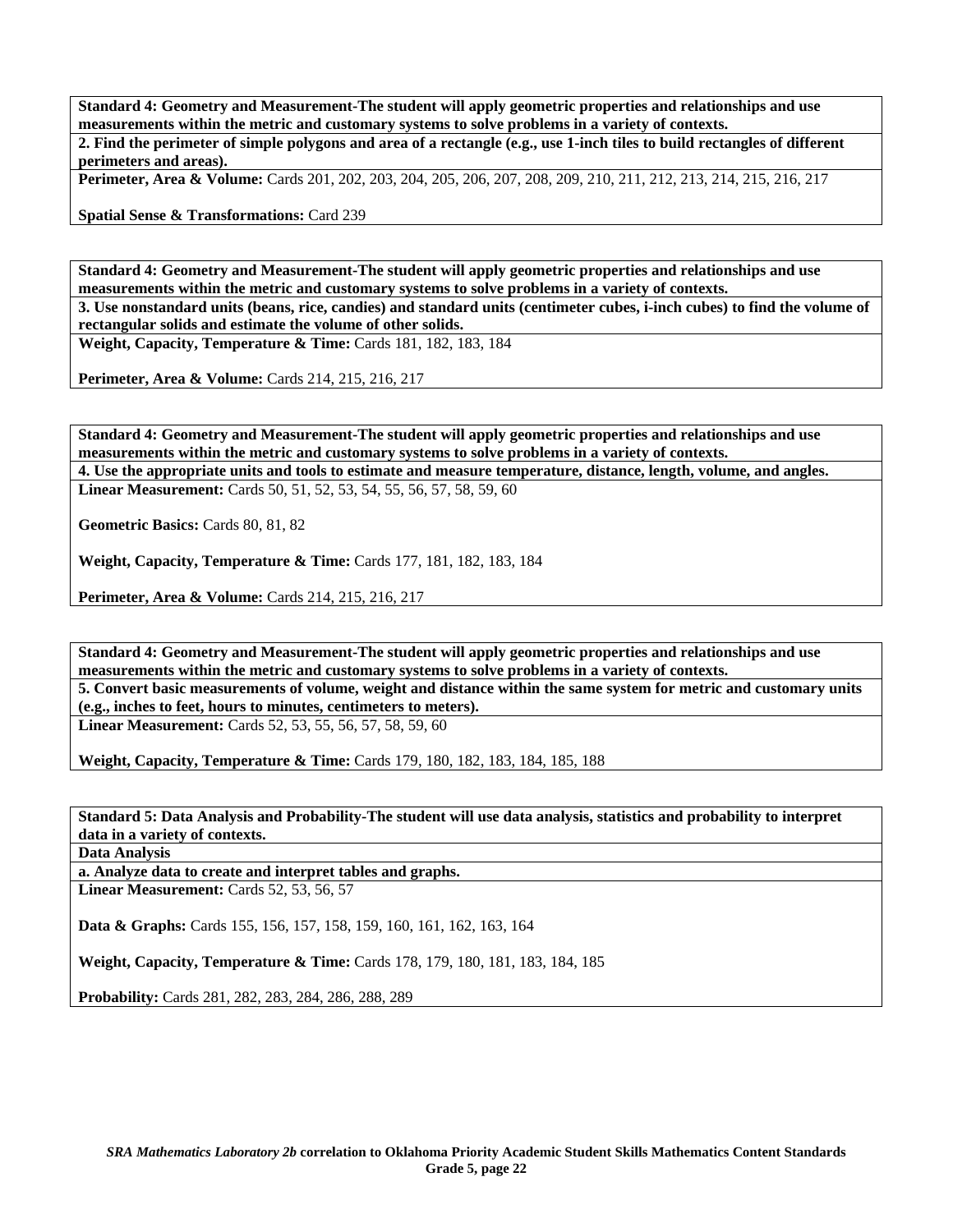**Standard 4: Geometry and Measurement-The student will apply geometric properties and relationships and use measurements within the metric and customary systems to solve problems in a variety of contexts. 2. Find the perimeter of simple polygons and area of a rectangle (e.g., use 1-inch tiles to build rectangles of different** 

**perimeters and areas).** 

**Perimeter, Area & Volume:** Cards 201, 202, 203, 204, 205, 206, 207, 208, 209, 210, 211, 212, 213, 214, 215, 216, 217

**Spatial Sense & Transformations:** Card 239

**Standard 4: Geometry and Measurement-The student will apply geometric properties and relationships and use measurements within the metric and customary systems to solve problems in a variety of contexts.** 

**3. Use nonstandard units (beans, rice, candies) and standard units (centimeter cubes, i-inch cubes) to find the volume of rectangular solids and estimate the volume of other solids.** 

**Weight, Capacity, Temperature & Time:** Cards 181, 182, 183, 184

**Perimeter, Area & Volume:** Cards 214, 215, 216, 217

**Standard 4: Geometry and Measurement-The student will apply geometric properties and relationships and use measurements within the metric and customary systems to solve problems in a variety of contexts. 4. Use the appropriate units and tools to estimate and measure temperature, distance, length, volume, and angles. Linear Measurement:** Cards 50, 51, 52, 53, 54, 55, 56, 57, 58, 59, 60

**Geometric Basics:** Cards 80, 81, 82

**Weight, Capacity, Temperature & Time: Cards 177, 181, 182, 183, 184** 

**Perimeter, Area & Volume:** Cards 214, 215, 216, 217

**Standard 4: Geometry and Measurement-The student will apply geometric properties and relationships and use measurements within the metric and customary systems to solve problems in a variety of contexts.** 

**5. Convert basic measurements of volume, weight and distance within the same system for metric and customary units (e.g., inches to feet, hours to minutes, centimeters to meters).** 

**Linear Measurement:** Cards 52, 53, 55, 56, 57, 58, 59, 60

**Weight, Capacity, Temperature & Time:** Cards 179, 180, 182, 183, 184, 185, 188

**Standard 5: Data Analysis and Probability-The student will use data analysis, statistics and probability to interpret data in a variety of contexts.** 

**Data Analysis** 

**a. Analyze data to create and interpret tables and graphs.** 

**Linear Measurement:** Cards 52, 53, 56, 57

**Data & Graphs:** Cards 155, 156, 157, 158, 159, 160, 161, 162, 163, 164

**Weight, Capacity, Temperature & Time:** Cards 178, 179, 180, 181, 183, 184, 185

**Probability:** Cards 281, 282, 283, 284, 286, 288, 289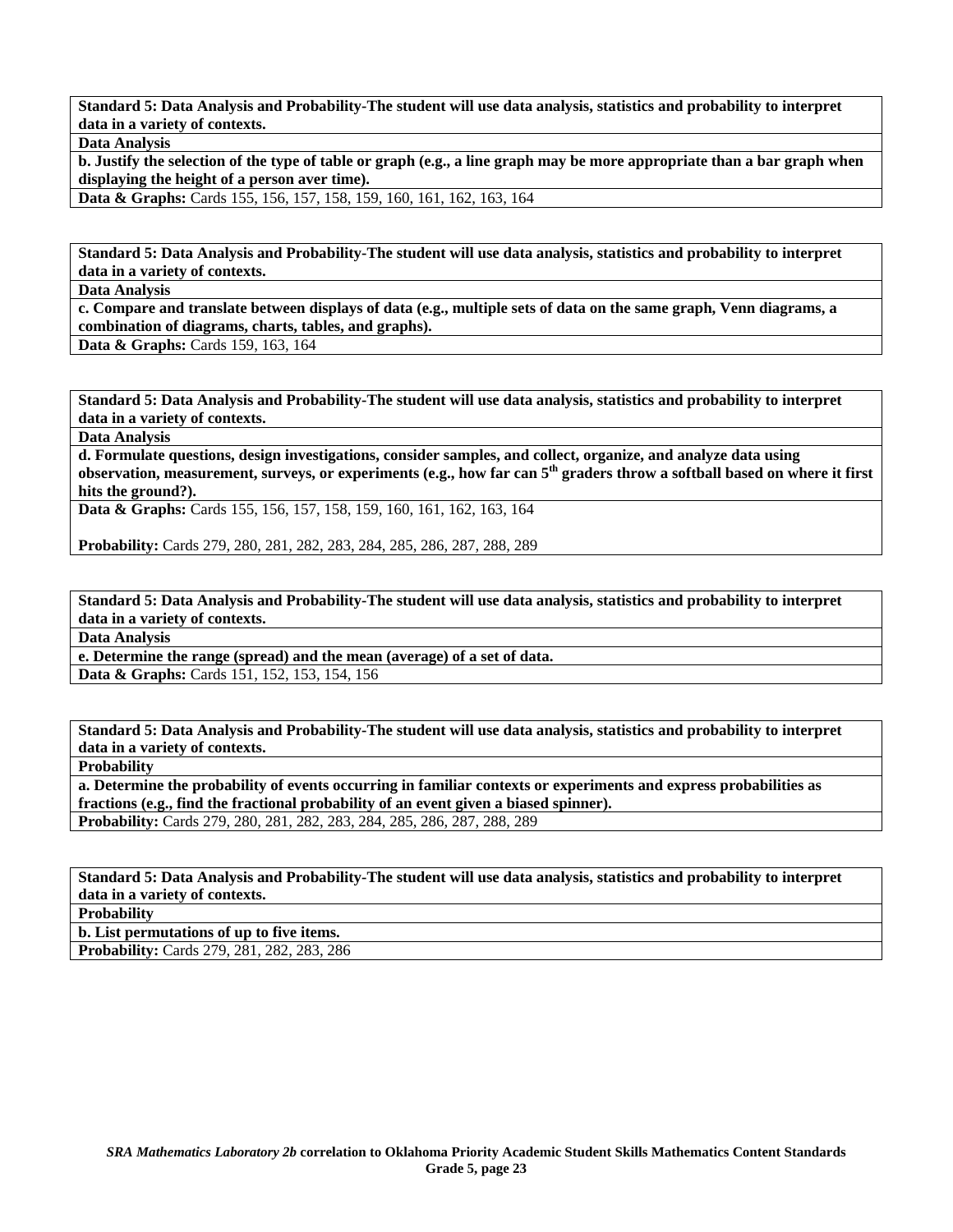**Standard 5: Data Analysis and Probability-The student will use data analysis, statistics and probability to interpret data in a variety of contexts.** 

**Data Analysis** 

**b. Justify the selection of the type of table or graph (e.g., a line graph may be more appropriate than a bar graph when displaying the height of a person aver time).** 

**Data & Graphs:** Cards 155, 156, 157, 158, 159, 160, 161, 162, 163, 164

**Standard 5: Data Analysis and Probability-The student will use data analysis, statistics and probability to interpret data in a variety of contexts.** 

**Data Analysis** 

**c. Compare and translate between displays of data (e.g., multiple sets of data on the same graph, Venn diagrams, a combination of diagrams, charts, tables, and graphs).** 

**Data & Graphs:** Cards 159, 163, 164

**Standard 5: Data Analysis and Probability-The student will use data analysis, statistics and probability to interpret data in a variety of contexts.** 

**Data Analysis** 

**d. Formulate questions, design investigations, consider samples, and collect, organize, and analyze data using observation, measurement, surveys, or experiments (e.g., how far can 5th graders throw a softball based on where it first hits the ground?).** 

**Data & Graphs:** Cards 155, 156, 157, 158, 159, 160, 161, 162, 163, 164

**Probability:** Cards 279, 280, 281, 282, 283, 284, 285, 286, 287, 288, 289

**Standard 5: Data Analysis and Probability-The student will use data analysis, statistics and probability to interpret data in a variety of contexts.** 

**Data Analysis** 

**e. Determine the range (spread) and the mean (average) of a set of data. Data & Graphs:** Cards 151, 152, 153, 154, 156

**Standard 5: Data Analysis and Probability-The student will use data analysis, statistics and probability to interpret data in a variety of contexts.** 

**Probability** 

**a. Determine the probability of events occurring in familiar contexts or experiments and express probabilities as fractions (e.g., find the fractional probability of an event given a biased spinner). Probability:** Cards 279, 280, 281, 282, 283, 284, 285, 286, 287, 288, 289

**Standard 5: Data Analysis and Probability-The student will use data analysis, statistics and probability to interpret data in a variety of contexts.** 

**Probability** 

**b. List permutations of up to five items.** 

**Probability:** Cards 279, 281, 282, 283, 286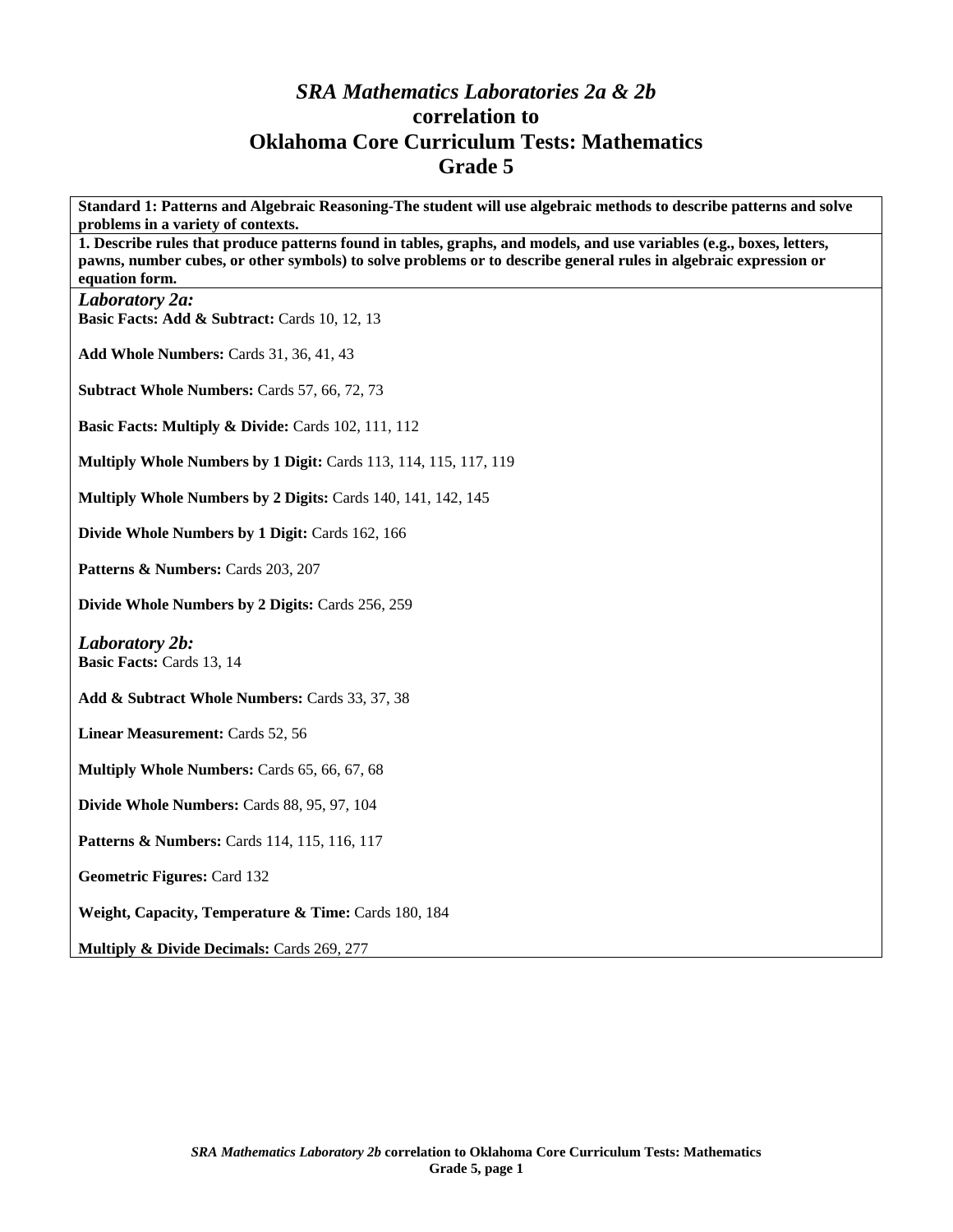## *SRA Mathematics Laboratories 2a & 2b*  **correlation to Oklahoma Core Curriculum Tests: Mathematics Grade 5**

**Standard 1: Patterns and Algebraic Reasoning-The student will use algebraic methods to describe patterns and solve problems in a variety of contexts. 1. Describe rules that produce patterns found in tables, graphs, and models, and use variables (e.g., boxes, letters, pawns, number cubes, or other symbols) to solve problems or to describe general rules in algebraic expression or equation form.**  *Laboratory 2a:*  Basic Facts: Add & Subtract: Cards 10, 12, 13 **Add Whole Numbers:** Cards 31, 36, 41, 43 **Subtract Whole Numbers:** Cards 57, 66, 72, 73 **Basic Facts: Multiply & Divide: Cards 102, 111, 112 Multiply Whole Numbers by 1 Digit:** Cards 113, 114, 115, 117, 119 **Multiply Whole Numbers by 2 Digits: Cards 140, 141, 142, 145 Divide Whole Numbers by 1 Digit:** Cards 162, 166 Patterns & Numbers: Cards 203, 207 **Divide Whole Numbers by 2 Digits:** Cards 256, 259 *Laboratory 2b:*  **Basic Facts:** Cards 13, 14 **Add & Subtract Whole Numbers:** Cards 33, 37, 38 **Linear Measurement:** Cards 52, 56 **Multiply Whole Numbers:** Cards 65, 66, 67, 68 **Divide Whole Numbers:** Cards 88, 95, 97, 104 **Patterns & Numbers:** Cards 114, 115, 116, 117 **Geometric Figures:** Card 132 Weight, Capacity, Temperature & Time: Cards 180, 184 **Multiply & Divide Decimals:** Cards 269, 277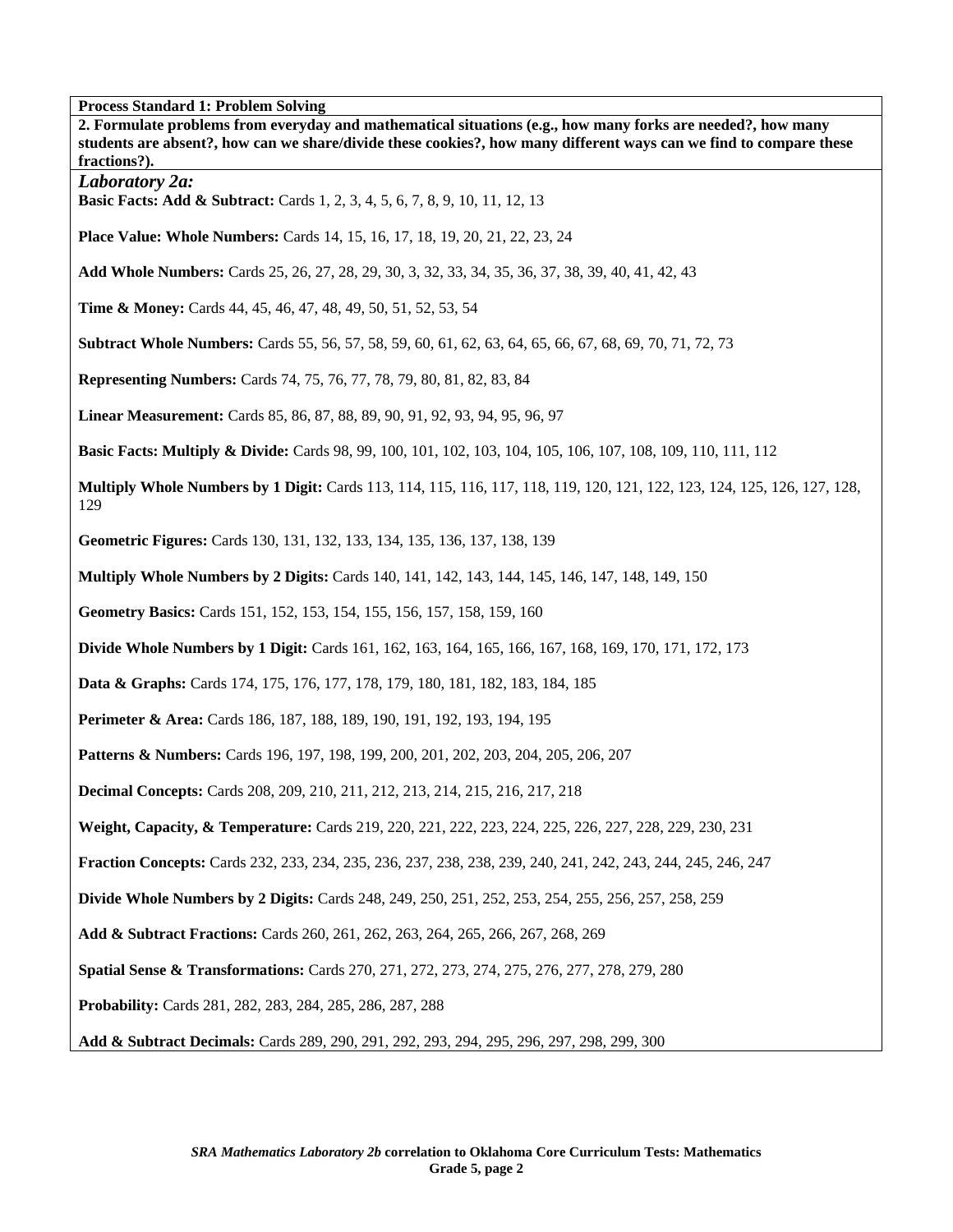**Process Standard 1: Problem Solving** 

| 1100000 Dianuaru 1: 110010m Dorving<br>2. Formulate problems from everyday and mathematical situations (e.g., how many forks are needed?, how many<br>students are absent?, how can we share/divide these cookies?, how many different ways can we find to compare these<br>fractions?). |
|------------------------------------------------------------------------------------------------------------------------------------------------------------------------------------------------------------------------------------------------------------------------------------------|
| Laboratory 2a:<br>Basic Facts: Add & Subtract: Cards 1, 2, 3, 4, 5, 6, 7, 8, 9, 10, 11, 12, 13                                                                                                                                                                                           |
| <b>Place Value: Whole Numbers:</b> Cards 14, 15, 16, 17, 18, 19, 20, 21, 22, 23, 24                                                                                                                                                                                                      |
| Add Whole Numbers: Cards 25, 26, 27, 28, 29, 30, 3, 32, 33, 34, 35, 36, 37, 38, 39, 40, 41, 42, 43                                                                                                                                                                                       |
| Time & Money: Cards 44, 45, 46, 47, 48, 49, 50, 51, 52, 53, 54                                                                                                                                                                                                                           |
| <b>Subtract Whole Numbers:</b> Cards 55, 56, 57, 58, 59, 60, 61, 62, 63, 64, 65, 66, 67, 68, 69, 70, 71, 72, 73                                                                                                                                                                          |
| <b>Representing Numbers:</b> Cards 74, 75, 76, 77, 78, 79, 80, 81, 82, 83, 84                                                                                                                                                                                                            |
| Linear Measurement: Cards 85, 86, 87, 88, 89, 90, 91, 92, 93, 94, 95, 96, 97                                                                                                                                                                                                             |
| <b>Basic Facts: Multiply &amp; Divide:</b> Cards 98, 99, 100, 101, 102, 103, 104, 105, 106, 107, 108, 109, 110, 111, 112                                                                                                                                                                 |
| Multiply Whole Numbers by 1 Digit: Cards 113, 114, 115, 116, 117, 118, 119, 120, 121, 122, 123, 124, 125, 126, 127, 128,<br>129                                                                                                                                                          |
| Geometric Figures: Cards 130, 131, 132, 133, 134, 135, 136, 137, 138, 139                                                                                                                                                                                                                |
| <b>Multiply Whole Numbers by 2 Digits:</b> Cards 140, 141, 142, 143, 144, 145, 146, 147, 148, 149, 150                                                                                                                                                                                   |
| Geometry Basics: Cards 151, 152, 153, 154, 155, 156, 157, 158, 159, 160                                                                                                                                                                                                                  |
| Divide Whole Numbers by 1 Digit: Cards 161, 162, 163, 164, 165, 166, 167, 168, 169, 170, 171, 172, 173                                                                                                                                                                                   |
| Data & Graphs: Cards 174, 175, 176, 177, 178, 179, 180, 181, 182, 183, 184, 185                                                                                                                                                                                                          |
| Perimeter & Area: Cards 186, 187, 188, 189, 190, 191, 192, 193, 194, 195                                                                                                                                                                                                                 |
| Patterns & Numbers: Cards 196, 197, 198, 199, 200, 201, 202, 203, 204, 205, 206, 207                                                                                                                                                                                                     |
| <b>Decimal Concepts:</b> Cards 208, 209, 210, 211, 212, 213, 214, 215, 216, 217, 218                                                                                                                                                                                                     |
| Weight, Capacity, & Temperature: Cards 219, 220, 221, 222, 223, 224, 225, 226, 227, 228, 229, 230, 231                                                                                                                                                                                   |
| Fraction Concepts: Cards 232, 233, 234, 235, 236, 237, 238, 238, 239, 240, 241, 242, 243, 244, 245, 246, 247                                                                                                                                                                             |
| <b>Divide Whole Numbers by 2 Digits:</b> Cards 248, 249, 250, 251, 252, 253, 254, 255, 256, 257, 258, 259                                                                                                                                                                                |
| Add & Subtract Fractions: Cards 260, 261, 262, 263, 264, 265, 266, 267, 268, 269                                                                                                                                                                                                         |
| Spatial Sense & Transformations: Cards 270, 271, 272, 273, 274, 275, 276, 277, 278, 279, 280                                                                                                                                                                                             |
| <b>Probability:</b> Cards 281, 282, 283, 284, 285, 286, 287, 288                                                                                                                                                                                                                         |
| Add & Subtract Decimals: Cards 289, 290, 291, 292, 293, 294, 295, 296, 297, 298, 299, 300                                                                                                                                                                                                |

׀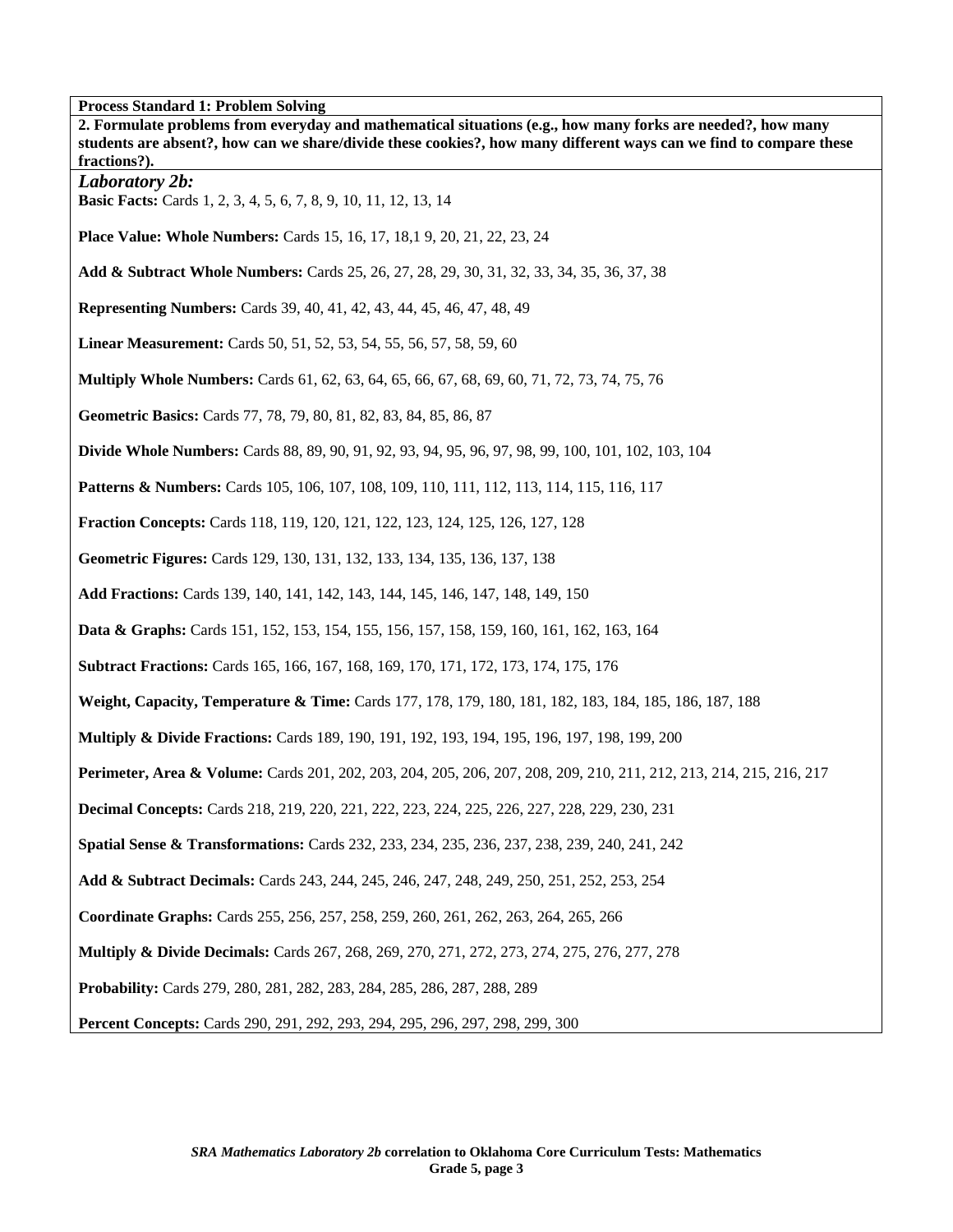**Process Standard 1: Problem Solving** 

| 2. Formulate problems from everyday and mathematical situations (e.g., how many forks are needed?, how many<br>students are absent?, how can we share/divide these cookies?, how many different ways can we find to compare these<br>fractions?). |
|---------------------------------------------------------------------------------------------------------------------------------------------------------------------------------------------------------------------------------------------------|
| <b>Laboratory 2b:</b><br>Basic Facts: Cards 1, 2, 3, 4, 5, 6, 7, 8, 9, 10, 11, 12, 13, 14                                                                                                                                                         |
| <b>Place Value: Whole Numbers:</b> Cards 15, 16, 17, 18, 19, 20, 21, 22, 23, 24                                                                                                                                                                   |
| Add & Subtract Whole Numbers: Cards 25, 26, 27, 28, 29, 30, 31, 32, 33, 34, 35, 36, 37, 38                                                                                                                                                        |
| <b>Representing Numbers:</b> Cards 39, 40, 41, 42, 43, 44, 45, 46, 47, 48, 49                                                                                                                                                                     |
| Linear Measurement: Cards 50, 51, 52, 53, 54, 55, 56, 57, 58, 59, 60                                                                                                                                                                              |
| <b>Multiply Whole Numbers:</b> Cards 61, 62, 63, 64, 65, 66, 67, 68, 69, 60, 71, 72, 73, 74, 75, 76                                                                                                                                               |
| Geometric Basics: Cards 77, 78, 79, 80, 81, 82, 83, 84, 85, 86, 87                                                                                                                                                                                |
| Divide Whole Numbers: Cards 88, 89, 90, 91, 92, 93, 94, 95, 96, 97, 98, 99, 100, 101, 102, 103, 104                                                                                                                                               |
| <b>Patterns &amp; Numbers:</b> Cards 105, 106, 107, 108, 109, 110, 111, 112, 113, 114, 115, 116, 117                                                                                                                                              |
| <b>Fraction Concepts:</b> Cards 118, 119, 120, 121, 122, 123, 124, 125, 126, 127, 128                                                                                                                                                             |
| Geometric Figures: Cards 129, 130, 131, 132, 133, 134, 135, 136, 137, 138                                                                                                                                                                         |
| Add Fractions: Cards 139, 140, 141, 142, 143, 144, 145, 146, 147, 148, 149, 150                                                                                                                                                                   |
| <b>Data &amp; Graphs:</b> Cards 151, 152, 153, 154, 155, 156, 157, 158, 159, 160, 161, 162, 163, 164                                                                                                                                              |
| <b>Subtract Fractions:</b> Cards 165, 166, 167, 168, 169, 170, 171, 172, 173, 174, 175, 176                                                                                                                                                       |
| Weight, Capacity, Temperature & Time: Cards 177, 178, 179, 180, 181, 182, 183, 184, 185, 186, 187, 188                                                                                                                                            |
| <b>Multiply &amp; Divide Fractions:</b> Cards 189, 190, 191, 192, 193, 194, 195, 196, 197, 198, 199, 200                                                                                                                                          |
| Perimeter, Area & Volume: Cards 201, 202, 203, 204, 205, 206, 207, 208, 209, 210, 211, 212, 213, 214, 215, 216, 217                                                                                                                               |
| <b>Decimal Concepts:</b> Cards 218, 219, 220, 221, 222, 223, 224, 225, 226, 227, 228, 229, 230, 231                                                                                                                                               |
| <b>Spatial Sense &amp; Transformations:</b> Cards 232, 233, 234, 235, 236, 237, 238, 239, 240, 241, 242                                                                                                                                           |
| Add & Subtract Decimals: Cards 243, 244, 245, 246, 247, 248, 249, 250, 251, 252, 253, 254                                                                                                                                                         |
| Coordinate Graphs: Cards 255, 256, 257, 258, 259, 260, 261, 262, 263, 264, 265, 266                                                                                                                                                               |
| <b>Multiply &amp; Divide Decimals:</b> Cards 267, 268, 269, 270, 271, 272, 273, 274, 275, 276, 277, 278                                                                                                                                           |
| Probability: Cards 279, 280, 281, 282, 283, 284, 285, 286, 287, 288, 289                                                                                                                                                                          |
| <b>Percent Concepts:</b> Cards 290, 291, 292, 293, 294, 295, 296, 297, 298, 299, 300                                                                                                                                                              |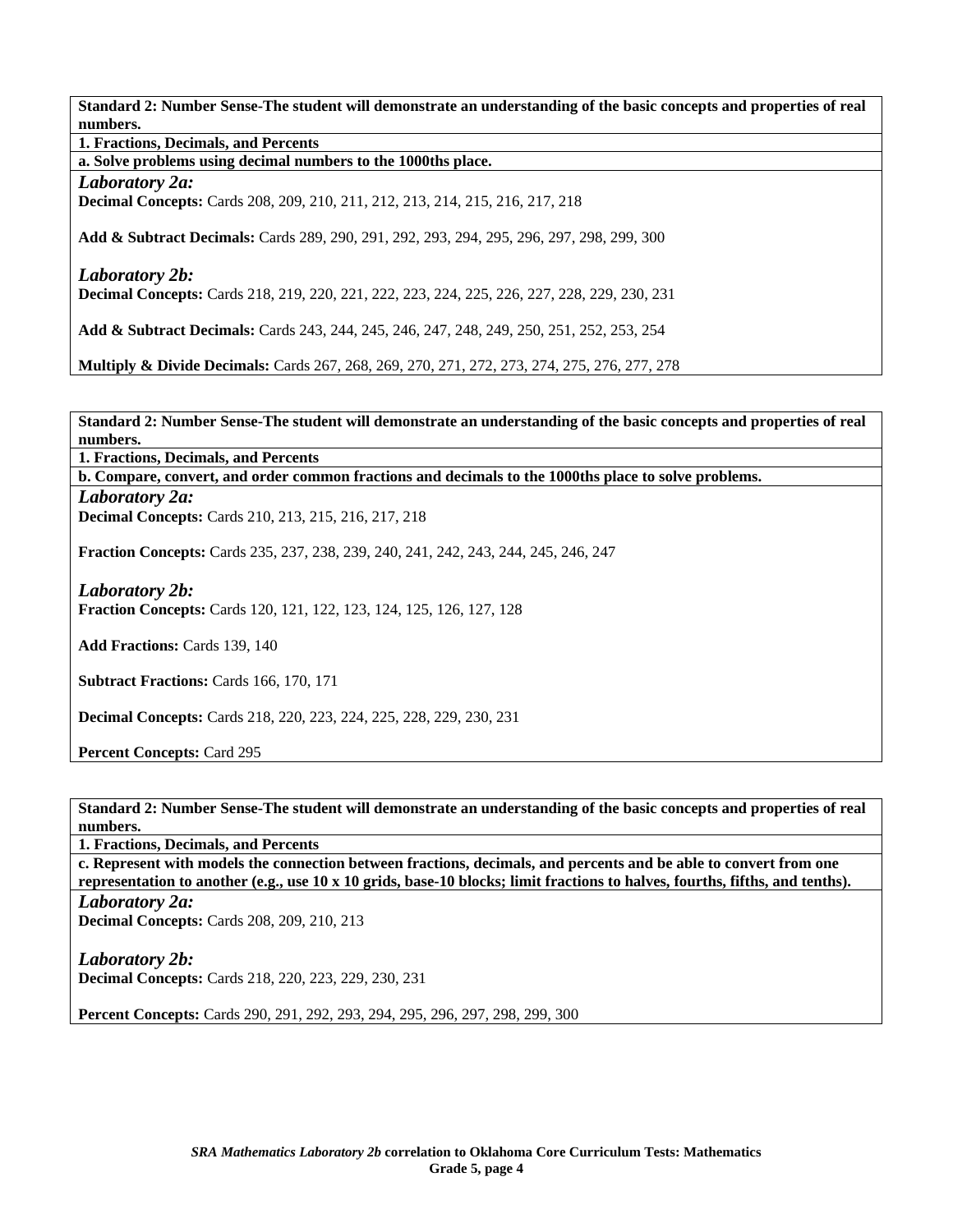**Standard 2: Number Sense-The student will demonstrate an understanding of the basic concepts and properties of real numbers.** 

**1. Fractions, Decimals, and Percents** 

**a. Solve problems using decimal numbers to the 1000ths place.** 

*Laboratory 2a:* 

**Decimal Concepts:** Cards 208, 209, 210, 211, 212, 213, 214, 215, 216, 217, 218

**Add & Subtract Decimals:** Cards 289, 290, 291, 292, 293, 294, 295, 296, 297, 298, 299, 300

*Laboratory 2b:* 

**Decimal Concepts:** Cards 218, 219, 220, 221, 222, 223, 224, 225, 226, 227, 228, 229, 230, 231

**Add & Subtract Decimals:** Cards 243, 244, 245, 246, 247, 248, 249, 250, 251, 252, 253, 254

**Multiply & Divide Decimals:** Cards 267, 268, 269, 270, 271, 272, 273, 274, 275, 276, 277, 278

**Standard 2: Number Sense-The student will demonstrate an understanding of the basic concepts and properties of real numbers.** 

**1. Fractions, Decimals, and Percents** 

**b. Compare, convert, and order common fractions and decimals to the 1000ths place to solve problems.** 

*Laboratory 2a:*  **Decimal Concepts:** Cards 210, 213, 215, 216, 217, 218

**Fraction Concepts:** Cards 235, 237, 238, 239, 240, 241, 242, 243, 244, 245, 246, 247

*Laboratory 2b:*  **Fraction Concepts:** Cards 120, 121, 122, 123, 124, 125, 126, 127, 128

**Add Fractions:** Cards 139, 140

**Subtract Fractions:** Cards 166, 170, 171

**Decimal Concepts:** Cards 218, 220, 223, 224, 225, 228, 229, 230, 231

**Percent Concepts:** Card 295

**Standard 2: Number Sense-The student will demonstrate an understanding of the basic concepts and properties of real numbers.** 

**1. Fractions, Decimals, and Percents** 

**c. Represent with models the connection between fractions, decimals, and percents and be able to convert from one representation to another (e.g., use 10 x 10 grids, base-10 blocks; limit fractions to halves, fourths, fifths, and tenths).** 

*Laboratory 2a:* 

**Decimal Concepts:** Cards 208, 209, 210, 213

*Laboratory 2b:*  **Decimal Concepts:** Cards 218, 220, 223, 229, 230, 231

**Percent Concepts:** Cards 290, 291, 292, 293, 294, 295, 296, 297, 298, 299, 300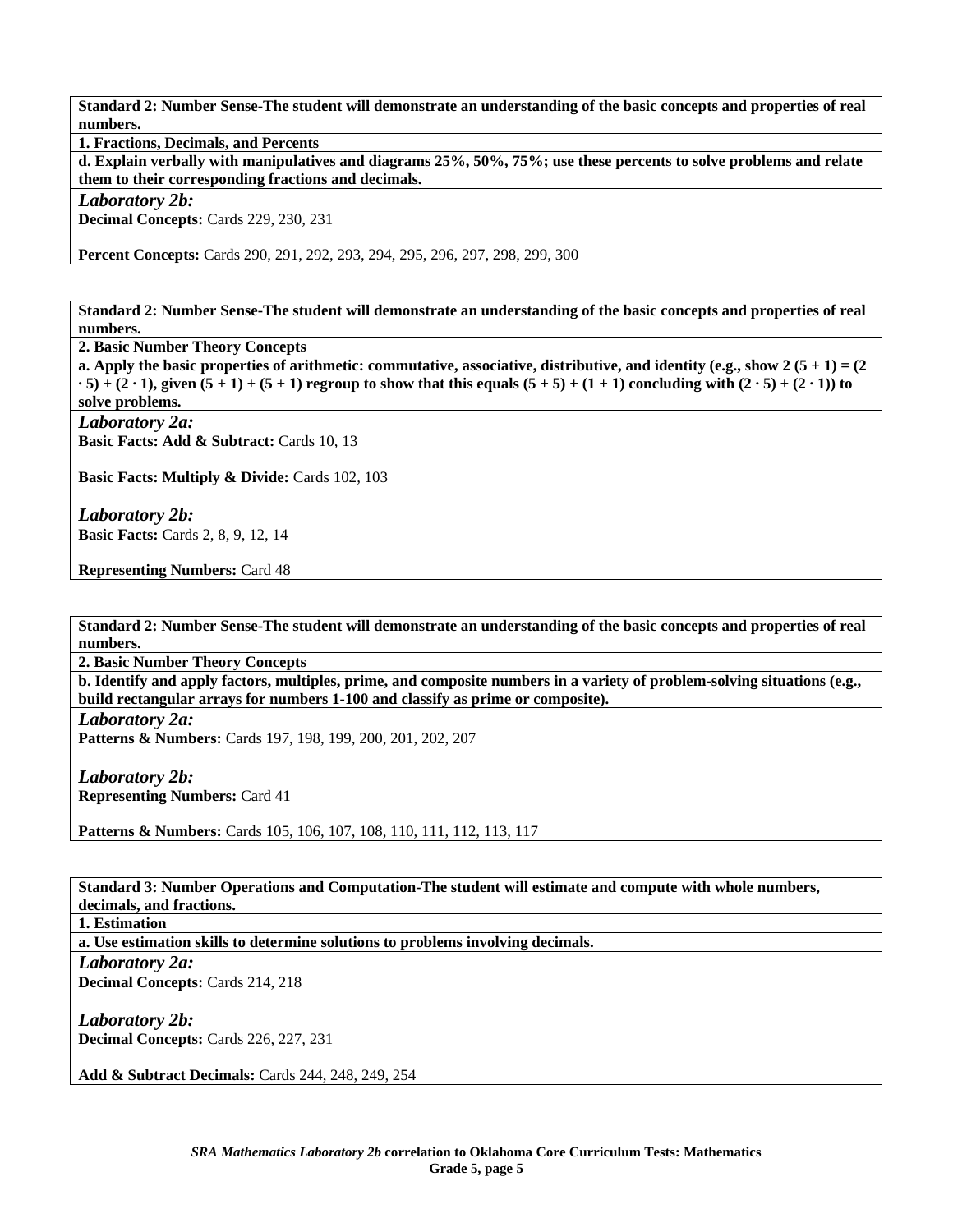**Standard 2: Number Sense-The student will demonstrate an understanding of the basic concepts and properties of real numbers.** 

**1. Fractions, Decimals, and Percents** 

**d. Explain verbally with manipulatives and diagrams 25%, 50%, 75%; use these percents to solve problems and relate them to their corresponding fractions and decimals.** 

*Laboratory 2b:* 

**Decimal Concepts:** Cards 229, 230, 231

**Percent Concepts:** Cards 290, 291, 292, 293, 294, 295, 296, 297, 298, 299, 300

**Standard 2: Number Sense-The student will demonstrate an understanding of the basic concepts and properties of real numbers.** 

**2. Basic Number Theory Concepts** 

**a. Apply the basic properties of arithmetic: commutative, associative, distributive, and identity (e.g., show 2 (5 + 1) = (2**  $\cdot$  5) + (2  $\cdot$  1), given (5 + 1) + (5 + 1) regroup to show that this equals (5 + 5) + (1 + 1) concluding with (2  $\cdot$  5) + (2  $\cdot$  1)) to **solve problems.** 

*Laboratory 2a:* 

**Basic Facts: Add & Subtract:** Cards 10, 13

Basic Facts: Multiply & Divide: Cards 102, 103

*Laboratory 2b:*  **Basic Facts:** Cards 2, 8, 9, 12, 14

**Representing Numbers:** Card 48

**Standard 2: Number Sense-The student will demonstrate an understanding of the basic concepts and properties of real numbers.** 

**2. Basic Number Theory Concepts** 

**b. Identify and apply factors, multiples, prime, and composite numbers in a variety of problem-solving situations (e.g., build rectangular arrays for numbers 1-100 and classify as prime or composite).** 

*Laboratory 2a:* 

**Patterns & Numbers:** Cards 197, 198, 199, 200, 201, 202, 207

*Laboratory 2b:*  **Representing Numbers:** Card 41

**Patterns & Numbers:** Cards 105, 106, 107, 108, 110, 111, 112, 113, 117

**Standard 3: Number Operations and Computation-The student will estimate and compute with whole numbers, decimals, and fractions.** 

**1. Estimation** 

**a. Use estimation skills to determine solutions to problems involving decimals.** 

*Laboratory 2a:*  **Decimal Concepts:** Cards 214, 218

*Laboratory 2b:* 

**Decimal Concepts:** Cards 226, 227, 231

**Add & Subtract Decimals:** Cards 244, 248, 249, 254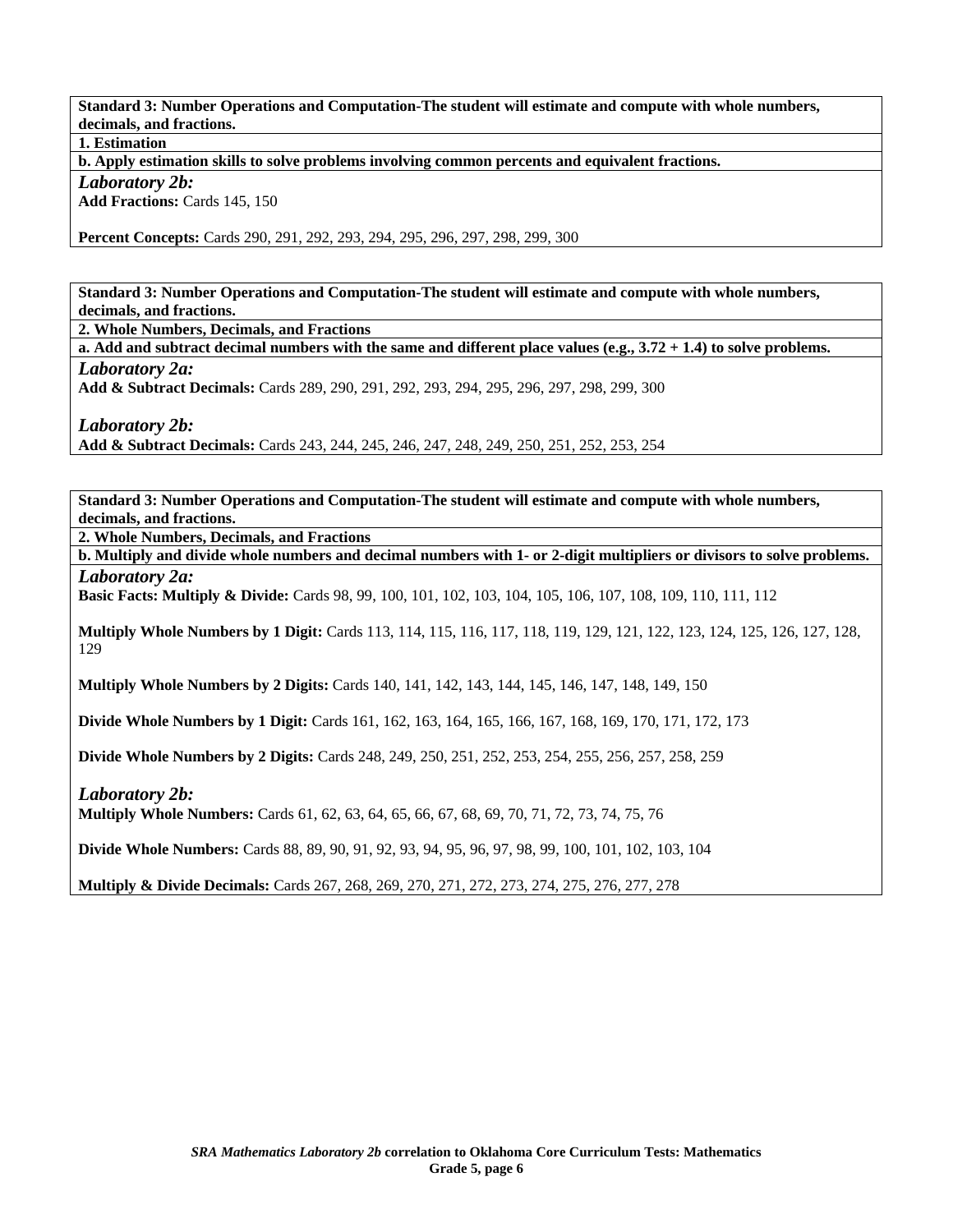**Standard 3: Number Operations and Computation-The student will estimate and compute with whole numbers, decimals, and fractions.** 

**1. Estimation** 

**b. Apply estimation skills to solve problems involving common percents and equivalent fractions.** 

*Laboratory 2b:* 

**Add Fractions:** Cards 145, 150

**Percent Concepts:** Cards 290, 291, 292, 293, 294, 295, 296, 297, 298, 299, 300

**Standard 3: Number Operations and Computation-The student will estimate and compute with whole numbers, decimals, and fractions.** 

**2. Whole Numbers, Decimals, and Fractions** 

**a. Add and subtract decimal numbers with the same and different place values (e.g., 3.72 + 1.4) to solve problems.**  *Laboratory 2a:* 

**Add & Subtract Decimals:** Cards 289, 290, 291, 292, 293, 294, 295, 296, 297, 298, 299, 300

*Laboratory 2b:* 

**Add & Subtract Decimals:** Cards 243, 244, 245, 246, 247, 248, 249, 250, 251, 252, 253, 254

**Standard 3: Number Operations and Computation-The student will estimate and compute with whole numbers, decimals, and fractions.** 

**2. Whole Numbers, Decimals, and Fractions** 

**b. Multiply and divide whole numbers and decimal numbers with 1- or 2-digit multipliers or divisors to solve problems.**  *Laboratory 2a:* 

**Basic Facts: Multiply & Divide:** Cards 98, 99, 100, 101, 102, 103, 104, 105, 106, 107, 108, 109, 110, 111, 112

**Multiply Whole Numbers by 1 Digit:** Cards 113, 114, 115, 116, 117, 118, 119, 129, 121, 122, 123, 124, 125, 126, 127, 128, 129

**Multiply Whole Numbers by 2 Digits:** Cards 140, 141, 142, 143, 144, 145, 146, 147, 148, 149, 150

**Divide Whole Numbers by 1 Digit:** Cards 161, 162, 163, 164, 165, 166, 167, 168, 169, 170, 171, 172, 173

**Divide Whole Numbers by 2 Digits:** Cards 248, 249, 250, 251, 252, 253, 254, 255, 256, 257, 258, 259

*Laboratory 2b:* 

**Multiply Whole Numbers:** Cards 61, 62, 63, 64, 65, 66, 67, 68, 69, 70, 71, 72, 73, 74, 75, 76

**Divide Whole Numbers:** Cards 88, 89, 90, 91, 92, 93, 94, 95, 96, 97, 98, 99, 100, 101, 102, 103, 104

**Multiply & Divide Decimals:** Cards 267, 268, 269, 270, 271, 272, 273, 274, 275, 276, 277, 278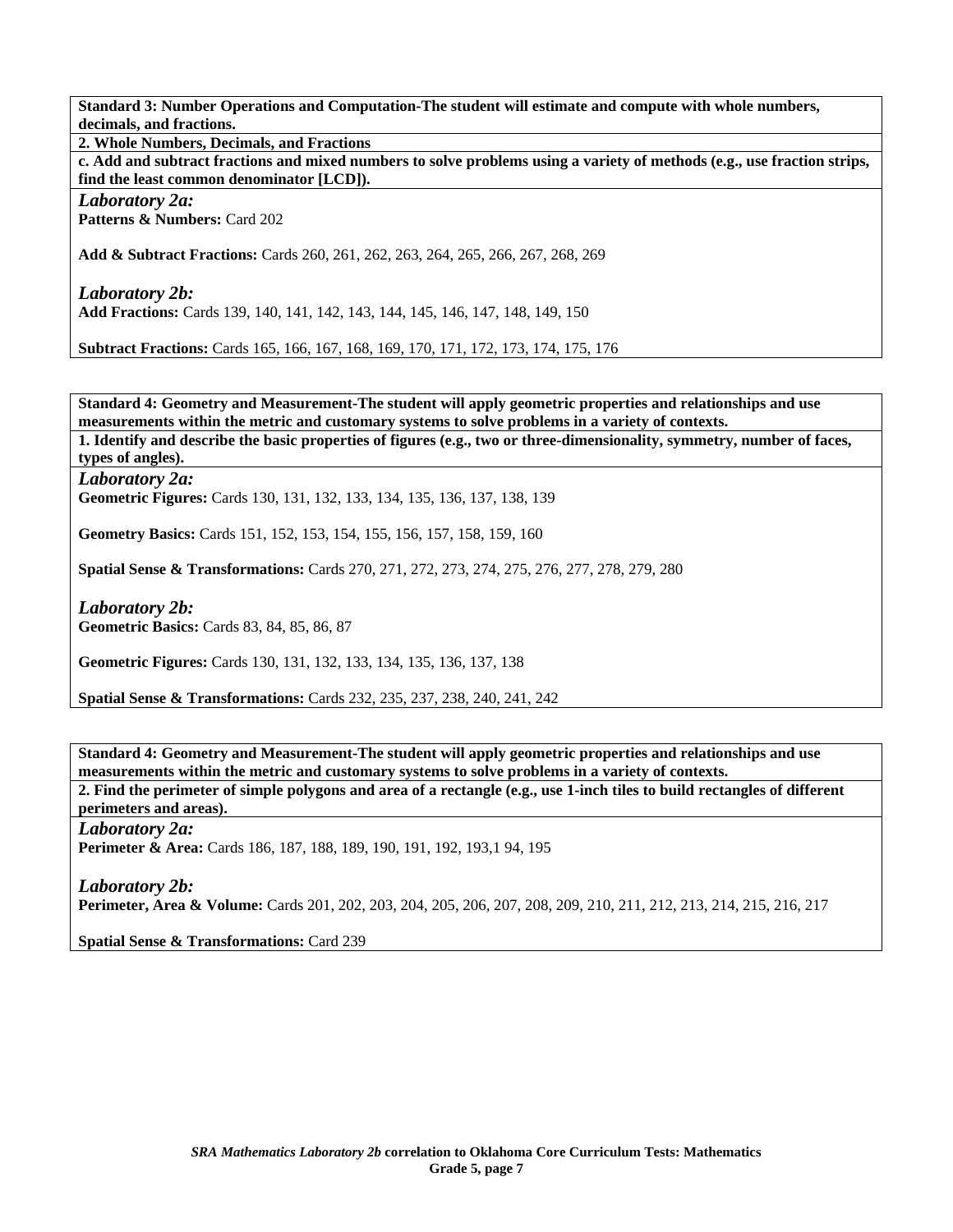**Standard 3: Number Operations and Computation-The student will estimate and compute with whole numbers, decimals, and fractions.** 

**2. Whole Numbers, Decimals, and Fractions** 

**c. Add and subtract fractions and mixed numbers to solve problems using a variety of methods (e.g., use fraction strips, find the least common denominator [LCD]).** 

*Laboratory 2a:*  **Patterns & Numbers:** Card 202

**Add & Subtract Fractions:** Cards 260, 261, 262, 263, 264, 265, 266, 267, 268, 269

*Laboratory 2b:*  **Add Fractions:** Cards 139, 140, 141, 142, 143, 144, 145, 146, 147, 148, 149, 150

**Subtract Fractions:** Cards 165, 166, 167, 168, 169, 170, 171, 172, 173, 174, 175, 176

**Standard 4: Geometry and Measurement-The student will apply geometric properties and relationships and use measurements within the metric and customary systems to solve problems in a variety of contexts.** 

**1. Identify and describe the basic properties of figures (e.g., two or three-dimensionality, symmetry, number of faces, types of angles).** 

*Laboratory 2a:* 

**Geometric Figures:** Cards 130, 131, 132, 133, 134, 135, 136, 137, 138, 139

**Geometry Basics:** Cards 151, 152, 153, 154, 155, 156, 157, 158, 159, 160

**Spatial Sense & Transformations:** Cards 270, 271, 272, 273, 274, 275, 276, 277, 278, 279, 280

*Laboratory 2b:*  **Geometric Basics:** Cards 83, 84, 85, 86, 87

**Geometric Figures:** Cards 130, 131, 132, 133, 134, 135, 136, 137, 138

**Spatial Sense & Transformations:** Cards 232, 235, 237, 238, 240, 241, 242

**Standard 4: Geometry and Measurement-The student will apply geometric properties and relationships and use measurements within the metric and customary systems to solve problems in a variety of contexts. 2. Find the perimeter of simple polygons and area of a rectangle (e.g., use 1-inch tiles to build rectangles of different** 

**perimeters and areas).** 

*Laboratory 2a:*  Perimeter & Area: Cards 186, 187, 188, 189, 190, 191, 192, 193,1 94, 195

*Laboratory 2b:*  **Perimeter, Area & Volume:** Cards 201, 202, 203, 204, 205, 206, 207, 208, 209, 210, 211, 212, 213, 214, 215, 216, 217

**Spatial Sense & Transformations:** Card 239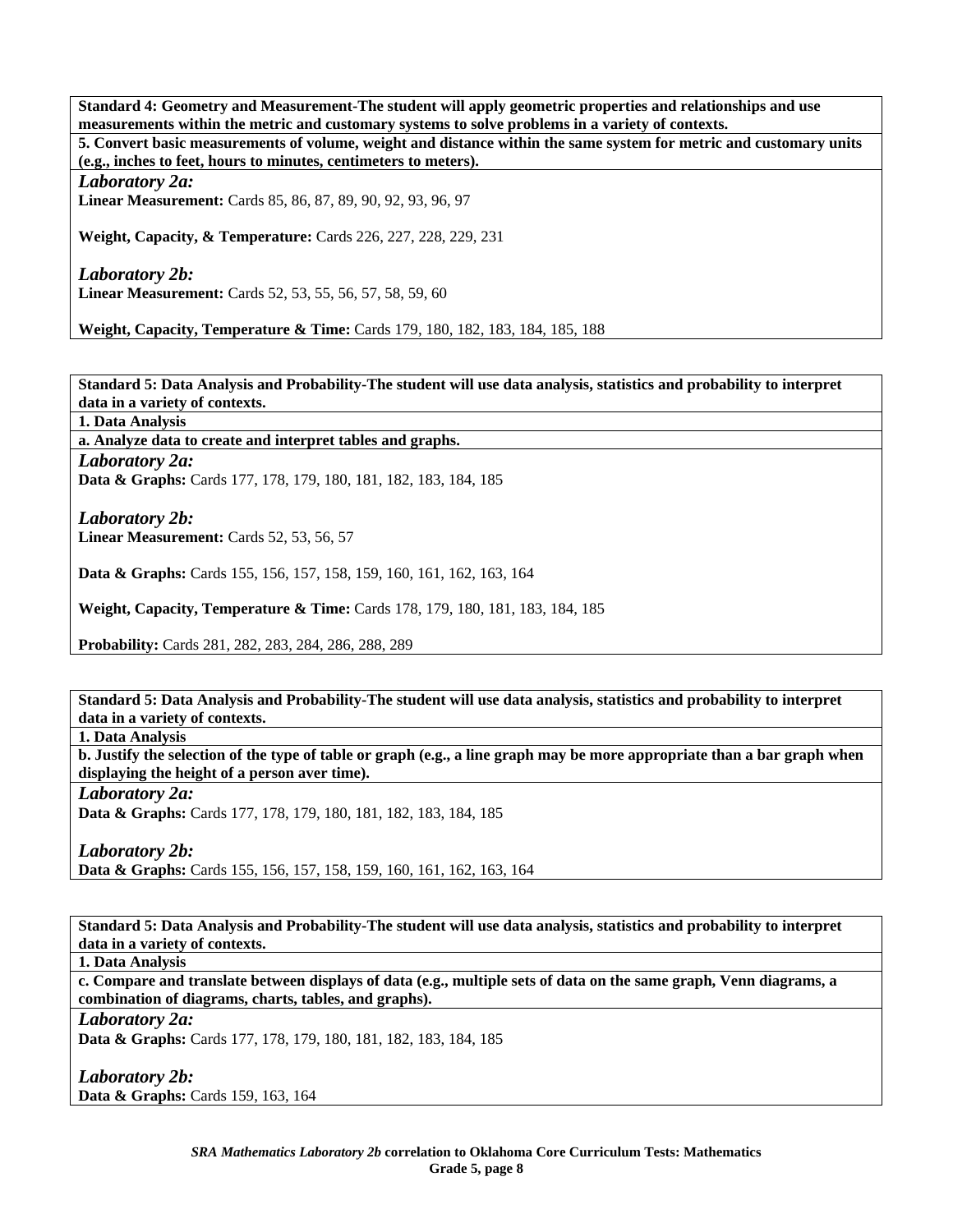**Standard 4: Geometry and Measurement-The student will apply geometric properties and relationships and use measurements within the metric and customary systems to solve problems in a variety of contexts.** 

**5. Convert basic measurements of volume, weight and distance within the same system for metric and customary units (e.g., inches to feet, hours to minutes, centimeters to meters).** 

*Laboratory 2a:* 

**Linear Measurement:** Cards 85, 86, 87, 89, 90, 92, 93, 96, 97

**Weight, Capacity, & Temperature:** Cards 226, 227, 228, 229, 231

*Laboratory 2b:*  **Linear Measurement:** Cards 52, 53, 55, 56, 57, 58, 59, 60

**Weight, Capacity, Temperature & Time:** Cards 179, 180, 182, 183, 184, 185, 188

**Standard 5: Data Analysis and Probability-The student will use data analysis, statistics and probability to interpret data in a variety of contexts.** 

**1. Data Analysis** 

**a. Analyze data to create and interpret tables and graphs.** 

*Laboratory 2a:* 

**Data & Graphs:** Cards 177, 178, 179, 180, 181, 182, 183, 184, 185

*Laboratory 2b:*  **Linear Measurement:** Cards 52, 53, 56, 57

**Data & Graphs:** Cards 155, 156, 157, 158, 159, 160, 161, 162, 163, 164

**Weight, Capacity, Temperature & Time:** Cards 178, 179, 180, 181, 183, 184, 185

**Probability:** Cards 281, 282, 283, 284, 286, 288, 289

**Standard 5: Data Analysis and Probability-The student will use data analysis, statistics and probability to interpret data in a variety of contexts.** 

**1. Data Analysis** 

**b. Justify the selection of the type of table or graph (e.g., a line graph may be more appropriate than a bar graph when displaying the height of a person aver time).** 

*Laboratory 2a:*  **Data & Graphs:** Cards 177, 178, 179, 180, 181, 182, 183, 184, 185

*Laboratory 2b:* 

**Data & Graphs:** Cards 155, 156, 157, 158, 159, 160, 161, 162, 163, 164

**Standard 5: Data Analysis and Probability-The student will use data analysis, statistics and probability to interpret data in a variety of contexts.** 

**1. Data Analysis** 

**c. Compare and translate between displays of data (e.g., multiple sets of data on the same graph, Venn diagrams, a combination of diagrams, charts, tables, and graphs).** 

*Laboratory 2a:* 

**Data & Graphs:** Cards 177, 178, 179, 180, 181, 182, 183, 184, 185

*Laboratory 2b:*  **Data & Graphs:** Cards 159, 163, 164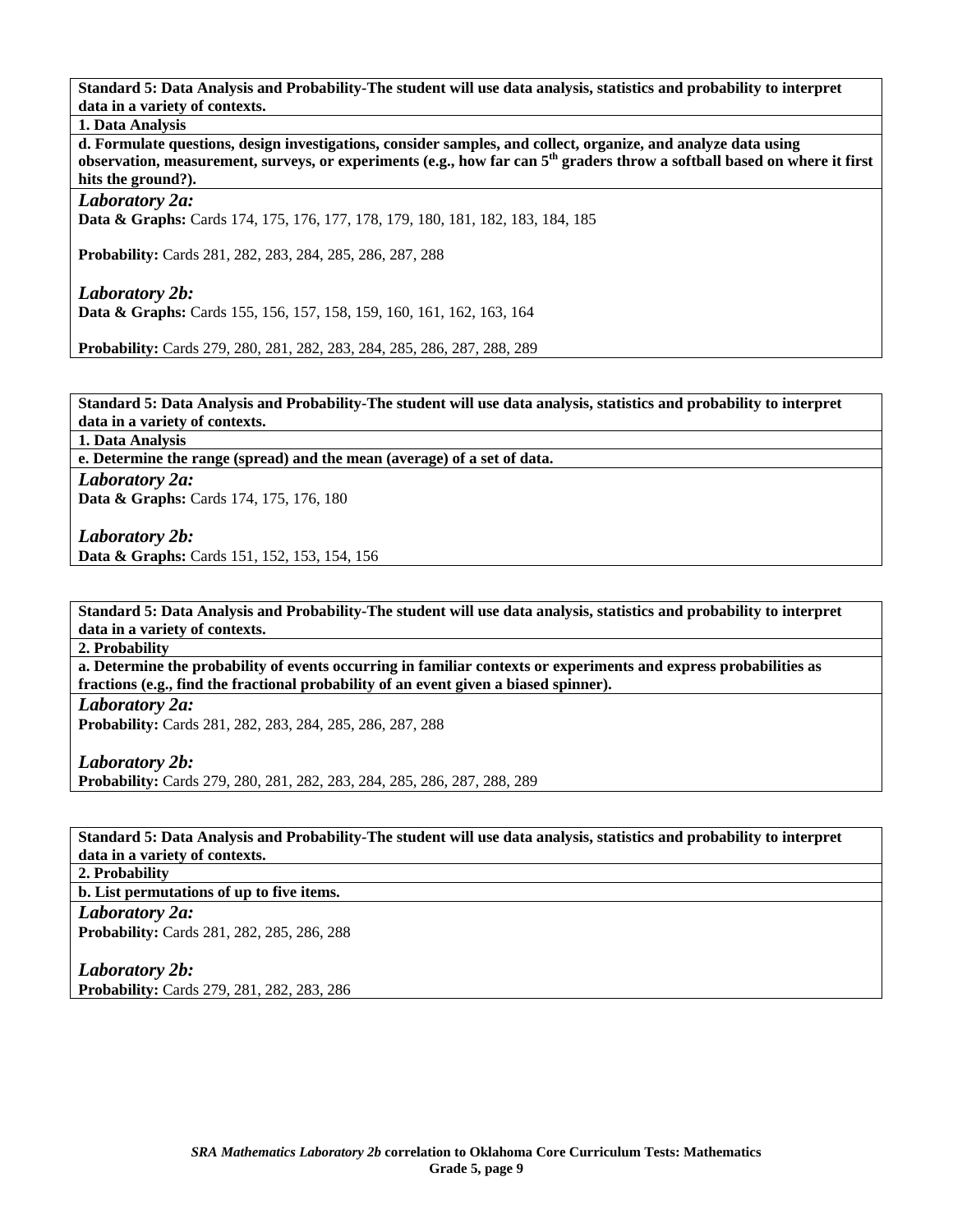**Standard 5: Data Analysis and Probability-The student will use data analysis, statistics and probability to interpret data in a variety of contexts.** 

**1. Data Analysis** 

**d. Formulate questions, design investigations, consider samples, and collect, organize, and analyze data using observation, measurement, surveys, or experiments (e.g., how far can 5th graders throw a softball based on where it first hits the ground?).** 

*Laboratory 2a:* 

**Data & Graphs:** Cards 174, 175, 176, 177, 178, 179, 180, 181, 182, 183, 184, 185

**Probability:** Cards 281, 282, 283, 284, 285, 286, 287, 288

*Laboratory 2b:*  **Data & Graphs:** Cards 155, 156, 157, 158, 159, 160, 161, 162, 163, 164

**Probability:** Cards 279, 280, 281, 282, 283, 284, 285, 286, 287, 288, 289

**Standard 5: Data Analysis and Probability-The student will use data analysis, statistics and probability to interpret data in a variety of contexts.** 

**1. Data Analysis** 

**e. Determine the range (spread) and the mean (average) of a set of data.**  *Laboratory 2a:* 

Data & Graphs: Cards 174, 175, 176, 180

*Laboratory 2b:*  **Data & Graphs:** Cards 151, 152, 153, 154, 156

**Standard 5: Data Analysis and Probability-The student will use data analysis, statistics and probability to interpret data in a variety of contexts.** 

**2. Probability** 

**a. Determine the probability of events occurring in familiar contexts or experiments and express probabilities as fractions (e.g., find the fractional probability of an event given a biased spinner).** 

*Laboratory 2a:*  **Probability:** Cards 281, 282, 283, 284, 285, 286, 287, 288

*Laboratory 2b:*  **Probability:** Cards 279, 280, 281, 282, 283, 284, 285, 286, 287, 288, 289

**Standard 5: Data Analysis and Probability-The student will use data analysis, statistics and probability to interpret data in a variety of contexts.** 

**2. Probability** 

**b. List permutations of up to five items.** 

*Laboratory 2a:* 

**Probability:** Cards 281, 282, 285, 286, 288

*Laboratory 2b:* 

**Probability:** Cards 279, 281, 282, 283, 286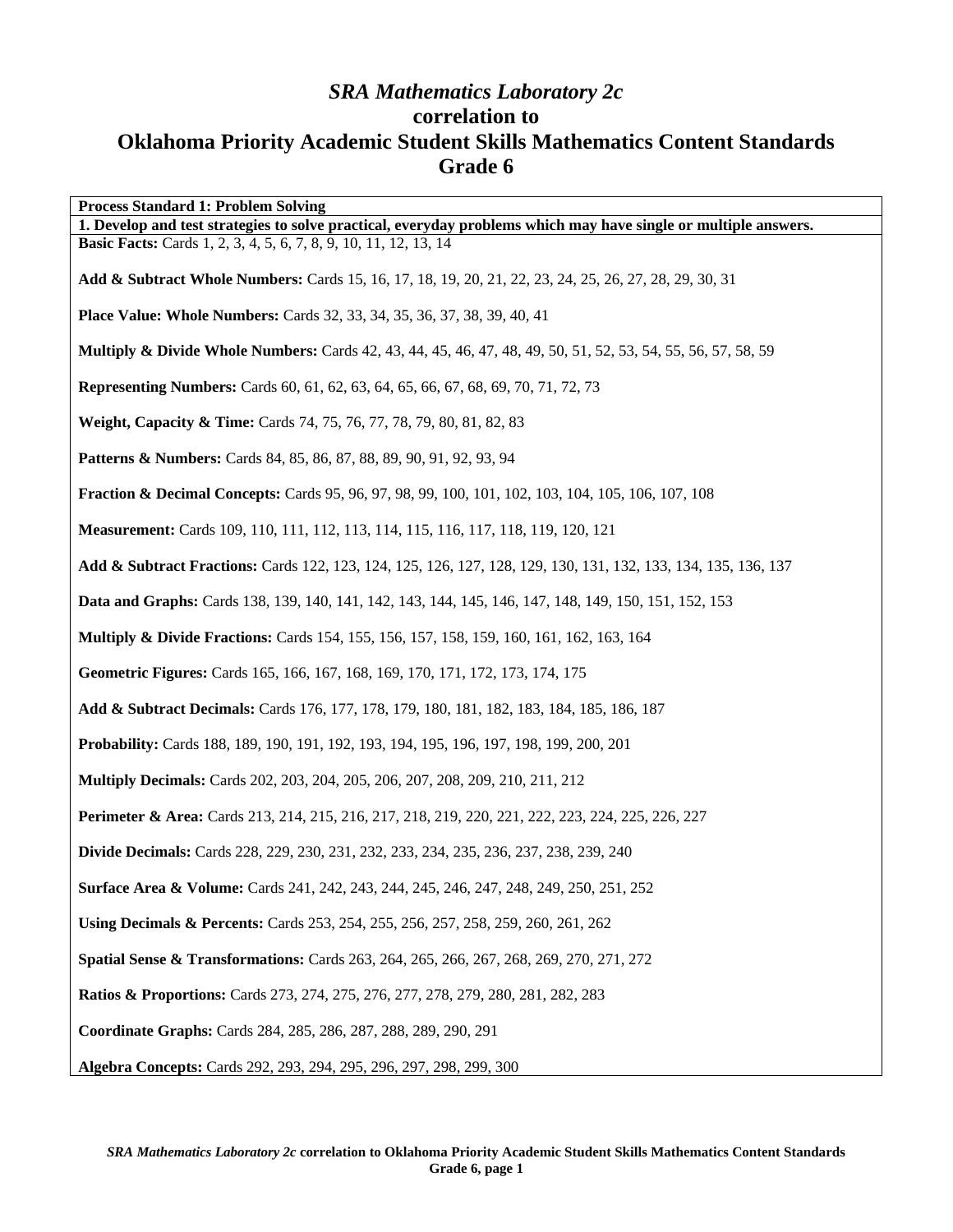## *SRA Mathematics Laboratory 2c*  **correlation to Oklahoma Priority Academic Student Skills Mathematics Content Standards Grade 6**

| <b>Process Standard 1: Problem Solving</b>                                                                               |
|--------------------------------------------------------------------------------------------------------------------------|
| 1. Develop and test strategies to solve practical, everyday problems which may have single or multiple answers.          |
| <b>Basic Facts:</b> Cards 1, 2, 3, 4, 5, 6, 7, 8, 9, 10, 11, 12, 13, 14                                                  |
| Add & Subtract Whole Numbers: Cards 15, 16, 17, 18, 19, 20, 21, 22, 23, 24, 25, 26, 27, 28, 29, 30, 31                   |
| Place Value: Whole Numbers: Cards 32, 33, 34, 35, 36, 37, 38, 39, 40, 41                                                 |
| <b>Multiply &amp; Divide Whole Numbers:</b> Cards 42, 43, 44, 45, 46, 47, 48, 49, 50, 51, 52, 53, 54, 55, 56, 57, 58, 59 |
| <b>Representing Numbers:</b> Cards 60, 61, 62, 63, 64, 65, 66, 67, 68, 69, 70, 71, 72, 73                                |
| Weight, Capacity & Time: Cards 74, 75, 76, 77, 78, 79, 80, 81, 82, 83                                                    |
| <b>Patterns &amp; Numbers:</b> Cards 84, 85, 86, 87, 88, 89, 90, 91, 92, 93, 94                                          |
| <b>Fraction &amp; Decimal Concepts: Cards 95, 96, 97, 98, 99, 100, 101, 102, 103, 104, 105, 106, 107, 108</b>            |
| Measurement: Cards 109, 110, 111, 112, 113, 114, 115, 116, 117, 118, 119, 120, 121                                       |
| Add & Subtract Fractions: Cards 122, 123, 124, 125, 126, 127, 128, 129, 130, 131, 132, 133, 134, 135, 136, 137           |
| Data and Graphs: Cards 138, 139, 140, 141, 142, 143, 144, 145, 146, 147, 148, 149, 150, 151, 152, 153                    |
| <b>Multiply &amp; Divide Fractions:</b> Cards 154, 155, 156, 157, 158, 159, 160, 161, 162, 163, 164                      |
| Geometric Figures: Cards 165, 166, 167, 168, 169, 170, 171, 172, 173, 174, 175                                           |
| Add & Subtract Decimals: Cards 176, 177, 178, 179, 180, 181, 182, 183, 184, 185, 186, 187                                |
| Probability: Cards 188, 189, 190, 191, 192, 193, 194, 195, 196, 197, 198, 199, 200, 201                                  |
| <b>Multiply Decimals:</b> Cards 202, 203, 204, 205, 206, 207, 208, 209, 210, 211, 212                                    |
| Perimeter & Area: Cards 213, 214, 215, 216, 217, 218, 219, 220, 221, 222, 223, 224, 225, 226, 227                        |
| <b>Divide Decimals:</b> Cards 228, 229, 230, 231, 232, 233, 234, 235, 236, 237, 238, 239, 240                            |
| <b>Surface Area &amp; Volume:</b> Cards 241, 242, 243, 244, 245, 246, 247, 248, 249, 250, 251, 252                       |
| Using Decimals & Percents: Cards 253, 254, 255, 256, 257, 258, 259, 260, 261, 262                                        |
| Spatial Sense & Transformations: Cards 263, 264, 265, 266, 267, 268, 269, 270, 271, 272                                  |
| <b>Ratios &amp; Proportions:</b> Cards 273, 274, 275, 276, 277, 278, 279, 280, 281, 282, 283                             |
| Coordinate Graphs: Cards 284, 285, 286, 287, 288, 289, 290, 291                                                          |
| Algebra Concepts: Cards 292, 293, 294, 295, 296, 297, 298, 299, 300                                                      |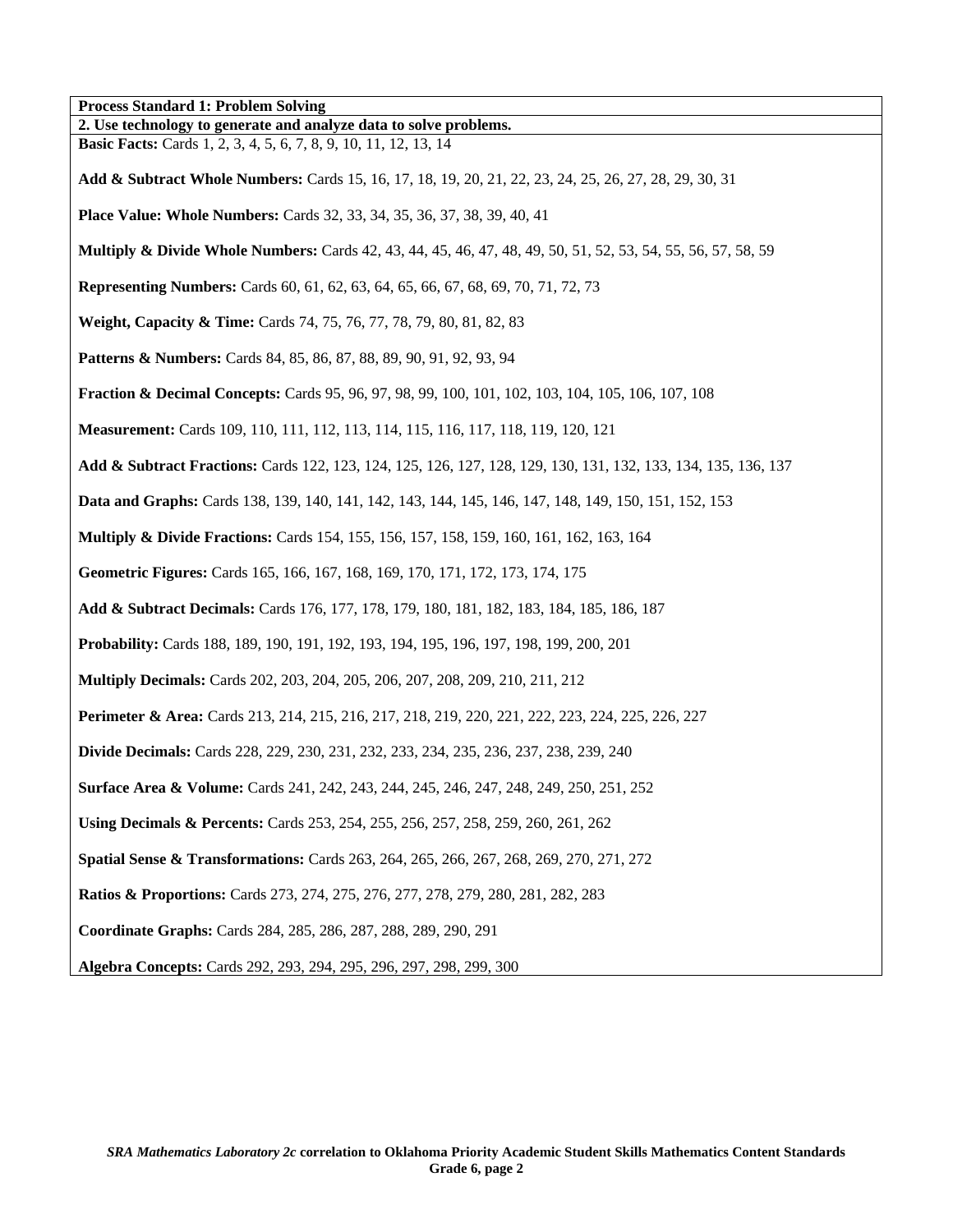**Process Standard 1: Problem Solving 2. Use technology to generate and analyze data to solve problems. Basic Facts:** Cards 1, 2, 3, 4, 5, 6, 7, 8, 9, 10, 11, 12, 13, 14 **Add & Subtract Whole Numbers:** Cards 15, 16, 17, 18, 19, 20, 21, 22, 23, 24, 25, 26, 27, 28, 29, 30, 31 **Place Value: Whole Numbers:** Cards 32, 33, 34, 35, 36, 37, 38, 39, 40, 41 **Multiply & Divide Whole Numbers:** Cards 42, 43, 44, 45, 46, 47, 48, 49, 50, 51, 52, 53, 54, 55, 56, 57, 58, 59 **Representing Numbers:** Cards 60, 61, 62, 63, 64, 65, 66, 67, 68, 69, 70, 71, 72, 73 **Weight, Capacity & Time:** Cards 74, 75, 76, 77, 78, 79, 80, 81, 82, 83 **Patterns & Numbers:** Cards 84, 85, 86, 87, 88, 89, 90, 91, 92, 93, 94 **Fraction & Decimal Concepts:** Cards 95, 96, 97, 98, 99, 100, 101, 102, 103, 104, 105, 106, 107, 108 **Measurement:** Cards 109, 110, 111, 112, 113, 114, 115, 116, 117, 118, 119, 120, 121 **Add & Subtract Fractions:** Cards 122, 123, 124, 125, 126, 127, 128, 129, 130, 131, 132, 133, 134, 135, 136, 137 **Data and Graphs:** Cards 138, 139, 140, 141, 142, 143, 144, 145, 146, 147, 148, 149, 150, 151, 152, 153 **Multiply & Divide Fractions:** Cards 154, 155, 156, 157, 158, 159, 160, 161, 162, 163, 164 **Geometric Figures:** Cards 165, 166, 167, 168, 169, 170, 171, 172, 173, 174, 175 **Add & Subtract Decimals:** Cards 176, 177, 178, 179, 180, 181, 182, 183, 184, 185, 186, 187 **Probability:** Cards 188, 189, 190, 191, 192, 193, 194, 195, 196, 197, 198, 199, 200, 201 **Multiply Decimals:** Cards 202, 203, 204, 205, 206, 207, 208, 209, 210, 211, 212 **Perimeter & Area:** Cards 213, 214, 215, 216, 217, 218, 219, 220, 221, 222, 223, 224, 225, 226, 227 **Divide Decimals:** Cards 228, 229, 230, 231, 232, 233, 234, 235, 236, 237, 238, 239, 240 **Surface Area & Volume:** Cards 241, 242, 243, 244, 245, 246, 247, 248, 249, 250, 251, 252 **Using Decimals & Percents:** Cards 253, 254, 255, 256, 257, 258, 259, 260, 261, 262 **Spatial Sense & Transformations:** Cards 263, 264, 265, 266, 267, 268, 269, 270, 271, 272 **Ratios & Proportions:** Cards 273, 274, 275, 276, 277, 278, 279, 280, 281, 282, 283 **Coordinate Graphs:** Cards 284, 285, 286, 287, 288, 289, 290, 291 **Algebra Concepts:** Cards 292, 293, 294, 295, 296, 297, 298, 299, 300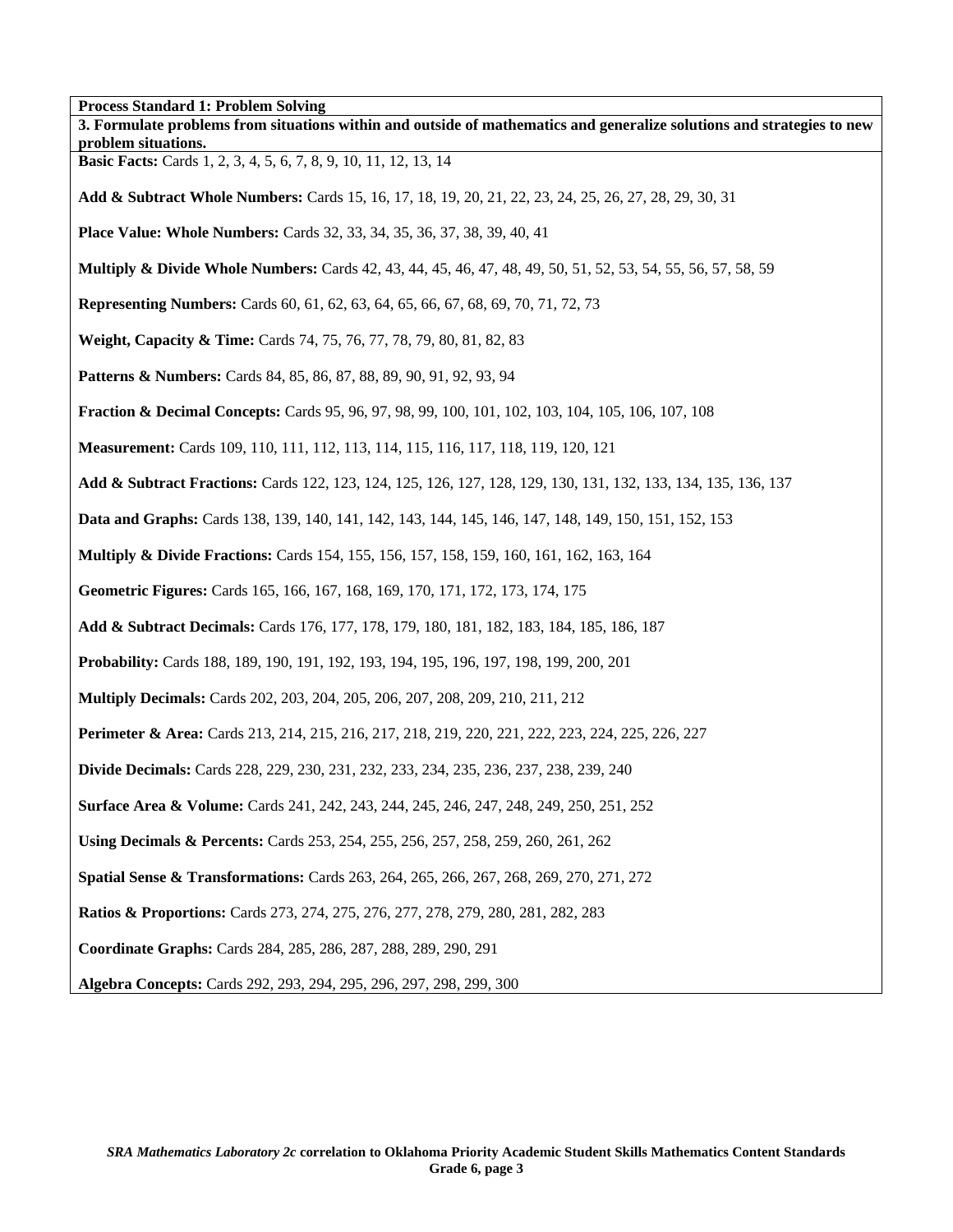**Process Standard 1: Problem Solving 3. Formulate problems from situations within and outside of mathematics and generalize solutions and strategies to new problem situations. Basic Facts:** Cards 1, 2, 3, 4, 5, 6, 7, 8, 9, 10, 11, 12, 13, 14 **Add & Subtract Whole Numbers:** Cards 15, 16, 17, 18, 19, 20, 21, 22, 23, 24, 25, 26, 27, 28, 29, 30, 31 **Place Value: Whole Numbers:** Cards 32, 33, 34, 35, 36, 37, 38, 39, 40, 41 **Multiply & Divide Whole Numbers:** Cards 42, 43, 44, 45, 46, 47, 48, 49, 50, 51, 52, 53, 54, 55, 56, 57, 58, 59 **Representing Numbers:** Cards 60, 61, 62, 63, 64, 65, 66, 67, 68, 69, 70, 71, 72, 73 **Weight, Capacity & Time:** Cards 74, 75, 76, 77, 78, 79, 80, 81, 82, 83 Patterns & Numbers: Cards 84, 85, 86, 87, 88, 89, 90, 91, 92, 93, 94 **Fraction & Decimal Concepts:** Cards 95, 96, 97, 98, 99, 100, 101, 102, 103, 104, 105, 106, 107, 108 **Measurement:** Cards 109, 110, 111, 112, 113, 114, 115, 116, 117, 118, 119, 120, 121 **Add & Subtract Fractions:** Cards 122, 123, 124, 125, 126, 127, 128, 129, 130, 131, 132, 133, 134, 135, 136, 137 **Data and Graphs:** Cards 138, 139, 140, 141, 142, 143, 144, 145, 146, 147, 148, 149, 150, 151, 152, 153 **Multiply & Divide Fractions:** Cards 154, 155, 156, 157, 158, 159, 160, 161, 162, 163, 164 **Geometric Figures:** Cards 165, 166, 167, 168, 169, 170, 171, 172, 173, 174, 175 **Add & Subtract Decimals:** Cards 176, 177, 178, 179, 180, 181, 182, 183, 184, 185, 186, 187 **Probability:** Cards 188, 189, 190, 191, 192, 193, 194, 195, 196, 197, 198, 199, 200, 201 **Multiply Decimals:** Cards 202, 203, 204, 205, 206, 207, 208, 209, 210, 211, 212 **Perimeter & Area:** Cards 213, 214, 215, 216, 217, 218, 219, 220, 221, 222, 223, 224, 225, 226, 227 **Divide Decimals:** Cards 228, 229, 230, 231, 232, 233, 234, 235, 236, 237, 238, 239, 240 **Surface Area & Volume:** Cards 241, 242, 243, 244, 245, 246, 247, 248, 249, 250, 251, 252 **Using Decimals & Percents:** Cards 253, 254, 255, 256, 257, 258, 259, 260, 261, 262 **Spatial Sense & Transformations:** Cards 263, 264, 265, 266, 267, 268, 269, 270, 271, 272 **Ratios & Proportions:** Cards 273, 274, 275, 276, 277, 278, 279, 280, 281, 282, 283 **Coordinate Graphs:** Cards 284, 285, 286, 287, 288, 289, 290, 291 **Algebra Concepts:** Cards 292, 293, 294, 295, 296, 297, 298, 299, 300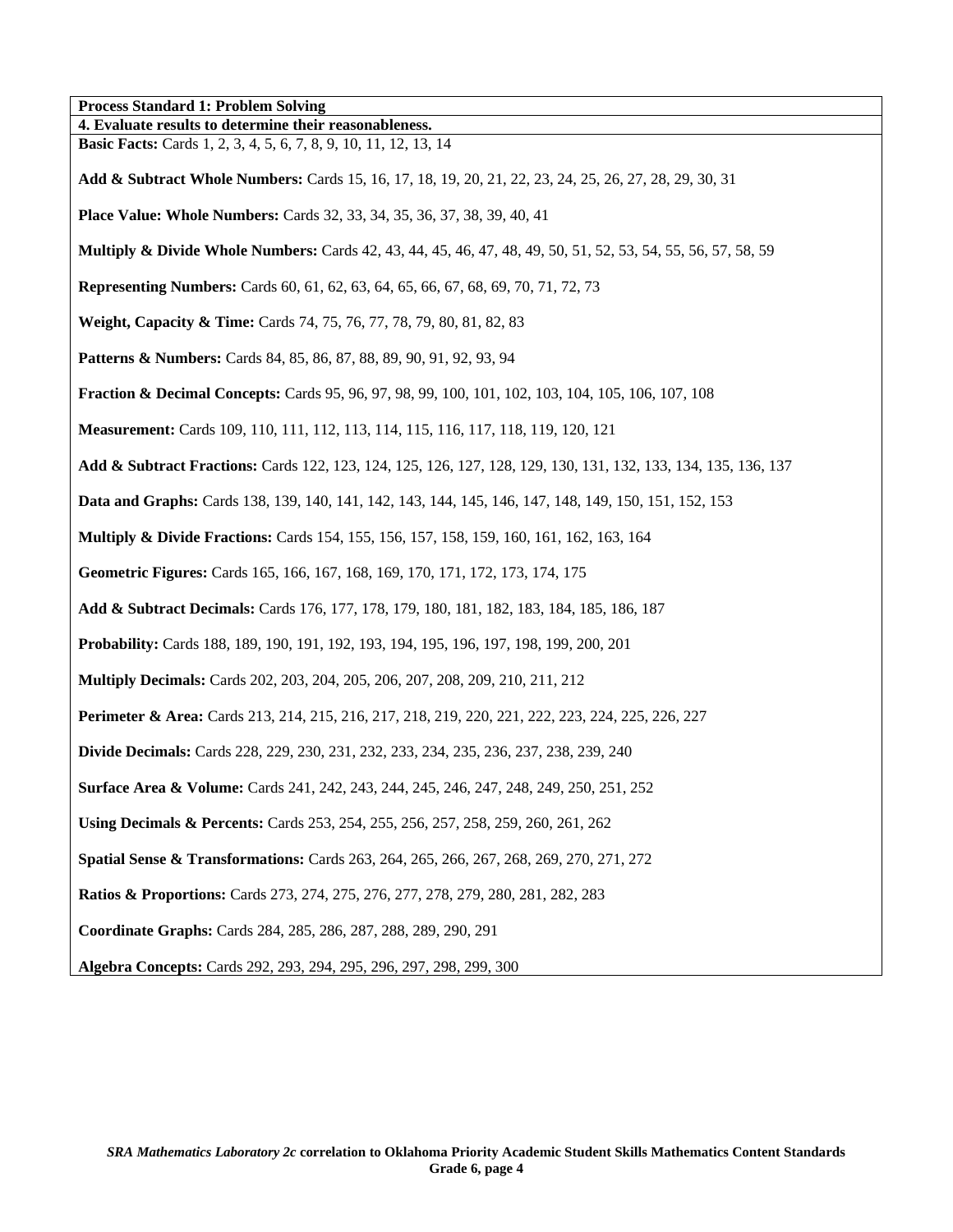**Process Standard 1: Problem Solving 4. Evaluate results to determine their reasonableness. Basic Facts:** Cards 1, 2, 3, 4, 5, 6, 7, 8, 9, 10, 11, 12, 13, 14 **Add & Subtract Whole Numbers:** Cards 15, 16, 17, 18, 19, 20, 21, 22, 23, 24, 25, 26, 27, 28, 29, 30, 31 **Place Value: Whole Numbers:** Cards 32, 33, 34, 35, 36, 37, 38, 39, 40, 41 **Multiply & Divide Whole Numbers:** Cards 42, 43, 44, 45, 46, 47, 48, 49, 50, 51, 52, 53, 54, 55, 56, 57, 58, 59 **Representing Numbers:** Cards 60, 61, 62, 63, 64, 65, 66, 67, 68, 69, 70, 71, 72, 73 **Weight, Capacity & Time:** Cards 74, 75, 76, 77, 78, 79, 80, 81, 82, 83 **Patterns & Numbers:** Cards 84, 85, 86, 87, 88, 89, 90, 91, 92, 93, 94 **Fraction & Decimal Concepts:** Cards 95, 96, 97, 98, 99, 100, 101, 102, 103, 104, 105, 106, 107, 108 **Measurement:** Cards 109, 110, 111, 112, 113, 114, 115, 116, 117, 118, 119, 120, 121 **Add & Subtract Fractions:** Cards 122, 123, 124, 125, 126, 127, 128, 129, 130, 131, 132, 133, 134, 135, 136, 137 **Data and Graphs:** Cards 138, 139, 140, 141, 142, 143, 144, 145, 146, 147, 148, 149, 150, 151, 152, 153 **Multiply & Divide Fractions:** Cards 154, 155, 156, 157, 158, 159, 160, 161, 162, 163, 164 **Geometric Figures:** Cards 165, 166, 167, 168, 169, 170, 171, 172, 173, 174, 175 **Add & Subtract Decimals:** Cards 176, 177, 178, 179, 180, 181, 182, 183, 184, 185, 186, 187 **Probability:** Cards 188, 189, 190, 191, 192, 193, 194, 195, 196, 197, 198, 199, 200, 201 **Multiply Decimals:** Cards 202, 203, 204, 205, 206, 207, 208, 209, 210, 211, 212 **Perimeter & Area:** Cards 213, 214, 215, 216, 217, 218, 219, 220, 221, 222, 223, 224, 225, 226, 227 **Divide Decimals:** Cards 228, 229, 230, 231, 232, 233, 234, 235, 236, 237, 238, 239, 240 **Surface Area & Volume:** Cards 241, 242, 243, 244, 245, 246, 247, 248, 249, 250, 251, 252 **Using Decimals & Percents:** Cards 253, 254, 255, 256, 257, 258, 259, 260, 261, 262 **Spatial Sense & Transformations:** Cards 263, 264, 265, 266, 267, 268, 269, 270, 271, 272 **Ratios & Proportions:** Cards 273, 274, 275, 276, 277, 278, 279, 280, 281, 282, 283 **Coordinate Graphs:** Cards 284, 285, 286, 287, 288, 289, 290, 291 **Algebra Concepts:** Cards 292, 293, 294, 295, 296, 297, 298, 299, 300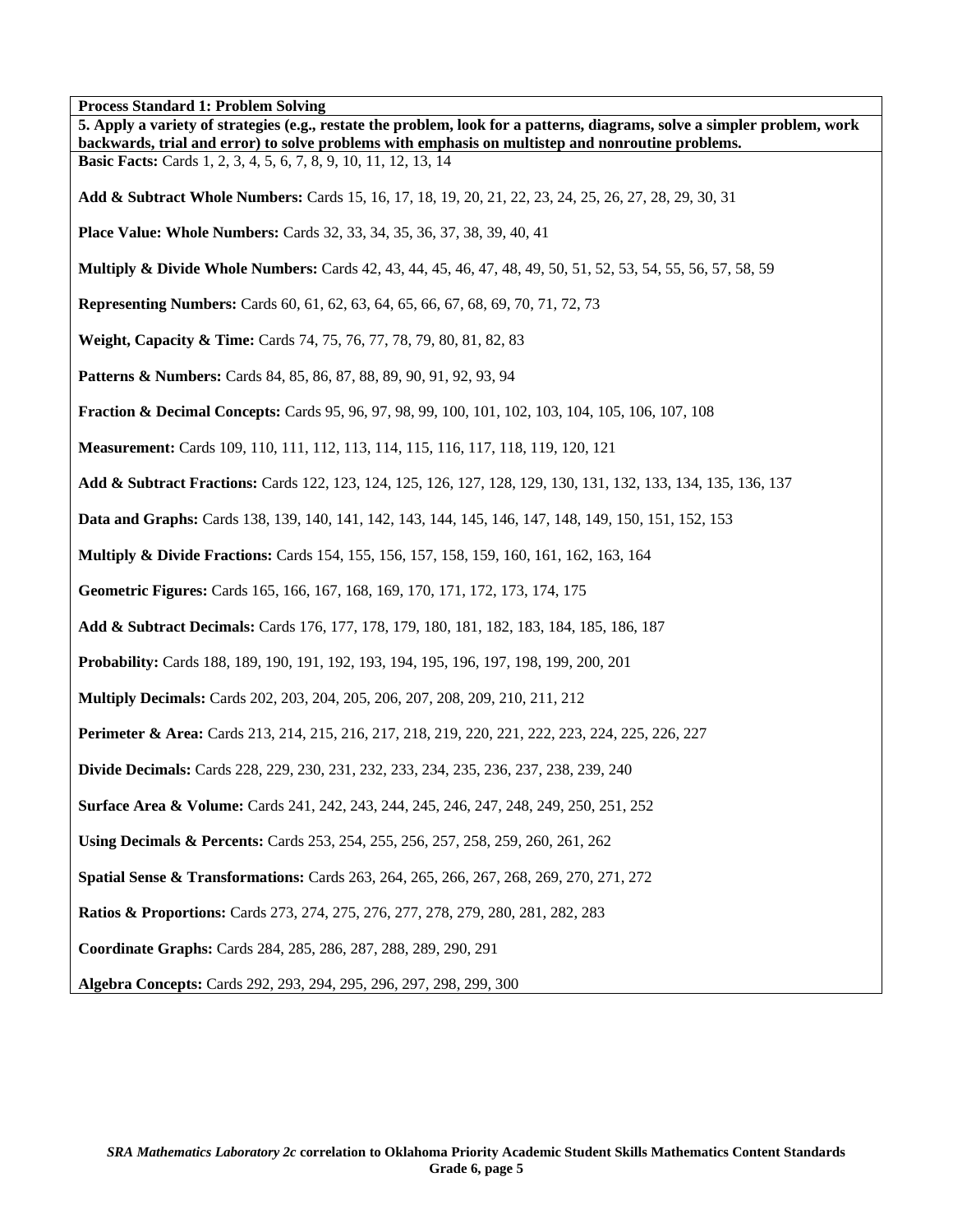**Process Standard 1: Problem Solving** 

| 5. Apply a variety of strategies (e.g., restate the problem, look for a patterns, diagrams, solve a simpler problem, work<br>backwards, trial and error) to solve problems with emphasis on multistep and nonroutine problems. |
|--------------------------------------------------------------------------------------------------------------------------------------------------------------------------------------------------------------------------------|
| <b>Basic Facts:</b> Cards 1, 2, 3, 4, 5, 6, 7, 8, 9, 10, 11, 12, 13, 14                                                                                                                                                        |
| Add & Subtract Whole Numbers: Cards 15, 16, 17, 18, 19, 20, 21, 22, 23, 24, 25, 26, 27, 28, 29, 30, 31                                                                                                                         |
| <b>Place Value: Whole Numbers:</b> Cards 32, 33, 34, 35, 36, 37, 38, 39, 40, 41                                                                                                                                                |
| <b>Multiply &amp; Divide Whole Numbers:</b> Cards 42, 43, 44, 45, 46, 47, 48, 49, 50, 51, 52, 53, 54, 55, 56, 57, 58, 59                                                                                                       |
| <b>Representing Numbers:</b> Cards 60, 61, 62, 63, 64, 65, 66, 67, 68, 69, 70, 71, 72, 73                                                                                                                                      |
| Weight, Capacity & Time: Cards 74, 75, 76, 77, 78, 79, 80, 81, 82, 83                                                                                                                                                          |
| <b>Patterns &amp; Numbers:</b> Cards 84, 85, 86, 87, 88, 89, 90, 91, 92, 93, 94                                                                                                                                                |
| <b>Fraction &amp; Decimal Concepts:</b> Cards 95, 96, 97, 98, 99, 100, 101, 102, 103, 104, 105, 106, 107, 108                                                                                                                  |
| Measurement: Cards 109, 110, 111, 112, 113, 114, 115, 116, 117, 118, 119, 120, 121                                                                                                                                             |
| Add & Subtract Fractions: Cards 122, 123, 124, 125, 126, 127, 128, 129, 130, 131, 132, 133, 134, 135, 136, 137                                                                                                                 |
| Data and Graphs: Cards 138, 139, 140, 141, 142, 143, 144, 145, 146, 147, 148, 149, 150, 151, 152, 153                                                                                                                          |
| <b>Multiply &amp; Divide Fractions:</b> Cards 154, 155, 156, 157, 158, 159, 160, 161, 162, 163, 164                                                                                                                            |
| Geometric Figures: Cards 165, 166, 167, 168, 169, 170, 171, 172, 173, 174, 175                                                                                                                                                 |
| Add & Subtract Decimals: Cards 176, 177, 178, 179, 180, 181, 182, 183, 184, 185, 186, 187                                                                                                                                      |
| Probability: Cards 188, 189, 190, 191, 192, 193, 194, 195, 196, 197, 198, 199, 200, 201                                                                                                                                        |
| <b>Multiply Decimals:</b> Cards 202, 203, 204, 205, 206, 207, 208, 209, 210, 211, 212                                                                                                                                          |
| <b>Perimeter &amp; Area:</b> Cards 213, 214, 215, 216, 217, 218, 219, 220, 221, 222, 223, 224, 225, 226, 227                                                                                                                   |
| <b>Divide Decimals:</b> Cards 228, 229, 230, 231, 232, 233, 234, 235, 236, 237, 238, 239, 240                                                                                                                                  |
| <b>Surface Area &amp; Volume:</b> Cards 241, 242, 243, 244, 245, 246, 247, 248, 249, 250, 251, 252                                                                                                                             |
| Using Decimals & Percents: Cards 253, 254, 255, 256, 257, 258, 259, 260, 261, 262                                                                                                                                              |
| Spatial Sense & Transformations: Cards 263, 264, 265, 266, 267, 268, 269, 270, 271, 272                                                                                                                                        |
| <b>Ratios &amp; Proportions:</b> Cards 273, 274, 275, 276, 277, 278, 279, 280, 281, 282, 283                                                                                                                                   |
| Coordinate Graphs: Cards 284, 285, 286, 287, 288, 289, 290, 291                                                                                                                                                                |
| Algebra Concepts: Cards 292, 293, 294, 295, 296, 297, 298, 299, 300                                                                                                                                                            |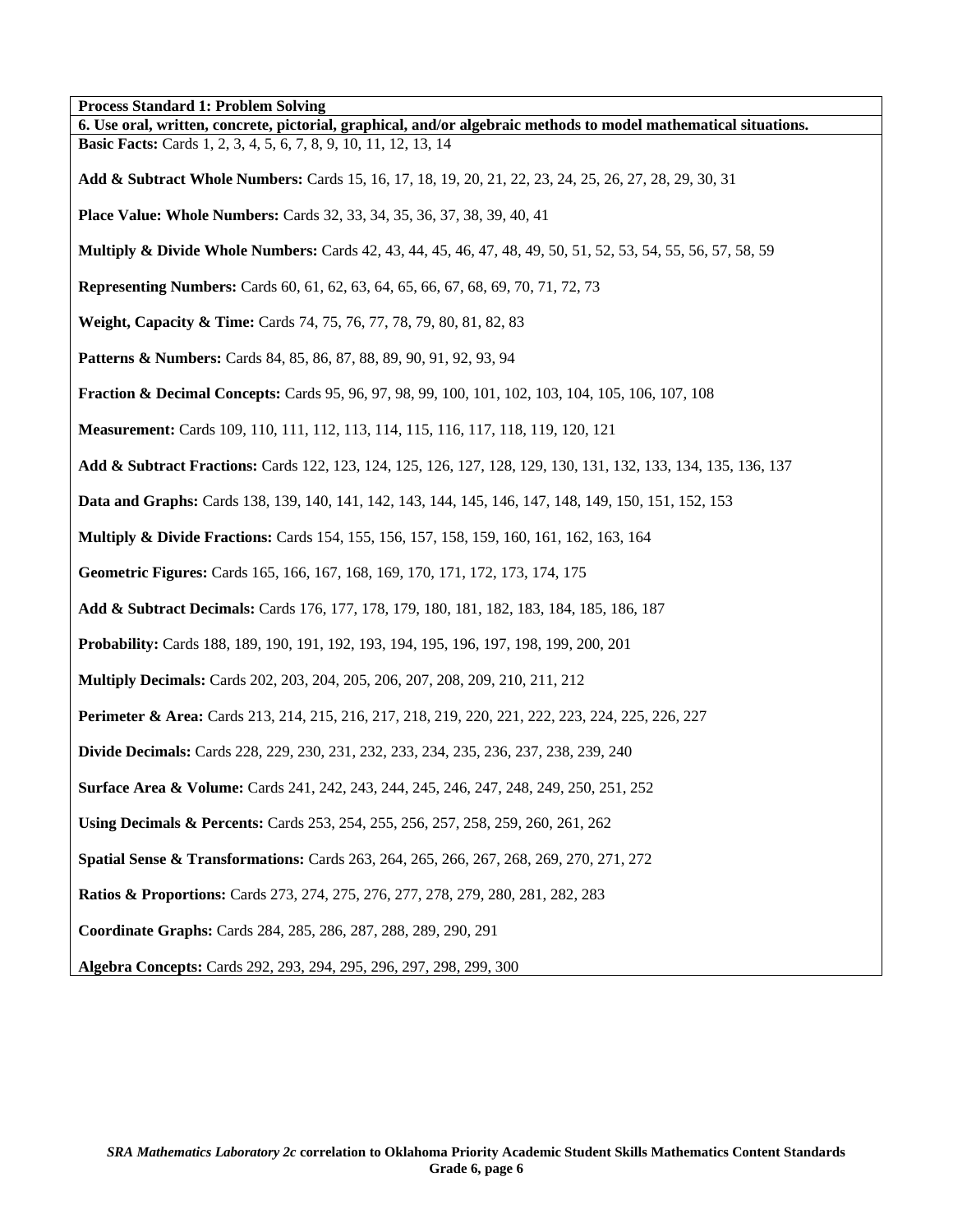**Process Standard 1: Problem Solving** 

| 6. Use oral, written, concrete, pictorial, graphical, and/or algebraic methods to model mathematical situations.         |
|--------------------------------------------------------------------------------------------------------------------------|
| <b>Basic Facts:</b> Cards 1, 2, 3, 4, 5, 6, 7, 8, 9, 10, 11, 12, 13, 14                                                  |
| Add & Subtract Whole Numbers: Cards 15, 16, 17, 18, 19, 20, 21, 22, 23, 24, 25, 26, 27, 28, 29, 30, 31                   |
| <b>Place Value: Whole Numbers:</b> Cards 32, 33, 34, 35, 36, 37, 38, 39, 40, 41                                          |
| <b>Multiply &amp; Divide Whole Numbers:</b> Cards 42, 43, 44, 45, 46, 47, 48, 49, 50, 51, 52, 53, 54, 55, 56, 57, 58, 59 |
| <b>Representing Numbers:</b> Cards 60, 61, 62, 63, 64, 65, 66, 67, 68, 69, 70, 71, 72, 73                                |
| Weight, Capacity & Time: Cards 74, 75, 76, 77, 78, 79, 80, 81, 82, 83                                                    |
| <b>Patterns &amp; Numbers:</b> Cards 84, 85, 86, 87, 88, 89, 90, 91, 92, 93, 94                                          |
| <b>Fraction &amp; Decimal Concepts:</b> Cards 95, 96, 97, 98, 99, 100, 101, 102, 103, 104, 105, 106, 107, 108            |
| Measurement: Cards 109, 110, 111, 112, 113, 114, 115, 116, 117, 118, 119, 120, 121                                       |
| Add & Subtract Fractions: Cards 122, 123, 124, 125, 126, 127, 128, 129, 130, 131, 132, 133, 134, 135, 136, 137           |
| <b>Data and Graphs:</b> Cards 138, 139, 140, 141, 142, 143, 144, 145, 146, 147, 148, 149, 150, 151, 152, 153             |
| <b>Multiply &amp; Divide Fractions:</b> Cards 154, 155, 156, 157, 158, 159, 160, 161, 162, 163, 164                      |
| Geometric Figures: Cards 165, 166, 167, 168, 169, 170, 171, 172, 173, 174, 175                                           |
| Add & Subtract Decimals: Cards 176, 177, 178, 179, 180, 181, 182, 183, 184, 185, 186, 187                                |
| Probability: Cards 188, 189, 190, 191, 192, 193, 194, 195, 196, 197, 198, 199, 200, 201                                  |
| <b>Multiply Decimals:</b> Cards 202, 203, 204, 205, 206, 207, 208, 209, 210, 211, 212                                    |
| Perimeter & Area: Cards 213, 214, 215, 216, 217, 218, 219, 220, 221, 222, 223, 224, 225, 226, 227                        |
| Divide Decimals: Cards 228, 229, 230, 231, 232, 233, 234, 235, 236, 237, 238, 239, 240                                   |
| <b>Surface Area &amp; Volume:</b> Cards 241, 242, 243, 244, 245, 246, 247, 248, 249, 250, 251, 252                       |
| Using Decimals & Percents: Cards 253, 254, 255, 256, 257, 258, 259, 260, 261, 262                                        |
| Spatial Sense & Transformations: Cards 263, 264, 265, 266, 267, 268, 269, 270, 271, 272                                  |
| <b>Ratios &amp; Proportions:</b> Cards 273, 274, 275, 276, 277, 278, 279, 280, 281, 282, 283                             |
| Coordinate Graphs: Cards 284, 285, 286, 287, 288, 289, 290, 291                                                          |
| Algebra Concepts: Cards 292, 293, 294, 295, 296, 297, 298, 299, 300                                                      |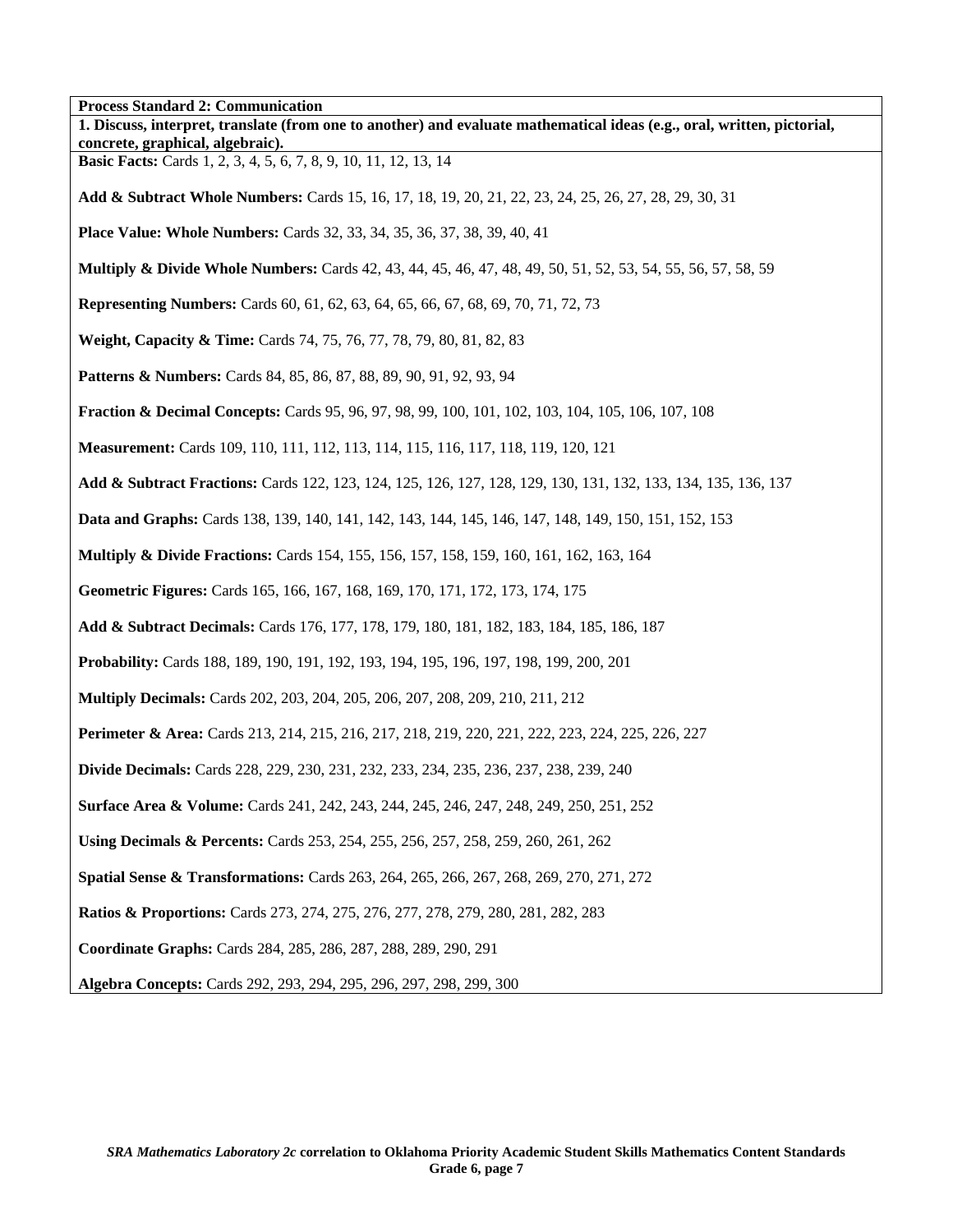| <b>Process Standard 2: Communication</b>                                                                                 |
|--------------------------------------------------------------------------------------------------------------------------|
| 1. Discuss, interpret, translate (from one to another) and evaluate mathematical ideas (e.g., oral, written, pictorial,  |
| concrete, graphical, algebraic).<br>Basic Facts: Cards 1, 2, 3, 4, 5, 6, 7, 8, 9, 10, 11, 12, 13, 14                     |
|                                                                                                                          |
| Add & Subtract Whole Numbers: Cards 15, 16, 17, 18, 19, 20, 21, 22, 23, 24, 25, 26, 27, 28, 29, 30, 31                   |
| <b>Place Value: Whole Numbers:</b> Cards 32, 33, 34, 35, 36, 37, 38, 39, 40, 41                                          |
| <b>Multiply &amp; Divide Whole Numbers:</b> Cards 42, 43, 44, 45, 46, 47, 48, 49, 50, 51, 52, 53, 54, 55, 56, 57, 58, 59 |
| <b>Representing Numbers:</b> Cards 60, 61, 62, 63, 64, 65, 66, 67, 68, 69, 70, 71, 72, 73                                |
| Weight, Capacity & Time: Cards 74, 75, 76, 77, 78, 79, 80, 81, 82, 83                                                    |
| Patterns & Numbers: Cards 84, 85, 86, 87, 88, 89, 90, 91, 92, 93, 94                                                     |
| <b>Fraction &amp; Decimal Concepts:</b> Cards 95, 96, 97, 98, 99, 100, 101, 102, 103, 104, 105, 106, 107, 108            |
| Measurement: Cards 109, 110, 111, 112, 113, 114, 115, 116, 117, 118, 119, 120, 121                                       |
| Add & Subtract Fractions: Cards 122, 123, 124, 125, 126, 127, 128, 129, 130, 131, 132, 133, 134, 135, 136, 137           |
| Data and Graphs: Cards 138, 139, 140, 141, 142, 143, 144, 145, 146, 147, 148, 149, 150, 151, 152, 153                    |
| <b>Multiply &amp; Divide Fractions:</b> Cards 154, 155, 156, 157, 158, 159, 160, 161, 162, 163, 164                      |
| Geometric Figures: Cards 165, 166, 167, 168, 169, 170, 171, 172, 173, 174, 175                                           |
| Add & Subtract Decimals: Cards 176, 177, 178, 179, 180, 181, 182, 183, 184, 185, 186, 187                                |
| Probability: Cards 188, 189, 190, 191, 192, 193, 194, 195, 196, 197, 198, 199, 200, 201                                  |
| Multiply Decimals: Cards 202, 203, 204, 205, 206, 207, 208, 209, 210, 211, 212                                           |
| Perimeter & Area: Cards 213, 214, 215, 216, 217, 218, 219, 220, 221, 222, 223, 224, 225, 226, 227                        |
| <b>Divide Decimals:</b> Cards 228, 229, 230, 231, 232, 233, 234, 235, 236, 237, 238, 239, 240                            |
| Surface Area & Volume: Cards 241, 242, 243, 244, 245, 246, 247, 248, 249, 250, 251, 252                                  |
| Using Decimals & Percents: Cards 253, 254, 255, 256, 257, 258, 259, 260, 261, 262                                        |
| Spatial Sense & Transformations: Cards 263, 264, 265, 266, 267, 268, 269, 270, 271, 272                                  |
| <b>Ratios &amp; Proportions:</b> Cards 273, 274, 275, 276, 277, 278, 279, 280, 281, 282, 283                             |
| Coordinate Graphs: Cards 284, 285, 286, 287, 288, 289, 290, 291                                                          |
| Algebra Concepts: Cards 292, 293, 294, 295, 296, 297, 298, 299, 300                                                      |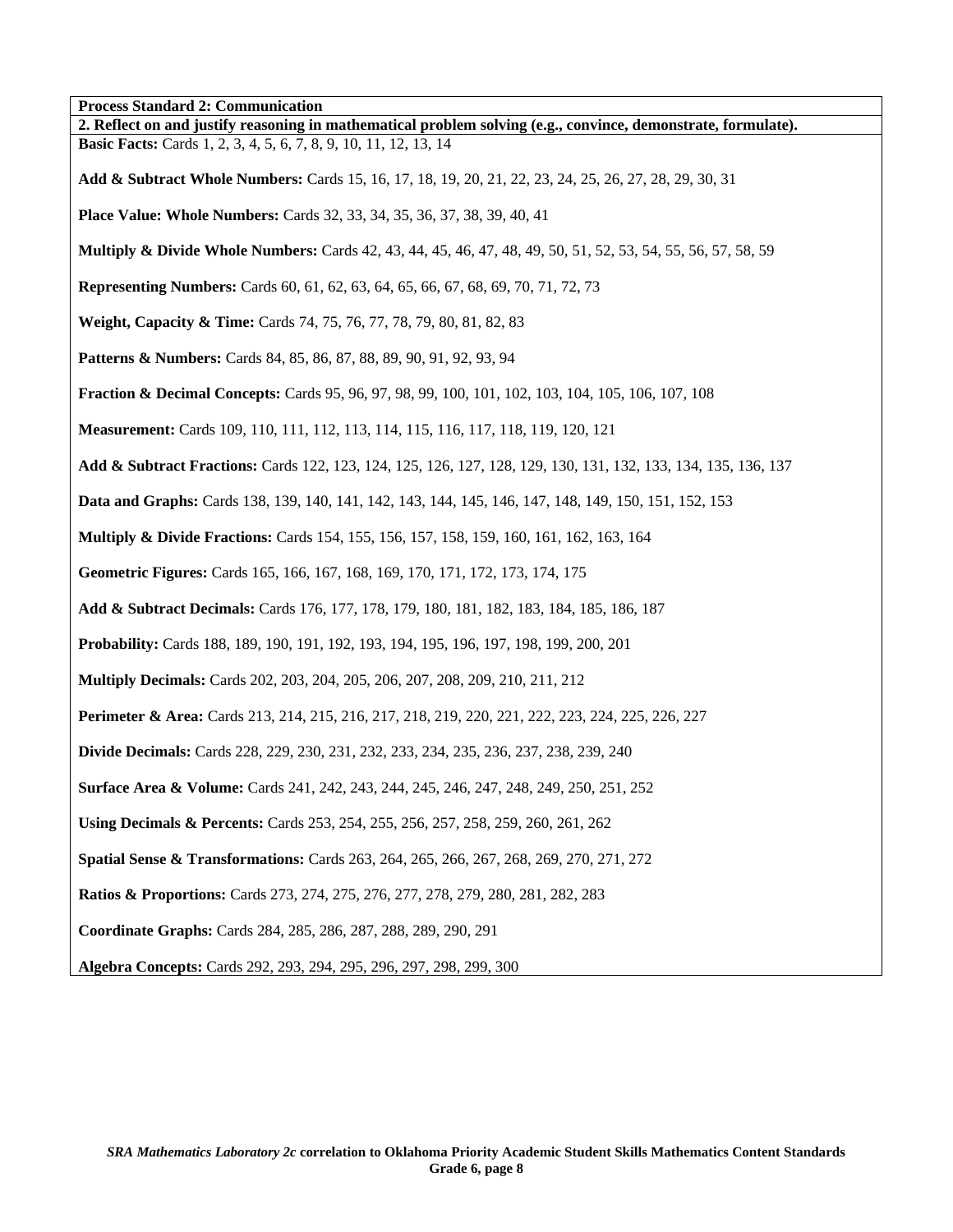**Process Standard 2: Communication** 

| 2. Reflect on and justify reasoning in mathematical problem solving (e.g., convince, demonstrate, formulate).            |
|--------------------------------------------------------------------------------------------------------------------------|
| <b>Basic Facts:</b> Cards 1, 2, 3, 4, 5, 6, 7, 8, 9, 10, 11, 12, 13, 14                                                  |
| Add & Subtract Whole Numbers: Cards 15, 16, 17, 18, 19, 20, 21, 22, 23, 24, 25, 26, 27, 28, 29, 30, 31                   |
| <b>Place Value: Whole Numbers:</b> Cards 32, 33, 34, 35, 36, 37, 38, 39, 40, 41                                          |
| <b>Multiply &amp; Divide Whole Numbers:</b> Cards 42, 43, 44, 45, 46, 47, 48, 49, 50, 51, 52, 53, 54, 55, 56, 57, 58, 59 |
| <b>Representing Numbers:</b> Cards 60, 61, 62, 63, 64, 65, 66, 67, 68, 69, 70, 71, 72, 73                                |
| <b>Weight, Capacity &amp; Time:</b> Cards 74, 75, 76, 77, 78, 79, 80, 81, 82, 83                                         |
| <b>Patterns &amp; Numbers:</b> Cards 84, 85, 86, 87, 88, 89, 90, 91, 92, 93, 94                                          |
| <b>Fraction &amp; Decimal Concepts:</b> Cards 95, 96, 97, 98, 99, 100, 101, 102, 103, 104, 105, 106, 107, 108            |
| Measurement: Cards 109, 110, 111, 112, 113, 114, 115, 116, 117, 118, 119, 120, 121                                       |
| Add & Subtract Fractions: Cards 122, 123, 124, 125, 126, 127, 128, 129, 130, 131, 132, 133, 134, 135, 136, 137           |
| Data and Graphs: Cards 138, 139, 140, 141, 142, 143, 144, 145, 146, 147, 148, 149, 150, 151, 152, 153                    |
| <b>Multiply &amp; Divide Fractions:</b> Cards 154, 155, 156, 157, 158, 159, 160, 161, 162, 163, 164                      |
| Geometric Figures: Cards 165, 166, 167, 168, 169, 170, 171, 172, 173, 174, 175                                           |
| Add & Subtract Decimals: Cards 176, 177, 178, 179, 180, 181, 182, 183, 184, 185, 186, 187                                |
| Probability: Cards 188, 189, 190, 191, 192, 193, 194, 195, 196, 197, 198, 199, 200, 201                                  |
| <b>Multiply Decimals:</b> Cards 202, 203, 204, 205, 206, 207, 208, 209, 210, 211, 212                                    |
| <b>Perimeter &amp; Area:</b> Cards 213, 214, 215, 216, 217, 218, 219, 220, 221, 222, 223, 224, 225, 226, 227             |
| <b>Divide Decimals:</b> Cards 228, 229, 230, 231, 232, 233, 234, 235, 236, 237, 238, 239, 240                            |
| <b>Surface Area &amp; Volume:</b> Cards 241, 242, 243, 244, 245, 246, 247, 248, 249, 250, 251, 252                       |
| Using Decimals & Percents: Cards 253, 254, 255, 256, 257, 258, 259, 260, 261, 262                                        |
| Spatial Sense & Transformations: Cards 263, 264, 265, 266, 267, 268, 269, 270, 271, 272                                  |
| <b>Ratios &amp; Proportions:</b> Cards 273, 274, 275, 276, 277, 278, 279, 280, 281, 282, 283                             |
| Coordinate Graphs: Cards 284, 285, 286, 287, 288, 289, 290, 291                                                          |
| Algebra Concepts: Cards 292, 293, 294, 295, 296, 297, 298, 299, 300                                                      |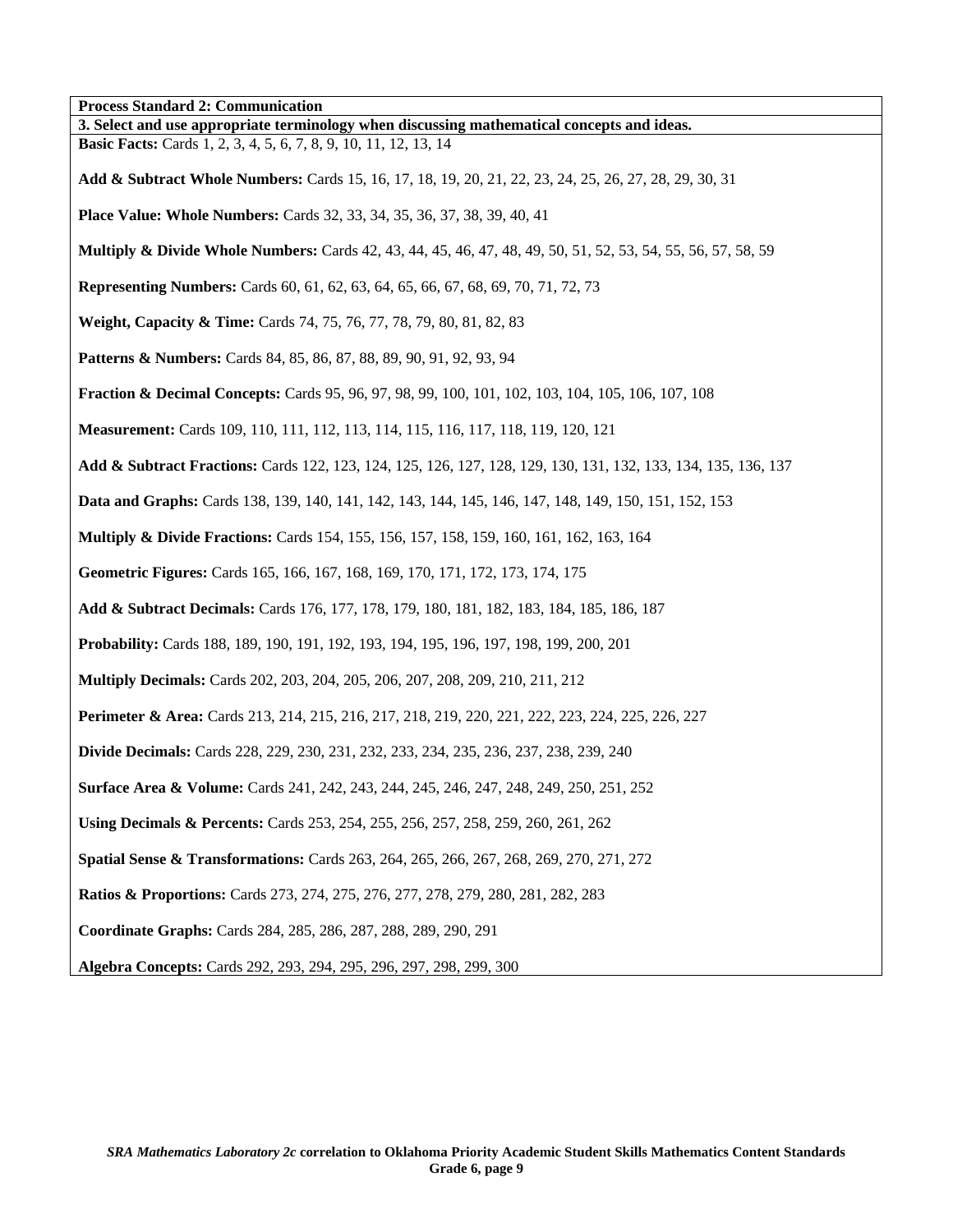| <b>Process Standard 2: Communication</b>                                                                                 |
|--------------------------------------------------------------------------------------------------------------------------|
| 3. Select and use appropriate terminology when discussing mathematical concepts and ideas.                               |
| <b>Basic Facts:</b> Cards 1, 2, 3, 4, 5, 6, 7, 8, 9, 10, 11, 12, 13, 14                                                  |
| Add & Subtract Whole Numbers: Cards 15, 16, 17, 18, 19, 20, 21, 22, 23, 24, 25, 26, 27, 28, 29, 30, 31                   |
| <b>Place Value: Whole Numbers:</b> Cards 32, 33, 34, 35, 36, 37, 38, 39, 40, 41                                          |
| <b>Multiply &amp; Divide Whole Numbers:</b> Cards 42, 43, 44, 45, 46, 47, 48, 49, 50, 51, 52, 53, 54, 55, 56, 57, 58, 59 |
| <b>Representing Numbers:</b> Cards 60, 61, 62, 63, 64, 65, 66, 67, 68, 69, 70, 71, 72, 73                                |
| Weight, Capacity & Time: Cards 74, 75, 76, 77, 78, 79, 80, 81, 82, 83                                                    |
| <b>Patterns &amp; Numbers:</b> Cards 84, 85, 86, 87, 88, 89, 90, 91, 92, 93, 94                                          |
| <b>Fraction &amp; Decimal Concepts:</b> Cards 95, 96, 97, 98, 99, 100, 101, 102, 103, 104, 105, 106, 107, 108            |
| Measurement: Cards 109, 110, 111, 112, 113, 114, 115, 116, 117, 118, 119, 120, 121                                       |
| Add & Subtract Fractions: Cards 122, 123, 124, 125, 126, 127, 128, 129, 130, 131, 132, 133, 134, 135, 136, 137           |
| <b>Data and Graphs:</b> Cards 138, 139, 140, 141, 142, 143, 144, 145, 146, 147, 148, 149, 150, 151, 152, 153             |
| <b>Multiply &amp; Divide Fractions:</b> Cards 154, 155, 156, 157, 158, 159, 160, 161, 162, 163, 164                      |
| Geometric Figures: Cards 165, 166, 167, 168, 169, 170, 171, 172, 173, 174, 175                                           |
| Add & Subtract Decimals: Cards 176, 177, 178, 179, 180, 181, 182, 183, 184, 185, 186, 187                                |
| Probability: Cards 188, 189, 190, 191, 192, 193, 194, 195, 196, 197, 198, 199, 200, 201                                  |
| <b>Multiply Decimals:</b> Cards 202, 203, 204, 205, 206, 207, 208, 209, 210, 211, 212                                    |
| <b>Perimeter &amp; Area:</b> Cards 213, 214, 215, 216, 217, 218, 219, 220, 221, 222, 223, 224, 225, 226, 227             |
| Divide Decimals: Cards 228, 229, 230, 231, 232, 233, 234, 235, 236, 237, 238, 239, 240                                   |
| <b>Surface Area &amp; Volume:</b> Cards 241, 242, 243, 244, 245, 246, 247, 248, 249, 250, 251, 252                       |
| Using Decimals & Percents: Cards 253, 254, 255, 256, 257, 258, 259, 260, 261, 262                                        |
| Spatial Sense & Transformations: Cards 263, 264, 265, 266, 267, 268, 269, 270, 271, 272                                  |
| <b>Ratios &amp; Proportions:</b> Cards 273, 274, 275, 276, 277, 278, 279, 280, 281, 282, 283                             |
| Coordinate Graphs: Cards 284, 285, 286, 287, 288, 289, 290, 291                                                          |
| Algebra Concepts: Cards 292, 293, 294, 295, 296, 297, 298, 299, 300                                                      |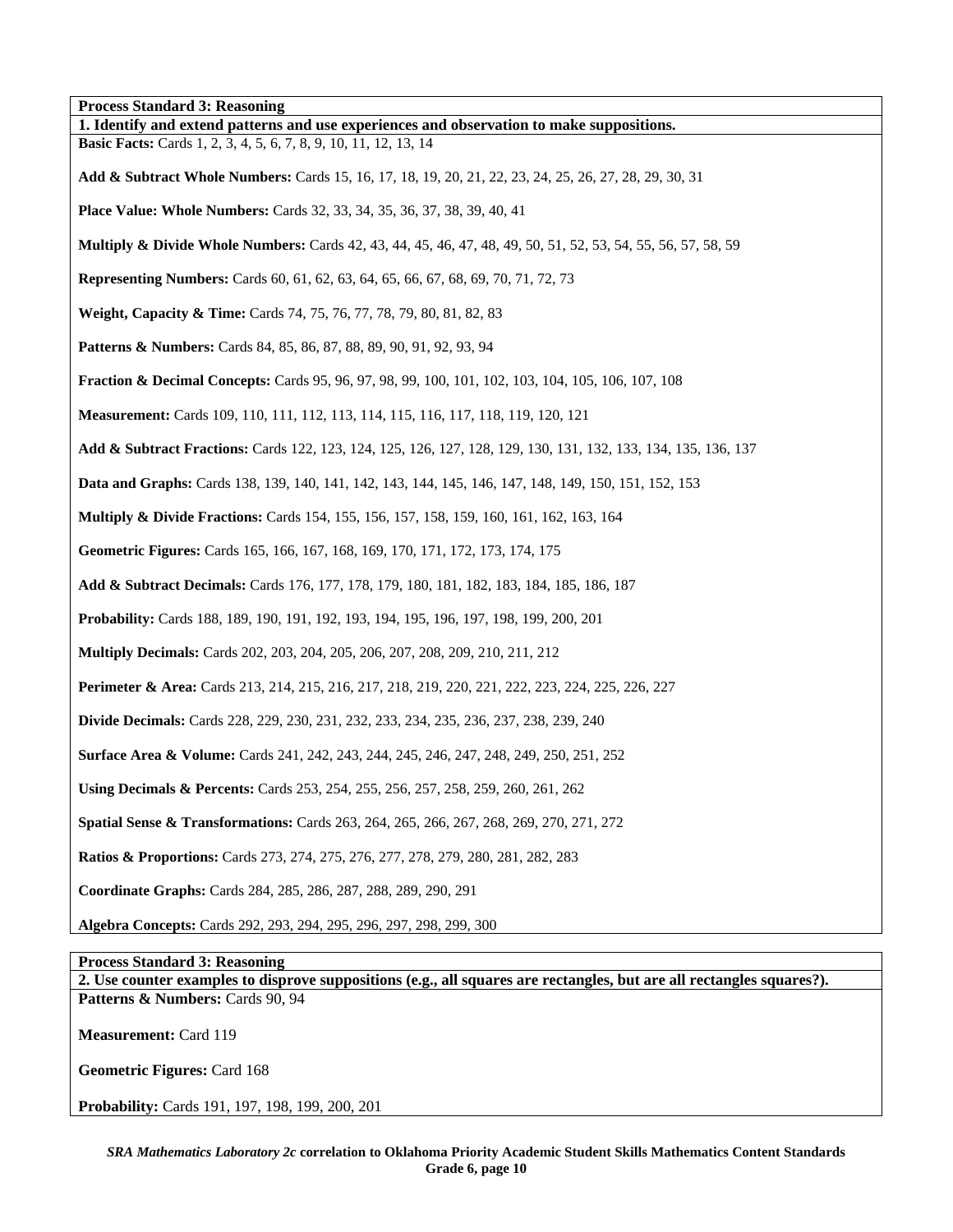| <b>Process Standard 3: Reasoning</b>                                                                                      |
|---------------------------------------------------------------------------------------------------------------------------|
| 1. Identify and extend patterns and use experiences and observation to make suppositions.                                 |
| <b>Basic Facts:</b> Cards 1, 2, 3, 4, 5, 6, 7, 8, 9, 10, 11, 12, 13, 14                                                   |
| Add & Subtract Whole Numbers: Cards 15, 16, 17, 18, 19, 20, 21, 22, 23, 24, 25, 26, 27, 28, 29, 30, 31                    |
| <b>Place Value: Whole Numbers:</b> Cards 32, 33, 34, 35, 36, 37, 38, 39, 40, 41                                           |
| <b>Multiply &amp; Divide Whole Numbers:</b> Cards 42, 43, 44, 45, 46, 47, 48, 49, 50, 51, 52, 53, 54, 55, 56, 57, 58, 59  |
| <b>Representing Numbers:</b> Cards 60, 61, 62, 63, 64, 65, 66, 67, 68, 69, 70, 71, 72, 73                                 |
| Weight, Capacity & Time: Cards 74, 75, 76, 77, 78, 79, 80, 81, 82, 83                                                     |
| <b>Patterns &amp; Numbers:</b> Cards 84, 85, 86, 87, 88, 89, 90, 91, 92, 93, 94                                           |
| <b>Fraction &amp; Decimal Concepts:</b> Cards 95, 96, 97, 98, 99, 100, 101, 102, 103, 104, 105, 106, 107, 108             |
| <b>Measurement:</b> Cards 109, 110, 111, 112, 113, 114, 115, 116, 117, 118, 119, 120, 121                                 |
| <b>Add &amp; Subtract Fractions:</b> Cards 122, 123, 124, 125, 126, 127, 128, 129, 130, 131, 132, 133, 134, 135, 136, 137 |
| Data and Graphs: Cards 138, 139, 140, 141, 142, 143, 144, 145, 146, 147, 148, 149, 150, 151, 152, 153                     |
| <b>Multiply &amp; Divide Fractions:</b> Cards 154, 155, 156, 157, 158, 159, 160, 161, 162, 163, 164                       |
| Geometric Figures: Cards 165, 166, 167, 168, 169, 170, 171, 172, 173, 174, 175                                            |
| Add & Subtract Decimals: Cards 176, 177, 178, 179, 180, 181, 182, 183, 184, 185, 186, 187                                 |
| <b>Probability:</b> Cards 188, 189, 190, 191, 192, 193, 194, 195, 196, 197, 198, 199, 200, 201                            |
| <b>Multiply Decimals:</b> Cards 202, 203, 204, 205, 206, 207, 208, 209, 210, 211, 212                                     |
| <b>Perimeter &amp; Area:</b> Cards 213, 214, 215, 216, 217, 218, 219, 220, 221, 222, 223, 224, 225, 226, 227              |
| Divide Decimals: Cards 228, 229, 230, 231, 232, 233, 234, 235, 236, 237, 238, 239, 240                                    |
| <b>Surface Area &amp; Volume:</b> Cards 241, 242, 243, 244, 245, 246, 247, 248, 249, 250, 251, 252                        |
| Using Decimals & Percents: Cards 253, 254, 255, 256, 257, 258, 259, 260, 261, 262                                         |
| Spatial Sense & Transformations: Cards 263, 264, 265, 266, 267, 268, 269, 270, 271, 272                                   |
| Ratios & Proportions: Cards 273, 274, 275, 276, 277, 278, 279, 280, 281, 282, 283                                         |
| Coordinate Graphs: Cards 284, 285, 286, 287, 288, 289, 290, 291                                                           |
| Algebra Concepts: Cards 292, 293, 294, 295, 296, 297, 298, 299, 300                                                       |
|                                                                                                                           |

**Process Standard 3: Reasoning** 

**2. Use counter examples to disprove suppositions (e.g., all squares are rectangles, but are all rectangles squares?).**  Patterns & Numbers: Cards 90, 94

**Measurement:** Card 119

**Geometric Figures:** Card 168

**Probability:** Cards 191, 197, 198, 199, 200, 201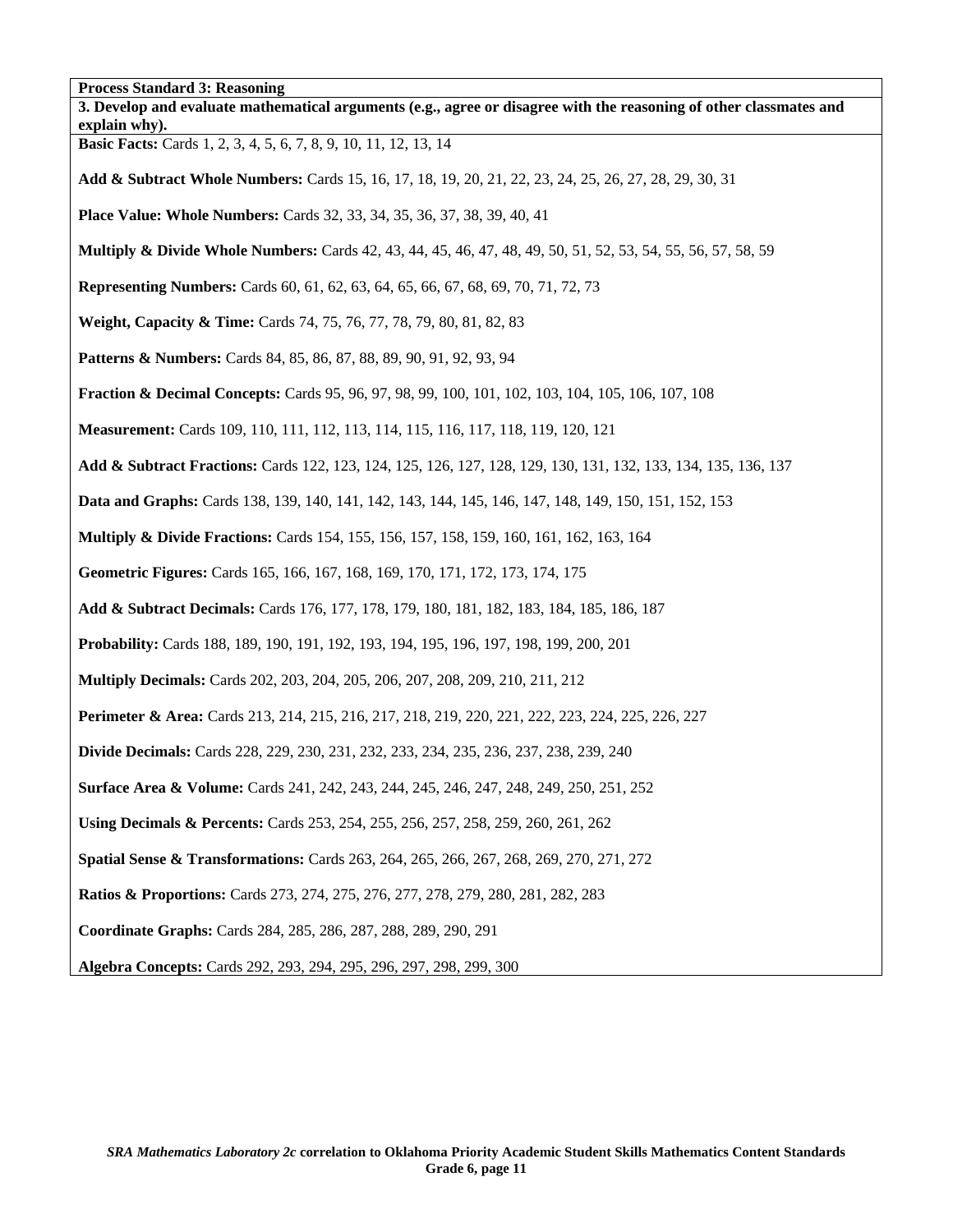**Process Standard 3: Reasoning 3. Develop and evaluate mathematical arguments (e.g., agree or disagree with the reasoning of other classmates and explain why). Basic Facts:** Cards 1, 2, 3, 4, 5, 6, 7, 8, 9, 10, 11, 12, 13, 14 **Add & Subtract Whole Numbers:** Cards 15, 16, 17, 18, 19, 20, 21, 22, 23, 24, 25, 26, 27, 28, 29, 30, 31 **Place Value: Whole Numbers:** Cards 32, 33, 34, 35, 36, 37, 38, 39, 40, 41 **Multiply & Divide Whole Numbers:** Cards 42, 43, 44, 45, 46, 47, 48, 49, 50, 51, 52, 53, 54, 55, 56, 57, 58, 59 **Representing Numbers:** Cards 60, 61, 62, 63, 64, 65, 66, 67, 68, 69, 70, 71, 72, 73 **Weight, Capacity & Time:** Cards 74, 75, 76, 77, 78, 79, 80, 81, 82, 83 **Patterns & Numbers:** Cards 84, 85, 86, 87, 88, 89, 90, 91, 92, 93, 94 **Fraction & Decimal Concepts:** Cards 95, 96, 97, 98, 99, 100, 101, 102, 103, 104, 105, 106, 107, 108 **Measurement:** Cards 109, 110, 111, 112, 113, 114, 115, 116, 117, 118, 119, 120, 121 **Add & Subtract Fractions:** Cards 122, 123, 124, 125, 126, 127, 128, 129, 130, 131, 132, 133, 134, 135, 136, 137 **Data and Graphs:** Cards 138, 139, 140, 141, 142, 143, 144, 145, 146, 147, 148, 149, 150, 151, 152, 153 **Multiply & Divide Fractions:** Cards 154, 155, 156, 157, 158, 159, 160, 161, 162, 163, 164 **Geometric Figures:** Cards 165, 166, 167, 168, 169, 170, 171, 172, 173, 174, 175 **Add & Subtract Decimals:** Cards 176, 177, 178, 179, 180, 181, 182, 183, 184, 185, 186, 187 **Probability:** Cards 188, 189, 190, 191, 192, 193, 194, 195, 196, 197, 198, 199, 200, 201 **Multiply Decimals:** Cards 202, 203, 204, 205, 206, 207, 208, 209, 210, 211, 212 **Perimeter & Area:** Cards 213, 214, 215, 216, 217, 218, 219, 220, 221, 222, 223, 224, 225, 226, 227 **Divide Decimals:** Cards 228, 229, 230, 231, 232, 233, 234, 235, 236, 237, 238, 239, 240 **Surface Area & Volume:** Cards 241, 242, 243, 244, 245, 246, 247, 248, 249, 250, 251, 252 **Using Decimals & Percents:** Cards 253, 254, 255, 256, 257, 258, 259, 260, 261, 262 **Spatial Sense & Transformations:** Cards 263, 264, 265, 266, 267, 268, 269, 270, 271, 272 **Ratios & Proportions:** Cards 273, 274, 275, 276, 277, 278, 279, 280, 281, 282, 283 **Coordinate Graphs:** Cards 284, 285, 286, 287, 288, 289, 290, 291 **Algebra Concepts:** Cards 292, 293, 294, 295, 296, 297, 298, 299, 300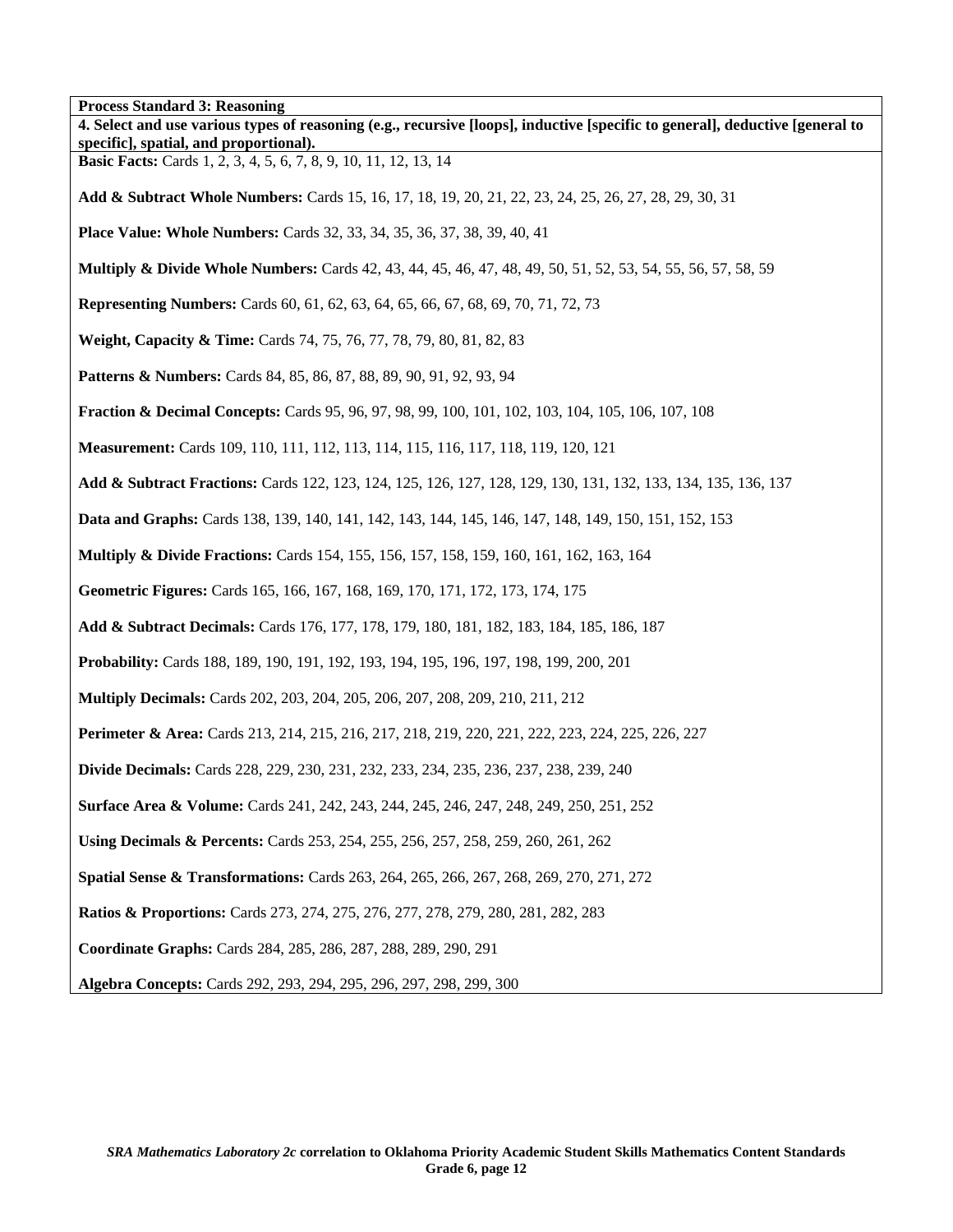**Process Standard 3: Reasoning 4. Select and use various types of reasoning (e.g., recursive [loops], inductive [specific to general], deductive [general to specific], spatial, and proportional). Basic Facts:** Cards 1, 2, 3, 4, 5, 6, 7, 8, 9, 10, 11, 12, 13, 14 **Add & Subtract Whole Numbers:** Cards 15, 16, 17, 18, 19, 20, 21, 22, 23, 24, 25, 26, 27, 28, 29, 30, 31 **Place Value: Whole Numbers:** Cards 32, 33, 34, 35, 36, 37, 38, 39, 40, 41 **Multiply & Divide Whole Numbers:** Cards 42, 43, 44, 45, 46, 47, 48, 49, 50, 51, 52, 53, 54, 55, 56, 57, 58, 59 **Representing Numbers:** Cards 60, 61, 62, 63, 64, 65, 66, 67, 68, 69, 70, 71, 72, 73 **Weight, Capacity & Time:** Cards 74, 75, 76, 77, 78, 79, 80, 81, 82, 83 Patterns & Numbers: Cards 84, 85, 86, 87, 88, 89, 90, 91, 92, 93, 94 **Fraction & Decimal Concepts:** Cards 95, 96, 97, 98, 99, 100, 101, 102, 103, 104, 105, 106, 107, 108 **Measurement:** Cards 109, 110, 111, 112, 113, 114, 115, 116, 117, 118, 119, 120, 121 **Add & Subtract Fractions:** Cards 122, 123, 124, 125, 126, 127, 128, 129, 130, 131, 132, 133, 134, 135, 136, 137 **Data and Graphs:** Cards 138, 139, 140, 141, 142, 143, 144, 145, 146, 147, 148, 149, 150, 151, 152, 153 **Multiply & Divide Fractions:** Cards 154, 155, 156, 157, 158, 159, 160, 161, 162, 163, 164 **Geometric Figures:** Cards 165, 166, 167, 168, 169, 170, 171, 172, 173, 174, 175 **Add & Subtract Decimals:** Cards 176, 177, 178, 179, 180, 181, 182, 183, 184, 185, 186, 187 **Probability:** Cards 188, 189, 190, 191, 192, 193, 194, 195, 196, 197, 198, 199, 200, 201 **Multiply Decimals:** Cards 202, 203, 204, 205, 206, 207, 208, 209, 210, 211, 212 **Perimeter & Area:** Cards 213, 214, 215, 216, 217, 218, 219, 220, 221, 222, 223, 224, 225, 226, 227 **Divide Decimals:** Cards 228, 229, 230, 231, 232, 233, 234, 235, 236, 237, 238, 239, 240 **Surface Area & Volume:** Cards 241, 242, 243, 244, 245, 246, 247, 248, 249, 250, 251, 252 **Using Decimals & Percents:** Cards 253, 254, 255, 256, 257, 258, 259, 260, 261, 262 **Spatial Sense & Transformations:** Cards 263, 264, 265, 266, 267, 268, 269, 270, 271, 272 **Ratios & Proportions:** Cards 273, 274, 275, 276, 277, 278, 279, 280, 281, 282, 283 **Coordinate Graphs:** Cards 284, 285, 286, 287, 288, 289, 290, 291 **Algebra Concepts:** Cards 292, 293, 294, 295, 296, 297, 298, 299, 300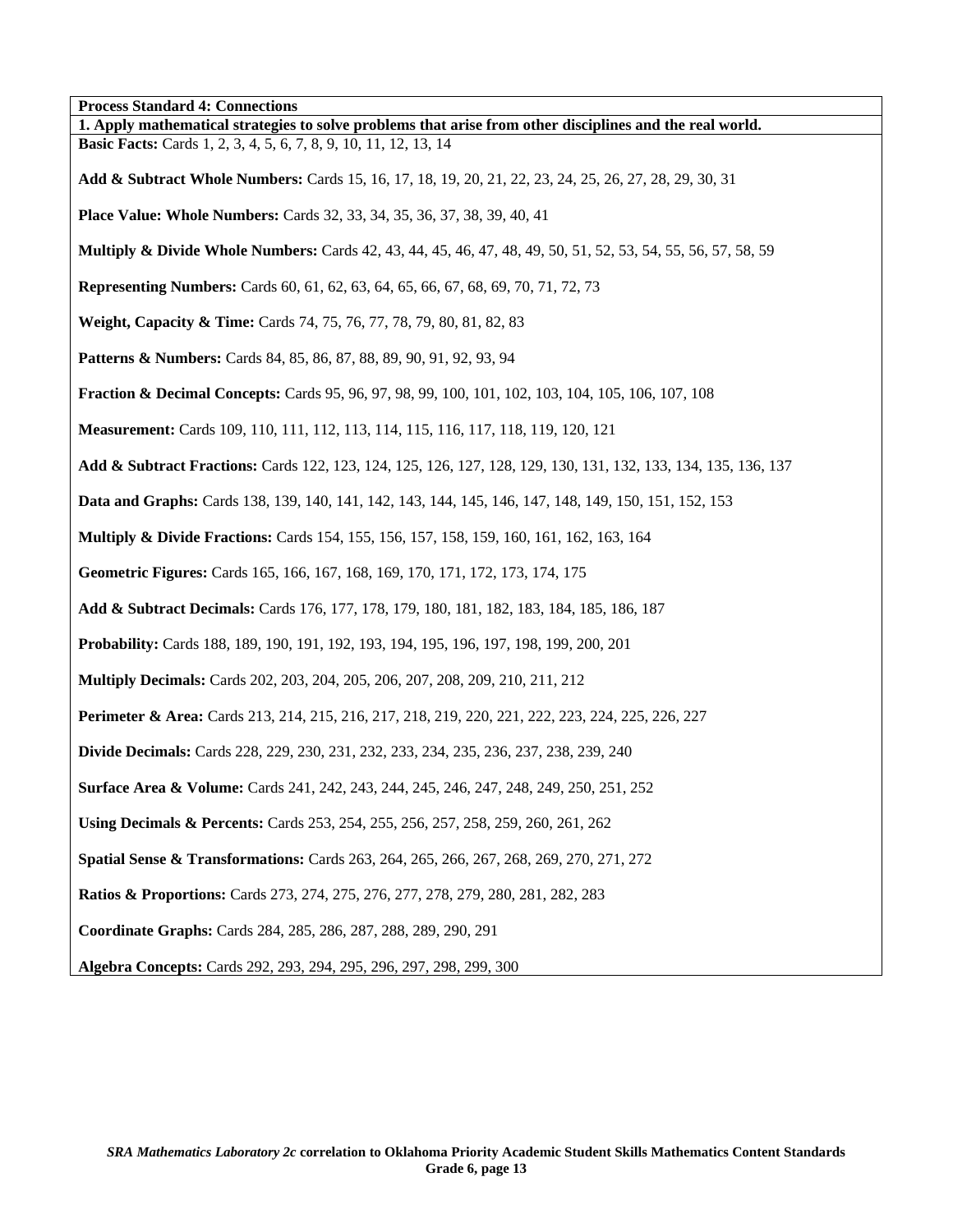**Process Standard 4: Connections 1. Apply mathematical strategies to solve problems that arise from other disciplines and the real world. Basic Facts:** Cards 1, 2, 3, 4, 5, 6, 7, 8, 9, 10, 11, 12, 13, 14 **Add & Subtract Whole Numbers:** Cards 15, 16, 17, 18, 19, 20, 21, 22, 23, 24, 25, 26, 27, 28, 29, 30, 31 **Place Value: Whole Numbers:** Cards 32, 33, 34, 35, 36, 37, 38, 39, 40, 41 **Multiply & Divide Whole Numbers:** Cards 42, 43, 44, 45, 46, 47, 48, 49, 50, 51, 52, 53, 54, 55, 56, 57, 58, 59 **Representing Numbers:** Cards 60, 61, 62, 63, 64, 65, 66, 67, 68, 69, 70, 71, 72, 73 **Weight, Capacity & Time:** Cards 74, 75, 76, 77, 78, 79, 80, 81, 82, 83 **Patterns & Numbers:** Cards 84, 85, 86, 87, 88, 89, 90, 91, 92, 93, 94 **Fraction & Decimal Concepts:** Cards 95, 96, 97, 98, 99, 100, 101, 102, 103, 104, 105, 106, 107, 108 **Measurement:** Cards 109, 110, 111, 112, 113, 114, 115, 116, 117, 118, 119, 120, 121 **Add & Subtract Fractions:** Cards 122, 123, 124, 125, 126, 127, 128, 129, 130, 131, 132, 133, 134, 135, 136, 137 **Data and Graphs:** Cards 138, 139, 140, 141, 142, 143, 144, 145, 146, 147, 148, 149, 150, 151, 152, 153 **Multiply & Divide Fractions:** Cards 154, 155, 156, 157, 158, 159, 160, 161, 162, 163, 164 **Geometric Figures:** Cards 165, 166, 167, 168, 169, 170, 171, 172, 173, 174, 175 **Add & Subtract Decimals:** Cards 176, 177, 178, 179, 180, 181, 182, 183, 184, 185, 186, 187 **Probability:** Cards 188, 189, 190, 191, 192, 193, 194, 195, 196, 197, 198, 199, 200, 201 **Multiply Decimals:** Cards 202, 203, 204, 205, 206, 207, 208, 209, 210, 211, 212 **Perimeter & Area:** Cards 213, 214, 215, 216, 217, 218, 219, 220, 221, 222, 223, 224, 225, 226, 227 **Divide Decimals:** Cards 228, 229, 230, 231, 232, 233, 234, 235, 236, 237, 238, 239, 240 **Surface Area & Volume:** Cards 241, 242, 243, 244, 245, 246, 247, 248, 249, 250, 251, 252 **Using Decimals & Percents:** Cards 253, 254, 255, 256, 257, 258, 259, 260, 261, 262 **Spatial Sense & Transformations:** Cards 263, 264, 265, 266, 267, 268, 269, 270, 271, 272 **Ratios & Proportions:** Cards 273, 274, 275, 276, 277, 278, 279, 280, 281, 282, 283 **Coordinate Graphs:** Cards 284, 285, 286, 287, 288, 289, 290, 291 **Algebra Concepts:** Cards 292, 293, 294, 295, 296, 297, 298, 299, 300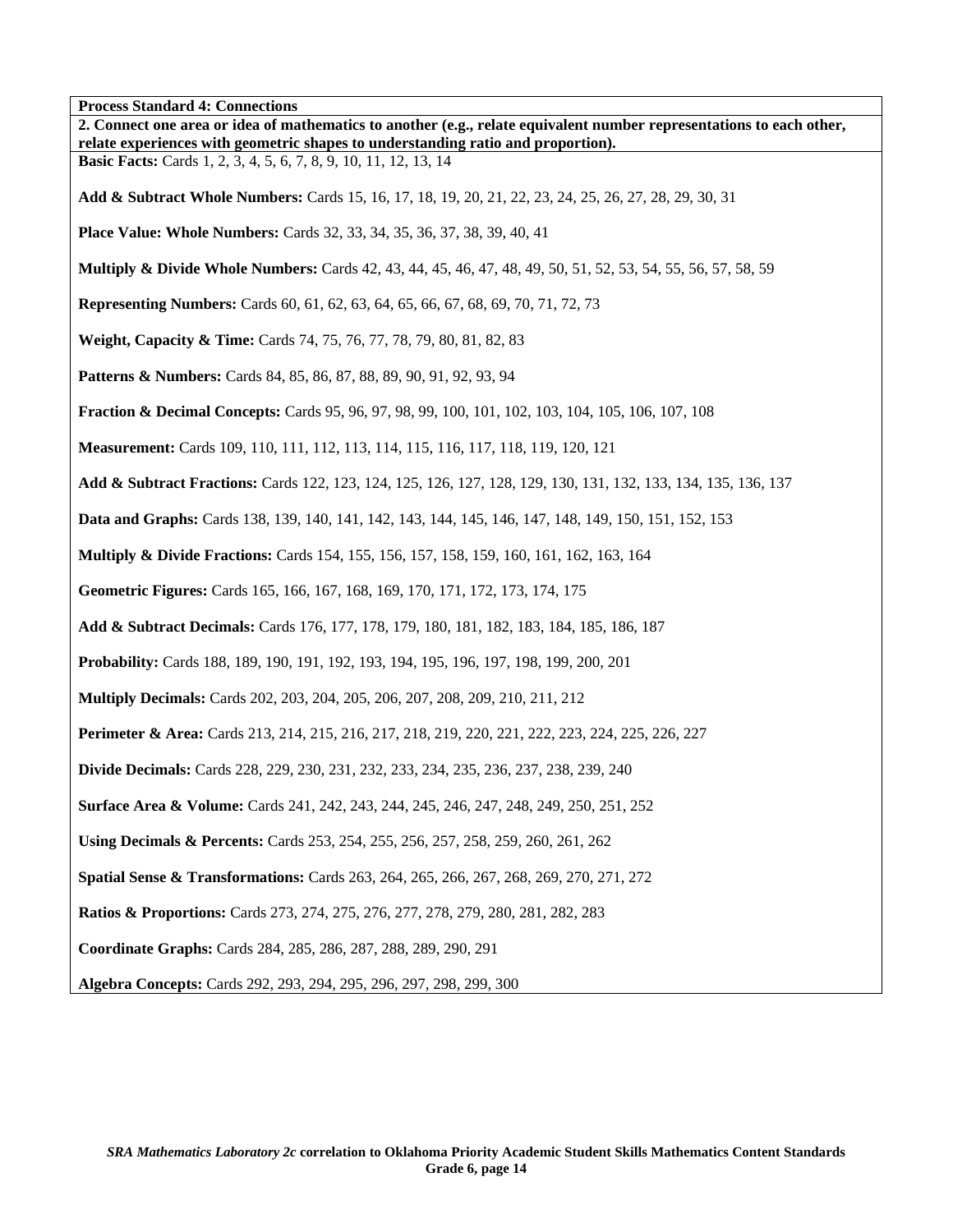**Process Standard 4: Connections** 

| 1 тоссяя виннин и ¬. Соннесионе<br>2. Connect one area or idea of mathematics to another (e.g., relate equivalent number representations to each other,<br>relate experiences with geometric shapes to understanding ratio and proportion). |
|---------------------------------------------------------------------------------------------------------------------------------------------------------------------------------------------------------------------------------------------|
| <b>Basic Facts:</b> Cards 1, 2, 3, 4, 5, 6, 7, 8, 9, 10, 11, 12, 13, 14                                                                                                                                                                     |
| Add & Subtract Whole Numbers: Cards 15, 16, 17, 18, 19, 20, 21, 22, 23, 24, 25, 26, 27, 28, 29, 30, 31                                                                                                                                      |
| <b>Place Value: Whole Numbers:</b> Cards 32, 33, 34, 35, 36, 37, 38, 39, 40, 41                                                                                                                                                             |
| <b>Multiply &amp; Divide Whole Numbers:</b> Cards 42, 43, 44, 45, 46, 47, 48, 49, 50, 51, 52, 53, 54, 55, 56, 57, 58, 59                                                                                                                    |
| <b>Representing Numbers:</b> Cards 60, 61, 62, 63, 64, 65, 66, 67, 68, 69, 70, 71, 72, 73                                                                                                                                                   |
| Weight, Capacity & Time: Cards 74, 75, 76, 77, 78, 79, 80, 81, 82, 83                                                                                                                                                                       |
| Patterns & Numbers: Cards 84, 85, 86, 87, 88, 89, 90, 91, 92, 93, 94                                                                                                                                                                        |
| <b>Fraction &amp; Decimal Concepts:</b> Cards 95, 96, 97, 98, 99, 100, 101, 102, 103, 104, 105, 106, 107, 108                                                                                                                               |
| Measurement: Cards 109, 110, 111, 112, 113, 114, 115, 116, 117, 118, 119, 120, 121                                                                                                                                                          |
| Add & Subtract Fractions: Cards 122, 123, 124, 125, 126, 127, 128, 129, 130, 131, 132, 133, 134, 135, 136, 137                                                                                                                              |
| Data and Graphs: Cards 138, 139, 140, 141, 142, 143, 144, 145, 146, 147, 148, 149, 150, 151, 152, 153                                                                                                                                       |
| <b>Multiply &amp; Divide Fractions:</b> Cards 154, 155, 156, 157, 158, 159, 160, 161, 162, 163, 164                                                                                                                                         |
| Geometric Figures: Cards 165, 166, 167, 168, 169, 170, 171, 172, 173, 174, 175                                                                                                                                                              |
| Add & Subtract Decimals: Cards 176, 177, 178, 179, 180, 181, 182, 183, 184, 185, 186, 187                                                                                                                                                   |
| Probability: Cards 188, 189, 190, 191, 192, 193, 194, 195, 196, 197, 198, 199, 200, 201                                                                                                                                                     |
| <b>Multiply Decimals:</b> Cards 202, 203, 204, 205, 206, 207, 208, 209, 210, 211, 212                                                                                                                                                       |
| <b>Perimeter &amp; Area:</b> Cards 213, 214, 215, 216, 217, 218, 219, 220, 221, 222, 223, 224, 225, 226, 227                                                                                                                                |
| <b>Divide Decimals:</b> Cards 228, 229, 230, 231, 232, 233, 234, 235, 236, 237, 238, 239, 240                                                                                                                                               |
| <b>Surface Area &amp; Volume:</b> Cards 241, 242, 243, 244, 245, 246, 247, 248, 249, 250, 251, 252                                                                                                                                          |
| Using Decimals & Percents: Cards 253, 254, 255, 256, 257, 258, 259, 260, 261, 262                                                                                                                                                           |
| Spatial Sense & Transformations: Cards 263, 264, 265, 266, 267, 268, 269, 270, 271, 272                                                                                                                                                     |
| <b>Ratios &amp; Proportions:</b> Cards 273, 274, 275, 276, 277, 278, 279, 280, 281, 282, 283                                                                                                                                                |
| Coordinate Graphs: Cards 284, 285, 286, 287, 288, 289, 290, 291                                                                                                                                                                             |
| Algebra Concepts: Cards 292, 293, 294, 295, 296, 297, 298, 299, 300                                                                                                                                                                         |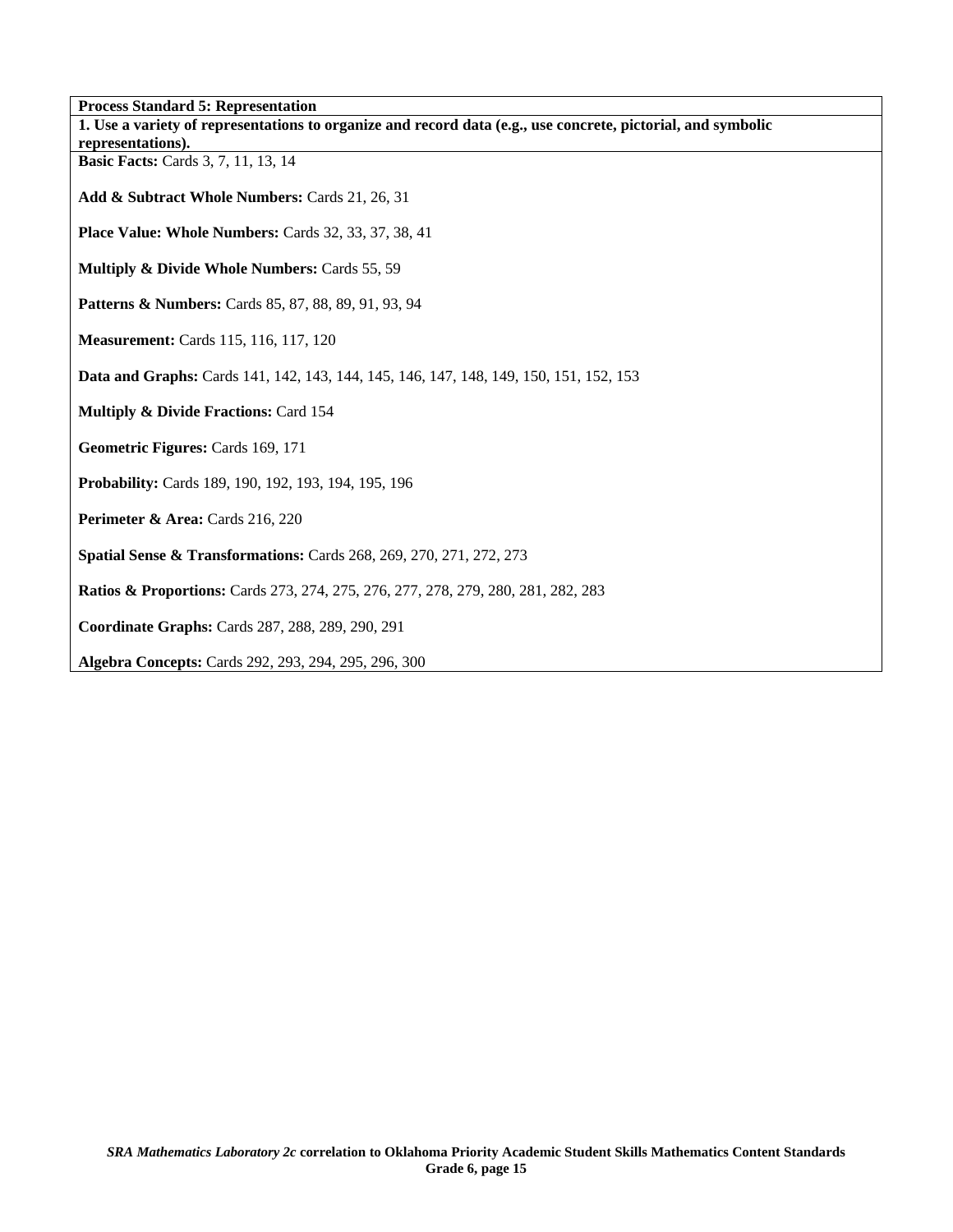| <b>Process Standard 5: Representation</b>                                                                    |
|--------------------------------------------------------------------------------------------------------------|
| 1. Use a variety of representations to organize and record data (e.g., use concrete, pictorial, and symbolic |
| representations).                                                                                            |
| <b>Basic Facts:</b> Cards 3, 7, 11, 13, 14                                                                   |
| Add & Subtract Whole Numbers: Cards 21, 26, 31                                                               |
| Place Value: Whole Numbers: Cards 32, 33, 37, 38, 41                                                         |
| Multiply & Divide Whole Numbers: Cards 55, 59                                                                |
| <b>Patterns &amp; Numbers:</b> Cards 85, 87, 88, 89, 91, 93, 94                                              |
| <b>Measurement:</b> Cards 115, 116, 117, 120                                                                 |
| <b>Data and Graphs:</b> Cards 141, 142, 143, 144, 145, 146, 147, 148, 149, 150, 151, 152, 153                |
| Multiply & Divide Fractions: Card 154                                                                        |
| Geometric Figures: Cards 169, 171                                                                            |
| Probability: Cards 189, 190, 192, 193, 194, 195, 196                                                         |
| Perimeter & Area: Cards 216, 220                                                                             |
| <b>Spatial Sense &amp; Transformations:</b> Cards 268, 269, 270, 271, 272, 273                               |
| <b>Ratios &amp; Proportions:</b> Cards 273, 274, 275, 276, 277, 278, 279, 280, 281, 282, 283                 |
| Coordinate Graphs: Cards 287, 288, 289, 290, 291                                                             |
| <b>Algebra Concepts: Cards 292, 293, 294, 295, 296, 300</b>                                                  |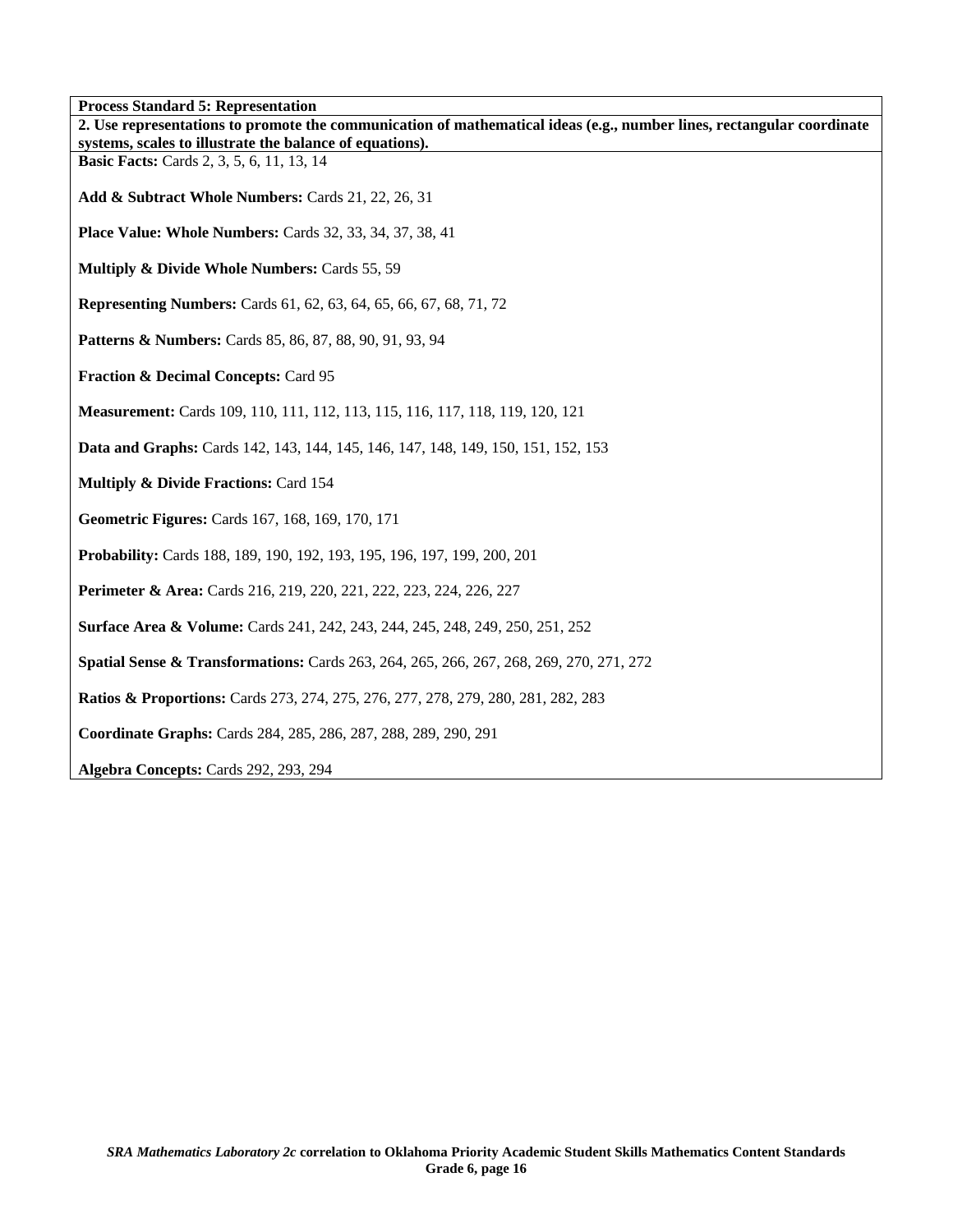**Process Standard 5: Representation** 

| т госсвя виннага э. кергезентанон<br>2. Use representations to promote the communication of mathematical ideas (e.g., number lines, rectangular coordinate<br>systems, scales to illustrate the balance of equations). |
|------------------------------------------------------------------------------------------------------------------------------------------------------------------------------------------------------------------------|
| <b>Basic Facts:</b> Cards 2, 3, 5, 6, 11, 13, 14                                                                                                                                                                       |
| Add & Subtract Whole Numbers: Cards 21, 22, 26, 31                                                                                                                                                                     |
| <b>Place Value: Whole Numbers: Cards 32, 33, 34, 37, 38, 41</b>                                                                                                                                                        |
| Multiply & Divide Whole Numbers: Cards 55, 59                                                                                                                                                                          |
| <b>Representing Numbers:</b> Cards 61, 62, 63, 64, 65, 66, 67, 68, 71, 72                                                                                                                                              |
| Patterns & Numbers: Cards 85, 86, 87, 88, 90, 91, 93, 94                                                                                                                                                               |
| Fraction & Decimal Concepts: Card 95                                                                                                                                                                                   |
| Measurement: Cards 109, 110, 111, 112, 113, 115, 116, 117, 118, 119, 120, 121                                                                                                                                          |
| Data and Graphs: Cards 142, 143, 144, 145, 146, 147, 148, 149, 150, 151, 152, 153                                                                                                                                      |
| <b>Multiply &amp; Divide Fractions: Card 154</b>                                                                                                                                                                       |
| Geometric Figures: Cards 167, 168, 169, 170, 171                                                                                                                                                                       |
| <b>Probability:</b> Cards 188, 189, 190, 192, 193, 195, 196, 197, 199, 200, 201                                                                                                                                        |
| <b>Perimeter &amp; Area:</b> Cards 216, 219, 220, 221, 222, 223, 224, 226, 227                                                                                                                                         |
| Surface Area & Volume: Cards 241, 242, 243, 244, 245, 248, 249, 250, 251, 252                                                                                                                                          |
| <b>Spatial Sense &amp; Transformations:</b> Cards 263, 264, 265, 266, 267, 268, 269, 270, 271, 272                                                                                                                     |
| <b>Ratios &amp; Proportions:</b> Cards 273, 274, 275, 276, 277, 278, 279, 280, 281, 282, 283                                                                                                                           |
| Coordinate Graphs: Cards 284, 285, 286, 287, 288, 289, 290, 291                                                                                                                                                        |
| Algebra Concepts: Cards 292, 293, 294                                                                                                                                                                                  |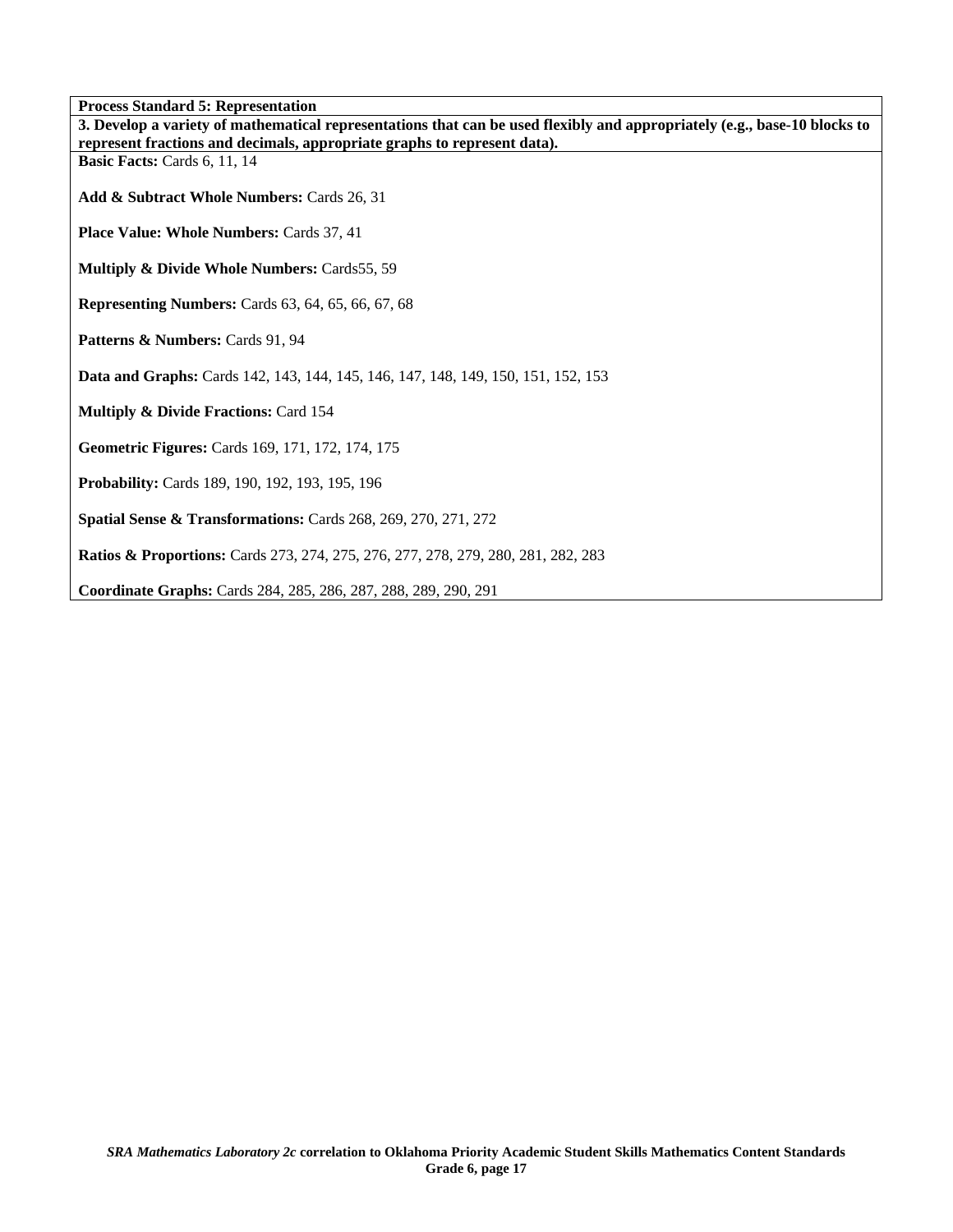**Process Standard 5: Representation** 

| т госсвя виннин о . кергезениноп<br>3. Develop a variety of mathematical representations that can be used flexibly and appropriately (e.g., base-10 blocks to |
|---------------------------------------------------------------------------------------------------------------------------------------------------------------|
| represent fractions and decimals, appropriate graphs to represent data).                                                                                      |
| Basic Facts: Cards 6, 11, 14                                                                                                                                  |
| Add & Subtract Whole Numbers: Cards 26, 31                                                                                                                    |
| <b>Place Value: Whole Numbers: Cards 37, 41</b>                                                                                                               |
| <b>Multiply &amp; Divide Whole Numbers: Cards55, 59</b>                                                                                                       |
| <b>Representing Numbers:</b> Cards 63, 64, 65, 66, 67, 68                                                                                                     |
| Patterns & Numbers: Cards 91, 94                                                                                                                              |
| Data and Graphs: Cards 142, 143, 144, 145, 146, 147, 148, 149, 150, 151, 152, 153                                                                             |
| Multiply & Divide Fractions: Card 154                                                                                                                         |
| Geometric Figures: Cards 169, 171, 172, 174, 175                                                                                                              |
| Probability: Cards 189, 190, 192, 193, 195, 196                                                                                                               |
| Spatial Sense & Transformations: Cards 268, 269, 270, 271, 272                                                                                                |
| <b>Ratios &amp; Proportions:</b> Cards 273, 274, 275, 276, 277, 278, 279, 280, 281, 282, 283                                                                  |
| Coordinate Graphs: Cards 284, 285, 286, 287, 288, 289, 290, 291                                                                                               |

٦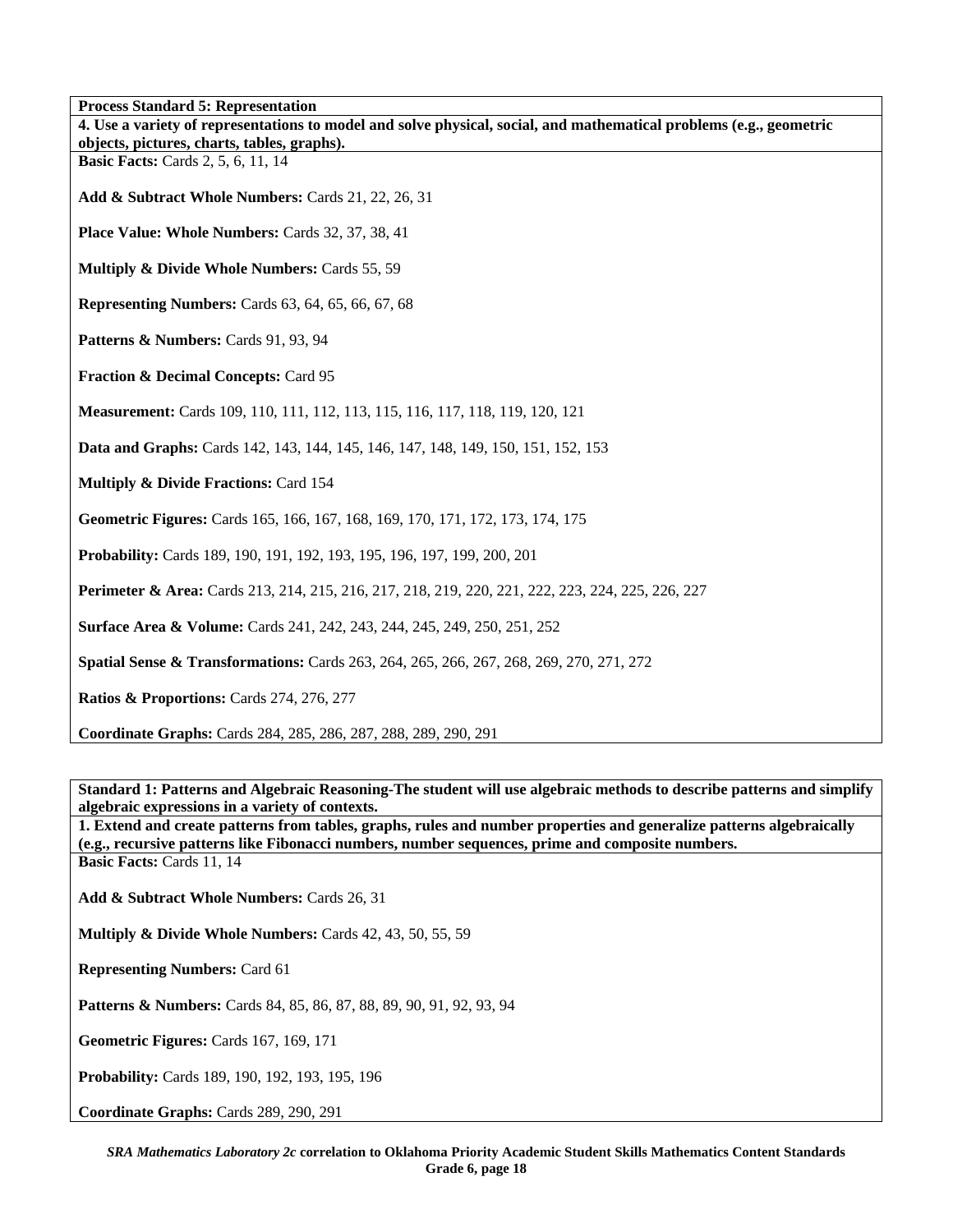**Process Standard 5: Representation** 

| 11 ocess Standard 3. Representation<br>4. Use a variety of representations to model and solve physical, social, and mathematical problems (e.g., geometric |
|------------------------------------------------------------------------------------------------------------------------------------------------------------|
| objects, pictures, charts, tables, graphs).                                                                                                                |
| <b>Basic Facts:</b> Cards 2, 5, 6, 11, 14                                                                                                                  |
| Add & Subtract Whole Numbers: Cards 21, 22, 26, 31                                                                                                         |
| Place Value: Whole Numbers: Cards 32, 37, 38, 41                                                                                                           |
| Multiply & Divide Whole Numbers: Cards 55, 59                                                                                                              |
| <b>Representing Numbers:</b> Cards 63, 64, 65, 66, 67, 68                                                                                                  |
| Patterns & Numbers: Cards 91, 93, 94                                                                                                                       |
| Fraction & Decimal Concepts: Card 95                                                                                                                       |
| <b>Measurement:</b> Cards 109, 110, 111, 112, 113, 115, 116, 117, 118, 119, 120, 121                                                                       |
| Data and Graphs: Cards 142, 143, 144, 145, 146, 147, 148, 149, 150, 151, 152, 153                                                                          |
| <b>Multiply &amp; Divide Fractions: Card 154</b>                                                                                                           |
| Geometric Figures: Cards 165, 166, 167, 168, 169, 170, 171, 172, 173, 174, 175                                                                             |
| Probability: Cards 189, 190, 191, 192, 193, 195, 196, 197, 199, 200, 201                                                                                   |
| <b>Perimeter &amp; Area:</b> Cards 213, 214, 215, 216, 217, 218, 219, 220, 221, 222, 223, 224, 225, 226, 227                                               |
| Surface Area & Volume: Cards 241, 242, 243, 244, 245, 249, 250, 251, 252                                                                                   |
| <b>Spatial Sense &amp; Transformations:</b> Cards 263, 264, 265, 266, 267, 268, 269, 270, 271, 272                                                         |
| Ratios & Proportions: Cards 274, 276, 277                                                                                                                  |
| Coordinate Graphs: Cards 284, 285, 286, 287, 288, 289, 290, 291                                                                                            |

**Standard 1: Patterns and Algebraic Reasoning-The student will use algebraic methods to describe patterns and simplify algebraic expressions in a variety of contexts.** 

**1. Extend and create patterns from tables, graphs, rules and number properties and generalize patterns algebraically (e.g., recursive patterns like Fibonacci numbers, number sequences, prime and composite numbers. Basic Facts: Cards 11, 14** 

**Add & Subtract Whole Numbers:** Cards 26, 31

**Multiply & Divide Whole Numbers:** Cards 42, 43, 50, 55, 59

**Representing Numbers:** Card 61

Patterns & Numbers: Cards 84, 85, 86, 87, 88, 89, 90, 91, 92, 93, 94

**Geometric Figures:** Cards 167, 169, 171

**Probability:** Cards 189, 190, 192, 193, 195, 196

**Coordinate Graphs:** Cards 289, 290, 291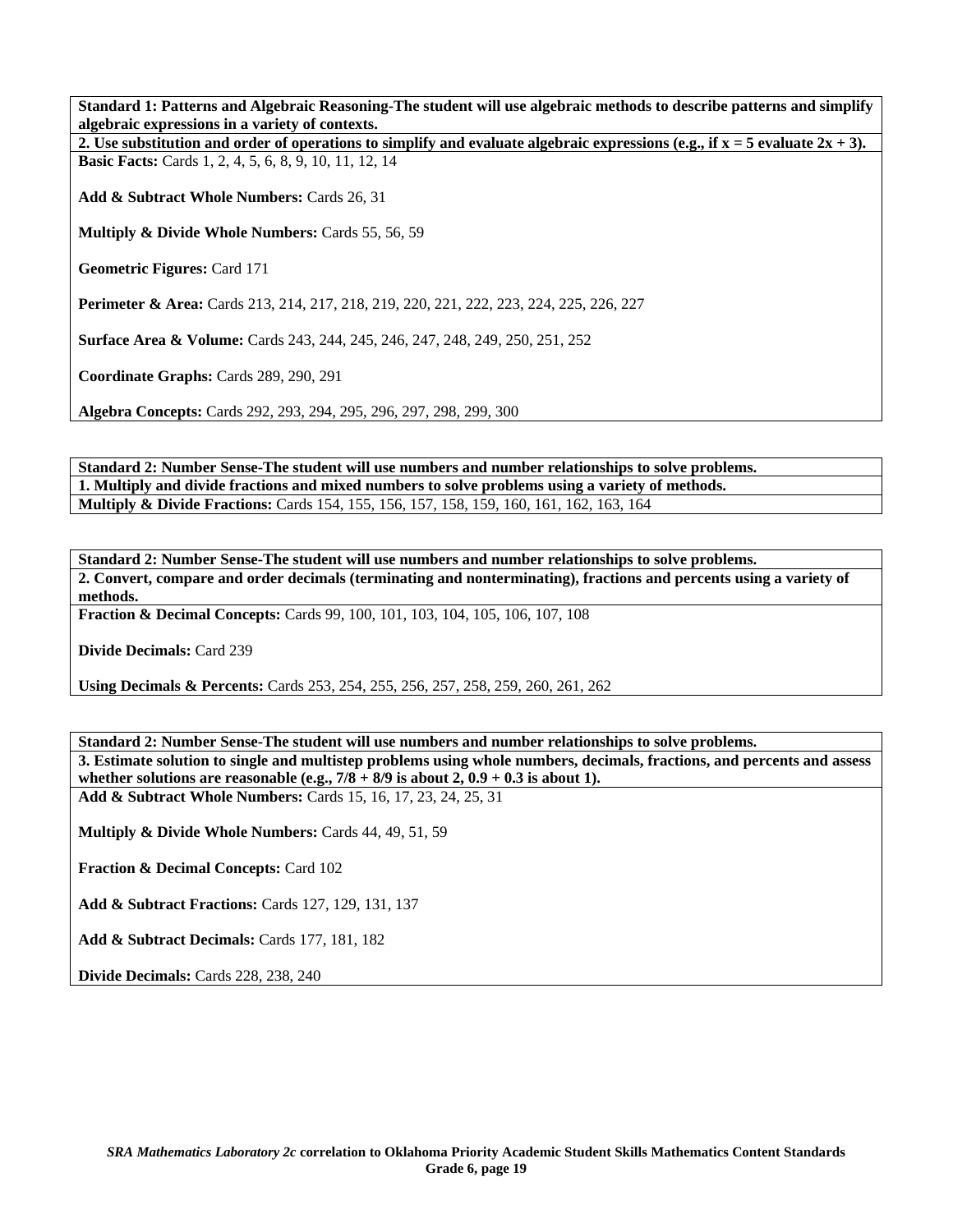**Standard 1: Patterns and Algebraic Reasoning-The student will use algebraic methods to describe patterns and simplify algebraic expressions in a variety of contexts.** 

**2.** Use substitution and order of operations to simplify and evaluate algebraic expressions (e.g., if  $x = 5$  evaluate  $2x + 3$ ). **Basic Facts:** Cards 1, 2, 4, 5, 6, 8, 9, 10, 11, 12, 14

**Add & Subtract Whole Numbers:** Cards 26, 31

**Multiply & Divide Whole Numbers:** Cards 55, 56, 59

**Geometric Figures:** Card 171

**Perimeter & Area:** Cards 213, 214, 217, 218, 219, 220, 221, 222, 223, 224, 225, 226, 227

**Surface Area & Volume:** Cards 243, 244, 245, 246, 247, 248, 249, 250, 251, 252

**Coordinate Graphs:** Cards 289, 290, 291

**Algebra Concepts:** Cards 292, 293, 294, 295, 296, 297, 298, 299, 300

**Standard 2: Number Sense-The student will use numbers and number relationships to solve problems. 1. Multiply and divide fractions and mixed numbers to solve problems using a variety of methods. Multiply & Divide Fractions:** Cards 154, 155, 156, 157, 158, 159, 160, 161, 162, 163, 164

**Standard 2: Number Sense-The student will use numbers and number relationships to solve problems. 2. Convert, compare and order decimals (terminating and nonterminating), fractions and percents using a variety of methods.** 

**Fraction & Decimal Concepts:** Cards 99, 100, 101, 103, 104, 105, 106, 107, 108

**Divide Decimals:** Card 239

**Using Decimals & Percents:** Cards 253, 254, 255, 256, 257, 258, 259, 260, 261, 262

**Standard 2: Number Sense-The student will use numbers and number relationships to solve problems. 3. Estimate solution to single and multistep problems using whole numbers, decimals, fractions, and percents and assess**  whether solutions are reasonable (e.g.,  $7/8 + 8/9$  is about 2,  $0.9 + 0.3$  is about 1). **Add & Subtract Whole Numbers:** Cards 15, 16, 17, 23, 24, 25, 31

**Multiply & Divide Whole Numbers:** Cards 44, 49, 51, 59

**Fraction & Decimal Concepts:** Card 102

**Add & Subtract Fractions:** Cards 127, 129, 131, 137

**Add & Subtract Decimals:** Cards 177, 181, 182

**Divide Decimals:** Cards 228, 238, 240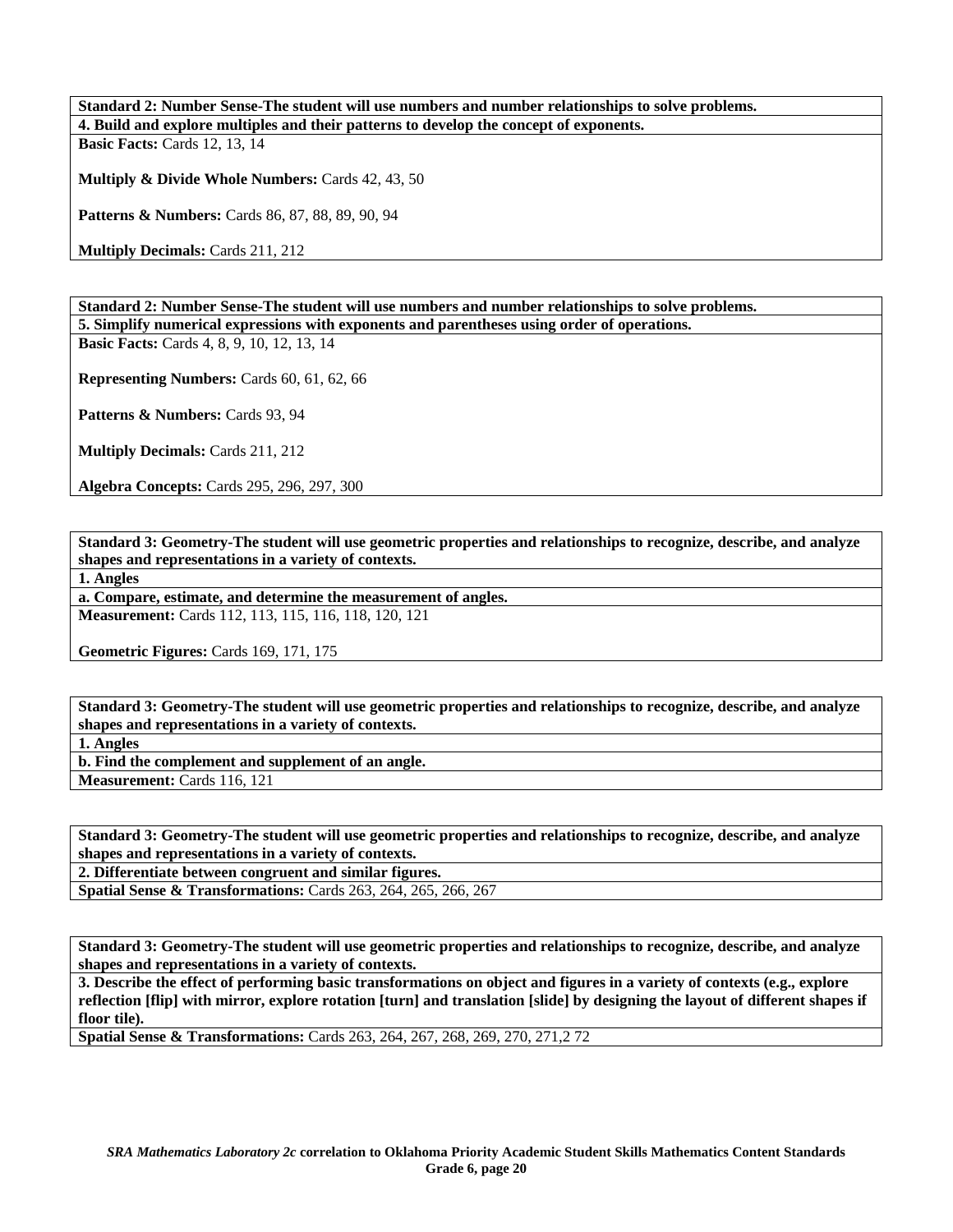**Standard 2: Number Sense-The student will use numbers and number relationships to solve problems. 4. Build and explore multiples and their patterns to develop the concept of exponents. Basic Facts: Cards 12, 13, 14** 

**Multiply & Divide Whole Numbers:** Cards 42, 43, 50

Patterns & Numbers: Cards 86, 87, 88, 89, 90, 94

**Multiply Decimals:** Cards 211, 212

**Standard 2: Number Sense-The student will use numbers and number relationships to solve problems. 5. Simplify numerical expressions with exponents and parentheses using order of operations.** 

**Basic Facts:** Cards 4, 8, 9, 10, 12, 13, 14

**Representing Numbers:** Cards 60, 61, 62, 66

Patterns & Numbers: Cards 93, 94

**Multiply Decimals:** Cards 211, 212

**Algebra Concepts:** Cards 295, 296, 297, 300

**Standard 3: Geometry-The student will use geometric properties and relationships to recognize, describe, and analyze shapes and representations in a variety of contexts.** 

**1. Angles** 

**a. Compare, estimate, and determine the measurement of angles.** 

**Measurement:** Cards 112, 113, 115, 116, 118, 120, 121

**Geometric Figures:** Cards 169, 171, 175

**Standard 3: Geometry-The student will use geometric properties and relationships to recognize, describe, and analyze shapes and representations in a variety of contexts.** 

**1. Angles** 

**b. Find the complement and supplement of an angle. Measurement:** Cards 116, 121

**Standard 3: Geometry-The student will use geometric properties and relationships to recognize, describe, and analyze shapes and representations in a variety of contexts.** 

**2. Differentiate between congruent and similar figures.** 

**Spatial Sense & Transformations:** Cards 263, 264, 265, 266, 267

**Standard 3: Geometry-The student will use geometric properties and relationships to recognize, describe, and analyze shapes and representations in a variety of contexts.** 

**3. Describe the effect of performing basic transformations on object and figures in a variety of contexts (e.g., explore reflection [flip] with mirror, explore rotation [turn] and translation [slide] by designing the layout of different shapes if floor tile).** 

**Spatial Sense & Transformations:** Cards 263, 264, 267, 268, 269, 270, 271,2 72